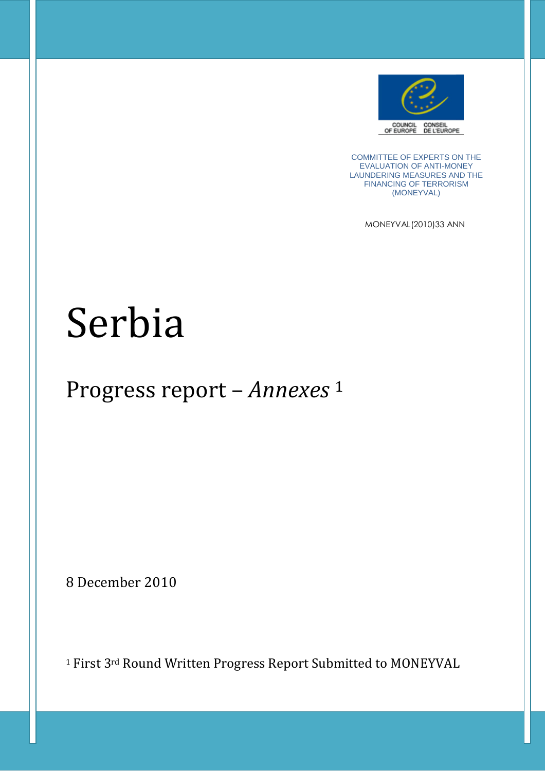

COMMITTEE OF EXPERTS ON THE EVALUATION OF ANTI-MONEY LAUNDERING MEASURES AND THE FINANCING OF TERRORISM (MONEYVAL)

MONEYVAL(2010)33 ANN

# Serbia

## Progress report – *Annexes* <sup>1</sup>

8 December 2010

<sup>1</sup> First 3rd Round Written Progress Report Submitted to MONEYVAL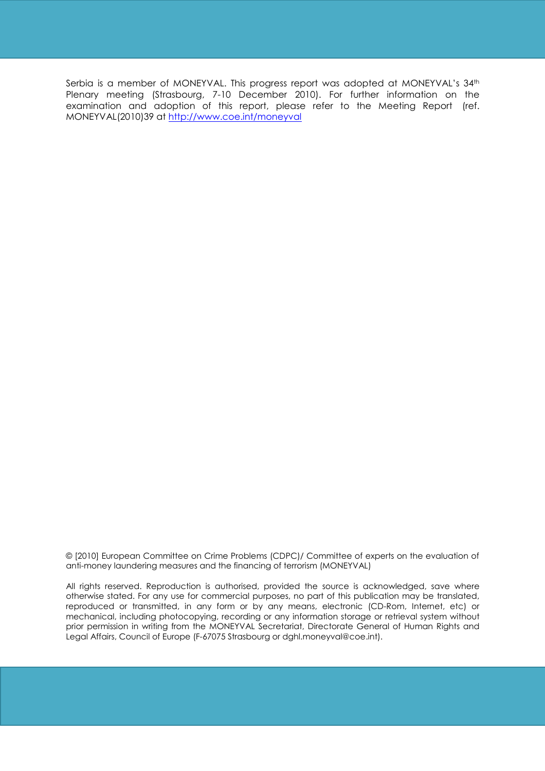Serbia is a member of MONEYVAL. This progress report was adopted at MONEYVAL's 34<sup>th</sup> Plenary meeting (Strasbourg, 7-10 December 2010). For further information on the examination and adoption of this report, please refer to the Meeting Report (ref. MONEYVAL(2010)39 at http://www.coe.int/moneyval

© [2010] European Committee on Crime Problems (CDPC)/ Committee of experts on the evaluation of anti-money laundering measures and the financing of terrorism (MONEYVAL)

All rights reserved. Reproduction is authorised, provided the source is acknowledged, save where otherwise stated. For any use for commercial purposes, no part of this publication may be translated, reproduced or transmitted, in any form or by any means, electronic (CD-Rom, Internet, etc) or mechanical, including photocopying, recording or any information storage or retrieval system without prior permission in writing from the MONEYVAL Secretariat, Directorate General of Human Rights and Legal Affairs, Council of Europe (F-67075 Strasbourg or dghl.moneyval@coe.int).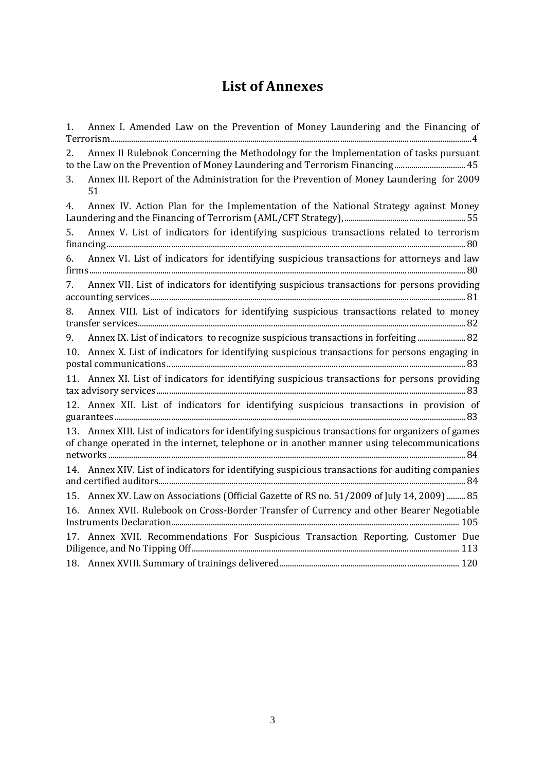## **List of Annexes**

| Annex I. Amended Law on the Prevention of Money Laundering and the Financing of<br>1.                                                                                                             |
|---------------------------------------------------------------------------------------------------------------------------------------------------------------------------------------------------|
| Annex II Rulebook Concerning the Methodology for the Implementation of tasks pursuant<br>2.<br>to the Law on the Prevention of Money Laundering and Terrorism Financing 45                        |
| Annex III. Report of the Administration for the Prevention of Money Laundering for 2009<br>3.<br>51                                                                                               |
| Annex IV. Action Plan for the Implementation of the National Strategy against Money<br>4.                                                                                                         |
| Annex V. List of indicators for identifying suspicious transactions related to terrorism<br>5.                                                                                                    |
| Annex VI. List of indicators for identifying suspicious transactions for attorneys and law<br>6.                                                                                                  |
| Annex VII. List of indicators for identifying suspicious transactions for persons providing<br>7.                                                                                                 |
| Annex VIII. List of indicators for identifying suspicious transactions related to money<br>8.                                                                                                     |
| Annex IX. List of indicators to recognize suspicious transactions in forfeiting 82<br>9.                                                                                                          |
| 10. Annex X. List of indicators for identifying suspicious transactions for persons engaging in                                                                                                   |
| 11. Annex XI. List of indicators for identifying suspicious transactions for persons providing                                                                                                    |
| 12. Annex XII. List of indicators for identifying suspicious transactions in provision of                                                                                                         |
| 13. Annex XIII. List of indicators for identifying suspicious transactions for organizers of games<br>of change operated in the internet, telephone or in another manner using telecommunications |
| 14. Annex XIV. List of indicators for identifying suspicious transactions for auditing companies                                                                                                  |
| 15. Annex XV. Law on Associations (Official Gazette of RS no. 51/2009 of July 14, 2009)  85                                                                                                       |
| 16. Annex XVII. Rulebook on Cross-Border Transfer of Currency and other Bearer Negotiable                                                                                                         |
| 17. Annex XVII. Recommendations For Suspicious Transaction Reporting, Customer Due                                                                                                                |
|                                                                                                                                                                                                   |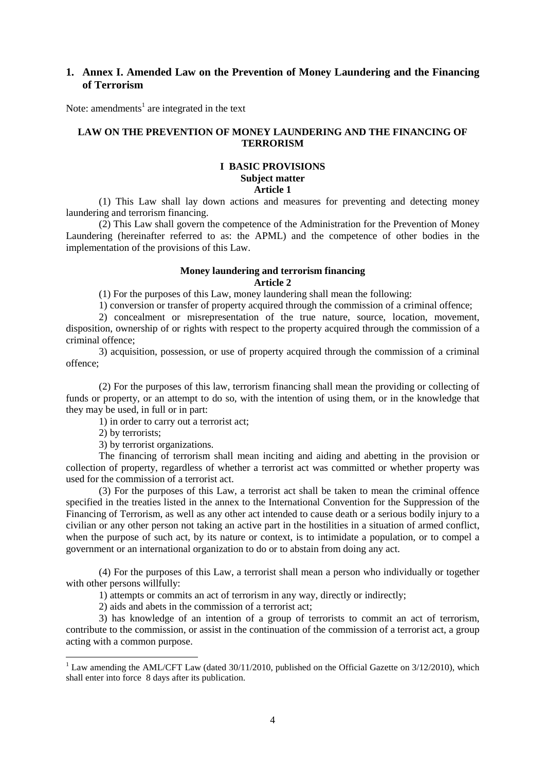#### **1. Annex I. Amended Law on the Prevention of Money Laundering and the Financing of Terrorism**

Note: amendments<sup>1</sup> are integrated in the text

#### **LAW ON THE PREVENTION OF MONEY LAUNDERING AND THE FINANCING OF TERRORISM**

#### **I BASIC PROVISIONS Subject matter Article 1**

(1) This Law shall lay down actions and measures for preventing and detecting money laundering and terrorism financing.

(2) This Law shall govern the competence of the Administration for the Prevention of Money Laundering (hereinafter referred to as: the APML) and the competence of other bodies in the implementation of the provisions of this Law.

#### **Money laundering and terrorism financing Article 2**

(1) For the purposes of this Law, money laundering shall mean the following:

1) conversion or transfer of property acquired through the commission of a criminal offence;

2) concealment or misrepresentation of the true nature, source, location, movement, disposition, ownership of or rights with respect to the property acquired through the commission of a criminal offence;

3) acquisition, possession, or use of property acquired through the commission of a criminal offence;

(2) For the purposes of this law, terrorism financing shall mean the providing or collecting of funds or property, or an attempt to do so, with the intention of using them, or in the knowledge that they may be used, in full or in part:

1) in order to carry out a terrorist act;

2) by terrorists;

 $\overline{a}$ 

3) by terrorist organizations.

The financing of terrorism shall mean inciting and aiding and abetting in the provision or collection of property, regardless of whether a terrorist act was committed or whether property was used for the commission of a terrorist act.

(3) For the purposes of this Law, a terrorist act shall be taken to mean the criminal offence specified in the treaties listed in the annex to the International Convention for the Suppression of the Financing of Terrorism, as well as any other act intended to cause death or a serious bodily injury to a civilian or any other person not taking an active part in the hostilities in a situation of armed conflict, when the purpose of such act, by its nature or context, is to intimidate a population, or to compel a government or an international organization to do or to abstain from doing any act.

(4) For the purposes of this Law, a terrorist shall mean a person who individually or together with other persons willfully:

1) attempts or commits an act of terrorism in any way, directly or indirectly;

2) aids and abets in the commission of a terrorist act;

3) has knowledge of an intention of a group of terrorists to commit an act of terrorism, contribute to the commission, or assist in the continuation of the commission of a terrorist act, a group acting with a common purpose.

 $1$  Law amending the AML/CFT Law (dated 30/11/2010, published on the Official Gazette on 3/12/2010), which shall enter into force 8 days after its publication.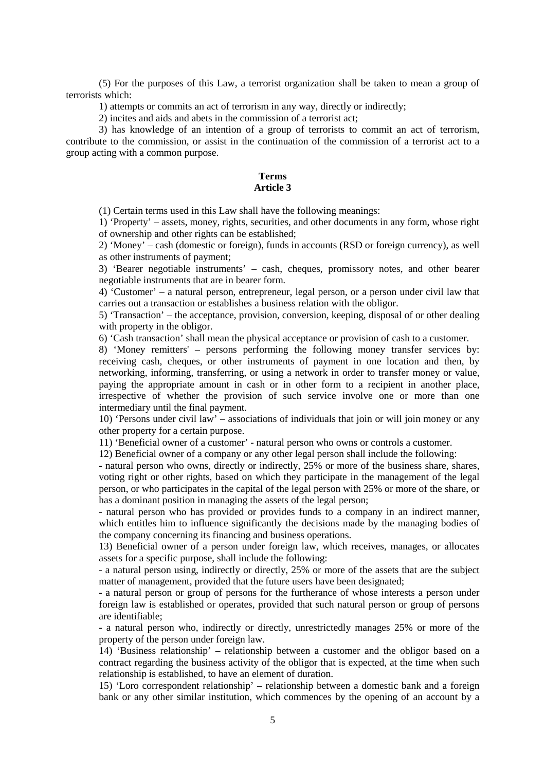(5) For the purposes of this Law, a terrorist organization shall be taken to mean a group of terrorists which:

1) attempts or commits an act of terrorism in any way, directly or indirectly;

2) incites and aids and abets in the commission of a terrorist act;

3) has knowledge of an intention of a group of terrorists to commit an act of terrorism, contribute to the commission, or assist in the continuation of the commission of a terrorist act to a group acting with a common purpose.

#### **Terms Article 3**

(1) Certain terms used in this Law shall have the following meanings:

1) 'Property' – assets, money, rights, securities, and other documents in any form, whose right of ownership and other rights can be established;

2) 'Money' – cash (domestic or foreign), funds in accounts (RSD or foreign currency), as well as other instruments of payment;

3) 'Bearer negotiable instruments' – cash, cheques, promissory notes, and other bearer negotiable instruments that are in bearer form.

4) 'Customer' – a natural person, entrepreneur, legal person, or a person under civil law that carries out a transaction or establishes a business relation with the obligor.

5) 'Transaction' – the acceptance, provision, conversion, keeping, disposal of or other dealing with property in the obligor.

6) 'Cash transaction' shall mean the physical acceptance or provision of cash to a customer.

8) 'Money remitters' – persons performing the following money transfer services by: receiving cash, cheques, or other instruments of payment in one location and then, by networking, informing, transferring, or using a network in order to transfer money or value, paying the appropriate amount in cash or in other form to a recipient in another place, irrespective of whether the provision of such service involve one or more than one intermediary until the final payment.

10) 'Persons under civil law' – associations of individuals that join or will join money or any other property for a certain purpose.

11) 'Beneficial owner of a customer' - natural person who owns or controls a customer.

12) Beneficial owner of a company or any other legal person shall include the following:

- natural person who owns, directly or indirectly, 25% or more of the business share, shares, voting right or other rights, based on which they participate in the management of the legal person, or who participates in the capital of the legal person with 25% or more of the share, or has a dominant position in managing the assets of the legal person;

- natural person who has provided or provides funds to a company in an indirect manner, which entitles him to influence significantly the decisions made by the managing bodies of the company concerning its financing and business operations.

13) Beneficial owner of a person under foreign law, which receives, manages, or allocates assets for a specific purpose, shall include the following:

- a natural person using, indirectly or directly, 25% or more of the assets that are the subject matter of management, provided that the future users have been designated;

- a natural person or group of persons for the furtherance of whose interests a person under foreign law is established or operates, provided that such natural person or group of persons are identifiable;

- a natural person who, indirectly or directly, unrestrictedly manages 25% or more of the property of the person under foreign law.

14) 'Business relationship' – relationship between a customer and the obligor based on a contract regarding the business activity of the obligor that is expected, at the time when such relationship is established, to have an element of duration.

15) 'Loro correspondent relationship' – relationship between a domestic bank and a foreign bank or any other similar institution, which commences by the opening of an account by a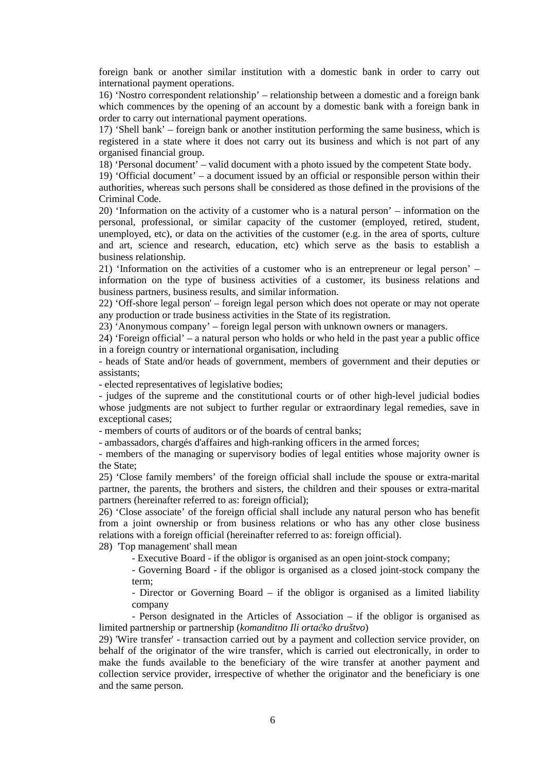foreign bank or another similar institution with a domestic bank in order to carry out international payment operations.

16) 'Nostro correspondent relationship' – relationship between a domestic and a foreign bank which commences by the opening of an account by a domestic bank with a foreign bank in order to carry out international payment operations.

17) 'Shell bank' – foreign bank or another institution performing the same business, which is registered in a state where it does not carry out its business and which is not part of any organised financial group.

18) 'Personal document' – valid document with a photo issued by the competent State body.

19) 'Official document' – a document issued by an official or responsible person within their authorities, whereas such persons shall be considered as those defined in the provisions of the Criminal Code.

20) 'Information on the activity of a customer who is a natural person' – information on the personal, professional, or similar capacity of the customer (employed, retired, student, unemployed, etc), or data on the activities of the customer (e.g. in the area of sports, culture and art, science and research, education, etc) which serve as the basis to establish a business relationship.

21) 'Information on the activities of a customer who is an entrepreneur or legal person' – information on the type of business activities of a customer, its business relations and business partners, business results, and similar information.

22) 'Off-shore legal person' – foreign legal person which does not operate or may not operate any production or trade business activities in the State of its registration.

23) 'Anonymous company' – foreign legal person with unknown owners or managers.

24) 'Foreign official' – a natural person who holds or who held in the past year a public office in a foreign country or international organisation, including

- heads of State and/or heads of government, members of government and their deputies or assistants;

- elected representatives of legislative bodies;

- judges of the supreme and the constitutional courts or of other high-level judicial bodies whose judgments are not subject to further regular or extraordinary legal remedies, save in exceptional cases;

- members of courts of auditors or of the boards of central banks;

- ambassadors, chargés d'affaires and high-ranking officers in the armed forces;

- members of the managing or supervisory bodies of legal entities whose majority owner is the State;

25) 'Close family members' of the foreign official shall include the spouse or extra-marital partner, the parents, the brothers and sisters, the children and their spouses or extra-marital partners (hereinafter referred to as: foreign official);

26) 'Close associate' of the foreign official shall include any natural person who has benefit from a joint ownership or from business relations or who has any other close business relations with a foreign official (hereinafter referred to as: foreign official).

28) 'Top management' shall mean

- Executive Board - if the obligor is organised as an open joint-stock company;

- Governing Board - if the obligor is organised as a closed joint-stock company the term;

- Director or Governing Board – if the obligor is organised as a limited liability company

- Person designated in the Articles of Association – if the obligor is organised as limited partnership or partnership (*komanditno Ili ortačko društvo*)

29) 'Wire transfer' - transaction carried out by a payment and collection service provider, on behalf of the originator of the wire transfer, which is carried out electronically, in order to make the funds available to the beneficiary of the wire transfer at another payment and collection service provider, irrespective of whether the originator and the beneficiary is one and the same person.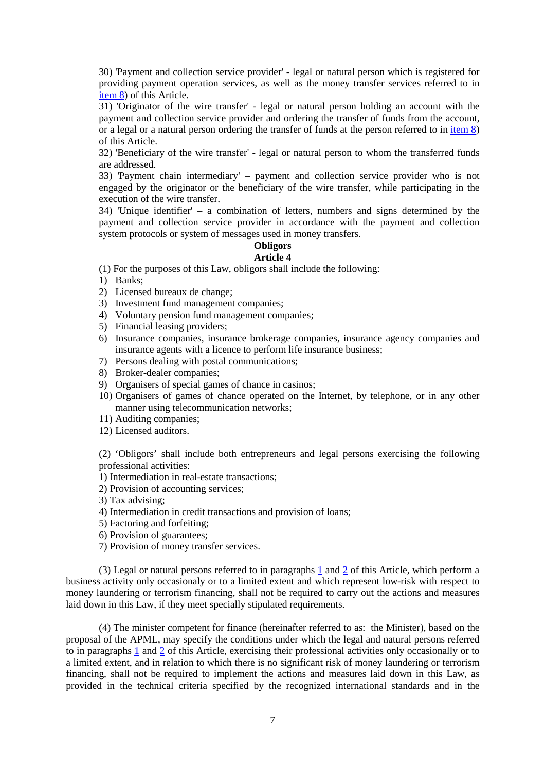30) 'Payment and collection service provider' - legal or natural person which is registered for providing payment operation services, as well as the money transfer services referred to in item 8) of this Article.

31) 'Originator of the wire transfer' - legal or natural person holding an account with the payment and collection service provider and ordering the transfer of funds from the account, or a legal or a natural person ordering the transfer of funds at the person referred to in item 8) of this Article.

32) 'Beneficiary of the wire transfer' - legal or natural person to whom the transferred funds are addressed.

33) 'Payment chain intermediary' – payment and collection service provider who is not engaged by the originator or the beneficiary of the wire transfer, while participating in the execution of the wire transfer.

34) 'Unique identifier' – a combination of letters, numbers and signs determined by the payment and collection service provider in accordance with the payment and collection system protocols or system of messages used in money transfers.

## **Obligors**

#### **Article 4**

(1) For the purposes of this Law, obligors shall include the following:

- 1) Banks;
- 2) Licensed bureaux de change;
- 3) Investment fund management companies;
- 4) Voluntary pension fund management companies;
- 5) Financial leasing providers;
- 6) Insurance companies, insurance brokerage companies, insurance agency companies and insurance agents with a licence to perform life insurance business;
- 7) Persons dealing with postal communications;
- 8) Broker-dealer companies;
- 9) Organisers of special games of chance in casinos;
- 10) Organisers of games of chance operated on the Internet, by telephone, or in any other manner using telecommunication networks;
- 11) Auditing companies;
- 12) Licensed auditors.

(2) 'Obligors' shall include both entrepreneurs and legal persons exercising the following professional activities:

1) Intermediation in real-estate transactions;

2) Provision of accounting services;

3) Tax advising;

4) Intermediation in credit transactions and provision of loans;

5) Factoring and forfeiting;

- 6) Provision of guarantees;
- 7) Provision of money transfer services.

(3) Legal or natural persons referred to in paragraphs 1 and 2 of this Article, which perform a business activity only occasionaly or to a limited extent and which represent low-risk with respect to money laundering or terrorism financing, shall not be required to carry out the actions and measures laid down in this Law, if they meet specially stipulated requirements.

(4) The minister competent for finance (hereinafter referred to as: the Minister), based on the proposal of the APML, may specify the conditions under which the legal and natural persons referred to in paragraphs  $1$  and  $2$  of this Article, exercising their professional activities only occasionally or to a limited extent, and in relation to which there is no significant risk of money laundering or terrorism financing, shall not be required to implement the actions and measures laid down in this Law, as provided in the technical criteria specified by the recognized international standards and in the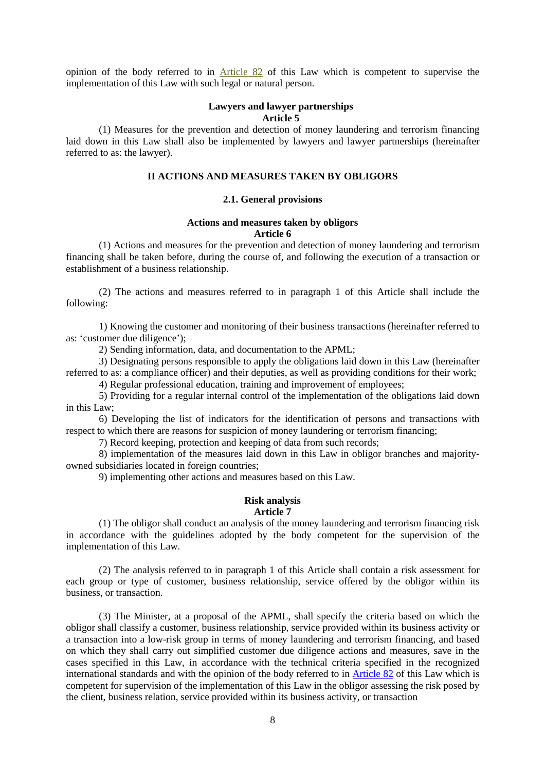opinion of the body referred to in Article 82 of this Law which is competent to supervise the implementation of this Law with such legal or natural person.

#### **Lawyers and lawyer partnerships Article 5**

(1) Measures for the prevention and detection of money laundering and terrorism financing laid down in this Law shall also be implemented by lawyers and lawyer partnerships (hereinafter referred to as: the lawyer).

#### **II ACTIONS AND MEASURES TAKEN BY OBLIGORS**

#### **2.1. General provisions**

#### **Actions and measures taken by obligors Article 6**

(1) Actions and measures for the prevention and detection of money laundering and terrorism financing shall be taken before, during the course of, and following the execution of a transaction or establishment of a business relationship.

(2) The actions and measures referred to in paragraph 1 of this Article shall include the following:

1) Knowing the customer and monitoring of their business transactions (hereinafter referred to as: 'customer due diligence');

2) Sending information, data, and documentation to the APML;

3) Designating persons responsible to apply the obligations laid down in this Law (hereinafter referred to as: a compliance officer) and their deputies, as well as providing conditions for their work;

4) Regular professional education, training and improvement of employees;

5) Providing for a regular internal control of the implementation of the obligations laid down in this Law;

6) Developing the list of indicators for the identification of persons and transactions with respect to which there are reasons for suspicion of money laundering or terrorism financing;

7) Record keeping, protection and keeping of data from such records;

8) implementation of the measures laid down in this Law in obligor branches and majorityowned subsidiaries located in foreign countries;

9) implementing other actions and measures based on this Law.

#### **Risk analysis**

#### **Article 7**

(1) The obligor shall conduct an analysis of the money laundering and terrorism financing risk in accordance with the guidelines adopted by the body competent for the supervision of the implementation of this Law.

(2) The analysis referred to in paragraph 1 of this Article shall contain a risk assessment for each group or type of customer, business relationship, service offered by the obligor within its business, or transaction.

(3) The Minister, at a proposal of the APML, shall specify the criteria based on which the obligor shall classify a customer, business relationship, service provided within its business activity or a transaction into a low-risk group in terms of money laundering and terrorism financing, and based on which they shall carry out simplified customer due diligence actions and measures, save in the cases specified in this Law, in accordance with the technical criteria specified in the recognized international standards and with the opinion of the body referred to in Article 82 of this Law which is competent for supervision of the implementation of this Law in the obligor assessing the risk posed by the client, business relation, service provided within its business activity, or transaction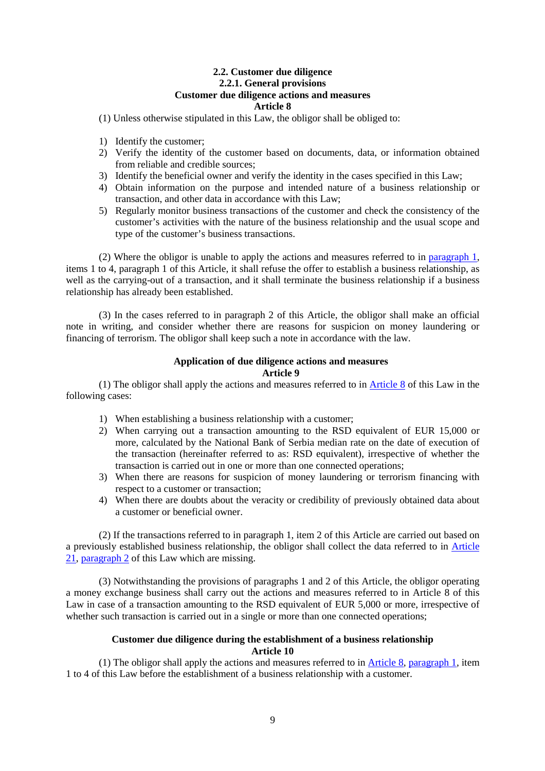#### **2.2. Customer due diligence 2.2.1. General provisions Customer due diligence actions and measures Article 8**

(1) Unless otherwise stipulated in this Law, the obligor shall be obliged to:

- 1) Identify the customer;
- 2) Verify the identity of the customer based on documents, data, or information obtained from reliable and credible sources;
- 3) Identify the beneficial owner and verify the identity in the cases specified in this Law;
- 4) Obtain information on the purpose and intended nature of a business relationship or transaction, and other data in accordance with this Law;
- 5) Regularly monitor business transactions of the customer and check the consistency of the customer's activities with the nature of the business relationship and the usual scope and type of the customer's business transactions.

(2) Where the obligor is unable to apply the actions and measures referred to in paragraph 1, items 1 to 4, paragraph 1 of this Article, it shall refuse the offer to establish a business relationship, as well as the carrying-out of a transaction, and it shall terminate the business relationship if a business relationship has already been established.

(3) In the cases referred to in paragraph 2 of this Article, the obligor shall make an official note in writing, and consider whether there are reasons for suspicion on money laundering or financing of terrorism. The obligor shall keep such a note in accordance with the law.

#### **Application of due diligence actions and measures Article 9**

(1) The obligor shall apply the actions and measures referred to in Article 8 of this Law in the following cases:

- 1) When establishing a business relationship with a customer;
- 2) When carrying out a transaction amounting to the RSD equivalent of EUR 15,000 or more, calculated by the National Bank of Serbia median rate on the date of execution of the transaction (hereinafter referred to as: RSD equivalent), irrespective of whether the transaction is carried out in one or more than one connected operations;
- 3) When there are reasons for suspicion of money laundering or terrorism financing with respect to a customer or transaction;
- 4) When there are doubts about the veracity or credibility of previously obtained data about a customer or beneficial owner.

(2) If the transactions referred to in paragraph 1, item 2 of this Article are carried out based on a previously established business relationship, the obligor shall collect the data referred to in Article 21, paragraph 2 of this Law which are missing.

(3) Notwithstanding the provisions of paragraphs 1 and 2 of this Article, the obligor operating a money exchange business shall carry out the actions and measures referred to in Article 8 of this Law in case of a transaction amounting to the RSD equivalent of EUR 5,000 or more, irrespective of whether such transaction is carried out in a single or more than one connected operations;

#### **Customer due diligence during the establishment of a business relationship Article 10**

(1) The obligor shall apply the actions and measures referred to in Article 8, paragraph 1, item 1 to 4 of this Law before the establishment of a business relationship with a customer.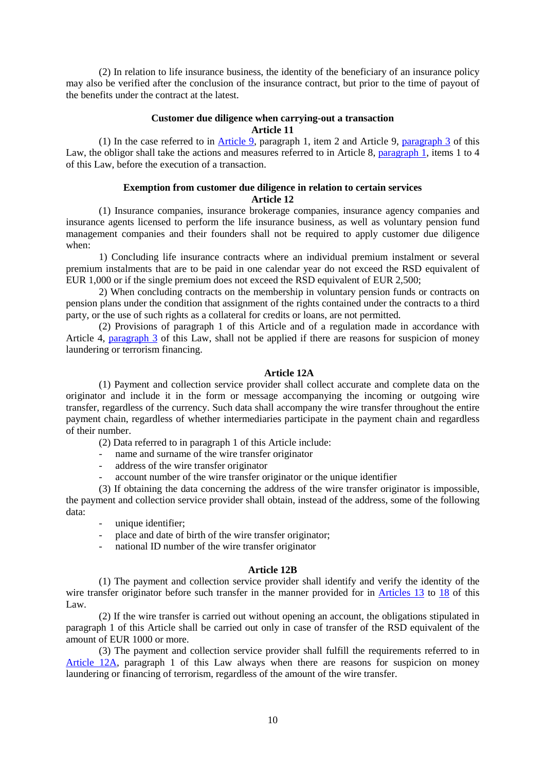(2) In relation to life insurance business, the identity of the beneficiary of an insurance policy may also be verified after the conclusion of the insurance contract, but prior to the time of payout of the benefits under the contract at the latest.

#### **Customer due diligence when carrying-out a transaction Article 11**

(1) In the case referred to in Article 9, paragraph 1, item 2 and Article 9, paragraph 3 of this Law, the obligor shall take the actions and measures referred to in Article 8, paragraph 1, items 1 to 4 of this Law, before the execution of a transaction.

#### **Exemption from customer due diligence in relation to certain services Article 12**

(1) Insurance companies, insurance brokerage companies, insurance agency companies and insurance agents licensed to perform the life insurance business, as well as voluntary pension fund management companies and their founders shall not be required to apply customer due diligence when:

1) Concluding life insurance contracts where an individual premium instalment or several premium instalments that are to be paid in one calendar year do not exceed the RSD equivalent of EUR 1,000 or if the single premium does not exceed the RSD equivalent of EUR 2,500;

2) When concluding contracts on the membership in voluntary pension funds or contracts on pension plans under the condition that assignment of the rights contained under the contracts to a third party, or the use of such rights as a collateral for credits or loans, are not permitted.

(2) Provisions of paragraph 1 of this Article and of a regulation made in accordance with Article 4, paragraph 3 of this Law, shall not be applied if there are reasons for suspicion of money laundering or terrorism financing.

#### **Article 12A**

(1) Payment and collection service provider shall collect accurate and complete data on the originator and include it in the form or message accompanying the incoming or outgoing wire transfer, regardless of the currency. Such data shall accompany the wire transfer throughout the entire payment chain, regardless of whether intermediaries participate in the payment chain and regardless of their number.

- (2) Data referred to in paragraph 1 of this Article include:
- name and surname of the wire transfer originator
- address of the wire transfer originator
- account number of the wire transfer originator or the unique identifier

(3) If obtaining the data concerning the address of the wire transfer originator is impossible, the payment and collection service provider shall obtain, instead of the address, some of the following data:

- unique identifier;
- place and date of birth of the wire transfer originator;
- national ID number of the wire transfer originator

#### **Article 12B**

(1) The payment and collection service provider shall identify and verify the identity of the wire transfer originator before such transfer in the manner provided for in Articles 13 to 18 of this Law.

(2) If the wire transfer is carried out without opening an account, the obligations stipulated in paragraph 1 of this Article shall be carried out only in case of transfer of the RSD equivalent of the amount of EUR 1000 or more.

(3) The payment and collection service provider shall fulfill the requirements referred to in Article 12A, paragraph 1 of this Law always when there are reasons for suspicion on money laundering or financing of terrorism, regardless of the amount of the wire transfer.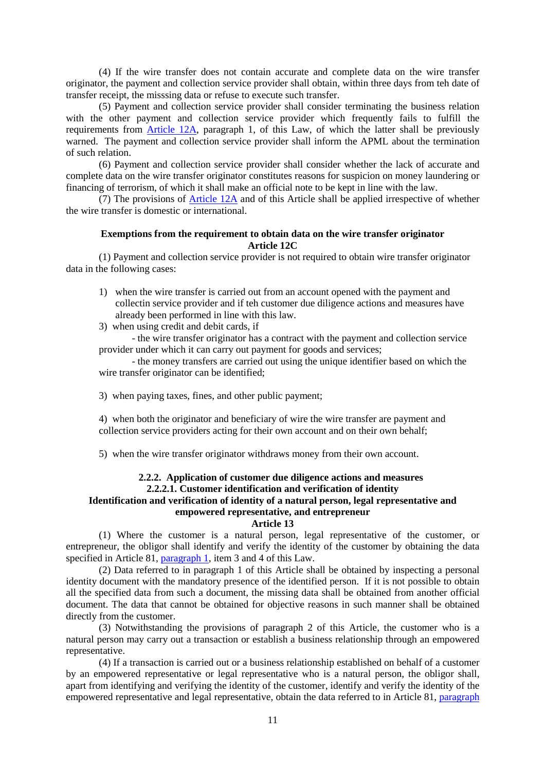(4) If the wire transfer does not contain accurate and complete data on the wire transfer originator, the payment and collection service provider shall obtain, within three days from teh date of transfer receipt, the misssing data or refuse to execute such transfer.

(5) Payment and collection service provider shall consider terminating the business relation with the other payment and collection service provider which frequently fails to fulfill the requirements from Article 12A, paragraph 1, of this Law, of which the latter shall be previously warned. The payment and collection service provider shall inform the APML about the termination of such relation.

(6) Payment and collection service provider shall consider whether the lack of accurate and complete data on the wire transfer originator constitutes reasons for suspicion on money laundering or financing of terrorism, of which it shall make an official note to be kept in line with the law.

(7) The provisions of Article 12A and of this Article shall be applied irrespective of whether the wire transfer is domestic or international.

#### **Exemptions from the requirement to obtain data on the wire transfer originator Article 12C**

 (1) Payment and collection service provider is not required to obtain wire transfer originator data in the following cases:

- 1) when the wire transfer is carried out from an account opened with the payment and collectin service provider and if teh customer due diligence actions and measures have already been performed in line with this law.
- 3) when using credit and debit cards, if

 - the wire transfer originator has a contract with the payment and collection service provider under which it can carry out payment for goods and services;

 - the money transfers are carried out using the unique identifier based on which the wire transfer originator can be identified;

3) when paying taxes, fines, and other public payment;

4) when both the originator and beneficiary of wire the wire transfer are payment and collection service providers acting for their own account and on their own behalf;

5) when the wire transfer originator withdraws money from their own account.

#### **2.2.2. Application of customer due diligence actions and measures 2.2.2.1. Customer identification and verification of identity Identification and verification of identity of a natural person, legal representative and empowered representative, and entrepreneur**

#### **Article 13**

(1) Where the customer is a natural person, legal representative of the customer, or entrepreneur, the obligor shall identify and verify the identity of the customer by obtaining the data specified in Article 81, paragraph 1, item 3 and 4 of this Law.

(2) Data referred to in paragraph 1 of this Article shall be obtained by inspecting a personal identity document with the mandatory presence of the identified person. If it is not possible to obtain all the specified data from such a document, the missing data shall be obtained from another official document. The data that cannot be obtained for objective reasons in such manner shall be obtained directly from the customer.

(3) Notwithstanding the provisions of paragraph 2 of this Article, the customer who is a natural person may carry out a transaction or establish a business relationship through an empowered representative.

(4) If a transaction is carried out or a business relationship established on behalf of a customer by an empowered representative or legal representative who is a natural person, the obligor shall, apart from identifying and verifying the identity of the customer, identify and verify the identity of the empowered representative and legal representative, obtain the data referred to in Article 81, paragraph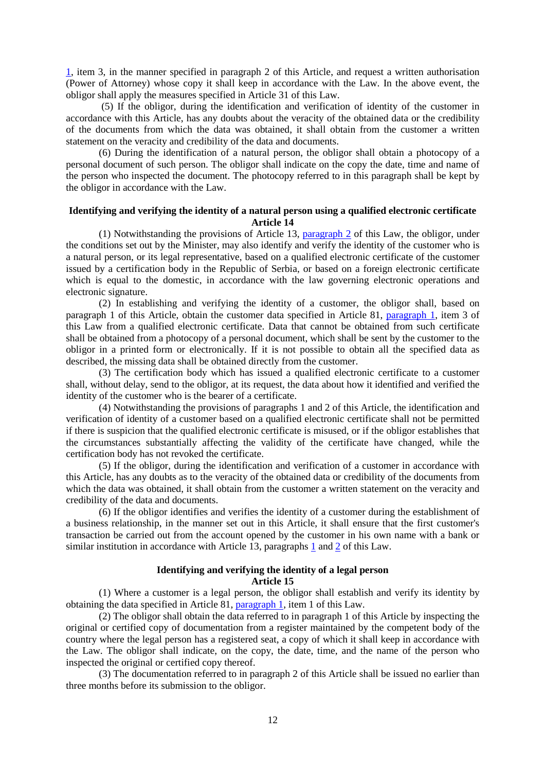1, item 3, in the manner specified in paragraph 2 of this Article, and request a written authorisation (Power of Attorney) whose copy it shall keep in accordance with the Law. In the above event, the obligor shall apply the measures specified in Article 31 of this Law.

 (5) If the obligor, during the identification and verification of identity of the customer in accordance with this Article, has any doubts about the veracity of the obtained data or the credibility of the documents from which the data was obtained, it shall obtain from the customer a written statement on the veracity and credibility of the data and documents.

(6) During the identification of a natural person, the obligor shall obtain a photocopy of a personal document of such person. The obligor shall indicate on the copy the date, time and name of the person who inspected the document. The photocopy referred to in this paragraph shall be kept by the obligor in accordance with the Law.

#### **Identifying and verifying the identity of a natural person using a qualified electronic certificate Article 14**

(1) Notwithstanding the provisions of Article 13, paragraph 2 of this Law, the obligor, under the conditions set out by the Minister, may also identify and verify the identity of the customer who is a natural person, or its legal representative, based on a qualified electronic certificate of the customer issued by a certification body in the Republic of Serbia, or based on a foreign electronic certificate which is equal to the domestic, in accordance with the law governing electronic operations and electronic signature.

(2) In establishing and verifying the identity of a customer, the obligor shall, based on paragraph 1 of this Article, obtain the customer data specified in Article 81, paragraph 1, item 3 of this Law from a qualified electronic certificate. Data that cannot be obtained from such certificate shall be obtained from a photocopy of a personal document, which shall be sent by the customer to the obligor in a printed form or electronically. If it is not possible to obtain all the specified data as described, the missing data shall be obtained directly from the customer.

(3) The certification body which has issued a qualified electronic certificate to a customer shall, without delay, send to the obligor, at its request, the data about how it identified and verified the identity of the customer who is the bearer of a certificate.

(4) Notwithstanding the provisions of paragraphs 1 and 2 of this Article, the identification and verification of identity of a customer based on a qualified electronic certificate shall not be permitted if there is suspicion that the qualified electronic certificate is misused, or if the obligor establishes that the circumstances substantially affecting the validity of the certificate have changed, while the certification body has not revoked the certificate.

(5) If the obligor, during the identification and verification of a customer in accordance with this Article, has any doubts as to the veracity of the obtained data or credibility of the documents from which the data was obtained, it shall obtain from the customer a written statement on the veracity and credibility of the data and documents.

(6) If the obligor identifies and verifies the identity of a customer during the establishment of a business relationship, in the manner set out in this Article, it shall ensure that the first customer's transaction be carried out from the account opened by the customer in his own name with a bank or similar institution in accordance with Article 13, paragraphs 1 and 2 of this Law.

#### **Identifying and verifying the identity of a legal person Article 15**

(1) Where a customer is a legal person, the obligor shall establish and verify its identity by obtaining the data specified in Article 81, paragraph 1, item 1 of this Law.

(2) The obligor shall obtain the data referred to in paragraph 1 of this Article by inspecting the original or certified copy of documentation from a register maintained by the competent body of the country where the legal person has a registered seat, a copy of which it shall keep in accordance with the Law. The obligor shall indicate, on the copy, the date, time, and the name of the person who inspected the original or certified copy thereof.

(3) The documentation referred to in paragraph 2 of this Article shall be issued no earlier than three months before its submission to the obligor.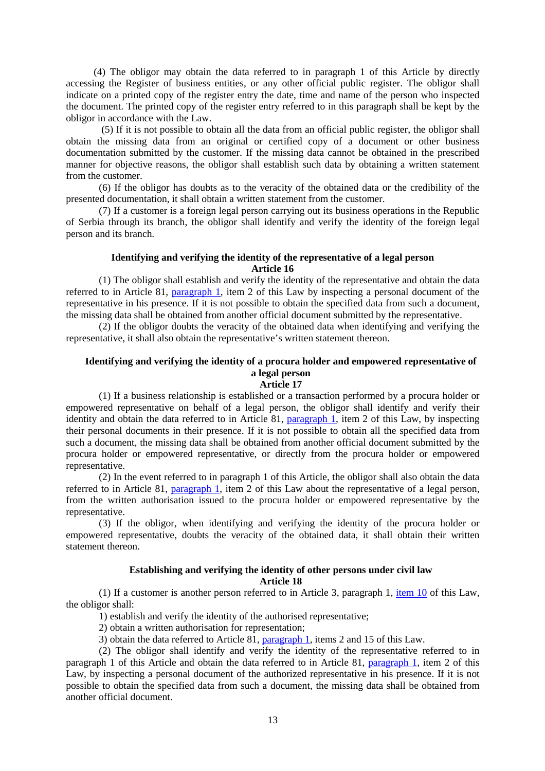(4) The obligor may obtain the data referred to in paragraph 1 of this Article by directly accessing the Register of business entities, or any other official public register. The obligor shall indicate on a printed copy of the register entry the date, time and name of the person who inspected the document. The printed copy of the register entry referred to in this paragraph shall be kept by the obligor in accordance with the Law.

 (5) If it is not possible to obtain all the data from an official public register, the obligor shall obtain the missing data from an original or certified copy of a document or other business documentation submitted by the customer. If the missing data cannot be obtained in the prescribed manner for objective reasons, the obligor shall establish such data by obtaining a written statement from the customer.

(6) If the obligor has doubts as to the veracity of the obtained data or the credibility of the presented documentation, it shall obtain a written statement from the customer.

(7) If a customer is a foreign legal person carrying out its business operations in the Republic of Serbia through its branch, the obligor shall identify and verify the identity of the foreign legal person and its branch.

#### **Identifying and verifying the identity of the representative of a legal person Article 16**

(1) The obligor shall establish and verify the identity of the representative and obtain the data referred to in Article 81, paragraph 1, item 2 of this Law by inspecting a personal document of the representative in his presence. If it is not possible to obtain the specified data from such a document, the missing data shall be obtained from another official document submitted by the representative.

(2) If the obligor doubts the veracity of the obtained data when identifying and verifying the representative, it shall also obtain the representative's written statement thereon.

## **Identifying and verifying the identity of a procura holder and empowered representative of a legal person**

**Article 17** 

(1) If a business relationship is established or a transaction performed by a procura holder or empowered representative on behalf of a legal person, the obligor shall identify and verify their identity and obtain the data referred to in Article 81, paragraph 1, item 2 of this Law, by inspecting their personal documents in their presence. If it is not possible to obtain all the specified data from such a document, the missing data shall be obtained from another official document submitted by the procura holder or empowered representative, or directly from the procura holder or empowered representative.

(2) In the event referred to in paragraph 1 of this Article, the obligor shall also obtain the data referred to in Article 81, paragraph 1, item 2 of this Law about the representative of a legal person, from the written authorisation issued to the procura holder or empowered representative by the representative.

(3) If the obligor, when identifying and verifying the identity of the procura holder or empowered representative, doubts the veracity of the obtained data, it shall obtain their written statement thereon.

#### **Establishing and verifying the identity of other persons under civil law Article 18**

(1) If a customer is another person referred to in Article 3, paragraph 1, item 10 of this Law, the obligor shall:

1) establish and verify the identity of the authorised representative;

2) obtain a written authorisation for representation;

3) obtain the data referred to Article  $\overline{81}$ , paragraph 1, items 2 and 15 of this Law.

(2) The obligor shall identify and verify the identity of the representative referred to in paragraph 1 of this Article and obtain the data referred to in Article 81, paragraph 1, item 2 of this Law, by inspecting a personal document of the authorized representative in his presence. If it is not possible to obtain the specified data from such a document, the missing data shall be obtained from another official document.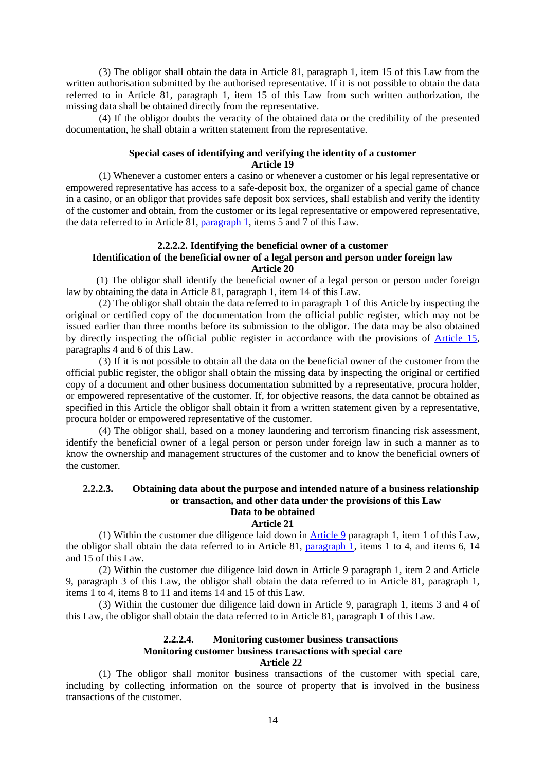(3) The obligor shall obtain the data in Article 81, paragraph 1, item 15 of this Law from the written authorisation submitted by the authorised representative. If it is not possible to obtain the data referred to in Article 81, paragraph 1, item 15 of this Law from such written authorization, the missing data shall be obtained directly from the representative.

(4) If the obligor doubts the veracity of the obtained data or the credibility of the presented documentation, he shall obtain a written statement from the representative.

#### **Special cases of identifying and verifying the identity of a customer Article 19**

(1) Whenever a customer enters a casino or whenever a customer or his legal representative or empowered representative has access to a safe-deposit box, the organizer of a special game of chance in a casino, or an obligor that provides safe deposit box services, shall establish and verify the identity of the customer and obtain, from the customer or its legal representative or empowered representative, the data referred to in Article 81, paragraph 1, items 5 and 7 of this Law.

#### **2.2.2.2. Identifying the beneficial owner of a customer Identification of the beneficial owner of a legal person and person under foreign law Article 20**

(1) The obligor shall identify the beneficial owner of a legal person or person under foreign law by obtaining the data in Article 81, paragraph 1, item 14 of this Law.

(2) The obligor shall obtain the data referred to in paragraph 1 of this Article by inspecting the original or certified copy of the documentation from the official public register, which may not be issued earlier than three months before its submission to the obligor. The data may be also obtained by directly inspecting the official public register in accordance with the provisions of Article 15, paragraphs 4 and 6 of this Law.

(3) If it is not possible to obtain all the data on the beneficial owner of the customer from the official public register, the obligor shall obtain the missing data by inspecting the original or certified copy of a document and other business documentation submitted by a representative, procura holder, or empowered representative of the customer. If, for objective reasons, the data cannot be obtained as specified in this Article the obligor shall obtain it from a written statement given by a representative, procura holder or empowered representative of the customer.

(4) The obligor shall, based on a money laundering and terrorism financing risk assessment, identify the beneficial owner of a legal person or person under foreign law in such a manner as to know the ownership and management structures of the customer and to know the beneficial owners of the customer.

#### **2.2.2.3. Obtaining data about the purpose and intended nature of a business relationship or transaction, and other data under the provisions of this Law Data to be obtained**

#### **Article 21**

(1) Within the customer due diligence laid down in Article 9 paragraph 1, item 1 of this Law, the obligor shall obtain the data referred to in Article 81, paragraph 1, items 1 to 4, and items 6, 14 and 15 of this Law.

(2) Within the customer due diligence laid down in Article 9 paragraph 1, item 2 and Article 9, paragraph 3 of this Law, the obligor shall obtain the data referred to in Article 81, paragraph 1, items 1 to 4, items 8 to 11 and items 14 and 15 of this Law.

(3) Within the customer due diligence laid down in Article 9, paragraph 1, items 3 and 4 of this Law, the obligor shall obtain the data referred to in Article 81, paragraph 1 of this Law.

#### **2.2.2.4. Monitoring customer business transactions Monitoring customer business transactions with special care Article 22**

(1) The obligor shall monitor business transactions of the customer with special care, including by collecting information on the source of property that is involved in the business transactions of the customer.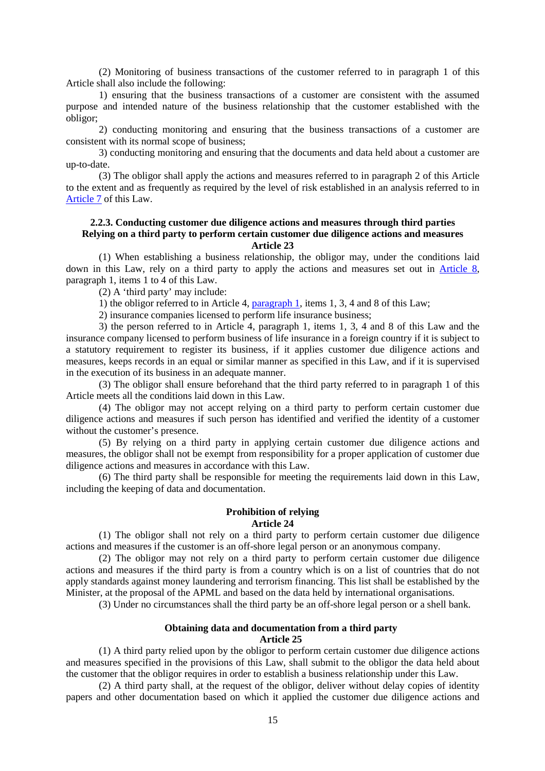(2) Monitoring of business transactions of the customer referred to in paragraph 1 of this Article shall also include the following:

1) ensuring that the business transactions of a customer are consistent with the assumed purpose and intended nature of the business relationship that the customer established with the obligor;

2) conducting monitoring and ensuring that the business transactions of a customer are consistent with its normal scope of business;

3) conducting monitoring and ensuring that the documents and data held about a customer are up-to-date.

(3) The obligor shall apply the actions and measures referred to in paragraph 2 of this Article to the extent and as frequently as required by the level of risk established in an analysis referred to in Article 7 of this Law.

#### **2.2.3. Conducting customer due diligence actions and measures through third parties Relying on a third party to perform certain customer due diligence actions and measures Article 23**

(1) When establishing a business relationship, the obligor may, under the conditions laid down in this Law, rely on a third party to apply the actions and measures set out in Article 8, paragraph 1, items 1 to 4 of this Law.

(2) A 'third party' may include:

1) the obligor referred to in Article 4, paragraph 1, items 1, 3, 4 and 8 of this Law;

2) insurance companies licensed to perform life insurance business;

3) the person referred to in Article 4, paragraph 1, items 1, 3, 4 and 8 of this Law and the insurance company licensed to perform business of life insurance in a foreign country if it is subject to a statutory requirement to register its business, if it applies customer due diligence actions and measures, keeps records in an equal or similar manner as specified in this Law, and if it is supervised in the execution of its business in an adequate manner.

(3) The obligor shall ensure beforehand that the third party referred to in paragraph 1 of this Article meets all the conditions laid down in this Law.

(4) The obligor may not accept relying on a third party to perform certain customer due diligence actions and measures if such person has identified and verified the identity of a customer without the customer's presence.

(5) By relying on a third party in applying certain customer due diligence actions and measures, the obligor shall not be exempt from responsibility for a proper application of customer due diligence actions and measures in accordance with this Law.

(6) The third party shall be responsible for meeting the requirements laid down in this Law, including the keeping of data and documentation.

#### **Prohibition of relying Article 24**

(1) The obligor shall not rely on a third party to perform certain customer due diligence actions and measures if the customer is an off-shore legal person or an anonymous company.

(2) The obligor may not rely on a third party to perform certain customer due diligence actions and measures if the third party is from a country which is on a list of countries that do not apply standards against money laundering and terrorism financing. This list shall be established by the Minister, at the proposal of the APML and based on the data held by international organisations.

(3) Under no circumstances shall the third party be an off-shore legal person or a shell bank.

#### **Obtaining data and documentation from a third party Article 25**

(1) A third party relied upon by the obligor to perform certain customer due diligence actions and measures specified in the provisions of this Law, shall submit to the obligor the data held about the customer that the obligor requires in order to establish a business relationship under this Law.

(2) A third party shall, at the request of the obligor, deliver without delay copies of identity papers and other documentation based on which it applied the customer due diligence actions and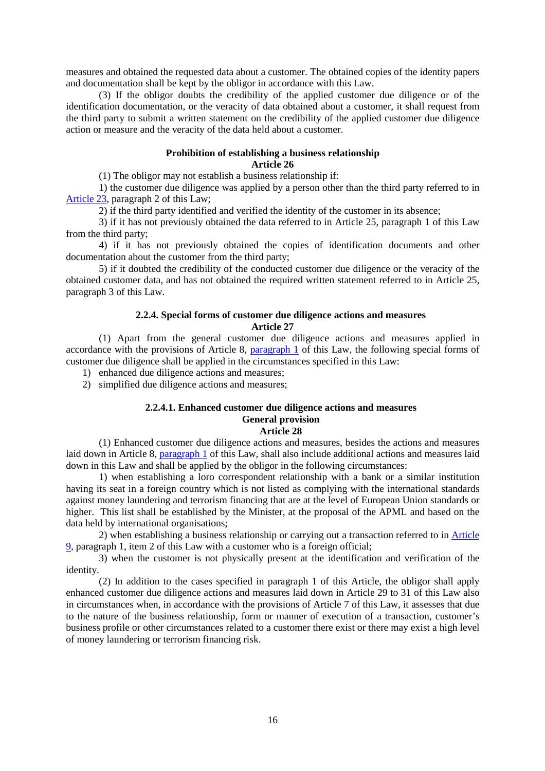measures and obtained the requested data about a customer. The obtained copies of the identity papers and documentation shall be kept by the obligor in accordance with this Law.

(3) If the obligor doubts the credibility of the applied customer due diligence or of the identification documentation, or the veracity of data obtained about a customer, it shall request from the third party to submit a written statement on the credibility of the applied customer due diligence action or measure and the veracity of the data held about a customer.

#### **Prohibition of establishing a business relationship Article 26**

(1) The obligor may not establish a business relationship if:

1) the customer due diligence was applied by a person other than the third party referred to in Article 23, paragraph 2 of this Law;

2) if the third party identified and verified the identity of the customer in its absence;

3) if it has not previously obtained the data referred to in Article 25, paragraph 1 of this Law from the third party;

4) if it has not previously obtained the copies of identification documents and other documentation about the customer from the third party;

5) if it doubted the credibility of the conducted customer due diligence or the veracity of the obtained customer data, and has not obtained the required written statement referred to in Article 25, paragraph 3 of this Law.

#### **2.2.4. Special forms of customer due diligence actions and measures Article 27**

(1) Apart from the general customer due diligence actions and measures applied in accordance with the provisions of Article 8, paragraph 1 of this Law, the following special forms of customer due diligence shall be applied in the circumstances specified in this Law:

1) enhanced due diligence actions and measures;

2) simplified due diligence actions and measures;

## **2.2.4.1. Enhanced customer due diligence actions and measures General provision**

#### **Article 28**

(1) Enhanced customer due diligence actions and measures, besides the actions and measures laid down in Article 8, paragraph 1 of this Law, shall also include additional actions and measures laid down in this Law and shall be applied by the obligor in the following circumstances:

1) when establishing a loro correspondent relationship with a bank or a similar institution having its seat in a foreign country which is not listed as complying with the international standards against money laundering and terrorism financing that are at the level of European Union standards or higher. This list shall be established by the Minister, at the proposal of the APML and based on the data held by international organisations;

2) when establishing a business relationship or carrying out a transaction referred to in Article 9, paragraph 1, item 2 of this Law with a customer who is a foreign official;

3) when the customer is not physically present at the identification and verification of the identity.

(2) In addition to the cases specified in paragraph 1 of this Article, the obligor shall apply enhanced customer due diligence actions and measures laid down in Article 29 to 31 of this Law also in circumstances when, in accordance with the provisions of Article 7 of this Law, it assesses that due to the nature of the business relationship, form or manner of execution of a transaction, customer's business profile or other circumstances related to a customer there exist or there may exist a high level of money laundering or terrorism financing risk.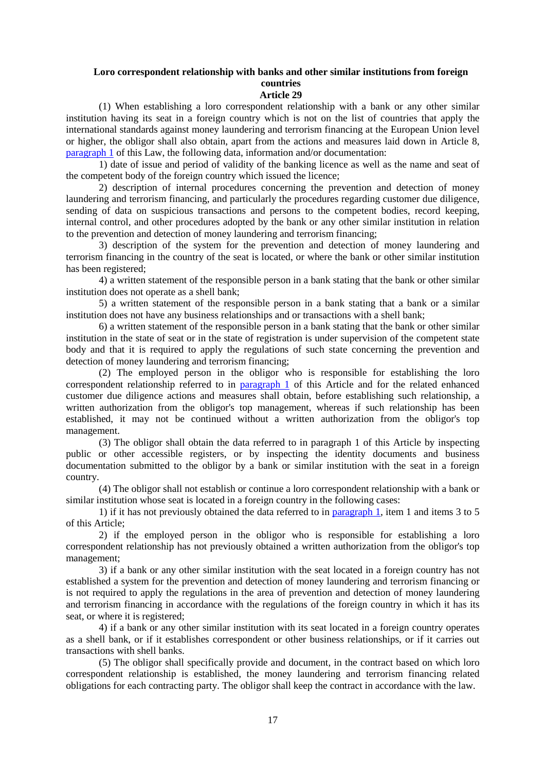## **Loro correspondent relationship with banks and other similar institutions from foreign countries**

**Article 29**

(1) When establishing a loro correspondent relationship with a bank or any other similar institution having its seat in a foreign country which is not on the list of countries that apply the international standards against money laundering and terrorism financing at the European Union level or higher, the obligor shall also obtain, apart from the actions and measures laid down in Article 8, paragraph 1 of this Law, the following data, information and/or documentation:

1) date of issue and period of validity of the banking licence as well as the name and seat of the competent body of the foreign country which issued the licence;

2) description of internal procedures concerning the prevention and detection of money laundering and terrorism financing, and particularly the procedures regarding customer due diligence, sending of data on suspicious transactions and persons to the competent bodies, record keeping, internal control, and other procedures adopted by the bank or any other similar institution in relation to the prevention and detection of money laundering and terrorism financing;

3) description of the system for the prevention and detection of money laundering and terrorism financing in the country of the seat is located, or where the bank or other similar institution has been registered;

4) a written statement of the responsible person in a bank stating that the bank or other similar institution does not operate as a shell bank;

5) a written statement of the responsible person in a bank stating that a bank or a similar institution does not have any business relationships and or transactions with a shell bank;

6) a written statement of the responsible person in a bank stating that the bank or other similar institution in the state of seat or in the state of registration is under supervision of the competent state body and that it is required to apply the regulations of such state concerning the prevention and detection of money laundering and terrorism financing;

(2) The employed person in the obligor who is responsible for establishing the loro correspondent relationship referred to in paragraph 1 of this Article and for the related enhanced customer due diligence actions and measures shall obtain, before establishing such relationship, a written authorization from the obligor's top management, whereas if such relationship has been established, it may not be continued without a written authorization from the obligor's top management.

(3) The obligor shall obtain the data referred to in paragraph 1 of this Article by inspecting public or other accessible registers, or by inspecting the identity documents and business documentation submitted to the obligor by a bank or similar institution with the seat in a foreign country.

(4) The obligor shall not establish or continue a loro correspondent relationship with a bank or similar institution whose seat is located in a foreign country in the following cases:

1) if it has not previously obtained the data referred to in paragraph 1, item 1 and items 3 to 5 of this Article;

2) if the employed person in the obligor who is responsible for establishing a loro correspondent relationship has not previously obtained a written authorization from the obligor's top management;

3) if a bank or any other similar institution with the seat located in a foreign country has not established a system for the prevention and detection of money laundering and terrorism financing or is not required to apply the regulations in the area of prevention and detection of money laundering and terrorism financing in accordance with the regulations of the foreign country in which it has its seat, or where it is registered;

4) if a bank or any other similar institution with its seat located in a foreign country operates as a shell bank, or if it establishes correspondent or other business relationships, or if it carries out transactions with shell banks.

(5) The obligor shall specifically provide and document, in the contract based on which loro correspondent relationship is established, the money laundering and terrorism financing related obligations for each contracting party. The obligor shall keep the contract in accordance with the law.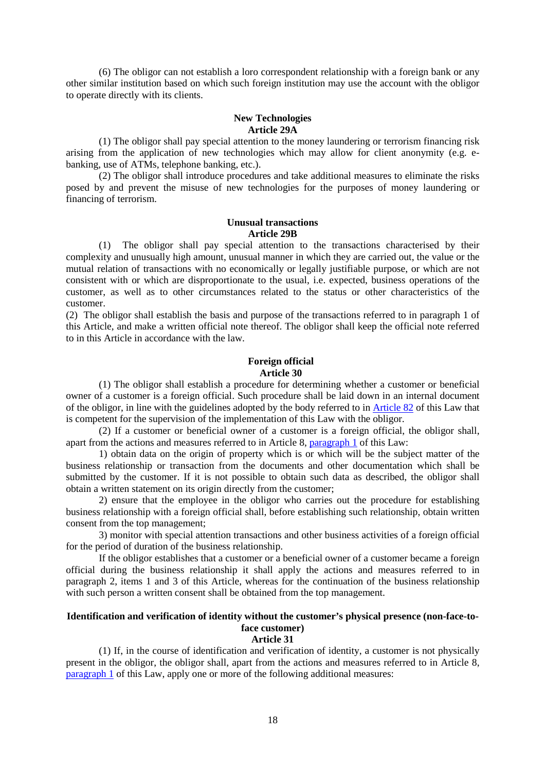(6) The obligor can not establish a loro correspondent relationship with a foreign bank or any other similar institution based on which such foreign institution may use the account with the obligor to operate directly with its clients.

#### **New Technologies Article 29A**

(1) The obligor shall pay special attention to the money laundering or terrorism financing risk arising from the application of new technologies which may allow for client anonymity (e.g. ebanking, use of ATMs, telephone banking, etc.).

(2) The obligor shall introduce procedures and take additional measures to eliminate the risks posed by and prevent the misuse of new technologies for the purposes of money laundering or financing of terrorism.

#### **Unusual transactions Article 29B**

 (1) The obligor shall pay special attention to the transactions characterised by their complexity and unusually high amount, unusual manner in which they are carried out, the value or the mutual relation of transactions with no economically or legally justifiable purpose, or which are not consistent with or which are disproportionate to the usual, i.e. expected, business operations of the customer, as well as to other circumstances related to the status or other characteristics of the customer.

(2) The obligor shall establish the basis and purpose of the transactions referred to in paragraph 1 of this Article, and make a written official note thereof. The obligor shall keep the official note referred to in this Article in accordance with the law.

#### **Foreign official Article 30**

(1) The obligor shall establish a procedure for determining whether a customer or beneficial owner of a customer is a foreign official. Such procedure shall be laid down in an internal document of the obligor, in line with the guidelines adopted by the body referred to in Article 82 of this Law that is competent for the supervision of the implementation of this Law with the obligor.

(2) If a customer or beneficial owner of a customer is a foreign official, the obligor shall, apart from the actions and measures referred to in Article 8, paragraph 1 of this Law:

1) obtain data on the origin of property which is or which will be the subject matter of the business relationship or transaction from the documents and other documentation which shall be submitted by the customer. If it is not possible to obtain such data as described, the obligor shall obtain a written statement on its origin directly from the customer;

2) ensure that the employee in the obligor who carries out the procedure for establishing business relationship with a foreign official shall, before establishing such relationship, obtain written consent from the top management;

3) monitor with special attention transactions and other business activities of a foreign official for the period of duration of the business relationship.

If the obligor establishes that a customer or a beneficial owner of a customer became a foreign official during the business relationship it shall apply the actions and measures referred to in paragraph 2, items 1 and 3 of this Article, whereas for the continuation of the business relationship with such person a written consent shall be obtained from the top management.

## **Identification and verification of identity without the customer's physical presence (non-face-toface customer)**

#### **Article 31**

(1) If, in the course of identification and verification of identity, a customer is not physically present in the obligor, the obligor shall, apart from the actions and measures referred to in Article 8, paragraph 1 of this Law, apply one or more of the following additional measures: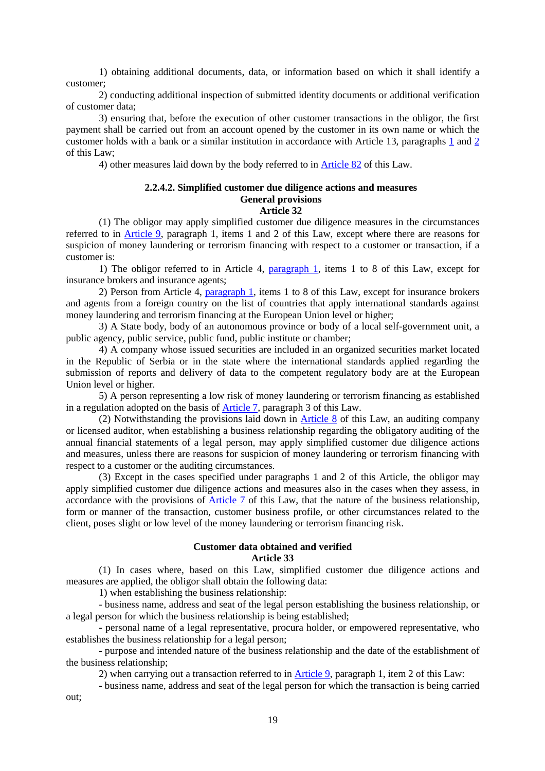1) obtaining additional documents, data, or information based on which it shall identify a customer;

2) conducting additional inspection of submitted identity documents or additional verification of customer data;

3) ensuring that, before the execution of other customer transactions in the obligor, the first payment shall be carried out from an account opened by the customer in its own name or which the customer holds with a bank or a similar institution in accordance with Article 13, paragraphs 1 and 2 of this Law;

4) other measures laid down by the body referred to in Article 82 of this Law.

## **2.2.4.2. Simplified customer due diligence actions and measures General provisions**

#### **Article 32**

(1) The obligor may apply simplified customer due diligence measures in the circumstances referred to in Article 9, paragraph 1, items 1 and 2 of this Law, except where there are reasons for suspicion of money laundering or terrorism financing with respect to a customer or transaction, if a customer is:

1) The obligor referred to in Article 4, paragraph 1, items 1 to 8 of this Law, except for insurance brokers and insurance agents;

2) Person from Article 4, paragraph 1, items 1 to 8 of this Law, except for insurance brokers and agents from a foreign country on the list of countries that apply international standards against money laundering and terrorism financing at the European Union level or higher;

3) A State body, body of an autonomous province or body of a local self-government unit, a public agency, public service, public fund, public institute or chamber;

4) A company whose issued securities are included in an organized securities market located in the Republic of Serbia or in the state where the international standards applied regarding the submission of reports and delivery of data to the competent regulatory body are at the European Union level or higher.

5) A person representing a low risk of money laundering or terrorism financing as established in a regulation adopted on the basis of Article 7, paragraph 3 of this Law.

(2) Notwithstanding the provisions laid down in Article 8 of this Law, an auditing company or licensed auditor, when establishing a business relationship regarding the obligatory auditing of the annual financial statements of a legal person, may apply simplified customer due diligence actions and measures, unless there are reasons for suspicion of money laundering or terrorism financing with respect to a customer or the auditing circumstances.

(3) Except in the cases specified under paragraphs 1 and 2 of this Article, the obligor may apply simplified customer due diligence actions and measures also in the cases when they assess, in accordance with the provisions of Article 7 of this Law, that the nature of the business relationship, form or manner of the transaction, customer business profile, or other circumstances related to the client, poses slight or low level of the money laundering or terrorism financing risk.

## **Customer data obtained and verified**

### **Article 33**

(1) In cases where, based on this Law, simplified customer due diligence actions and measures are applied, the obligor shall obtain the following data:

1) when establishing the business relationship:

- business name, address and seat of the legal person establishing the business relationship, or a legal person for which the business relationship is being established;

- personal name of a legal representative, procura holder, or empowered representative, who establishes the business relationship for a legal person;

- purpose and intended nature of the business relationship and the date of the establishment of the business relationship;

2) when carrying out a transaction referred to in Article 9, paragraph 1, item 2 of this Law:

- business name, address and seat of the legal person for which the transaction is being carried out;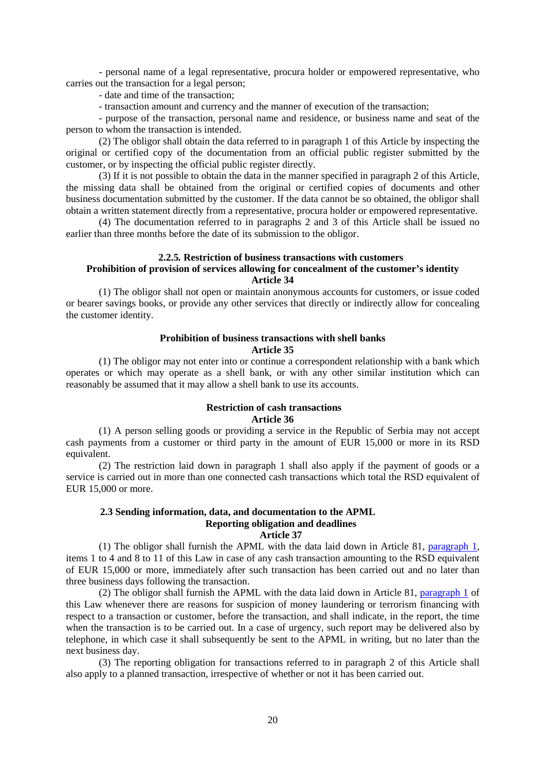- personal name of a legal representative, procura holder or empowered representative, who carries out the transaction for a legal person;

- date and time of the transaction;

- transaction amount and currency and the manner of execution of the transaction;

- purpose of the transaction, personal name and residence, or business name and seat of the person to whom the transaction is intended.

(2) The obligor shall obtain the data referred to in paragraph 1 of this Article by inspecting the original or certified copy of the documentation from an official public register submitted by the customer, or by inspecting the official public register directly.

(3) If it is not possible to obtain the data in the manner specified in paragraph 2 of this Article, the missing data shall be obtained from the original or certified copies of documents and other business documentation submitted by the customer. If the data cannot be so obtained, the obligor shall obtain a written statement directly from a representative, procura holder or empowered representative.

(4) The documentation referred to in paragraphs 2 and 3 of this Article shall be issued no earlier than three months before the date of its submission to the obligor.

#### **2.2.5***.* **Restriction of business transactions with customers Prohibition of provision of services allowing for concealment of the customer's identity Article 34**

(1) The obligor shall not open or maintain anonymous accounts for customers, or issue coded or bearer savings books, or provide any other services that directly or indirectly allow for concealing the customer identity.

#### **Prohibition of business transactions with shell banks Article 35**

(1) The obligor may not enter into or continue a correspondent relationship with a bank which operates or which may operate as a shell bank, or with any other similar institution which can reasonably be assumed that it may allow a shell bank to use its accounts.

#### **Restriction of cash transactions Article 36**

(1) A person selling goods or providing a service in the Republic of Serbia may not accept cash payments from a customer or third party in the amount of EUR 15,000 or more in its RSD equivalent.

(2) The restriction laid down in paragraph 1 shall also apply if the payment of goods or a service is carried out in more than one connected cash transactions which total the RSD equivalent of EUR 15,000 or more.

#### **2.3 Sending information, data, and documentation to the APML Reporting obligation and deadlines Article 37**

(1) The obligor shall furnish the APML with the data laid down in Article 81, paragraph 1, items 1 to 4 and 8 to 11 of this Law in case of any cash transaction amounting to the RSD equivalent of EUR 15,000 or more, immediately after such transaction has been carried out and no later than three business days following the transaction.

(2) The obligor shall furnish the APML with the data laid down in Article 81, paragraph 1 of this Law whenever there are reasons for suspicion of money laundering or terrorism financing with respect to a transaction or customer, before the transaction, and shall indicate, in the report, the time when the transaction is to be carried out. In a case of urgency, such report may be delivered also by telephone, in which case it shall subsequently be sent to the APML in writing, but no later than the next business day.

(3) The reporting obligation for transactions referred to in paragraph 2 of this Article shall also apply to a planned transaction, irrespective of whether or not it has been carried out.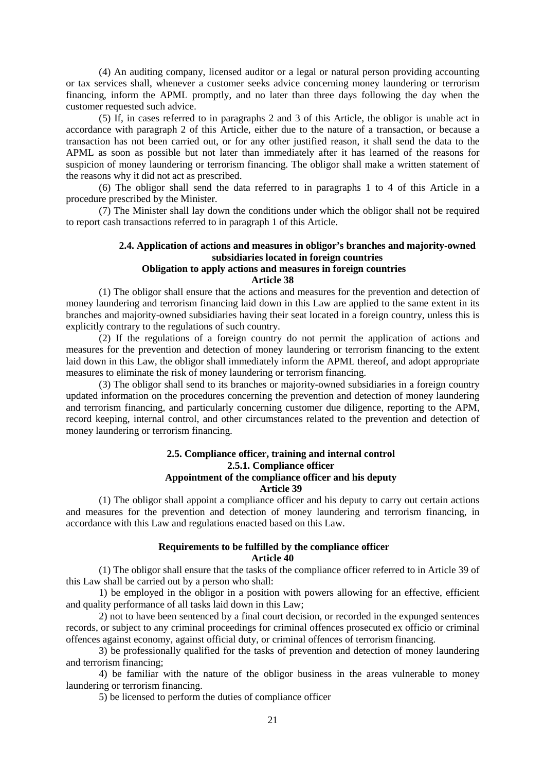(4) An auditing company, licensed auditor or a legal or natural person providing accounting or tax services shall, whenever a customer seeks advice concerning money laundering or terrorism financing, inform the APML promptly, and no later than three days following the day when the customer requested such advice.

(5) If, in cases referred to in paragraphs 2 and 3 of this Article, the obligor is unable act in accordance with paragraph 2 of this Article, either due to the nature of a transaction, or because a transaction has not been carried out, or for any other justified reason, it shall send the data to the APML as soon as possible but not later than immediately after it has learned of the reasons for suspicion of money laundering or terrorism financing. The obligor shall make a written statement of the reasons why it did not act as prescribed.

(6) The obligor shall send the data referred to in paragraphs 1 to 4 of this Article in a procedure prescribed by the Minister.

(7) The Minister shall lay down the conditions under which the obligor shall not be required to report cash transactions referred to in paragraph 1 of this Article.

## **2.4. Application of actions and measures in obligor's branches and majority-owned subsidiaries located in foreign countries Obligation to apply actions and measures in foreign countries**

#### **Article 38**

(1) The obligor shall ensure that the actions and measures for the prevention and detection of money laundering and terrorism financing laid down in this Law are applied to the same extent in its branches and majority-owned subsidiaries having their seat located in a foreign country, unless this is explicitly contrary to the regulations of such country.

(2) If the regulations of a foreign country do not permit the application of actions and measures for the prevention and detection of money laundering or terrorism financing to the extent laid down in this Law, the obligor shall immediately inform the APML thereof, and adopt appropriate measures to eliminate the risk of money laundering or terrorism financing.

(3) The obligor shall send to its branches or majority-owned subsidiaries in a foreign country updated information on the procedures concerning the prevention and detection of money laundering and terrorism financing, and particularly concerning customer due diligence, reporting to the APM, record keeping, internal control, and other circumstances related to the prevention and detection of money laundering or terrorism financing.

#### **2.5. Compliance officer, training and internal control 2.5.1. Compliance officer Appointment of the compliance officer and his deputy Article 39**

(1) The obligor shall appoint a compliance officer and his deputy to carry out certain actions and measures for the prevention and detection of money laundering and terrorism financing, in accordance with this Law and regulations enacted based on this Law.

#### **Requirements to be fulfilled by the compliance officer Article 40**

(1) The obligor shall ensure that the tasks of the compliance officer referred to in Article 39 of this Law shall be carried out by a person who shall:

1) be employed in the obligor in a position with powers allowing for an effective, efficient and quality performance of all tasks laid down in this Law;

2) not to have been sentenced by a final court decision, or recorded in the expunged sentences records, or subject to any criminal proceedings for criminal offences prosecuted ex officio or criminal offences against economy, against official duty, or criminal offences of terrorism financing.

3) be professionally qualified for the tasks of prevention and detection of money laundering and terrorism financing;

4) be familiar with the nature of the obligor business in the areas vulnerable to money laundering or terrorism financing.

5) be licensed to perform the duties of compliance officer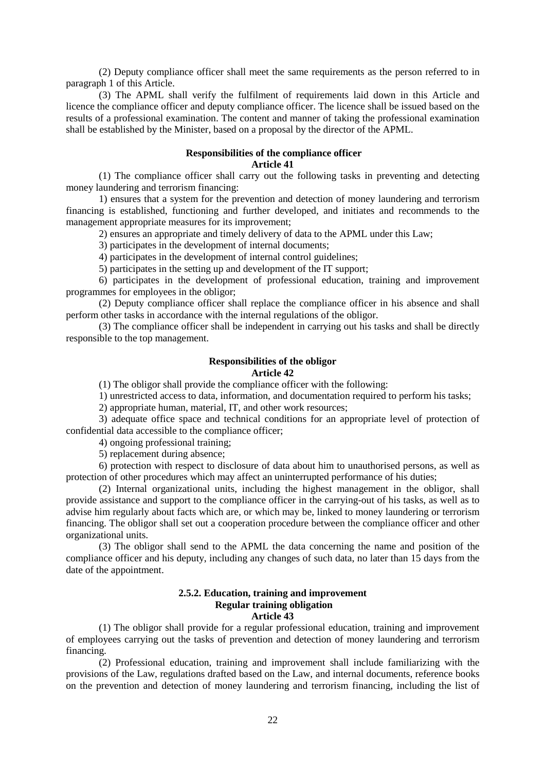(2) Deputy compliance officer shall meet the same requirements as the person referred to in paragraph 1 of this Article.

(3) The APML shall verify the fulfilment of requirements laid down in this Article and licence the compliance officer and deputy compliance officer. The licence shall be issued based on the results of a professional examination. The content and manner of taking the professional examination shall be established by the Minister, based on a proposal by the director of the APML.

#### **Responsibilities of the compliance officer**

#### **Article 41**

(1) The compliance officer shall carry out the following tasks in preventing and detecting money laundering and terrorism financing:

1) ensures that a system for the prevention and detection of money laundering and terrorism financing is established, functioning and further developed, and initiates and recommends to the management appropriate measures for its improvement;

2) ensures an appropriate and timely delivery of data to the APML under this Law;

3) participates in the development of internal documents;

4) participates in the development of internal control guidelines;

5) participates in the setting up and development of the IT support;

6) participates in the development of professional education, training and improvement programmes for employees in the obligor;

(2) Deputy compliance officer shall replace the compliance officer in his absence and shall perform other tasks in accordance with the internal regulations of the obligor.

(3) The compliance officer shall be independent in carrying out his tasks and shall be directly responsible to the top management.

#### **Responsibilities of the obligor Article 42**

(1) The obligor shall provide the compliance officer with the following:

1) unrestricted access to data, information, and documentation required to perform his tasks;

2) appropriate human, material, IT, and other work resources;

3) adequate office space and technical conditions for an appropriate level of protection of confidential data accessible to the compliance officer;

4) ongoing professional training;

5) replacement during absence;

6) protection with respect to disclosure of data about him to unauthorised persons, as well as protection of other procedures which may affect an uninterrupted performance of his duties;

(2) Internal organizational units, including the highest management in the obligor, shall provide assistance and support to the compliance officer in the carrying-out of his tasks, as well as to advise him regularly about facts which are, or which may be, linked to money laundering or terrorism financing. The obligor shall set out a cooperation procedure between the compliance officer and other organizational units.

(3) The obligor shall send to the APML the data concerning the name and position of the compliance officer and his deputy, including any changes of such data, no later than 15 days from the date of the appointment.

#### **2.5.2. Education, training and improvement Regular training obligation Article 43**

(1) The obligor shall provide for a regular professional education, training and improvement of employees carrying out the tasks of prevention and detection of money laundering and terrorism financing.

(2) Professional education, training and improvement shall include familiarizing with the provisions of the Law, regulations drafted based on the Law, and internal documents, reference books on the prevention and detection of money laundering and terrorism financing, including the list of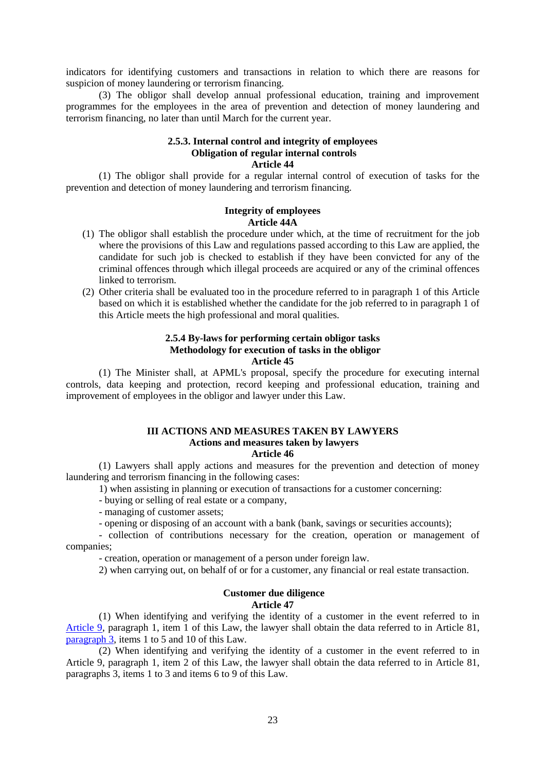indicators for identifying customers and transactions in relation to which there are reasons for suspicion of money laundering or terrorism financing.

(3) The obligor shall develop annual professional education, training and improvement programmes for the employees in the area of prevention and detection of money laundering and terrorism financing, no later than until March for the current year.

#### **2.5.3. Internal control and integrity of employees Obligation of regular internal controls Article 44**

(1) The obligor shall provide for a regular internal control of execution of tasks for the prevention and detection of money laundering and terrorism financing.

#### **Integrity of employees Article 44A**

- (1) The obligor shall establish the procedure under which, at the time of recruitment for the job where the provisions of this Law and regulations passed according to this Law are applied, the candidate for such job is checked to establish if they have been convicted for any of the criminal offences through which illegal proceeds are acquired or any of the criminal offences linked to terrorism.
- (2) Other criteria shall be evaluated too in the procedure referred to in paragraph 1 of this Article based on which it is established whether the candidate for the job referred to in paragraph 1 of this Article meets the high professional and moral qualities.

#### **2.5.4 By-laws for performing certain obligor tasks Methodology for execution of tasks in the obligor Article 45**

(1) The Minister shall, at APML's proposal, specify the procedure for executing internal controls, data keeping and protection, record keeping and professional education, training and improvement of employees in the obligor and lawyer under this Law.

## **III ACTIONS AND MEASURES TAKEN BY LAWYERS Actions and measures taken by lawyers**

**Article 46** 

(1) Lawyers shall apply actions and measures for the prevention and detection of money laundering and terrorism financing in the following cases:

1) when assisting in planning or execution of transactions for a customer concerning:

- buying or selling of real estate or a company,

- managing of customer assets;

- opening or disposing of an account with a bank (bank, savings or securities accounts);

- collection of contributions necessary for the creation, operation or management of companies;

- creation, operation or management of a person under foreign law.

2) when carrying out, on behalf of or for a customer, any financial or real estate transaction.

#### **Customer due diligence Article 47**

(1) When identifying and verifying the identity of a customer in the event referred to in Article 9, paragraph 1, item 1 of this Law, the lawyer shall obtain the data referred to in Article 81, paragraph 3, items 1 to 5 and 10 of this Law.

(2) When identifying and verifying the identity of a customer in the event referred to in Article 9, paragraph 1, item 2 of this Law, the lawyer shall obtain the data referred to in Article 81, paragraphs 3, items 1 to 3 and items 6 to 9 of this Law.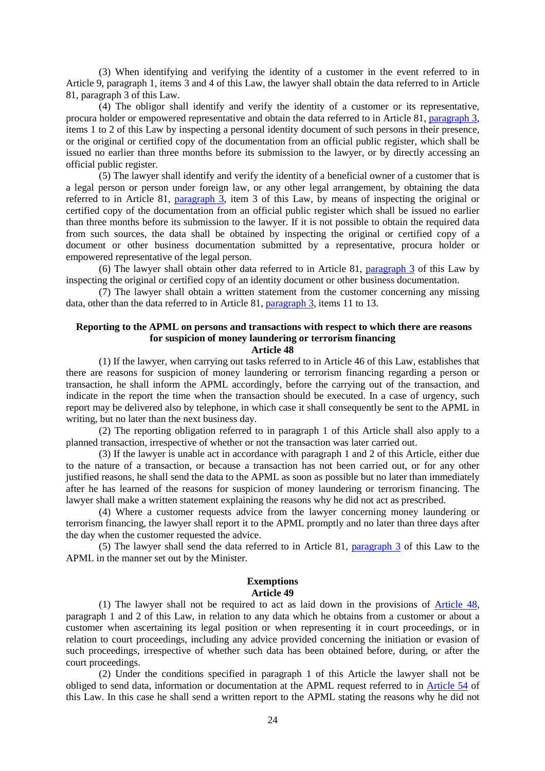(3) When identifying and verifying the identity of a customer in the event referred to in Article 9, paragraph 1, items 3 and 4 of this Law, the lawyer shall obtain the data referred to in Article 81, paragraph 3 of this Law.

(4) The obligor shall identify and verify the identity of a customer or its representative, procura holder or empowered representative and obtain the data referred to in Article 81, paragraph 3, items 1 to 2 of this Law by inspecting a personal identity document of such persons in their presence, or the original or certified copy of the documentation from an official public register, which shall be issued no earlier than three months before its submission to the lawyer, or by directly accessing an official public register.

(5) The lawyer shall identify and verify the identity of a beneficial owner of a customer that is a legal person or person under foreign law, or any other legal arrangement, by obtaining the data referred to in Article 81, paragraph 3, item 3 of this Law, by means of inspecting the original or certified copy of the documentation from an official public register which shall be issued no earlier than three months before its submission to the lawyer. If it is not possible to obtain the required data from such sources, the data shall be obtained by inspecting the original or certified copy of a document or other business documentation submitted by a representative, procura holder or empowered representative of the legal person.

(6) The lawyer shall obtain other data referred to in Article 81, paragraph 3 of this Law by inspecting the original or certified copy of an identity document or other business documentation.

(7) The lawyer shall obtain a written statement from the customer concerning any missing data, other than the data referred to in Article 81, paragraph 3, items 11 to 13.

## **Reporting to the APML on persons and transactions with respect to which there are reasons for suspicion of money laundering or terrorism financing**

**Article 48** 

(1) If the lawyer, when carrying out tasks referred to in Article 46 of this Law, establishes that there are reasons for suspicion of money laundering or terrorism financing regarding a person or transaction, he shall inform the APML accordingly, before the carrying out of the transaction, and indicate in the report the time when the transaction should be executed. In a case of urgency, such report may be delivered also by telephone, in which case it shall consequently be sent to the APML in writing, but no later than the next business day.

(2) The reporting obligation referred to in paragraph 1 of this Article shall also apply to a planned transaction, irrespective of whether or not the transaction was later carried out.

(3) If the lawyer is unable act in accordance with paragraph 1 and 2 of this Article, either due to the nature of a transaction, or because a transaction has not been carried out, or for any other justified reasons, he shall send the data to the APML as soon as possible but no later than immediately after he has learned of the reasons for suspicion of money laundering or terrorism financing. The lawyer shall make a written statement explaining the reasons why he did not act as prescribed.

(4) Where a customer requests advice from the lawyer concerning money laundering or terrorism financing, the lawyer shall report it to the APML promptly and no later than three days after the day when the customer requested the advice.

(5) The lawyer shall send the data referred to in Article 81, paragraph 3 of this Law to the APML in the manner set out by the Minister.

#### **Exemptions Article 49**

(1) The lawyer shall not be required to act as laid down in the provisions of Article 48, paragraph 1 and 2 of this Law, in relation to any data which he obtains from a customer or about a customer when ascertaining its legal position or when representing it in court proceedings, or in relation to court proceedings, including any advice provided concerning the initiation or evasion of such proceedings, irrespective of whether such data has been obtained before, during, or after the court proceedings.

(2) Under the conditions specified in paragraph 1 of this Article the lawyer shall not be obliged to send data, information or documentation at the APML request referred to in Article 54 of this Law. In this case he shall send a written report to the APML stating the reasons why he did not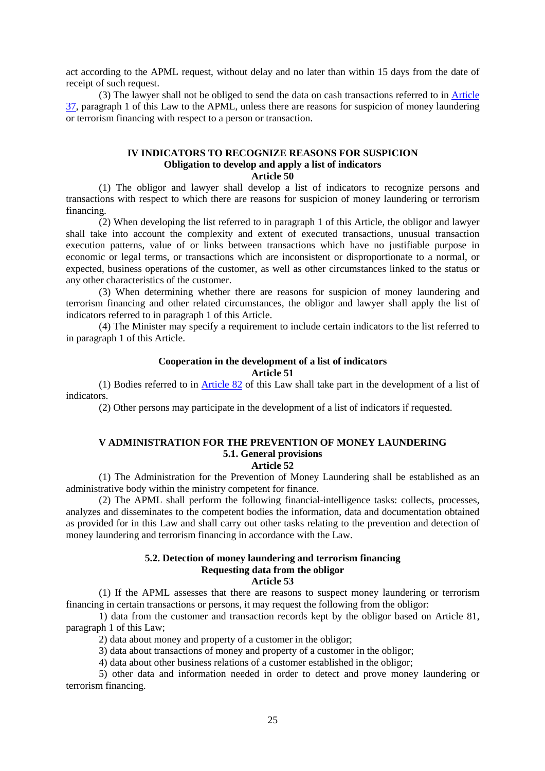act according to the APML request, without delay and no later than within 15 days from the date of receipt of such request.

(3) The lawyer shall not be obliged to send the data on cash transactions referred to in Article 37, paragraph 1 of this Law to the APML, unless there are reasons for suspicion of money laundering or terrorism financing with respect to a person or transaction.

#### **IV INDICATORS TO RECOGNIZE REASONS FOR SUSPICION Obligation to develop and apply a list of indicators**

#### **Article 50**

(1) The obligor and lawyer shall develop a list of indicators to recognize persons and transactions with respect to which there are reasons for suspicion of money laundering or terrorism financing.

(2) When developing the list referred to in paragraph 1 of this Article, the obligor and lawyer shall take into account the complexity and extent of executed transactions, unusual transaction execution patterns, value of or links between transactions which have no justifiable purpose in economic or legal terms, or transactions which are inconsistent or disproportionate to a normal, or expected, business operations of the customer, as well as other circumstances linked to the status or any other characteristics of the customer.

(3) When determining whether there are reasons for suspicion of money laundering and terrorism financing and other related circumstances, the obligor and lawyer shall apply the list of indicators referred to in paragraph 1 of this Article.

(4) The Minister may specify a requirement to include certain indicators to the list referred to in paragraph 1 of this Article.

#### **Cooperation in the development of a list of indicators Article 51**

(1) Bodies referred to in Article 82 of this Law shall take part in the development of a list of indicators.

(2) Other persons may participate in the development of a list of indicators if requested.

#### **V ADMINISTRATION FOR THE PREVENTION OF MONEY LAUNDERING 5.1. General provisions**

#### **Article 52**

(1) The Administration for the Prevention of Money Laundering shall be established as an administrative body within the ministry competent for finance.

(2) The APML shall perform the following financial-intelligence tasks: collects, processes, analyzes and disseminates to the competent bodies the information, data and documentation obtained as provided for in this Law and shall carry out other tasks relating to the prevention and detection of money laundering and terrorism financing in accordance with the Law.

#### **5.2. Detection of money laundering and terrorism financing Requesting data from the obligor Article 53**

(1) If the APML assesses that there are reasons to suspect money laundering or terrorism financing in certain transactions or persons, it may request the following from the obligor:

1) data from the customer and transaction records kept by the obligor based on Article 81, paragraph 1 of this Law;

2) data about money and property of a customer in the obligor;

3) data about transactions of money and property of a customer in the obligor;

4) data about other business relations of a customer established in the obligor;

5) other data and information needed in order to detect and prove money laundering or terrorism financing.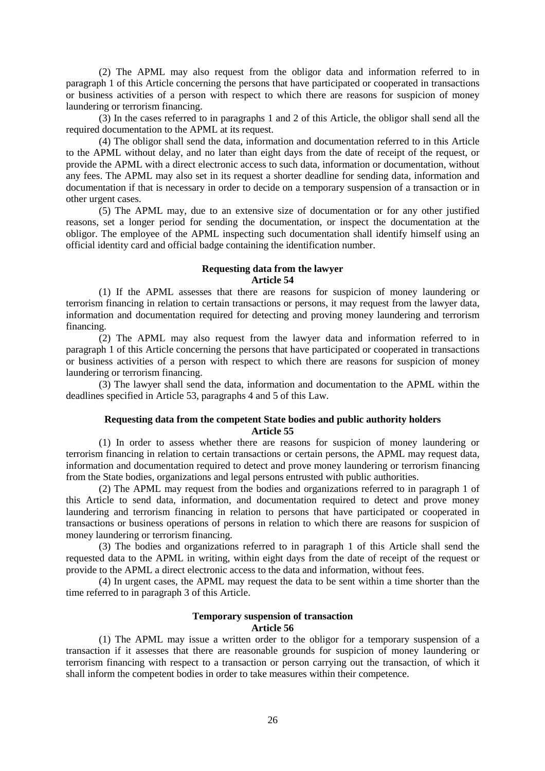(2) The APML may also request from the obligor data and information referred to in paragraph 1 of this Article concerning the persons that have participated or cooperated in transactions or business activities of a person with respect to which there are reasons for suspicion of money laundering or terrorism financing.

(3) In the cases referred to in paragraphs 1 and 2 of this Article, the obligor shall send all the required documentation to the APML at its request.

(4) The obligor shall send the data, information and documentation referred to in this Article to the APML without delay, and no later than eight days from the date of receipt of the request, or provide the APML with a direct electronic access to such data, information or documentation, without any fees. The APML may also set in its request a shorter deadline for sending data, information and documentation if that is necessary in order to decide on a temporary suspension of a transaction or in other urgent cases.

(5) The APML may, due to an extensive size of documentation or for any other justified reasons, set a longer period for sending the documentation, or inspect the documentation at the obligor. The employee of the APML inspecting such documentation shall identify himself using an official identity card and official badge containing the identification number.

#### **Requesting data from the lawyer Article 54**

(1) If the APML assesses that there are reasons for suspicion of money laundering or terrorism financing in relation to certain transactions or persons, it may request from the lawyer data, information and documentation required for detecting and proving money laundering and terrorism financing.

(2) The APML may also request from the lawyer data and information referred to in paragraph 1 of this Article concerning the persons that have participated or cooperated in transactions or business activities of a person with respect to which there are reasons for suspicion of money laundering or terrorism financing.

(3) The lawyer shall send the data, information and documentation to the APML within the deadlines specified in Article 53, paragraphs 4 and 5 of this Law.

#### **Requesting data from the competent State bodies and public authority holders Article 55**

(1) In order to assess whether there are reasons for suspicion of money laundering or terrorism financing in relation to certain transactions or certain persons, the APML may request data, information and documentation required to detect and prove money laundering or terrorism financing from the State bodies, organizations and legal persons entrusted with public authorities.

(2) The APML may request from the bodies and organizations referred to in paragraph 1 of this Article to send data, information, and documentation required to detect and prove money laundering and terrorism financing in relation to persons that have participated or cooperated in transactions or business operations of persons in relation to which there are reasons for suspicion of money laundering or terrorism financing.

(3) The bodies and organizations referred to in paragraph 1 of this Article shall send the requested data to the APML in writing, within eight days from the date of receipt of the request or provide to the APML a direct electronic access to the data and information, without fees.

(4) In urgent cases, the APML may request the data to be sent within a time shorter than the time referred to in paragraph 3 of this Article.

#### **Temporary suspension of transaction Article 56**

(1) The APML may issue a written order to the obligor for a temporary suspension of a transaction if it assesses that there are reasonable grounds for suspicion of money laundering or terrorism financing with respect to a transaction or person carrying out the transaction, of which it shall inform the competent bodies in order to take measures within their competence.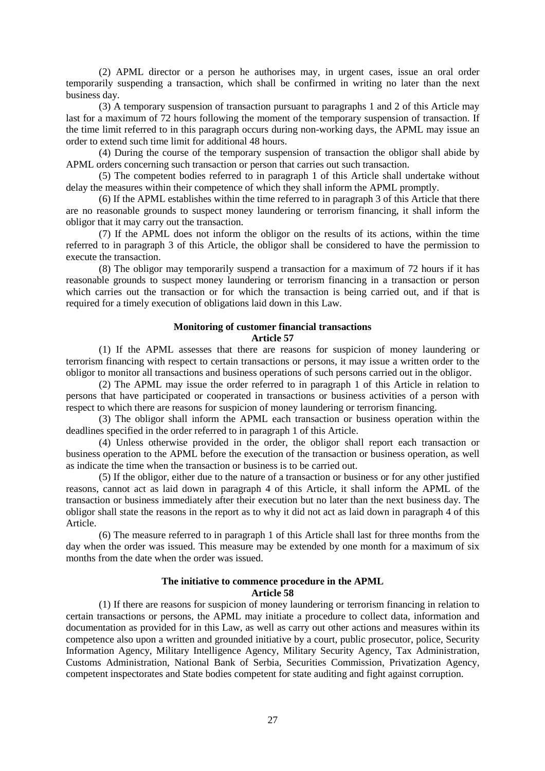(2) APML director or a person he authorises may, in urgent cases, issue an oral order temporarily suspending a transaction, which shall be confirmed in writing no later than the next business day.

(3) A temporary suspension of transaction pursuant to paragraphs 1 and 2 of this Article may last for a maximum of 72 hours following the moment of the temporary suspension of transaction. If the time limit referred to in this paragraph occurs during non-working days, the APML may issue an order to extend such time limit for additional 48 hours.

(4) During the course of the temporary suspension of transaction the obligor shall abide by APML orders concerning such transaction or person that carries out such transaction.

(5) The competent bodies referred to in paragraph 1 of this Article shall undertake without delay the measures within their competence of which they shall inform the APML promptly.

(6) If the APML establishes within the time referred to in paragraph 3 of this Article that there are no reasonable grounds to suspect money laundering or terrorism financing, it shall inform the obligor that it may carry out the transaction.

(7) If the APML does not inform the obligor on the results of its actions, within the time referred to in paragraph 3 of this Article, the obligor shall be considered to have the permission to execute the transaction.

(8) The obligor may temporarily suspend a transaction for a maximum of 72 hours if it has reasonable grounds to suspect money laundering or terrorism financing in a transaction or person which carries out the transaction or for which the transaction is being carried out, and if that is required for a timely execution of obligations laid down in this Law.

## **Monitoring of customer financial transactions**

#### **Article 57**

(1) If the APML assesses that there are reasons for suspicion of money laundering or terrorism financing with respect to certain transactions or persons, it may issue a written order to the obligor to monitor all transactions and business operations of such persons carried out in the obligor.

(2) The APML may issue the order referred to in paragraph 1 of this Article in relation to persons that have participated or cooperated in transactions or business activities of a person with respect to which there are reasons for suspicion of money laundering or terrorism financing.

(3) The obligor shall inform the APML each transaction or business operation within the deadlines specified in the order referred to in paragraph 1 of this Article.

(4) Unless otherwise provided in the order, the obligor shall report each transaction or business operation to the APML before the execution of the transaction or business operation, as well as indicate the time when the transaction or business is to be carried out.

(5) If the obligor, either due to the nature of a transaction or business or for any other justified reasons, cannot act as laid down in paragraph 4 of this Article, it shall inform the APML of the transaction or business immediately after their execution but no later than the next business day. The obligor shall state the reasons in the report as to why it did not act as laid down in paragraph 4 of this Article.

(6) The measure referred to in paragraph 1 of this Article shall last for three months from the day when the order was issued. This measure may be extended by one month for a maximum of six months from the date when the order was issued.

#### **The initiative to commence procedure in the APML Article 58**

(1) If there are reasons for suspicion of money laundering or terrorism financing in relation to certain transactions or persons, the APML may initiate a procedure to collect data, information and documentation as provided for in this Law, as well as carry out other actions and measures within its competence also upon a written and grounded initiative by a court, public prosecutor, police, Security Information Agency, Military Intelligence Agency, Military Security Agency, Tax Administration, Customs Administration, National Bank of Serbia, Securities Commission, Privatization Agency, competent inspectorates and State bodies competent for state auditing and fight against corruption.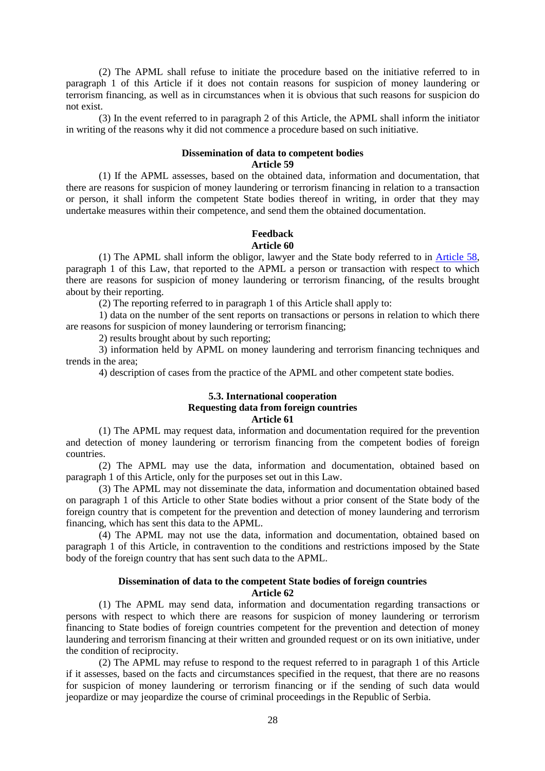(2) The APML shall refuse to initiate the procedure based on the initiative referred to in paragraph 1 of this Article if it does not contain reasons for suspicion of money laundering or terrorism financing, as well as in circumstances when it is obvious that such reasons for suspicion do not exist.

(3) In the event referred to in paragraph 2 of this Article, the APML shall inform the initiator in writing of the reasons why it did not commence a procedure based on such initiative.

#### **Dissemination of data to competent bodies Article 59**

(1) If the APML assesses, based on the obtained data, information and documentation, that there are reasons for suspicion of money laundering or terrorism financing in relation to a transaction or person, it shall inform the competent State bodies thereof in writing, in order that they may undertake measures within their competence, and send them the obtained documentation.

#### **Feedback Article 60**

(1) The APML shall inform the obligor, lawyer and the State body referred to in Article 58, paragraph 1 of this Law, that reported to the APML a person or transaction with respect to which there are reasons for suspicion of money laundering or terrorism financing, of the results brought about by their reporting.

(2) The reporting referred to in paragraph 1 of this Article shall apply to:

1) data on the number of the sent reports on transactions or persons in relation to which there are reasons for suspicion of money laundering or terrorism financing;

2) results brought about by such reporting;

3) information held by APML on money laundering and terrorism financing techniques and trends in the area;

4) description of cases from the practice of the APML and other competent state bodies.

#### **5.3. International cooperation Requesting data from foreign countries Article 61**

(1) The APML may request data, information and documentation required for the prevention and detection of money laundering or terrorism financing from the competent bodies of foreign countries.

(2) The APML may use the data, information and documentation, obtained based on paragraph 1 of this Article, only for the purposes set out in this Law.

(3) The APML may not disseminate the data, information and documentation obtained based on paragraph 1 of this Article to other State bodies without a prior consent of the State body of the foreign country that is competent for the prevention and detection of money laundering and terrorism financing, which has sent this data to the APML.

(4) The APML may not use the data, information and documentation, obtained based on paragraph 1 of this Article, in contravention to the conditions and restrictions imposed by the State body of the foreign country that has sent such data to the APML.

#### **Dissemination of data to the competent State bodies of foreign countries Article 62**

(1) The APML may send data, information and documentation regarding transactions or persons with respect to which there are reasons for suspicion of money laundering or terrorism financing to State bodies of foreign countries competent for the prevention and detection of money laundering and terrorism financing at their written and grounded request or on its own initiative, under the condition of reciprocity.

(2) The APML may refuse to respond to the request referred to in paragraph 1 of this Article if it assesses, based on the facts and circumstances specified in the request, that there are no reasons for suspicion of money laundering or terrorism financing or if the sending of such data would jeopardize or may jeopardize the course of criminal proceedings in the Republic of Serbia.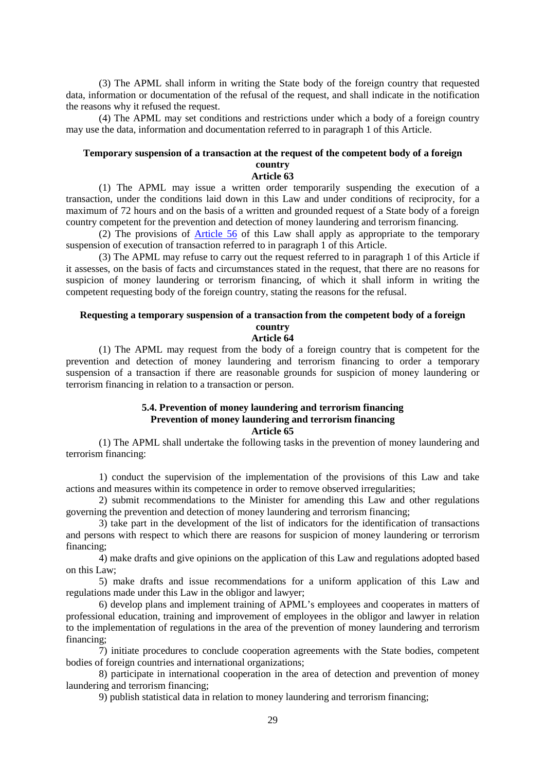(3) The APML shall inform in writing the State body of the foreign country that requested data, information or documentation of the refusal of the request, and shall indicate in the notification the reasons why it refused the request.

(4) The APML may set conditions and restrictions under which a body of a foreign country may use the data, information and documentation referred to in paragraph 1 of this Article.

#### **Temporary suspension of a transaction at the request of the competent body of a foreign country**

#### **Article 63**

(1) The APML may issue a written order temporarily suspending the execution of a transaction, under the conditions laid down in this Law and under conditions of reciprocity, for a maximum of 72 hours and on the basis of a written and grounded request of a State body of a foreign country competent for the prevention and detection of money laundering and terrorism financing.

(2) The provisions of Article 56 of this Law shall apply as appropriate to the temporary suspension of execution of transaction referred to in paragraph 1 of this Article.

(3) The APML may refuse to carry out the request referred to in paragraph 1 of this Article if it assesses, on the basis of facts and circumstances stated in the request, that there are no reasons for suspicion of money laundering or terrorism financing, of which it shall inform in writing the competent requesting body of the foreign country, stating the reasons for the refusal.

#### **Requesting a temporary suspension of a transaction from the competent body of a foreign country**

#### **Article 64**

(1) The APML may request from the body of a foreign country that is competent for the prevention and detection of money laundering and terrorism financing to order a temporary suspension of a transaction if there are reasonable grounds for suspicion of money laundering or terrorism financing in relation to a transaction or person.

## **5.4. Prevention of money laundering and terrorism financing Prevention of money laundering and terrorism financing**

#### **Article 65**

(1) The APML shall undertake the following tasks in the prevention of money laundering and terrorism financing:

1) conduct the supervision of the implementation of the provisions of this Law and take actions and measures within its competence in order to remove observed irregularities;

2) submit recommendations to the Minister for amending this Law and other regulations governing the prevention and detection of money laundering and terrorism financing;

3) take part in the development of the list of indicators for the identification of transactions and persons with respect to which there are reasons for suspicion of money laundering or terrorism financing;

4) make drafts and give opinions on the application of this Law and regulations adopted based on this Law;

5) make drafts and issue recommendations for a uniform application of this Law and regulations made under this Law in the obligor and lawyer;

6) develop plans and implement training of APML's employees and cooperates in matters of professional education, training and improvement of employees in the obligor and lawyer in relation to the implementation of regulations in the area of the prevention of money laundering and terrorism financing;

7) initiate procedures to conclude cooperation agreements with the State bodies, competent bodies of foreign countries and international organizations;

8) participate in international cooperation in the area of detection and prevention of money laundering and terrorism financing;

9) publish statistical data in relation to money laundering and terrorism financing;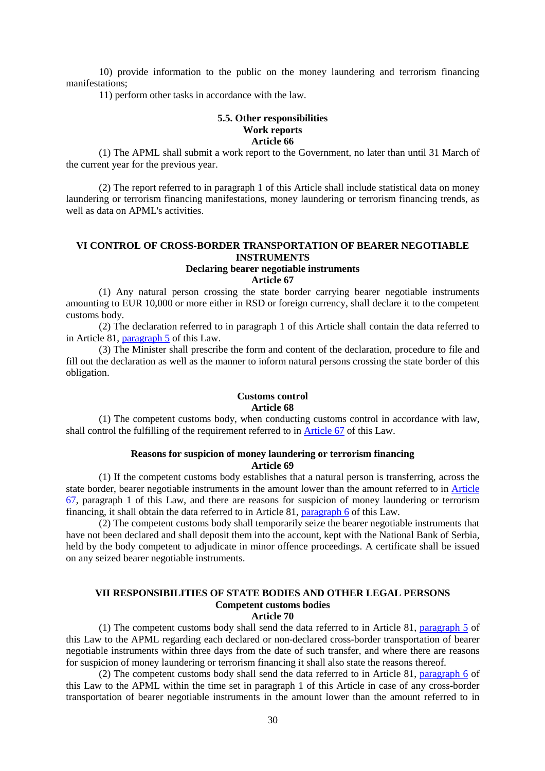10) provide information to the public on the money laundering and terrorism financing manifestations;

11) perform other tasks in accordance with the law.

#### **5.5. Other responsibilities Work reports Article 66**

(1) The APML shall submit a work report to the Government, no later than until 31 March of the current year for the previous year.

(2) The report referred to in paragraph 1 of this Article shall include statistical data on money laundering or terrorism financing manifestations, money laundering or terrorism financing trends, as well as data on APML's activities.

#### **VI CONTROL OF CROSS-BORDER TRANSPORTATION OF BEARER NEGOTIABLE INSTRUMENTS**

## **Declaring bearer negotiable instruments**

**Article 67** 

(1) Any natural person crossing the state border carrying bearer negotiable instruments amounting to EUR 10,000 or more either in RSD or foreign currency, shall declare it to the competent customs body.

(2) The declaration referred to in paragraph 1 of this Article shall contain the data referred to in Article 81, paragraph 5 of this Law.

(3) The Minister shall prescribe the form and content of the declaration, procedure to file and fill out the declaration as well as the manner to inform natural persons crossing the state border of this obligation.

#### **Customs control Article 68**

(1) The competent customs body, when conducting customs control in accordance with law, shall control the fulfilling of the requirement referred to in Article 67 of this Law.

#### **Reasons for suspicion of money laundering or terrorism financing Article 69**

(1) If the competent customs body establishes that a natural person is transferring, across the state border, bearer negotiable instruments in the amount lower than the amount referred to in Article 67, paragraph 1 of this Law, and there are reasons for suspicion of money laundering or terrorism financing, it shall obtain the data referred to in Article 81, paragraph 6 of this Law.

(2) The competent customs body shall temporarily seize the bearer negotiable instruments that have not been declared and shall deposit them into the account, kept with the National Bank of Serbia, held by the body competent to adjudicate in minor offence proceedings. A certificate shall be issued on any seized bearer negotiable instruments.

## **VII RESPONSIBILITIES OF STATE BODIES AND OTHER LEGAL PERSONS Competent customs bodies**

**Article 70** 

(1) The competent customs body shall send the data referred to in Article 81, paragraph 5 of this Law to the APML regarding each declared or non-declared cross-border transportation of bearer negotiable instruments within three days from the date of such transfer, and where there are reasons for suspicion of money laundering or terrorism financing it shall also state the reasons thereof.

(2) The competent customs body shall send the data referred to in Article 81, paragraph 6 of this Law to the APML within the time set in paragraph 1 of this Article in case of any cross-border transportation of bearer negotiable instruments in the amount lower than the amount referred to in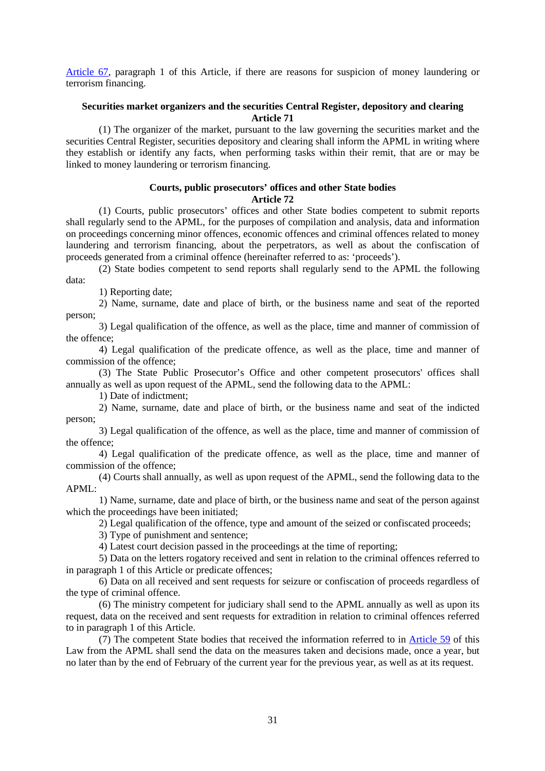Article 67, paragraph 1 of this Article, if there are reasons for suspicion of money laundering or terrorism financing.

#### **Securities market organizers and the securities Central Register, depository and clearing Article 71**

(1) The organizer of the market, pursuant to the law governing the securities market and the securities Central Register, securities depository and clearing shall inform the APML in writing where they establish or identify any facts, when performing tasks within their remit, that are or may be linked to money laundering or terrorism financing.

## **Courts, public prosecutors' offices and other State bodies**

**Article 72** 

(1) Courts, public prosecutors' offices and other State bodies competent to submit reports shall regularly send to the APML, for the purposes of compilation and analysis, data and information on proceedings concerning minor offences, economic offences and criminal offences related to money laundering and terrorism financing, about the perpetrators, as well as about the confiscation of proceeds generated from a criminal offence (hereinafter referred to as: 'proceeds').

(2) State bodies competent to send reports shall regularly send to the APML the following data:

1) Reporting date;

2) Name, surname, date and place of birth, or the business name and seat of the reported person;

3) Legal qualification of the offence, as well as the place, time and manner of commission of the offence;

4) Legal qualification of the predicate offence, as well as the place, time and manner of commission of the offence;

(3) The State Public Prosecutor's Office and other competent prosecutors' offices shall annually as well as upon request of the APML, send the following data to the APML:

1) Date of indictment;

2) Name, surname, date and place of birth, or the business name and seat of the indicted person;

3) Legal qualification of the offence, as well as the place, time and manner of commission of the offence;

4) Legal qualification of the predicate offence, as well as the place, time and manner of commission of the offence;

(4) Courts shall annually, as well as upon request of the APML, send the following data to the APML:

1) Name, surname, date and place of birth, or the business name and seat of the person against which the proceedings have been initiated;

2) Legal qualification of the offence, type and amount of the seized or confiscated proceeds;

3) Type of punishment and sentence;

4) Latest court decision passed in the proceedings at the time of reporting;

5) Data on the letters rogatory received and sent in relation to the criminal offences referred to in paragraph 1 of this Article or predicate offences;

6) Data on all received and sent requests for seizure or confiscation of proceeds regardless of the type of criminal offence.

(6) The ministry competent for judiciary shall send to the APML annually as well as upon its request, data on the received and sent requests for extradition in relation to criminal offences referred to in paragraph 1 of this Article.

(7) The competent State bodies that received the information referred to in Article 59 of this Law from the APML shall send the data on the measures taken and decisions made, once a year, but no later than by the end of February of the current year for the previous year, as well as at its request.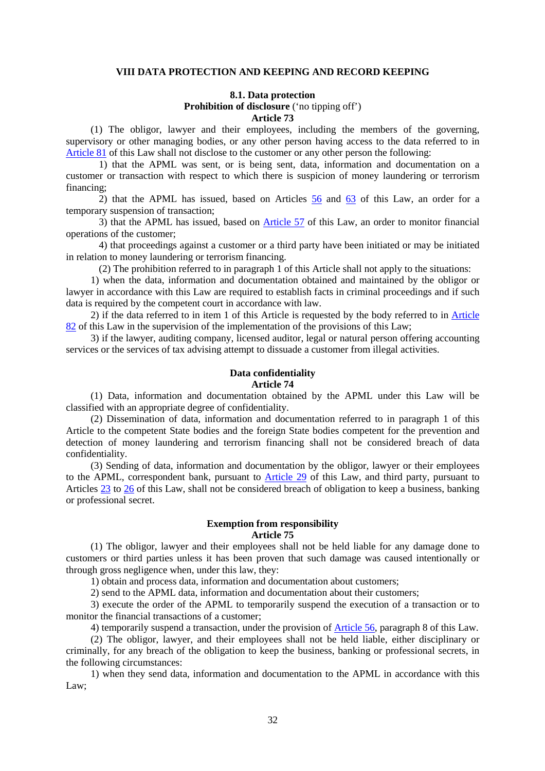#### **VIII DATA PROTECTION AND KEEPING AND RECORD KEEPING**

#### **8.1. Data protection**

**Prohibition of disclosure** ('no tipping off')

#### **Article 73**

(1) The obligor, lawyer and their employees, including the members of the governing, supervisory or other managing bodies, or any other person having access to the data referred to in Article 81 of this Law shall not disclose to the customer or any other person the following:

1) that the APML was sent, or is being sent, data, information and documentation on a customer or transaction with respect to which there is suspicion of money laundering or terrorism financing;

2) that the APML has issued, based on Articles 56 and 63 of this Law, an order for a temporary suspension of transaction;

3) that the APML has issued, based on Article 57 of this Law, an order to monitor financial operations of the customer;

4) that proceedings against a customer or a third party have been initiated or may be initiated in relation to money laundering or terrorism financing.

(2) The prohibition referred to in paragraph 1 of this Article shall not apply to the situations:

1) when the data, information and documentation obtained and maintained by the obligor or lawyer in accordance with this Law are required to establish facts in criminal proceedings and if such data is required by the competent court in accordance with law.

2) if the data referred to in item 1 of this Article is requested by the body referred to in Article 82 of this Law in the supervision of the implementation of the provisions of this Law;

3) if the lawyer, auditing company, licensed auditor, legal or natural person offering accounting services or the services of tax advising attempt to dissuade a customer from illegal activities.

## **Data confidentiality**

**Article 74** 

(1) Data, information and documentation obtained by the APML under this Law will be classified with an appropriate degree of confidentiality.

(2) Dissemination of data, information and documentation referred to in paragraph 1 of this Article to the competent State bodies and the foreign State bodies competent for the prevention and detection of money laundering and terrorism financing shall not be considered breach of data confidentiality.

(3) Sending of data, information and documentation by the obligor, lawyer or their employees to the APML, correspondent bank, pursuant to Article 29 of this Law, and third party, pursuant to Articles 23 to 26 of this Law, shall not be considered breach of obligation to keep a business, banking or professional secret.

#### **Exemption from responsibility Article 75**

(1) The obligor, lawyer and their employees shall not be held liable for any damage done to customers or third parties unless it has been proven that such damage was caused intentionally or through gross negligence when, under this law, they:

1) obtain and process data, information and documentation about customers;

2) send to the APML data, information and documentation about their customers;

3) execute the order of the APML to temporarily suspend the execution of a transaction or to monitor the financial transactions of a customer;

4) temporarily suspend a transaction, under the provision of Article 56, paragraph 8 of this Law.

(2) The obligor, lawyer, and their employees shall not be held liable, either disciplinary or criminally, for any breach of the obligation to keep the business, banking or professional secrets, in the following circumstances:

1) when they send data, information and documentation to the APML in accordance with this Law;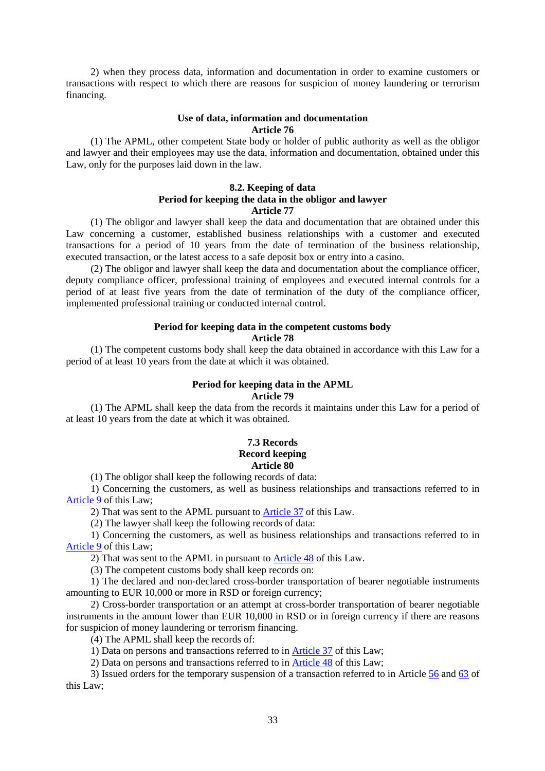2) when they process data, information and documentation in order to examine customers or transactions with respect to which there are reasons for suspicion of money laundering or terrorism financing.

#### **Use of data, information and documentation Article 76**

(1) The APML, other competent State body or holder of public authority as well as the obligor and lawyer and their employees may use the data, information and documentation, obtained under this Law, only for the purposes laid down in the law.

#### **8.2. Keeping of data Period for keeping the data in the obligor and lawyer Article 77**

(1) The obligor and lawyer shall keep the data and documentation that are obtained under this Law concerning a customer, established business relationships with a customer and executed transactions for a period of 10 years from the date of termination of the business relationship, executed transaction, or the latest access to a safe deposit box or entry into a casino.

(2) The obligor and lawyer shall keep the data and documentation about the compliance officer, deputy compliance officer, professional training of employees and executed internal controls for a period of at least five years from the date of termination of the duty of the compliance officer, implemented professional training or conducted internal control.

#### **Period for keeping data in the competent customs body**

#### **Article 78**

(1) The competent customs body shall keep the data obtained in accordance with this Law for a period of at least 10 years from the date at which it was obtained.

#### **Period for keeping data in the APML Article 79**

(1) The APML shall keep the data from the records it maintains under this Law for a period of at least 10 years from the date at which it was obtained.

#### **7.3 Records Record keeping Article 80**

(1) The obligor shall keep the following records of data:

1) Concerning the customers, as well as business relationships and transactions referred to in Article 9 of this Law;

2) That was sent to the APML pursuant to Article 37 of this Law.

(2) The lawyer shall keep the following records of data:

1) Concerning the customers, as well as business relationships and transactions referred to in Article 9 of this Law;

2) That was sent to the APML in pursuant to Article 48 of this Law.

(3) The competent customs body shall keep records on:

1) The declared and non-declared cross-border transportation of bearer negotiable instruments amounting to EUR 10,000 or more in RSD or foreign currency;

2) Cross-border transportation or an attempt at cross-border transportation of bearer negotiable instruments in the amount lower than EUR 10,000 in RSD or in foreign currency if there are reasons for suspicion of money laundering or terrorism financing.

(4) The APML shall keep the records of:

1) Data on persons and transactions referred to in Article 37 of this Law;

2) Data on persons and transactions referred to in Article 48 of this Law;

3) Issued orders for the temporary suspension of a transaction referred to in Article 56 and 63 of this Law;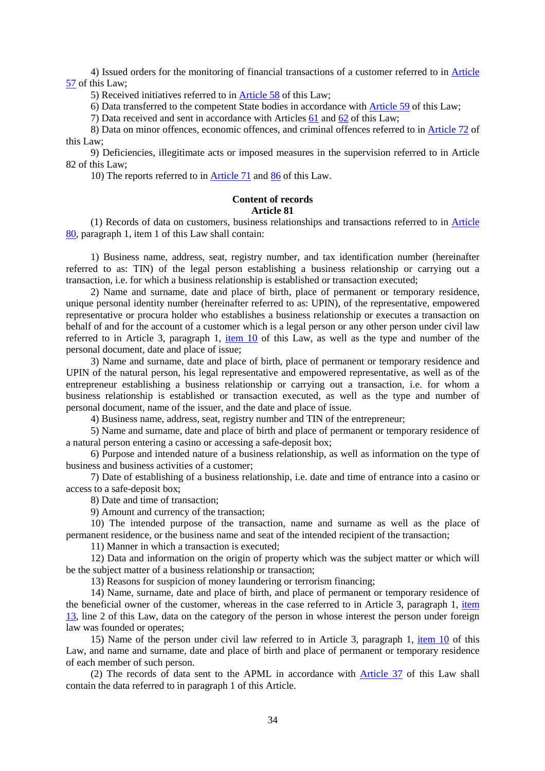4) Issued orders for the monitoring of financial transactions of a customer referred to in Article 57 of this Law;

5) Received initiatives referred to in Article 58 of this Law;

6) Data transferred to the competent State bodies in accordance with Article 59 of this Law;

7) Data received and sent in accordance with Articles 61 and 62 of this Law;

8) Data on minor offences, economic offences, and criminal offences referred to in Article 72 of this Law;

9) Deficiencies, illegitimate acts or imposed measures in the supervision referred to in Article 82 of this Law;

10) The reports referred to in Article 71 and 86 of this Law.

#### **Content of records Article 81**

(1) Records of data on customers, business relationships and transactions referred to in Article 80, paragraph 1, item 1 of this Law shall contain:

1) Business name, address, seat, registry number, and tax identification number (hereinafter referred to as: TIN) of the legal person establishing a business relationship or carrying out a transaction, i.e. for which a business relationship is established or transaction executed;

2) Name and surname, date and place of birth, place of permanent or temporary residence, unique personal identity number (hereinafter referred to as: UPIN), of the representative, empowered representative or procura holder who establishes a business relationship or executes a transaction on behalf of and for the account of a customer which is a legal person or any other person under civil law referred to in Article 3, paragraph 1, item 10 of this Law, as well as the type and number of the personal document, date and place of issue;

3) Name and surname, date and place of birth, place of permanent or temporary residence and UPIN of the natural person, his legal representative and empowered representative, as well as of the entrepreneur establishing a business relationship or carrying out a transaction, i.e. for whom a business relationship is established or transaction executed, as well as the type and number of personal document, name of the issuer, and the date and place of issue.

4) Business name, address, seat, registry number and TIN of the entrepreneur;

5) Name and surname, date and place of birth and place of permanent or temporary residence of a natural person entering a casino or accessing a safe-deposit box;

6) Purpose and intended nature of a business relationship, as well as information on the type of business and business activities of a customer;

7) Date of establishing of a business relationship, i.e. date and time of entrance into a casino or access to a safe-deposit box;

8) Date and time of transaction;

9) Amount and currency of the transaction;

10) The intended purpose of the transaction, name and surname as well as the place of permanent residence, or the business name and seat of the intended recipient of the transaction;

11) Manner in which a transaction is executed;

12) Data and information on the origin of property which was the subject matter or which will be the subject matter of a business relationship or transaction;

13) Reasons for suspicion of money laundering or terrorism financing;

14) Name, surname, date and place of birth, and place of permanent or temporary residence of the beneficial owner of the customer, whereas in the case referred to in Article 3, paragraph 1, item 13, line 2 of this Law, data on the category of the person in whose interest the person under foreign law was founded or operates;

15) Name of the person under civil law referred to in Article 3, paragraph 1, item 10 of this Law, and name and surname, date and place of birth and place of permanent or temporary residence of each member of such person.

(2) The records of data sent to the APML in accordance with Article 37 of this Law shall contain the data referred to in paragraph 1 of this Article.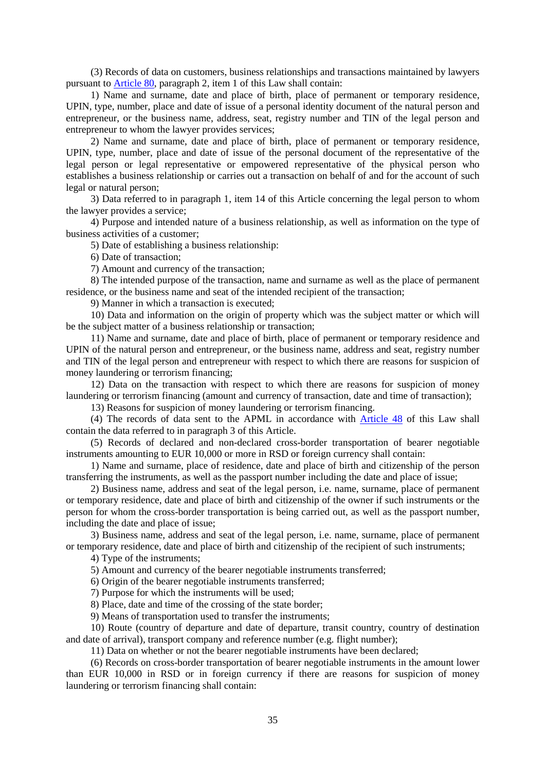(3) Records of data on customers, business relationships and transactions maintained by lawyers pursuant to Article 80, paragraph 2, item 1 of this Law shall contain:

1) Name and surname, date and place of birth, place of permanent or temporary residence, UPIN, type, number, place and date of issue of a personal identity document of the natural person and entrepreneur, or the business name, address, seat, registry number and TIN of the legal person and entrepreneur to whom the lawyer provides services;

2) Name and surname, date and place of birth, place of permanent or temporary residence, UPIN, type, number, place and date of issue of the personal document of the representative of the legal person or legal representative or empowered representative of the physical person who establishes a business relationship or carries out a transaction on behalf of and for the account of such legal or natural person;

3) Data referred to in paragraph 1, item 14 of this Article concerning the legal person to whom the lawyer provides a service;

4) Purpose and intended nature of a business relationship, as well as information on the type of business activities of a customer;

5) Date of establishing a business relationship:

6) Date of transaction;

7) Amount and currency of the transaction;

8) The intended purpose of the transaction, name and surname as well as the place of permanent residence, or the business name and seat of the intended recipient of the transaction;

9) Manner in which a transaction is executed;

10) Data and information on the origin of property which was the subject matter or which will be the subject matter of a business relationship or transaction;

11) Name and surname, date and place of birth, place of permanent or temporary residence and UPIN of the natural person and entrepreneur, or the business name, address and seat, registry number and TIN of the legal person and entrepreneur with respect to which there are reasons for suspicion of money laundering or terrorism financing;

12) Data on the transaction with respect to which there are reasons for suspicion of money laundering or terrorism financing (amount and currency of transaction, date and time of transaction);

13) Reasons for suspicion of money laundering or terrorism financing.

(4) The records of data sent to the APML in accordance with Article 48 of this Law shall contain the data referred to in paragraph 3 of this Article.

(5) Records of declared and non-declared cross-border transportation of bearer negotiable instruments amounting to EUR 10,000 or more in RSD or foreign currency shall contain:

1) Name and surname, place of residence, date and place of birth and citizenship of the person transferring the instruments, as well as the passport number including the date and place of issue;

2) Business name, address and seat of the legal person, i.e. name, surname, place of permanent or temporary residence, date and place of birth and citizenship of the owner if such instruments or the person for whom the cross-border transportation is being carried out, as well as the passport number, including the date and place of issue;

3) Business name, address and seat of the legal person, i.e. name, surname, place of permanent or temporary residence, date and place of birth and citizenship of the recipient of such instruments;

4) Type of the instruments;

5) Amount and currency of the bearer negotiable instruments transferred;

6) Origin of the bearer negotiable instruments transferred;

7) Purpose for which the instruments will be used;

8) Place, date and time of the crossing of the state border;

9) Means of transportation used to transfer the instruments;

10) Route (country of departure and date of departure, transit country, country of destination and date of arrival), transport company and reference number (e.g. flight number);

11) Data on whether or not the bearer negotiable instruments have been declared;

(6) Records on cross-border transportation of bearer negotiable instruments in the amount lower than EUR 10,000 in RSD or in foreign currency if there are reasons for suspicion of money laundering or terrorism financing shall contain: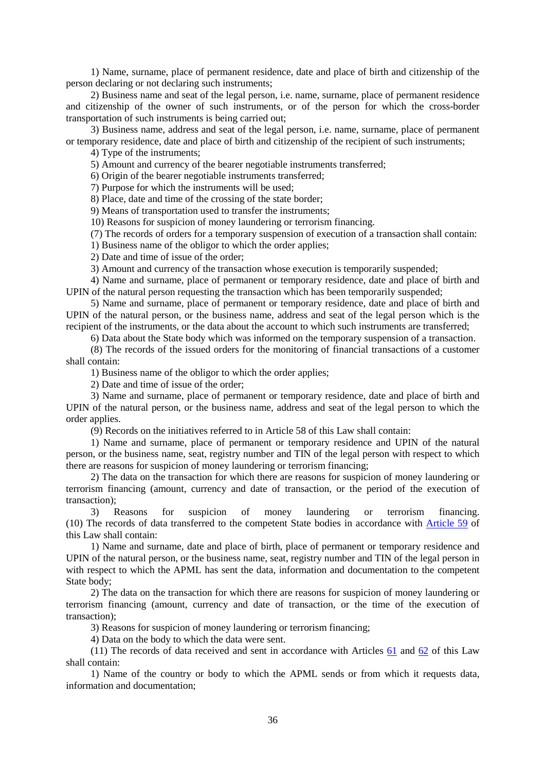1) Name, surname, place of permanent residence, date and place of birth and citizenship of the person declaring or not declaring such instruments;

2) Business name and seat of the legal person, i.e. name, surname, place of permanent residence and citizenship of the owner of such instruments, or of the person for which the cross-border transportation of such instruments is being carried out;

3) Business name, address and seat of the legal person, i.e. name, surname, place of permanent or temporary residence, date and place of birth and citizenship of the recipient of such instruments;

4) Type of the instruments;

5) Amount and currency of the bearer negotiable instruments transferred;

6) Origin of the bearer negotiable instruments transferred;

7) Purpose for which the instruments will be used;

8) Place, date and time of the crossing of the state border;

9) Means of transportation used to transfer the instruments;

10) Reasons for suspicion of money laundering or terrorism financing.

(7) The records of orders for a temporary suspension of execution of a transaction shall contain:

1) Business name of the obligor to which the order applies;

2) Date and time of issue of the order;

3) Amount and currency of the transaction whose execution is temporarily suspended;

4) Name and surname, place of permanent or temporary residence, date and place of birth and UPIN of the natural person requesting the transaction which has been temporarily suspended;

5) Name and surname, place of permanent or temporary residence, date and place of birth and UPIN of the natural person, or the business name, address and seat of the legal person which is the recipient of the instruments, or the data about the account to which such instruments are transferred;

6) Data about the State body which was informed on the temporary suspension of a transaction.

(8) The records of the issued orders for the monitoring of financial transactions of a customer shall contain:

1) Business name of the obligor to which the order applies;

2) Date and time of issue of the order;

3) Name and surname, place of permanent or temporary residence, date and place of birth and UPIN of the natural person, or the business name, address and seat of the legal person to which the order applies.

(9) Records on the initiatives referred to in Article 58 of this Law shall contain:

1) Name and surname, place of permanent or temporary residence and UPIN of the natural person, or the business name, seat, registry number and TIN of the legal person with respect to which there are reasons for suspicion of money laundering or terrorism financing;

2) The data on the transaction for which there are reasons for suspicion of money laundering or terrorism financing (amount, currency and date of transaction, or the period of the execution of transaction);

3) Reasons for suspicion of money laundering or terrorism financing. (10) The records of data transferred to the competent State bodies in accordance with Article 59 of this Law shall contain:

1) Name and surname, date and place of birth, place of permanent or temporary residence and UPIN of the natural person, or the business name, seat, registry number and TIN of the legal person in with respect to which the APML has sent the data, information and documentation to the competent State body;

2) The data on the transaction for which there are reasons for suspicion of money laundering or terrorism financing (amount, currency and date of transaction, or the time of the execution of transaction);

3) Reasons for suspicion of money laundering or terrorism financing;

4) Data on the body to which the data were sent.

(11) The records of data received and sent in accordance with Articles 61 and 62 of this Law shall contain:

1) Name of the country or body to which the APML sends or from which it requests data, information and documentation;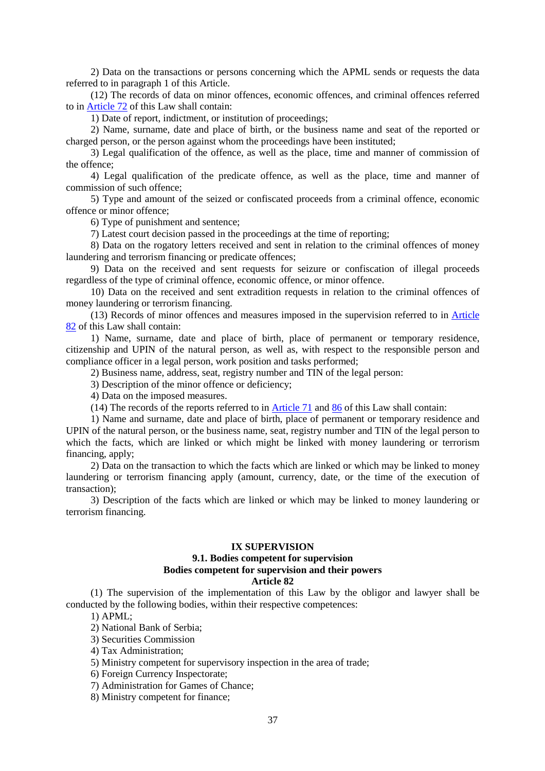2) Data on the transactions or persons concerning which the APML sends or requests the data referred to in paragraph 1 of this Article.

(12) The records of data on minor offences, economic offences, and criminal offences referred to in Article 72 of this Law shall contain:

1) Date of report, indictment, or institution of proceedings;

2) Name, surname, date and place of birth, or the business name and seat of the reported or charged person, or the person against whom the proceedings have been instituted;

3) Legal qualification of the offence, as well as the place, time and manner of commission of the offence;

4) Legal qualification of the predicate offence, as well as the place, time and manner of commission of such offence;

5) Type and amount of the seized or confiscated proceeds from a criminal offence, economic offence or minor offence;

6) Type of punishment and sentence;

7) Latest court decision passed in the proceedings at the time of reporting;

8) Data on the rogatory letters received and sent in relation to the criminal offences of money laundering and terrorism financing or predicate offences;

9) Data on the received and sent requests for seizure or confiscation of illegal proceeds regardless of the type of criminal offence, economic offence, or minor offence.

10) Data on the received and sent extradition requests in relation to the criminal offences of money laundering or terrorism financing.

(13) Records of minor offences and measures imposed in the supervision referred to in Article 82 of this Law shall contain:

1) Name, surname, date and place of birth, place of permanent or temporary residence, citizenship and UPIN of the natural person, as well as, with respect to the responsible person and compliance officer in a legal person, work position and tasks performed;

2) Business name, address, seat, registry number and TIN of the legal person:

3) Description of the minor offence or deficiency;

4) Data on the imposed measures.

(14) The records of the reports referred to in Article 71 and 86 of this Law shall contain:

1) Name and surname, date and place of birth, place of permanent or temporary residence and UPIN of the natural person, or the business name, seat, registry number and TIN of the legal person to which the facts, which are linked or which might be linked with money laundering or terrorism financing, apply;

2) Data on the transaction to which the facts which are linked or which may be linked to money laundering or terrorism financing apply (amount, currency, date, or the time of the execution of transaction);

3) Description of the facts which are linked or which may be linked to money laundering or terrorism financing.

### **IX SUPERVISION**

# **9.1. Bodies competent for supervision Bodies competent for supervision and their powers**

# **Article 82**

(1) The supervision of the implementation of this Law by the obligor and lawyer shall be conducted by the following bodies, within their respective competences:

## 1) APML;

2) National Bank of Serbia;

- 3) Securities Commission
- 4) Tax Administration;
- 5) Ministry competent for supervisory inspection in the area of trade;
- 6) Foreign Currency Inspectorate;
- 7) Administration for Games of Chance;

8) Ministry competent for finance;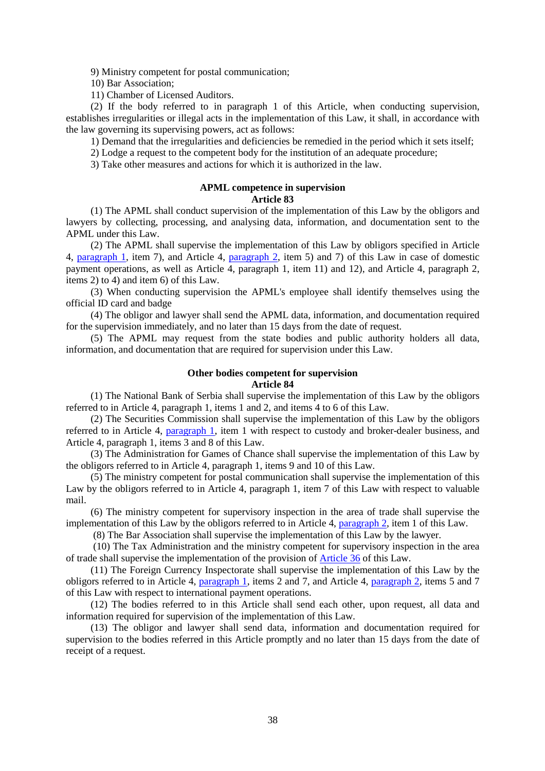9) Ministry competent for postal communication;

10) Bar Association;

11) Chamber of Licensed Auditors.

(2) If the body referred to in paragraph 1 of this Article, when conducting supervision, establishes irregularities or illegal acts in the implementation of this Law, it shall, in accordance with the law governing its supervising powers, act as follows:

1) Demand that the irregularities and deficiencies be remedied in the period which it sets itself;

2) Lodge a request to the competent body for the institution of an adequate procedure;

3) Take other measures and actions for which it is authorized in the law.

# **APML competence in supervision**

# **Article 83**

(1) The APML shall conduct supervision of the implementation of this Law by the obligors and lawyers by collecting, processing, and analysing data, information, and documentation sent to the APML under this Law.

(2) The APML shall supervise the implementation of this Law by obligors specified in Article 4, paragraph 1, item 7), and Article 4, paragraph 2, item 5) and 7) of this Law in case of domestic payment operations, as well as Article 4, paragraph 1, item 11) and 12), and Article 4, paragraph 2, items 2) to 4) and item 6) of this Law.

(3) When conducting supervision the APML's employee shall identify themselves using the official ID card and badge

(4) The obligor and lawyer shall send the APML data, information, and documentation required for the supervision immediately, and no later than 15 days from the date of request.

(5) The APML may request from the state bodies and public authority holders all data, information, and documentation that are required for supervision under this Law.

## **Other bodies competent for supervision**

### **Article 84**

(1) The National Bank of Serbia shall supervise the implementation of this Law by the obligors referred to in Article 4, paragraph 1, items 1 and 2, and items 4 to 6 of this Law.

(2) The Securities Commission shall supervise the implementation of this Law by the obligors referred to in Article 4, paragraph 1, item 1 with respect to custody and broker-dealer business, and Article 4, paragraph 1, items 3 and 8 of this Law.

(3) The Administration for Games of Chance shall supervise the implementation of this Law by the obligors referred to in Article 4, paragraph 1, items 9 and 10 of this Law.

(5) The ministry competent for postal communication shall supervise the implementation of this Law by the obligors referred to in Article 4, paragraph 1, item 7 of this Law with respect to valuable mail.

(6) The ministry competent for supervisory inspection in the area of trade shall supervise the implementation of this Law by the obligors referred to in Article 4, paragraph 2, item 1 of this Law.

(8) The Bar Association shall supervise the implementation of this Law by the lawyer.

 (10) The Tax Administration and the ministry competent for supervisory inspection in the area of trade shall supervise the implementation of the provision of Article 36 of this Law.

(11) The Foreign Currency Inspectorate shall supervise the implementation of this Law by the obligors referred to in Article 4, paragraph 1, items 2 and 7, and Article 4, paragraph 2, items 5 and 7 of this Law with respect to international payment operations.

(12) The bodies referred to in this Article shall send each other, upon request, all data and information required for supervision of the implementation of this Law.

(13) The obligor and lawyer shall send data, information and documentation required for supervision to the bodies referred in this Article promptly and no later than 15 days from the date of receipt of a request.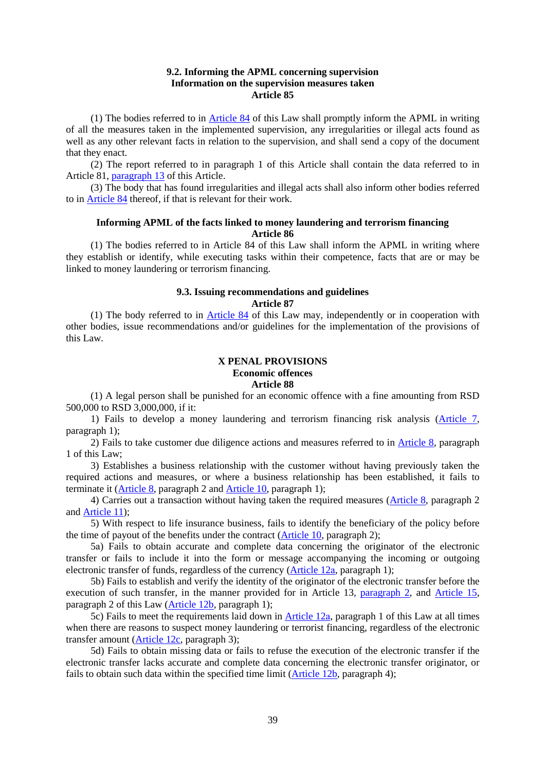### **9.2. Informing the APML concerning supervision Information on the supervision measures taken Article 85**

(1) The bodies referred to in Article 84 of this Law shall promptly inform the APML in writing of all the measures taken in the implemented supervision, any irregularities or illegal acts found as well as any other relevant facts in relation to the supervision, and shall send a copy of the document that they enact.

(2) The report referred to in paragraph 1 of this Article shall contain the data referred to in Article 81, paragraph 13 of this Article.

(3) The body that has found irregularities and illegal acts shall also inform other bodies referred to in Article 84 thereof, if that is relevant for their work.

### **Informing APML of the facts linked to money laundering and terrorism financing Article 86**

(1) The bodies referred to in Article 84 of this Law shall inform the APML in writing where they establish or identify, while executing tasks within their competence, facts that are or may be linked to money laundering or terrorism financing.

#### **9.3. Issuing recommendations and guidelines Article 87**

(1) The body referred to in Article 84 of this Law may, independently or in cooperation with other bodies, issue recommendations and/or guidelines for the implementation of the provisions of this Law.

## **X PENAL PROVISIONS Economic offences Article 88**

(1) A legal person shall be punished for an economic offence with a fine amounting from RSD 500,000 to RSD 3,000,000, if it:

1) Fails to develop a money laundering and terrorism financing risk analysis (Article 7, paragraph 1);

2) Fails to take customer due diligence actions and measures referred to in Article 8, paragraph 1 of this Law;

3) Establishes a business relationship with the customer without having previously taken the required actions and measures, or where a business relationship has been established, it fails to terminate it (Article 8, paragraph 2 and Article 10, paragraph 1);

4) Carries out a transaction without having taken the required measures (Article 8, paragraph 2 and Article 11);

5) With respect to life insurance business, fails to identify the beneficiary of the policy before the time of payout of the benefits under the contract (Article 10, paragraph 2);

5а) Fails to obtain accurate and complete data concerning the originator of the electronic transfer or fails to include it into the form or message accompanying the incoming or outgoing electronic transfer of funds, regardless of the currency (Article 12а, paragraph 1);

5b) Fails to establish and verify the identity of the originator of the electronic transfer before the execution of such transfer, in the manner provided for in Article 13, paragraph 2, and Article 15, paragraph 2 of this Law (Article 12b, paragraph 1);

5c) Fails to meet the requirements laid down in Article 12а, paragraph 1 of this Law at all times when there are reasons to suspect money laundering or terrorist financing, regardless of the electronic transfer amount (Article 12c, paragraph 3);

5d) Fails to obtain missing data or fails to refuse the execution of the electronic transfer if the electronic transfer lacks accurate and complete data concerning the electronic transfer originator, or fails to obtain such data within the specified time limit (Article 12b, paragraph 4);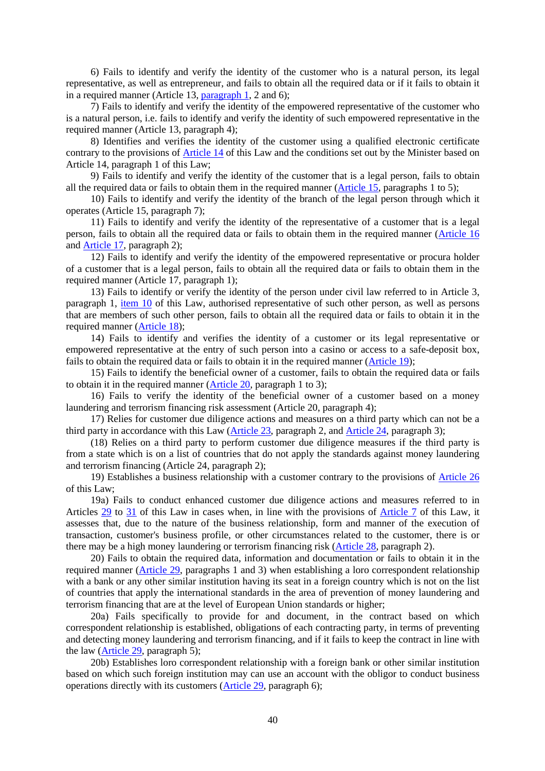6) Fails to identify and verify the identity of the customer who is a natural person, its legal representative, as well as entrepreneur, and fails to obtain all the required data or if it fails to obtain it in a required manner (Article 13, paragraph 1, 2 and 6);

 $(7)$  Fails to identify and verify the identity of the empowered representative of the customer who is a natural person, i.e. fails to identify and verify the identity of such empowered representative in the required manner (Article 13, paragraph 4);

8) Identifies and verifies the identity of the customer using a qualified electronic certificate contrary to the provisions of Article 14 of this Law and the conditions set out by the Minister based on Article 14, paragraph 1 of this Law;

9) Fails to identify and verify the identity of the customer that is a legal person, fails to obtain all the required data or fails to obtain them in the required manner (Article 15, paragraphs 1 to 5);

10) Fails to identify and verify the identity of the branch of the legal person through which it operates (Article 15, paragraph 7);

11) Fails to identify and verify the identity of the representative of a customer that is a legal person, fails to obtain all the required data or fails to obtain them in the required manner (Article 16 and Article 17, paragraph 2);

12) Fails to identify and verify the identity of the empowered representative or procura holder of a customer that is a legal person, fails to obtain all the required data or fails to obtain them in the required manner (Article 17, paragraph 1);

13) Fails to identify or verify the identity of the person under civil law referred to in Article 3, paragraph 1, item 10 of this Law, authorised representative of such other person, as well as persons that are members of such other person, fails to obtain all the required data or fails to obtain it in the required manner (Article 18);

14) Fails to identify and verifies the identity of a customer or its legal representative or empowered representative at the entry of such person into a casino or access to a safe-deposit box, fails to obtain the required data or fails to obtain it in the required manner (Article 19);

15) Fails to identify the beneficial owner of a customer, fails to obtain the required data or fails to obtain it in the required manner (Article 20, paragraph 1 to 3);

16) Fails to verify the identity of the beneficial owner of a customer based on a money laundering and terrorism financing risk assessment (Article 20, paragraph 4);

17) Relies for customer due diligence actions and measures on a third party which can not be a third party in accordance with this Law (Article 23, paragraph 2, and Article 24, paragraph 3);

(18) Relies on a third party to perform customer due diligence measures if the third party is from a state which is on a list of countries that do not apply the standards against money laundering and terrorism financing (Article 24, paragraph 2);

19) Establishes a business relationship with a customer contrary to the provisions of Article 26 of this Law;

19а) Fails to conduct enhanced customer due diligence actions and measures referred to in Articles 29 to 31 of this Law in cases when, in line with the provisions of Article 7 of this Law, it assesses that, due to the nature of the business relationship, form and manner of the execution of transaction, customer's business profile, or other circumstances related to the customer, there is or there may be a high money laundering or terrorism financing risk (Article 28, paragraph 2).

20) Fails to obtain the required data, information and documentation or fails to obtain it in the required manner (Article 29, paragraphs 1 and 3) when establishing a loro correspondent relationship with a bank or any other similar institution having its seat in a foreign country which is not on the list of countries that apply the international standards in the area of prevention of money laundering and terrorism financing that are at the level of European Union standards or higher;

20а) Fails specifically to provide for and document, in the contract based on which correspondent relationship is established, obligations of each contracting party, in terms of preventing and detecting money laundering and terrorism financing, and if it fails to keep the contract in line with the law (Article 29, paragraph 5);

20b) Establishes loro correspondent relationship with a foreign bank or other similar institution based on which such foreign institution may can use an account with the obligor to conduct business operations directly with its customers (Article 29, paragraph 6);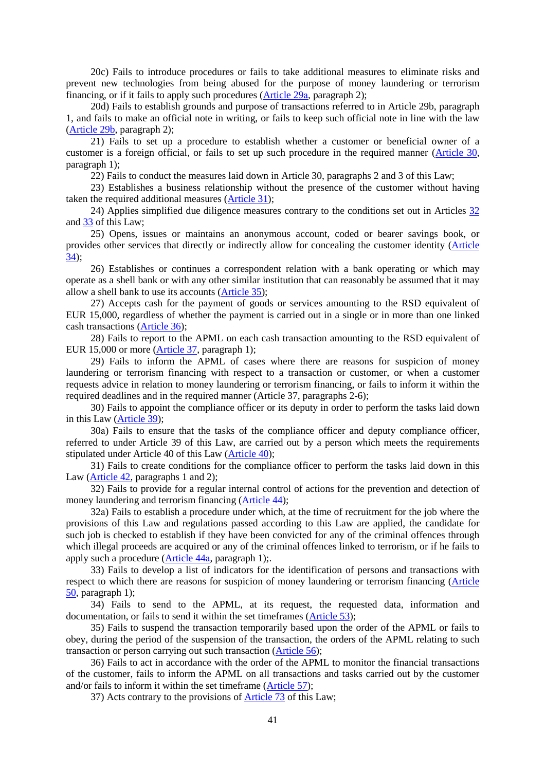20c) Fails to introduce procedures or fails to take additional measures to eliminate risks and prevent new technologies from being abused for the purpose of money laundering or terrorism financing, or if it fails to apply such procedures (Article 29а, paragraph 2);

20d) Fails to establish grounds and purpose of transactions referred to in Article 29b, paragraph 1, and fails to make an official note in writing, or fails to keep such official note in line with the law (Article 29b, paragraph 2);

21) Fails to set up a procedure to establish whether a customer or beneficial owner of a customer is a foreign official, or fails to set up such procedure in the required manner (Article 30, paragraph 1);

22) Fails to conduct the measures laid down in Article 30, paragraphs 2 and 3 of this Law;

23) Establishes a business relationship without the presence of the customer without having taken the required additional measures (Article 31);

24) Applies simplified due diligence measures contrary to the conditions set out in Articles 32 and 33 of this Law;

25) Opens, issues or maintains an anonymous account, coded or bearer savings book, or provides other services that directly or indirectly allow for concealing the customer identity (Article  $34$ :

26) Establishes or continues a correspondent relation with a bank operating or which may operate as a shell bank or with any other similar institution that can reasonably be assumed that it may allow a shell bank to use its accounts (Article 35);

27) Accepts cash for the payment of goods or services amounting to the RSD equivalent of EUR 15,000, regardless of whether the payment is carried out in a single or in more than one linked cash transactions (Article 36);

28) Fails to report to the APML on each cash transaction amounting to the RSD equivalent of EUR 15,000 or more (Article 37, paragraph 1);

29) Fails to inform the APML of cases where there are reasons for suspicion of money laundering or terrorism financing with respect to a transaction or customer, or when a customer requests advice in relation to money laundering or terrorism financing, or fails to inform it within the required deadlines and in the required manner (Article 37, paragraphs 2-6);

30) Fails to appoint the compliance officer or its deputy in order to perform the tasks laid down in this Law (Article 39);

30а) Fails to ensure that the tasks of the compliance officer and deputy compliance officer, referred to under Article 39 of this Law, are carried out by a person which meets the requirements stipulated under Article 40 of this Law (Article 40);

31) Fails to create conditions for the compliance officer to perform the tasks laid down in this Law (Article 42, paragraphs 1 and 2);

32) Fails to provide for a regular internal control of actions for the prevention and detection of money laundering and terrorism financing (Article 44);

32а) Fails to establish a procedure under which, at the time of recruitment for the job where the provisions of this Law and regulations passed according to this Law are applied, the candidate for such job is checked to establish if they have been convicted for any of the criminal offences through which illegal proceeds are acquired or any of the criminal offences linked to terrorism, or if he fails to apply such a procedure (Article 44а, paragraph 1);.

33) Fails to develop a list of indicators for the identification of persons and transactions with respect to which there are reasons for suspicion of money laundering or terrorism financing (Article 50, paragraph 1);

34) Fails to send to the APML, at its request, the requested data, information and documentation, or fails to send it within the set timeframes (Article 53);

35) Fails to suspend the transaction temporarily based upon the order of the APML or fails to obey, during the period of the suspension of the transaction, the orders of the APML relating to such transaction or person carrying out such transaction (Article 56);

36) Fails to act in accordance with the order of the APML to monitor the financial transactions of the customer, fails to inform the APML on all transactions and tasks carried out by the customer and/or fails to inform it within the set timeframe (Article 57);

37) Acts contrary to the provisions of Article 73 of this Law;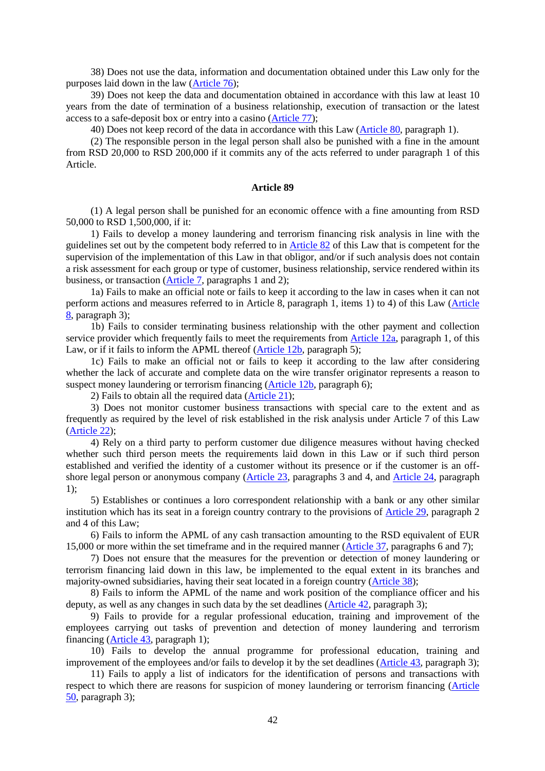38) Does not use the data, information and documentation obtained under this Law only for the purposes laid down in the law (Article 76);

39) Does not keep the data and documentation obtained in accordance with this law at least 10 years from the date of termination of a business relationship, execution of transaction or the latest access to a safe-deposit box or entry into a casino (Article 77);

40) Does not keep record of the data in accordance with this Law (Article 80, paragraph 1).

(2) The responsible person in the legal person shall also be punished with a fine in the amount from RSD 20,000 to RSD 200,000 if it commits any of the acts referred to under paragraph 1 of this Article.

### **Article 89**

(1) A legal person shall be punished for an economic offence with a fine amounting from RSD 50,000 to RSD 1,500,000, if it:

1) Fails to develop a money laundering and terrorism financing risk analysis in line with the guidelines set out by the competent body referred to in Article 82 of this Law that is competent for the supervision of the implementation of this Law in that obligor, and/or if such analysis does not contain a risk assessment for each group or type of customer, business relationship, service rendered within its business, or transaction (Article 7, paragraphs 1 and 2);

1а) Fails to make an official note or fails to keep it according to the law in cases when it can not perform actions and measures referred to in Article 8, paragraph 1, items 1) to 4) of this Law (Article 8, paragraph 3);

1b) Fails to consider terminating business relationship with the other payment and collection service provider which frequently fails to meet the requirements from Article 12a, paragraph 1, of this Law, or if it fails to inform the APML thereof (Article 12b, paragraph 5);

1c) Fails to make an official not or fails to keep it according to the law after considering whether the lack of accurate and complete data on the wire transfer originator represents a reason to suspect money laundering or terrorism financing (Article 12b, paragraph 6);

2) Fails to obtain all the required data (Article 21);

3) Does not monitor customer business transactions with special care to the extent and as frequently as required by the level of risk established in the risk analysis under Article 7 of this Law (Article 22);

4) Rely on a third party to perform customer due diligence measures without having checked whether such third person meets the requirements laid down in this Law or if such third person established and verified the identity of a customer without its presence or if the customer is an offshore legal person or anonymous company (Article 23, paragraphs 3 and 4, and Article 24, paragraph 1);

5) Establishes or continues a loro correspondent relationship with a bank or any other similar institution which has its seat in a foreign country contrary to the provisions of Article 29, paragraph 2 and 4 of this Law;

6) Fails to inform the APML of any cash transaction amounting to the RSD equivalent of EUR 15,000 or more within the set timeframe and in the required manner (Article 37, paragraphs 6 and 7);

7) Does not ensure that the measures for the prevention or detection of money laundering or terrorism financing laid down in this law, be implemented to the equal extent in its branches and majority-owned subsidiaries, having their seat located in a foreign country (Article 38);

8) Fails to inform the APML of the name and work position of the compliance officer and his deputy, as well as any changes in such data by the set deadlines (Article 42, paragraph 3);

9) Fails to provide for a regular professional education, training and improvement of the employees carrying out tasks of prevention and detection of money laundering and terrorism financing (Article 43, paragraph 1);

10) Fails to develop the annual programme for professional education, training and improvement of the employees and/or fails to develop it by the set deadlines (Article 43, paragraph 3);

11) Fails to apply a list of indicators for the identification of persons and transactions with respect to which there are reasons for suspicion of money laundering or terrorism financing (Article  $\overline{50}$ , paragraph 3);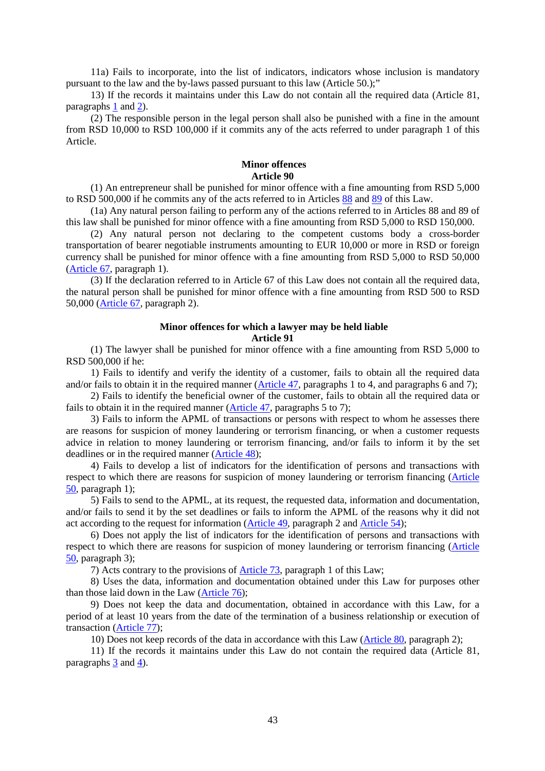11а) Fails to incorporate, into the list of indicators, indicators whose inclusion is mandatory pursuant to the law and the by-laws passed pursuant to this law (Article 50.);"

13) If the records it maintains under this Law do not contain all the required data (Article 81, paragraphs 1 and 2).

(2) The responsible person in the legal person shall also be punished with a fine in the amount from RSD 10,000 to RSD 100,000 if it commits any of the acts referred to under paragraph 1 of this Article.

## **Minor offences Article 90**

(1) An entrepreneur shall be punished for minor offence with a fine amounting from RSD 5,000 to RSD 500,000 if he commits any of the acts referred to in Articles 88 and 89 of this Law.

(1а) Any natural person failing to perform any of the actions referred to in Articles 88 and 89 of this law shall be punished for minor offence with a fine amounting from RSD 5,000 to RSD 150,000.

(2) Any natural person not declaring to the competent customs body a cross-border transportation of bearer negotiable instruments amounting to EUR 10,000 or more in RSD or foreign currency shall be punished for minor offence with a fine amounting from RSD 5,000 to RSD 50,000 (Article 67, paragraph 1).

(3) If the declaration referred to in Article 67 of this Law does not contain all the required data, the natural person shall be punished for minor offence with a fine amounting from RSD 500 to RSD 50,000 (Article 67, paragraph 2).

## **Minor offences for which a lawyer may be held liable Article 91**

(1) The lawyer shall be punished for minor offence with a fine amounting from RSD 5,000 to RSD 500,000 if he:

1) Fails to identify and verify the identity of a customer, fails to obtain all the required data and/or fails to obtain it in the required manner (Article 47, paragraphs 1 to 4, and paragraphs 6 and 7);

2) Fails to identify the beneficial owner of the customer, fails to obtain all the required data or fails to obtain it in the required manner (Article 47, paragraphs 5 to 7);

3) Fails to inform the APML of transactions or persons with respect to whom he assesses there are reasons for suspicion of money laundering or terrorism financing, or when a customer requests advice in relation to money laundering or terrorism financing, and/or fails to inform it by the set deadlines or in the required manner (Article 48);

4) Fails to develop a list of indicators for the identification of persons and transactions with respect to which there are reasons for suspicion of money laundering or terrorism financing (Article 50, paragraph 1);

5) Fails to send to the APML, at its request, the requested data, information and documentation, and/or fails to send it by the set deadlines or fails to inform the APML of the reasons why it did not act according to the request for information (Article 49, paragraph 2 and Article 54);

6) Does not apply the list of indicators for the identification of persons and transactions with respect to which there are reasons for suspicion of money laundering or terrorism financing (Article 50, paragraph 3);

7) Acts contrary to the provisions of Article 73, paragraph 1 of this Law;

8) Uses the data, information and documentation obtained under this Law for purposes other than those laid down in the Law (Article 76);

9) Does not keep the data and documentation, obtained in accordance with this Law, for a period of at least 10 years from the date of the termination of a business relationship or execution of transaction (Article 77);

10) Does not keep records of the data in accordance with this Law (Article 80, paragraph 2);

11) If the records it maintains under this Law do not contain the required data (Article 81, paragraphs 3 and 4).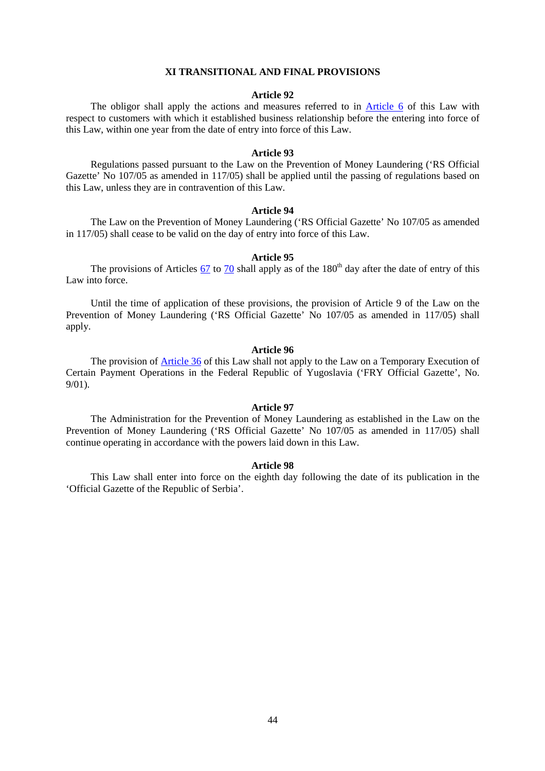#### **XI TRANSITIONAL AND FINAL PROVISIONS**

#### **Article 92**

The obligor shall apply the actions and measures referred to in Article 6 of this Law with respect to customers with which it established business relationship before the entering into force of this Law, within one year from the date of entry into force of this Law.

#### **Article 93**

Regulations passed pursuant to the Law on the Prevention of Money Laundering ('RS Official Gazette' No 107/05 as amended in 117/05) shall be applied until the passing of regulations based on this Law, unless they are in contravention of this Law.

#### **Article 94**

The Law on the Prevention of Money Laundering ('RS Official Gazette' No 107/05 as amended in 117/05) shall cease to be valid on the day of entry into force of this Law.

### **Article 95**

The provisions of Articles  $67$  to 70 shall apply as of the  $180<sup>th</sup>$  day after the date of entry of this Law into force.

Until the time of application of these provisions, the provision of Article 9 of the Law on the Prevention of Money Laundering ('RS Official Gazette' No 107/05 as amended in 117/05) shall apply.

#### **Article 96**

The provision of Article 36 of this Law shall not apply to the Law on a Temporary Execution of Certain Payment Operations in the Federal Republic of Yugoslavia ('FRY Official Gazette', No. 9/01).

### **Article 97**

The Administration for the Prevention of Money Laundering as established in the Law on the Prevention of Money Laundering ('RS Official Gazette' No 107/05 as amended in 117/05) shall continue operating in accordance with the powers laid down in this Law.

## **Article 98**

This Law shall enter into force on the eighth day following the date of its publication in the 'Official Gazette of the Republic of Serbia'.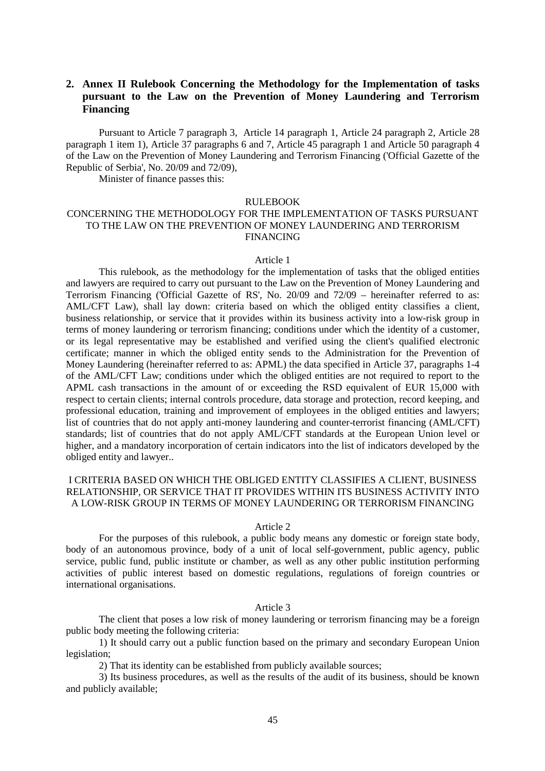# **2. Annex II Rulebook Concerning the Methodology for the Implementation of tasks pursuant to the Law on the Prevention of Money Laundering and Terrorism Financing**

Pursuant to Article 7 paragraph 3, Article 14 paragraph 1, Article 24 paragraph 2, Article 28 paragraph 1 item 1), Article 37 paragraphs 6 and 7, Article 45 paragraph 1 and Article 50 paragraph 4 of the Law on the Prevention of Money Laundering and Terrorism Financing ('Official Gazette of the Republic of Serbia', No. 20/09 and 72/09),

Minister of finance passes this:

#### RULEBOOK

## CONCERNING THE METHODOLOGY FOR THE IMPLEMENTATION OF TASKS PURSUANT TO THE LAW ON THE PREVENTION OF MONEY LAUNDERING AND TERRORISM FINANCING

#### Article 1

This rulebook, as the methodology for the implementation of tasks that the obliged entities and lawyers are required to carry out pursuant to the Law on the Prevention of Money Laundering and Terrorism Financing ('Official Gazette of RS', No. 20/09 and 72/09 – hereinafter referred to as: AML/CFT Law), shall lay down: criteria based on which the obliged entity classifies a client, business relationship, or service that it provides within its business activity into a low-risk group in terms of money laundering or terrorism financing; conditions under which the identity of a customer, or its legal representative may be established and verified using the client's qualified electronic certificate; manner in which the obliged entity sends to the Administration for the Prevention of Money Laundering (hereinafter referred to as: APML) the data specified in Article 37, paragraphs 1-4 of the AML/CFT Law; conditions under which the obliged entities are not required to report to the APML cash transactions in the amount of or exceeding the RSD equivalent of EUR 15,000 with respect to certain clients; internal controls procedure, data storage and protection, record keeping, and professional education, training and improvement of employees in the obliged entities and lawyers; list of countries that do not apply anti-money laundering and counter-terrorist financing (AML/CFT) standards; list of countries that do not apply AML/CFT standards at the European Union level or higher, and a mandatory incorporation of certain indicators into the list of indicators developed by the obliged entity and lawyer..

## I CRITERIA BASED ON WHICH THE OBLIGED ENTITY CLASSIFIES A CLIENT, BUSINESS RELATIONSHIP, OR SERVICE THAT IT PROVIDES WITHIN ITS BUSINESS ACTIVITY INTO A LOW-RISK GROUP IN TERMS OF MONEY LAUNDERING OR TERRORISM FINANCING

#### Article 2

 For the purposes of this rulebook, a public body means any domestic or foreign state body, body of an autonomous province, body of a unit of local self-government, public agency, public service, public fund, public institute or chamber, as well as any other public institution performing activities of public interest based on domestic regulations, regulations of foreign countries or international organisations.

#### Article 3

 The client that poses a low risk of money laundering or terrorism financing may be a foreign public body meeting the following criteria:

 1) It should carry out a public function based on the primary and secondary European Union legislation;

2) That its identity can be established from publicly available sources;

 3) Its business procedures, as well as the results of the audit of its business, should be known and publicly available;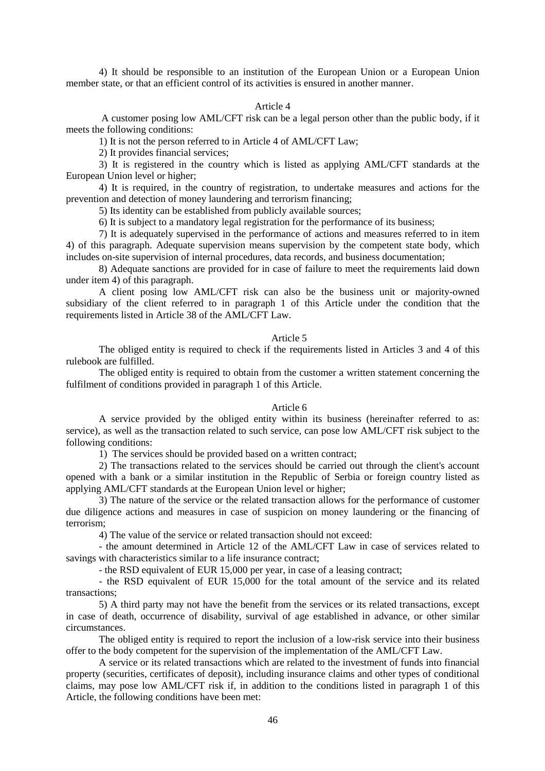4) It should be responsible to an institution of the European Union or a European Union member state, or that an efficient control of its activities is ensured in another manner.

## Article 4

 A customer posing low AML/CFT risk can be a legal person other than the public body, if it meets the following conditions:

1) It is not the person referred to in Article 4 of AML/CFT Law;

2) It provides financial services;

3) It is registered in the country which is listed as applying AML/CFT standards at the European Union level or higher;

4) It is required, in the country of registration, to undertake measures and actions for the prevention and detection of money laundering and terrorism financing;

5) Its identity can be established from publicly available sources;

6) It is subject to a mandatory legal registration for the performance of its business;

7) It is adequately supervised in the performance of actions and measures referred to in item 4) of this paragraph. Adequate supervision means supervision by the competent state body, which includes on-site supervision of internal procedures, data records, and business documentation;

8) Adequate sanctions are provided for in case of failure to meet the requirements laid down under item 4) of this paragraph.

A client posing low AML/CFT risk can also be the business unit or majority-owned subsidiary of the client referred to in paragraph 1 of this Article under the condition that the requirements listed in Article 38 of the AML/CFT Law.

### Article 5

The obliged entity is required to check if the requirements listed in Articles 3 and 4 of this rulebook are fulfilled.

The obliged entity is required to obtain from the customer a written statement concerning the fulfilment of conditions provided in paragraph 1 of this Article.

#### Article 6

A service provided by the obliged entity within its business (hereinafter referred to as: service), as well as the transaction related to such service, can pose low AML/CFT risk subject to the following conditions:

1) The services should be provided based on a written contract;

2) The transactions related to the services should be carried out through the client's account opened with a bank or a similar institution in the Republic of Serbia or foreign country listed as applying AML/CFT standards at the European Union level or higher;

3) The nature of the service or the related transaction allows for the performance of customer due diligence actions and measures in case of suspicion on money laundering or the financing of terrorism;

4) The value of the service or related transaction should not exceed:

- the amount determined in Article 12 of the AML/CFT Law in case of services related to savings with characteristics similar to a life insurance contract;

- the RSD equivalent of EUR 15,000 per year, in case of a leasing contract;

- the RSD equivalent of EUR 15,000 for the total amount of the service and its related transactions;

5) A third party may not have the benefit from the services or its related transactions, except in case of death, occurrence of disability, survival of age established in advance, or other similar circumstances.

The obliged entity is required to report the inclusion of a low-risk service into their business offer to the body competent for the supervision of the implementation of the AML/CFT Law.

 A service or its related transactions which are related to the investment of funds into financial property (securities, certificates of deposit), including insurance claims and other types of conditional claims, may pose low AML/CFT risk if, in addition to the conditions listed in paragraph 1 of this Article, the following conditions have been met: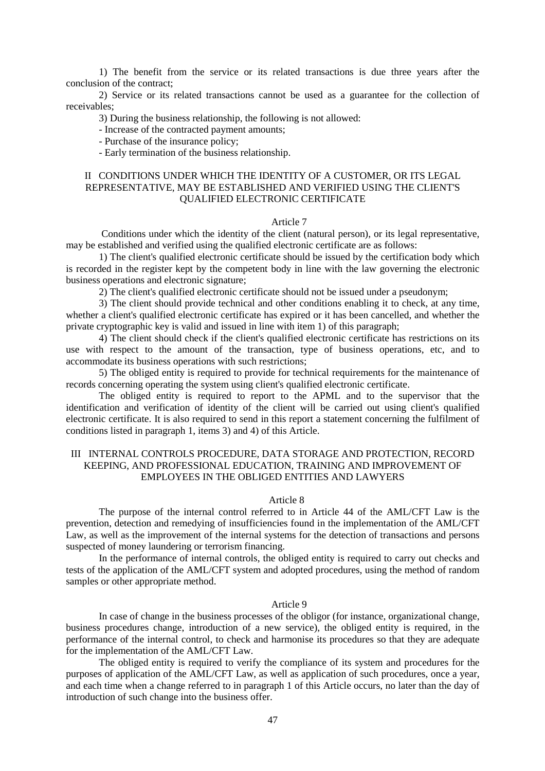1) The benefit from the service or its related transactions is due three years after the conclusion of the contract;

2) Service or its related transactions cannot be used as a guarantee for the collection of receivables;

3) During the business relationship, the following is not allowed:

- Increase of the contracted payment amounts;

- Purchase of the insurance policy;

- Early termination of the business relationship.

## II CONDITIONS UNDER WHICH THE IDENTITY OF A CUSTOMER, OR ITS LEGAL REPRESENTATIVE, MAY BE ESTABLISHED AND VERIFIED USING THE CLIENT'S QUALIFIED ELECTRONIC CERTIFICATE

#### Article 7

 Conditions under which the identity of the client (natural person), or its legal representative, may be established and verified using the qualified electronic certificate are as follows:

1) The client's qualified electronic certificate should be issued by the certification body which is recorded in the register kept by the competent body in line with the law governing the electronic business operations and electronic signature;

2) The client's qualified electronic certificate should not be issued under a pseudonym;

3) The client should provide technical and other conditions enabling it to check, at any time, whether a client's qualified electronic certificate has expired or it has been cancelled, and whether the private cryptographic key is valid and issued in line with item 1) of this paragraph;

4) The client should check if the client's qualified electronic certificate has restrictions on its use with respect to the amount of the transaction, type of business operations, etc, and to accommodate its business operations with such restrictions;

5) The obliged entity is required to provide for technical requirements for the maintenance of records concerning operating the system using client's qualified electronic certificate.

The obliged entity is required to report to the APML and to the supervisor that the identification and verification of identity of the client will be carried out using client's qualified electronic certificate. It is also required to send in this report a statement concerning the fulfilment of conditions listed in paragraph 1, items 3) and 4) of this Article.

## III INTERNAL CONTROLS PROCEDURE, DATA STORAGE AND PROTECTION, RECORD KEEPING, AND PROFESSIONAL EDUCATION, TRAINING AND IMPROVEMENT OF EMPLOYEES IN THE OBLIGED ENTITIES AND LAWYERS

### Article 8

The purpose of the internal control referred to in Article 44 of the AML/CFT Law is the prevention, detection and remedying of insufficiencies found in the implementation of the AML/CFT Law, as well as the improvement of the internal systems for the detection of transactions and persons suspected of money laundering or terrorism financing.

In the performance of internal controls, the obliged entity is required to carry out checks and tests of the application of the AML/CFT system and adopted procedures, using the method of random samples or other appropriate method.

#### Article 9

In case of change in the business processes of the obligor (for instance, organizational change, business procedures change, introduction of a new service), the obliged entity is required, in the performance of the internal control, to check and harmonise its procedures so that they are adequate for the implementation of the AML/CFT Law.

The obliged entity is required to verify the compliance of its system and procedures for the purposes of application of the AML/CFT Law, as well as application of such procedures, once a year, and each time when a change referred to in paragraph 1 of this Article occurs, no later than the day of introduction of such change into the business offer.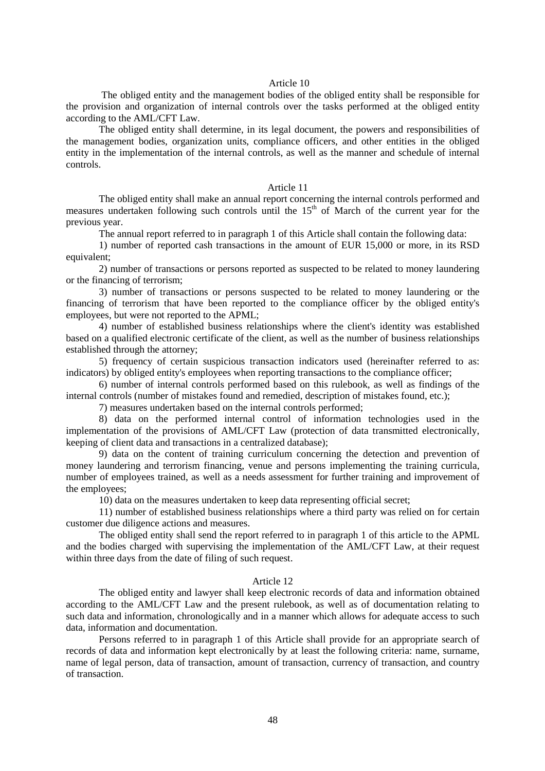#### Article 10

 The obliged entity and the management bodies of the obliged entity shall be responsible for the provision and organization of internal controls over the tasks performed at the obliged entity according to the AML/CFT Law.

The obliged entity shall determine, in its legal document, the powers and responsibilities of the management bodies, organization units, compliance officers, and other entities in the obliged entity in the implementation of the internal controls, as well as the manner and schedule of internal controls.

#### Article 11

The obliged entity shall make an annual report concerning the internal controls performed and measures undertaken following such controls until the  $15<sup>th</sup>$  of March of the current year for the previous year.

The annual report referred to in paragraph 1 of this Article shall contain the following data:

1) number of reported cash transactions in the amount of EUR 15,000 or more, in its RSD equivalent;

2) number of transactions or persons reported as suspected to be related to money laundering or the financing of terrorism;

3) number of transactions or persons suspected to be related to money laundering or the financing of terrorism that have been reported to the compliance officer by the obliged entity's employees, but were not reported to the APML;

4) number of established business relationships where the client's identity was established based on a qualified electronic certificate of the client, as well as the number of business relationships established through the attorney;

5) frequency of certain suspicious transaction indicators used (hereinafter referred to as: indicators) by obliged entity's employees when reporting transactions to the compliance officer;

6) number of internal controls performed based on this rulebook, as well as findings of the internal controls (number of mistakes found and remedied, description of mistakes found, etc.);

7) measures undertaken based on the internal controls performed;

8) data on the performed internal control of information technologies used in the implementation of the provisions of AML/CFT Law (protection of data transmitted electronically, keeping of client data and transactions in a centralized database);

9) data on the content of training curriculum concerning the detection and prevention of money laundering and terrorism financing, venue and persons implementing the training curricula, number of employees trained, as well as a needs assessment for further training and improvement of the employees;

10) data on the measures undertaken to keep data representing official secret;

11) number of established business relationships where a third party was relied on for certain customer due diligence actions and measures.

The obliged entity shall send the report referred to in paragraph 1 of this article to the APML and the bodies charged with supervising the implementation of the AML/CFT Law, at their request within three days from the date of filing of such request.

## Article 12

The obliged entity and lawyer shall keep electronic records of data and information obtained according to the AML/CFT Law and the present rulebook, as well as of documentation relating to such data and information, chronologically and in a manner which allows for adequate access to such data, information and documentation.

Persons referred to in paragraph 1 of this Article shall provide for an appropriate search of records of data and information kept electronically by at least the following criteria: name, surname, name of legal person, data of transaction, amount of transaction, currency of transaction, and country of transaction.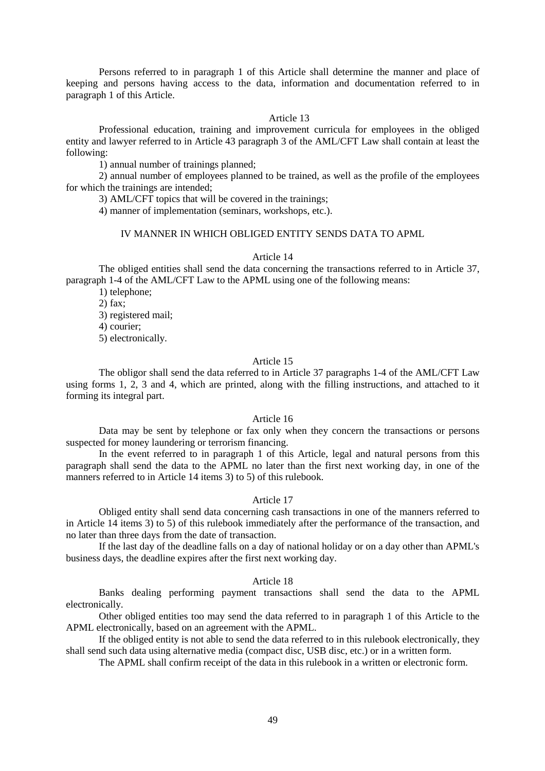Persons referred to in paragraph 1 of this Article shall determine the manner and place of keeping and persons having access to the data, information and documentation referred to in paragraph 1 of this Article.

#### Article 13

Professional education, training and improvement curricula for employees in the obliged entity and lawyer referred to in Article 43 paragraph 3 of the AML/CFT Law shall contain at least the following:

1) annual number of trainings planned;

2) annual number of employees planned to be trained, as well as the profile of the employees for which the trainings are intended;

3) AML/CFT topics that will be covered in the trainings;

4) manner of implementation (seminars, workshops, etc.).

### IV MANNER IN WHICH OBLIGED ENTITY SENDS DATA TO APML

#### Article 14

The obliged entities shall send the data concerning the transactions referred to in Article 37, paragraph 1-4 of the AML/CFT Law to the APML using one of the following means:

1) telephone; 2) fax; 3) registered mail; 4) courier; 5) electronically.

## Article 15

The obligor shall send the data referred to in Article 37 paragraphs 1-4 of the AML/CFT Law using forms 1, 2, 3 and 4, which are printed, along with the filling instructions, and attached to it forming its integral part.

### Article 16

Data may be sent by telephone or fax only when they concern the transactions or persons suspected for money laundering or terrorism financing.

In the event referred to in paragraph 1 of this Article, legal and natural persons from this paragraph shall send the data to the APML no later than the first next working day, in one of the manners referred to in Article 14 items 3) to 5) of this rulebook.

## Article 17

Obliged entity shall send data concerning cash transactions in one of the manners referred to in Article 14 items 3) to 5) of this rulebook immediately after the performance of the transaction, and no later than three days from the date of transaction.

If the last day of the deadline falls on a day of national holiday or on a day other than APML's business days, the deadline expires after the first next working day.

## Article 18

Banks dealing performing payment transactions shall send the data to the APML electronically.

Other obliged entities too may send the data referred to in paragraph 1 of this Article to the APML electronically, based on an agreement with the APML.

If the obliged entity is not able to send the data referred to in this rulebook electronically, they shall send such data using alternative media (compact disc, USB disc, etc.) or in a written form.

The APML shall confirm receipt of the data in this rulebook in a written or electronic form.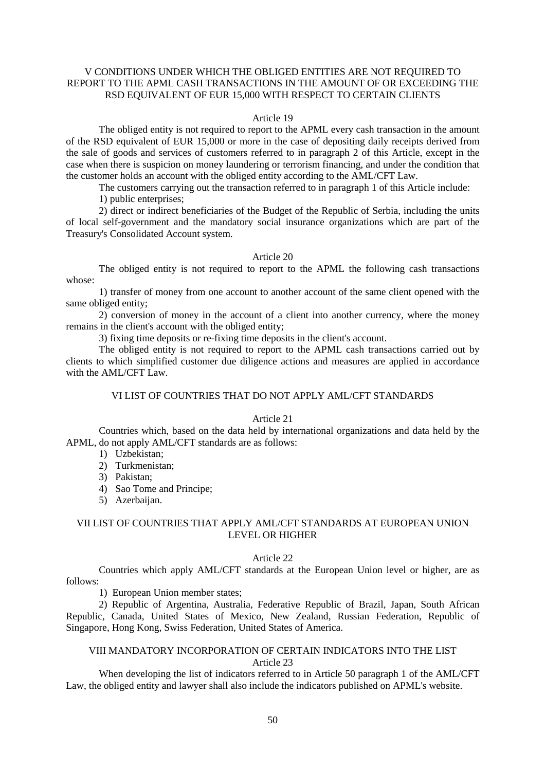## V CONDITIONS UNDER WHICH THE OBLIGED ENTITIES ARE NOT REQUIRED TO REPORT TO THE APML CASH TRANSACTIONS IN THE AMOUNT OF OR EXCEEDING THE RSD EQUIVALENT OF EUR 15,000 WITH RESPECT TO CERTAIN CLIENTS

### Article 19

The obliged entity is not required to report to the APML every cash transaction in the amount of the RSD equivalent of EUR 15,000 or more in the case of depositing daily receipts derived from the sale of goods and services of customers referred to in paragraph 2 of this Article, except in the case when there is suspicion on money laundering or terrorism financing, and under the condition that the customer holds an account with the obliged entity according to the AML/CFT Law.

The customers carrying out the transaction referred to in paragraph 1 of this Article include:

1) public enterprises;

2) direct or indirect beneficiaries of the Budget of the Republic of Serbia, including the units of local self-government and the mandatory social insurance organizations which are part of the Treasury's Consolidated Account system.

## Article 20

The obliged entity is not required to report to the APML the following cash transactions whose:

1) transfer of money from one account to another account of the same client opened with the same obliged entity;

2) conversion of money in the account of a client into another currency, where the money remains in the client's account with the obliged entity;

3) fixing time deposits or re-fixing time deposits in the client's account.

The obliged entity is not required to report to the APML cash transactions carried out by clients to which simplified customer due diligence actions and measures are applied in accordance with the AML/CFT Law.

# VI LIST OF COUNTRIES THAT DO NOT APPLY AML/CFT STANDARDS

## Article 21

Countries which, based on the data held by international organizations and data held by the APML, do not apply AML/CFT standards are as follows:

- 1) Uzbekistan;
- 2) Turkmenistan;
- 3) Pakistan;
- 4) Sao Tome and Principe;
- 5) Azerbaijan.

## VII LIST OF COUNTRIES THAT APPLY AML/CFT STANDARDS AT EUROPEAN UNION LEVEL OR HIGHER

### Article 22

Countries which apply AML/CFT standards at the European Union level or higher, are as follows:

1) European Union member states;

 2) Republic of Argentina, Australia, Federative Republic of Brazil, Japan, South African Republic, Canada, United States of Mexico, New Zealand, Russian Federation, Republic of Singapore, Hong Kong, Swiss Federation, United States of America.

## VIII MANDATORY INCORPORATION OF CERTAIN INDICATORS INTO THE LIST Article 23

 When developing the list of indicators referred to in Article 50 paragraph 1 of the AML/CFT Law, the obliged entity and lawyer shall also include the indicators published on APML's website.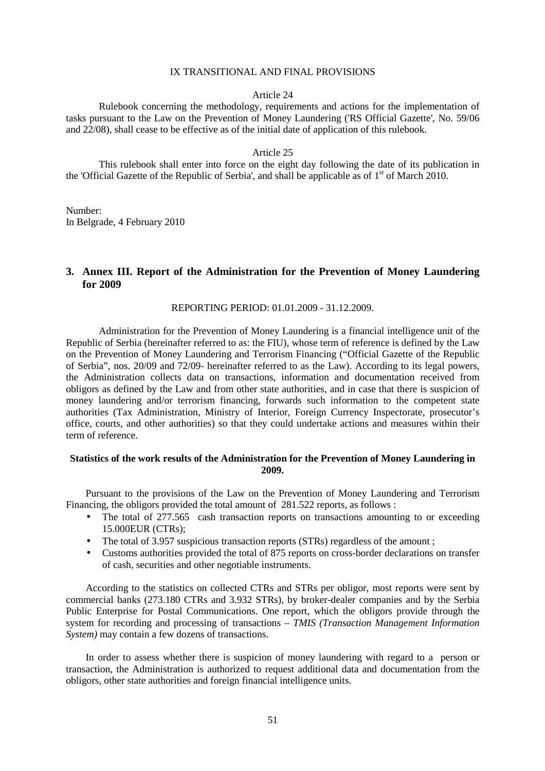#### IX TRANSITIONAL AND FINAL PROVISIONS

### Article 24

 Rulebook concerning the methodology, requirements and actions for the implementation of tasks pursuant to the Law on the Prevention of Money Laundering ('RS Official Gazette', No. 59/06 and 22/08), shall cease to be effective as of the initial date of application of this rulebook.

### Article 25

 This rulebook shall enter into force on the eight day following the date of its publication in the 'Official Gazette of the Republic of Serbia', and shall be applicable as of  $1<sup>st</sup>$  of March 2010.

Number: In Belgrade, 4 February 2010

## **3. Annex III. Report of the Administration for the Prevention of Money Laundering for 2009**

REPORTING PERIOD: 01.01.2009 - 31.12.2009.

Administration for the Prevention of Money Laundering is a financial intelligence unit of the Republic of Serbia (hereinafter referred to as: the FIU), whose term of reference is defined by the Law on the Prevention of Money Laundering and Terrorism Financing ("Official Gazette of the Republic of Serbia", nos. 20/09 and 72/09- hereinafter referred to as the Law). According to its legal powers, the Administration collects data on transactions, information and documentation received from obligors as defined by the Law and from other state authorities, and in case that there is suspicion of money laundering and/or terrorism financing, forwards such information to the competent state authorities (Tax Administration, Ministry of Interior, Foreign Currency Inspectorate, prosecutor's office, courts, and other authorities) so that they could undertake actions and measures within their term of reference.

## **Statistics of the work results of the Administration for the Prevention of Money Laundering in 2009.**

Pursuant to the provisions of the Law on the Prevention of Money Laundering and Terrorism Financing, the obligors provided the total amount of 281.522 reports, as follows :

- The total of 277.565 cash transaction reports on transactions amounting to or exceeding 15.000EUR (CTRs);
- The total of 3.957 suspicious transaction reports (STRs) regardless of the amount ;
- Customs authorities provided the total of 875 reports on cross-border declarations on transfer of cash, securities and other negotiable instruments.

According to the statistics on collected CTRs and STRs per obligor, most reports were sent by commercial banks (273.180 CTRs and 3.932 STRs), by broker-dealer companies and by the Serbia Public Enterprise for Postal Communications. One report, which the obligors provide through the system for recording and processing of transactions – *TMIS (Transaction Management Information System)* may contain a few dozens of transactions.

In order to assess whether there is suspicion of money laundering with regard to a person or transaction, the Administration is authorized to request additional data and documentation from the obligors, other state authorities and foreign financial intelligence units.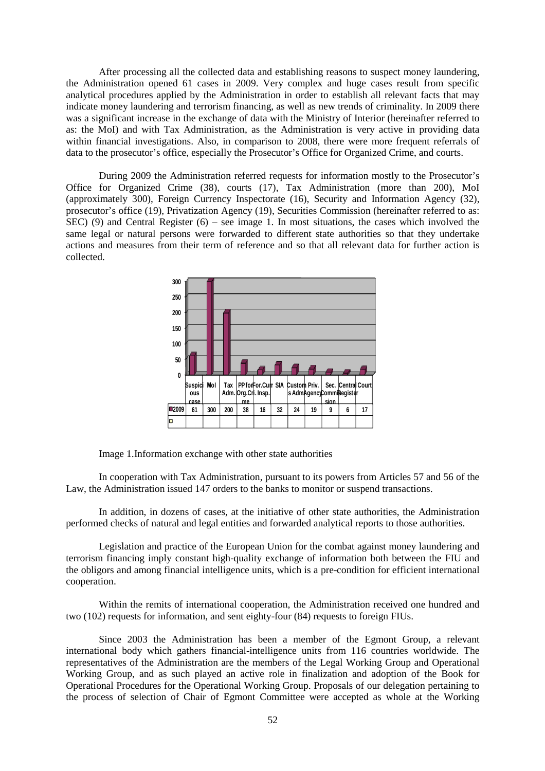After processing all the collected data and establishing reasons to suspect money laundering, the Administration opened 61 cases in 2009. Very complex and huge cases result from specific analytical procedures applied by the Administration in order to establish all relevant facts that may indicate money laundering and terrorism financing, as well as new trends of criminality. In 2009 there was a significant increase in the exchange of data with the Ministry of Interior (hereinafter referred to as: the MoI) and with Tax Administration, as the Administration is very active in providing data within financial investigations. Also, in comparison to 2008, there were more frequent referrals of data to the prosecutor's office, especially the Prosecutor's Office for Organized Crime, and courts.

During 2009 the Administration referred requests for information mostly to the Prosecutor's Office for Organized Crime (38), courts (17), Tax Administration (more than 200), MoI (approximately 300), Foreign Currency Inspectorate (16), Security and Information Agency (32), prosecutor's office (19), Privatization Agency (19), Securities Commission (hereinafter referred to as: SEC) (9) and Central Register (6) – see image 1. In most situations, the cases which involved the same legal or natural persons were forwarded to different state authorities so that they undertake actions and measures from their term of reference and so that all relevant data for further action is collected.



Image 1.Information exchange with other state authorities

In cooperation with Tax Administration, pursuant to its powers from Articles 57 and 56 of the Law, the Administration issued 147 orders to the banks to monitor or suspend transactions.

In addition, in dozens of cases, at the initiative of other state authorities, the Administration performed checks of natural and legal entities and forwarded analytical reports to those authorities.

Legislation and practice of the European Union for the combat against money laundering and terrorism financing imply constant high-quality exchange of information both between the FIU and the obligors and among financial intelligence units, which is a pre-condition for efficient international cooperation.

Within the remits of international cooperation, the Administration received one hundred and two (102) requests for information, and sent eighty-four (84) requests to foreign FIUs.

Since 2003 the Administration has been a member of the Egmont Group, a relevant international body which gathers financial-intelligence units from 116 countries worldwide. The representatives of the Administration are the members of the Legal Working Group and Operational Working Group, and as such played an active role in finalization and adoption of the Book for Operational Procedures for the Operational Working Group. Proposals of our delegation pertaining to the process of selection of Chair of Egmont Committee were accepted as whole at the Working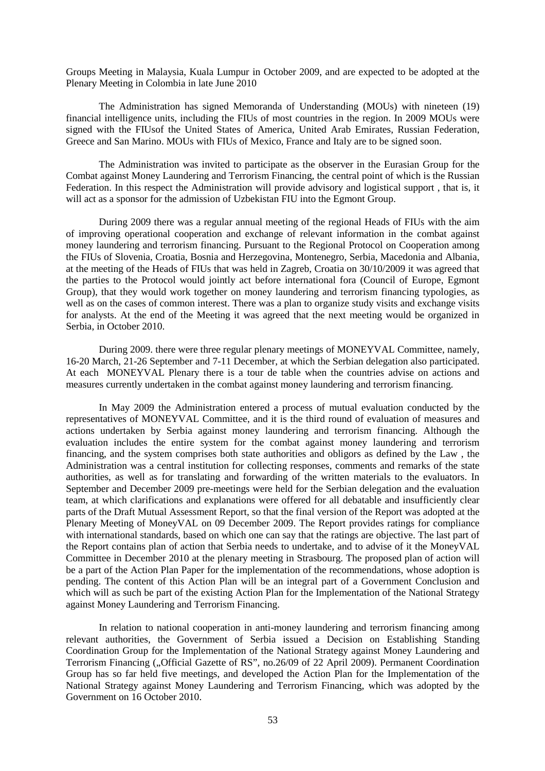Groups Meeting in Malaysia, Kuala Lumpur in October 2009, and are expected to be adopted at the Plenary Meeting in Colombia in late June 2010

The Administration has signed Memoranda of Understanding (MOUs) with nineteen (19) financial intelligence units, including the FIUs of most countries in the region. In 2009 MOUs were signed with the FIUsof the United States of America, United Arab Emirates, Russian Federation, Greece and San Marino. MOUs with FIUs of Mexico, France and Italy are to be signed soon.

The Administration was invited to participate as the observer in the Eurasian Group for the Combat against Money Laundering and Terrorism Financing, the central point of which is the Russian Federation. In this respect the Administration will provide advisory and logistical support , that is, it will act as a sponsor for the admission of Uzbekistan FIU into the Egmont Group.

During 2009 there was a regular annual meeting of the regional Heads of FIUs with the aim of improving operational cooperation and exchange of relevant information in the combat against money laundering and terrorism financing. Pursuant to the Regional Protocol on Cooperation among the FIUs of Slovenia, Croatia, Bosnia and Herzegovina, Montenegro, Serbia, Macedonia and Albania, at the meeting of the Heads of FIUs that was held in Zagreb, Croatia on 30/10/2009 it was agreed that the parties to the Protocol would jointly act before international fora (Council of Europe, Egmont Group), that they would work together on money laundering and terrorism financing typologies, as well as on the cases of common interest. There was a plan to organize study visits and exchange visits for analysts. At the end of the Meeting it was agreed that the next meeting would be organized in Serbia, in October 2010.

During 2009. there were three regular plenary meetings of MONEYVAL Committee, namely, 16-20 March, 21-26 September and 7-11 December, at which the Serbian delegation also participated. At each MONEYVAL Plenary there is a tour de table when the countries advise on actions and measures currently undertaken in the combat against money laundering and terrorism financing.

In May 2009 the Administration entered a process of mutual evaluation conducted by the representatives of MONEYVAL Committee, and it is the third round of evaluation of measures and actions undertaken by Serbia against money laundering and terrorism financing. Although the evaluation includes the entire system for the combat against money laundering and terrorism financing, and the system comprises both state authorities and obligors as defined by the Law , the Administration was a central institution for collecting responses, comments and remarks of the state authorities, as well as for translating and forwarding of the written materials to the evaluators. In September and December 2009 pre-meetings were held for the Serbian delegation and the evaluation team, at which clarifications and explanations were offered for all debatable and insufficiently clear parts of the Draft Mutual Assessment Report, so that the final version of the Report was adopted at the Plenary Meeting of MoneyVAL on 09 December 2009. The Report provides ratings for compliance with international standards, based on which one can say that the ratings are objective. The last part of the Report contains plan of action that Serbia needs to undertake, and to advise of it the MoneyVAL Committee in December 2010 at the plenary meeting in Strasbourg. The proposed plan of action will be a part of the Action Plan Paper for the implementation of the recommendations, whose adoption is pending. The content of this Action Plan will be an integral part of a Government Conclusion and which will as such be part of the existing Action Plan for the Implementation of the National Strategy against Money Laundering and Terrorism Financing.

In relation to national cooperation in anti-money laundering and terrorism financing among relevant authorities, the Government of Serbia issued a Decision on Establishing Standing Coordination Group for the Implementation of the National Strategy against Money Laundering and Terrorism Financing ("Official Gazette of RS", no.26/09 of 22 April 2009). Permanent Coordination Group has so far held five meetings, and developed the Action Plan for the Implementation of the National Strategy against Money Laundering and Terrorism Financing, which was adopted by the Government on 16 October 2010.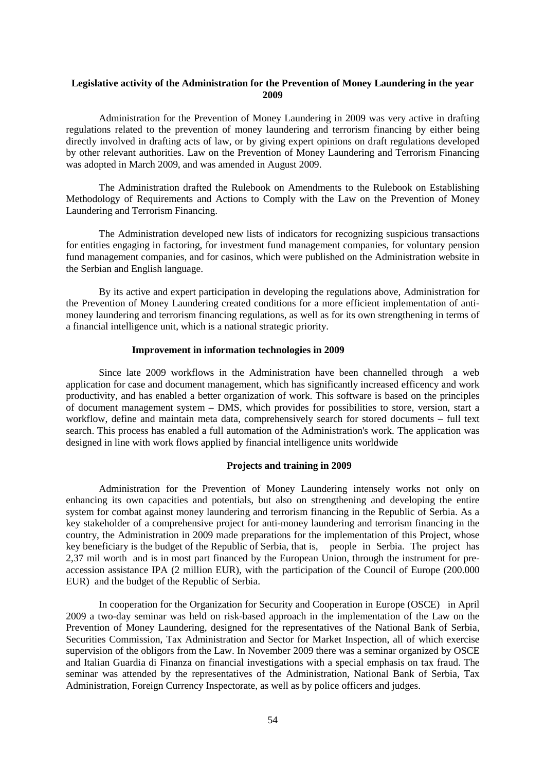## **Legislative activity of the Administration for the Prevention of Money Laundering in the year 2009**

Administration for the Prevention of Money Laundering in 2009 was very active in drafting regulations related to the prevention of money laundering and terrorism financing by either being directly involved in drafting acts of law, or by giving expert opinions on draft regulations developed by other relevant authorities. Law on the Prevention of Money Laundering and Terrorism Financing was adopted in March 2009, and was amended in August 2009.

The Administration drafted the Rulebook on Amendments to the Rulebook on Establishing Methodology of Requirements and Actions to Comply with the Law on the Prevention of Money Laundering and Terrorism Financing.

The Administration developed new lists of indicators for recognizing suspicious transactions for entities engaging in factoring, for investment fund management companies, for voluntary pension fund management companies, and for casinos, which were published on the Administration website in the Serbian and English language.

By its active and expert participation in developing the regulations above, Administration for the Prevention of Money Laundering created conditions for a more efficient implementation of antimoney laundering and terrorism financing regulations, as well as for its own strengthening in terms of a financial intelligence unit, which is a national strategic priority.

### **Improvement in information technologies in 2009**

Since late 2009 workflows in the Administration have been channelled through a web application for case and document management, which has significantly increased efficency and work productivity, and has enabled a better organization of work. This software is based on the principles of document management system – DMS, which provides for possibilities to store, version, start a workflow, define and maintain meta data, comprehensively search for stored documents – full text search. This process has enabled a full automation of the Administration's work. The application was designed in line with work flows applied by financial intelligence units worldwide

### **Projects and training in 2009**

Administration for the Prevention of Money Laundering intensely works not only on enhancing its own capacities and potentials, but also on strengthening and developing the entire system for combat against money laundering and terrorism financing in the Republic of Serbia. As a key stakeholder of a comprehensive project for anti-money laundering and terrorism financing in the country, the Administration in 2009 made preparations for the implementation of this Project, whose key beneficiary is the budget of the Republic of Serbia, that is, people in Serbia. The project has 2,37 mil worth and is in most part financed by the European Union, through the instrument for preaccession assistance IPA (2 million EUR), with the participation of the Council of Europe (200.000 EUR) and the budget of the Republic of Serbia.

In cooperation for the Organization for Security and Cooperation in Europe (OSCE) in April 2009 a two-day seminar was held on risk-based approach in the implementation of the Law on the Prevention of Money Laundering, designed for the representatives of the National Bank of Serbia, Securities Commission, Tax Administration and Sector for Market Inspection, all of which exercise supervision of the obligors from the Law. In November 2009 there was a seminar organized by OSCE and Italian Guardia di Finanza on financial investigations with a special emphasis on tax fraud. The seminar was attended by the representatives of the Administration, National Bank of Serbia, Tax Administration, Foreign Currency Inspectorate, as well as by police officers and judges.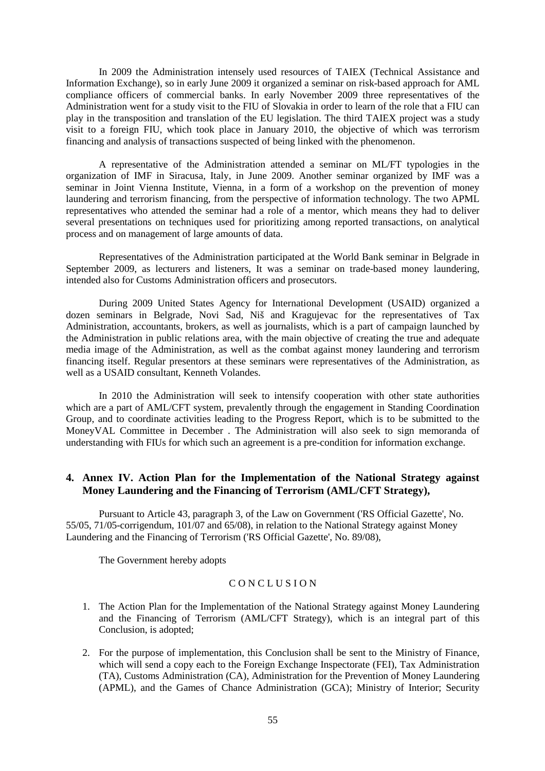In 2009 the Administration intensely used resources of ТАIEX (Technical Assistance and Information Exchange), so in early June 2009 it organized a seminar on risk-based approach for AML compliance officers of commercial banks. In early November 2009 three representatives of the Administration went for a study visit to the FIU of Slovakia in order to learn of the role that a FIU can play in the transposition and translation of the EU legislation. The third TAIEX project was a study visit to a foreign FIU, which took place in January 2010, the objective of which was terrorism financing and analysis of transactions suspected of being linked with the phenomenon.

A representative of the Administration attended a seminar on ML/FT typologies in the organization of IMF in Siracusa, Italy, in June 2009. Another seminar organized by IMF was a seminar in Joint Vienna Institute, Vienna, in a form of a workshop on the prevention of money laundering and terrorism financing, from the perspective of information technology. The two APML representatives who attended the seminar had a role of a mentor, which means they had to deliver several presentations on techniques used for prioritizing among reported transactions, on analytical process and on management of large amounts of data.

Representatives of the Administration participated at the World Bank seminar in Belgrade in September 2009, as lecturers and listeners, It was a seminar on trade-based money laundering, intended also for Customs Administration officers and prosecutors.

During 2009 United States Agency for International Development (USAID) organized a dozen seminars in Belgrade, Novi Sad, Niš and Kragujevac for the representatives of Tax Administration, accountants, brokers, as well as journalists, which is a part of campaign launched by the Administration in public relations area, with the main objective of creating the true and adequate media image of the Administration, as well as the combat against money laundering and terrorism financing itself. Regular presentors at these seminars were representatives of the Administration, as well as a USAID consultant, Kenneth Volandes.

In 2010 the Administration will seek to intensify cooperation with other state authorities which are a part of AML/CFT system, prevalently through the engagement in Standing Coordination Group, and to coordinate activities leading to the Progress Report, which is to be submitted to the MoneyVAL Committee in December . The Administration will also seek to sign memoranda of understanding with FIUs for which such an agreement is a pre-condition for information exchange.

# **4. Annex IV. Action Plan for the Implementation of the National Strategy against Money Laundering and the Financing of Terrorism (AML/CFT Strategy),**

Pursuant to Article 43, paragraph 3, of the Law on Government ('RS Official Gazette', No. 55/05, 71/05-corrigendum, 101/07 and 65/08), in relation to the National Strategy against Money Laundering and the Financing of Terrorism ('RS Official Gazette', No. 89/08),

The Government hereby adopts

### CONCLUSION

- 1. The Action Plan for the Implementation of the National Strategy against Money Laundering and the Financing of Terrorism (AML/CFT Strategy), which is an integral part of this Conclusion, is adopted;
- 2. For the purpose of implementation, this Conclusion shall be sent to the Ministry of Finance, which will send a copy each to the Foreign Exchange Inspectorate (FEI), Tax Administration (TA), Customs Administration (CA), Administration for the Prevention of Money Laundering (APML), and the Games of Chance Administration (GCA); Ministry of Interior; Security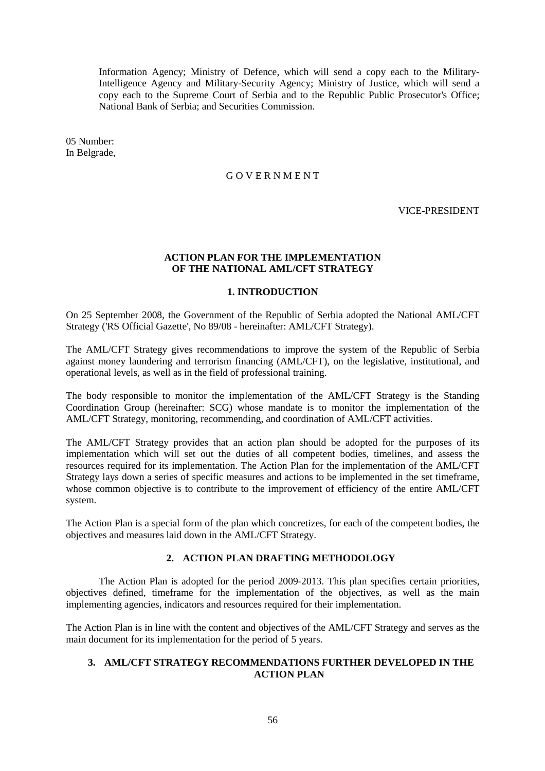Information Agency; Ministry of Defence, which will send a copy each to the Military-Intelligence Agency and Military-Security Agency; Ministry of Justice, which will send a copy each to the Supreme Court of Serbia and to the Republic Public Prosecutor's Office; National Bank of Serbia; and Securities Commission.

05 Number: In Belgrade,

## G O V E R N M E N T

VICE-PRESIDENT

## **ACTION PLAN FOR THE IMPLEMENTATION OF THE NATIONAL AML/CFT STRATEGY**

## **1. INTRODUCTION**

On 25 September 2008, the Government of the Republic of Serbia adopted the National AML/CFT Strategy ('RS Official Gazette', No 89/08 - hereinafter: AML/CFT Strategy).

The AML/CFT Strategy gives recommendations to improve the system of the Republic of Serbia against money laundering and terrorism financing (AML/CFT), on the legislative, institutional, and operational levels, as well as in the field of professional training.

The body responsible to monitor the implementation of the AML/CFT Strategy is the Standing Coordination Group (hereinafter: SCG) whose mandate is to monitor the implementation of the AML/CFT Strategy, monitoring, recommending, and coordination of AML/CFT activities.

The AML/CFT Strategy provides that an action plan should be adopted for the purposes of its implementation which will set out the duties of all competent bodies, timelines, and assess the resources required for its implementation. The Action Plan for the implementation of the AML/CFT Strategy lays down a series of specific measures and actions to be implemented in the set timeframe, whose common objective is to contribute to the improvement of efficiency of the entire AML/CFT system.

The Action Plan is a special form of the plan which concretizes, for each of the competent bodies, the objectives and measures laid down in the AML/CFT Strategy.

## **2. ACTION PLAN DRAFTING METHODOLOGY**

The Action Plan is adopted for the period 2009-2013. This plan specifies certain priorities, objectives defined, timeframe for the implementation of the objectives, as well as the main implementing agencies, indicators and resources required for their implementation.

The Action Plan is in line with the content and objectives of the AML/CFT Strategy and serves as the main document for its implementation for the period of 5 years.

## **3. AML/CFT STRATEGY RECOMMENDATIONS FURTHER DEVELOPED IN THE ACTION PLAN**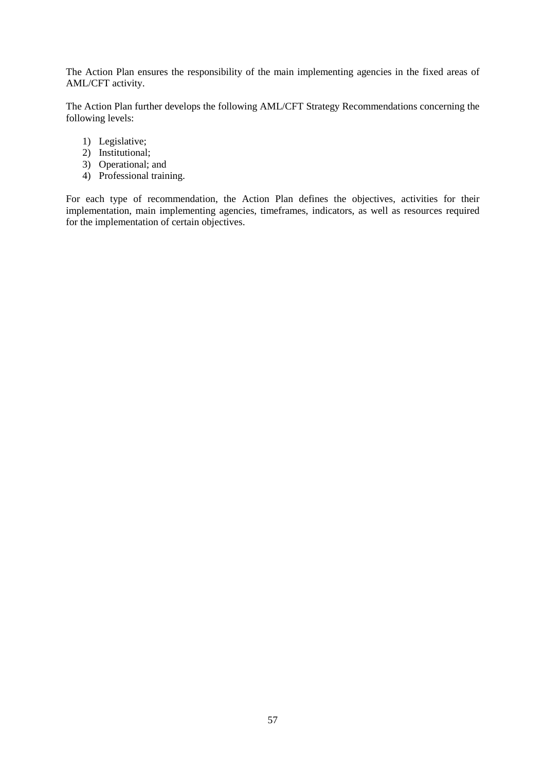The Action Plan ensures the responsibility of the main implementing agencies in the fixed areas of AML/CFT activity.

The Action Plan further develops the following AML/CFT Strategy Recommendations concerning the following levels:

- 1) Legislative;
- 2) Institutional;
- 3) Operational; and
- 4) Professional training.

For each type of recommendation, the Action Plan defines the objectives, activities for their implementation, main implementing agencies, timeframes, indicators, as well as resources required for the implementation of certain objectives.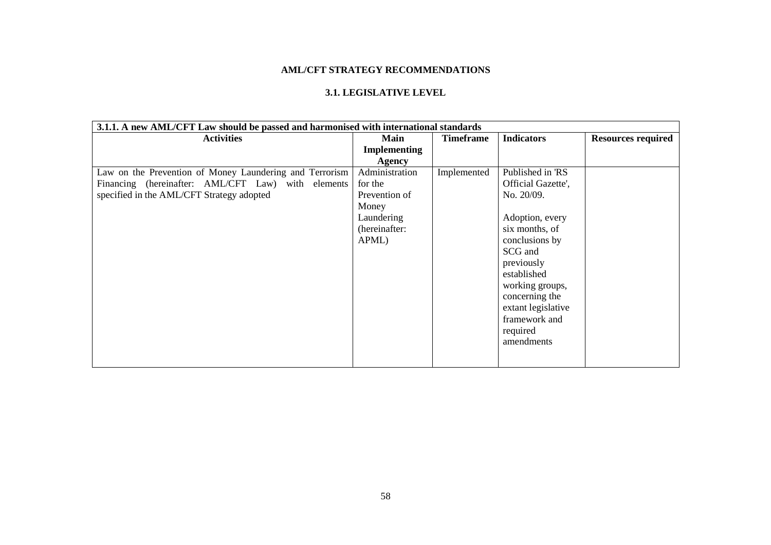# **AML/CFT STRATEGY RECOMMENDATIONS**

# **3.1. LEGISLATIVE LEVEL**

| 3.1.1. A new AML/CFT Law should be passed and harmonised with international standards |                     |                  |                    |                           |  |  |
|---------------------------------------------------------------------------------------|---------------------|------------------|--------------------|---------------------------|--|--|
| <b>Activities</b>                                                                     | Main                | <b>Timeframe</b> | <b>Indicators</b>  | <b>Resources required</b> |  |  |
|                                                                                       | <b>Implementing</b> |                  |                    |                           |  |  |
|                                                                                       | <b>Agency</b>       |                  |                    |                           |  |  |
| Law on the Prevention of Money Laundering and Terrorism                               | Administration      | Implemented      | Published in 'RS   |                           |  |  |
| Financing (hereinafter: AML/CFT Law) with elements                                    | for the             |                  | Official Gazette', |                           |  |  |
| specified in the AML/CFT Strategy adopted                                             | Prevention of       |                  | No. 20/09.         |                           |  |  |
|                                                                                       | Money               |                  |                    |                           |  |  |
|                                                                                       | Laundering          |                  | Adoption, every    |                           |  |  |
|                                                                                       | (hereinafter:       |                  | six months, of     |                           |  |  |
|                                                                                       | APML)               |                  | conclusions by     |                           |  |  |
|                                                                                       |                     |                  | SCG and            |                           |  |  |
|                                                                                       |                     |                  | previously         |                           |  |  |
|                                                                                       |                     |                  | established        |                           |  |  |
|                                                                                       |                     |                  | working groups,    |                           |  |  |
|                                                                                       |                     |                  | concerning the     |                           |  |  |
|                                                                                       |                     |                  | extant legislative |                           |  |  |
|                                                                                       |                     |                  | framework and      |                           |  |  |
|                                                                                       |                     |                  | required           |                           |  |  |
|                                                                                       |                     |                  | amendments         |                           |  |  |
|                                                                                       |                     |                  |                    |                           |  |  |
|                                                                                       |                     |                  |                    |                           |  |  |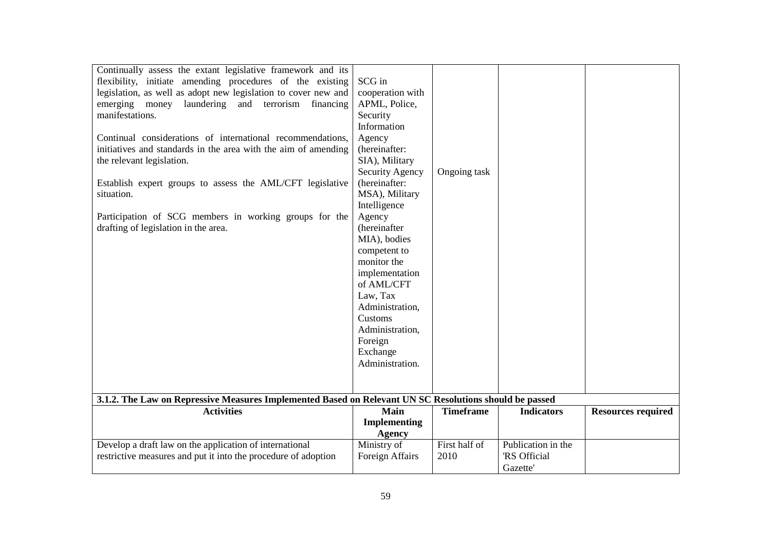| Continually assess the extant legislative framework and its<br>flexibility, initiate amending procedures of the existing<br>legislation, as well as adopt new legislation to cover new and<br>emerging money laundering and terrorism financing<br>manifestations.<br>Continual considerations of international recommendations,<br>initiatives and standards in the area with the aim of amending<br>the relevant legislation.<br>Establish expert groups to assess the AML/CFT legislative<br>situation.<br>Participation of SCG members in working groups for the<br>drafting of legislation in the area.<br>3.1.2. The Law on Repressive Measures Implemented Based on Relevant UN SC Resolutions should be passed | SCG in<br>cooperation with<br>APML, Police,<br>Security<br>Information<br>Agency<br>(hereinafter:<br>SIA), Military<br>Security Agency<br>(hereinafter:<br>MSA), Military<br>Intelligence<br>Agency<br>(hereinafter<br>MIA), bodies<br>competent to<br>monitor the<br>implementation<br>of AML/CFT<br>Law, Tax<br>Administration,<br>Customs<br>Administration,<br>Foreign<br>Exchange<br>Administration. | Ongoing task          |                                                      |                           |
|------------------------------------------------------------------------------------------------------------------------------------------------------------------------------------------------------------------------------------------------------------------------------------------------------------------------------------------------------------------------------------------------------------------------------------------------------------------------------------------------------------------------------------------------------------------------------------------------------------------------------------------------------------------------------------------------------------------------|-----------------------------------------------------------------------------------------------------------------------------------------------------------------------------------------------------------------------------------------------------------------------------------------------------------------------------------------------------------------------------------------------------------|-----------------------|------------------------------------------------------|---------------------------|
|                                                                                                                                                                                                                                                                                                                                                                                                                                                                                                                                                                                                                                                                                                                        |                                                                                                                                                                                                                                                                                                                                                                                                           |                       |                                                      |                           |
| <b>Activities</b>                                                                                                                                                                                                                                                                                                                                                                                                                                                                                                                                                                                                                                                                                                      | Main<br><b>Implementing</b><br><b>Agency</b>                                                                                                                                                                                                                                                                                                                                                              | <b>Timeframe</b>      | <b>Indicators</b>                                    | <b>Resources required</b> |
| Develop a draft law on the application of international<br>restrictive measures and put it into the procedure of adoption                                                                                                                                                                                                                                                                                                                                                                                                                                                                                                                                                                                              | Ministry of<br>Foreign Affairs                                                                                                                                                                                                                                                                                                                                                                            | First half of<br>2010 | Publication in the<br><b>RS</b> Official<br>Gazette' |                           |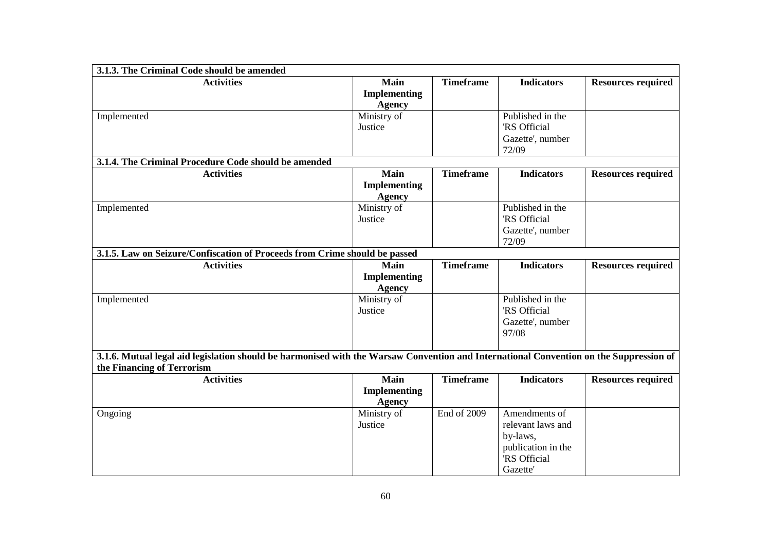| 3.1.3. The Criminal Code should be amended                                                                                                                           |                                              |                  |                                                                                                        |                           |  |
|----------------------------------------------------------------------------------------------------------------------------------------------------------------------|----------------------------------------------|------------------|--------------------------------------------------------------------------------------------------------|---------------------------|--|
| <b>Activities</b>                                                                                                                                                    | <b>Main</b><br>Implementing<br><b>Agency</b> | <b>Timeframe</b> | <b>Indicators</b>                                                                                      | <b>Resources required</b> |  |
| Implemented                                                                                                                                                          | Ministry of<br>Justice                       |                  | Published in the<br><b>RS</b> Official<br>Gazette', number<br>72/09                                    |                           |  |
| 3.1.4. The Criminal Procedure Code should be amended                                                                                                                 |                                              |                  |                                                                                                        |                           |  |
| <b>Activities</b>                                                                                                                                                    | Main<br>Implementing<br><b>Agency</b>        | <b>Timeframe</b> | <b>Indicators</b>                                                                                      | <b>Resources required</b> |  |
| Implemented                                                                                                                                                          | Ministry of<br>Justice                       |                  | Published in the<br>'RS Official<br>Gazette', number<br>72/09                                          |                           |  |
| 3.1.5. Law on Seizure/Confiscation of Proceeds from Crime should be passed                                                                                           |                                              |                  |                                                                                                        |                           |  |
| <b>Activities</b>                                                                                                                                                    | Main<br>Implementing<br><b>Agency</b>        | <b>Timeframe</b> | <b>Indicators</b>                                                                                      | <b>Resources required</b> |  |
| Implemented                                                                                                                                                          | Ministry of<br>Justice                       |                  | Published in the<br><b>RS</b> Official<br>Gazette', number<br>97/08                                    |                           |  |
| 3.1.6. Mutual legal aid legislation should be harmonised with the Warsaw Convention and International Convention on the Suppression of<br>the Financing of Terrorism |                                              |                  |                                                                                                        |                           |  |
| <b>Activities</b>                                                                                                                                                    | Main<br>Implementing<br><b>Agency</b>        | <b>Timeframe</b> | <b>Indicators</b>                                                                                      | <b>Resources required</b> |  |
| Ongoing                                                                                                                                                              | Ministry of<br>Justice                       | End of 2009      | Amendments of<br>relevant laws and<br>by-laws,<br>publication in the<br><b>RS</b> Official<br>Gazette' |                           |  |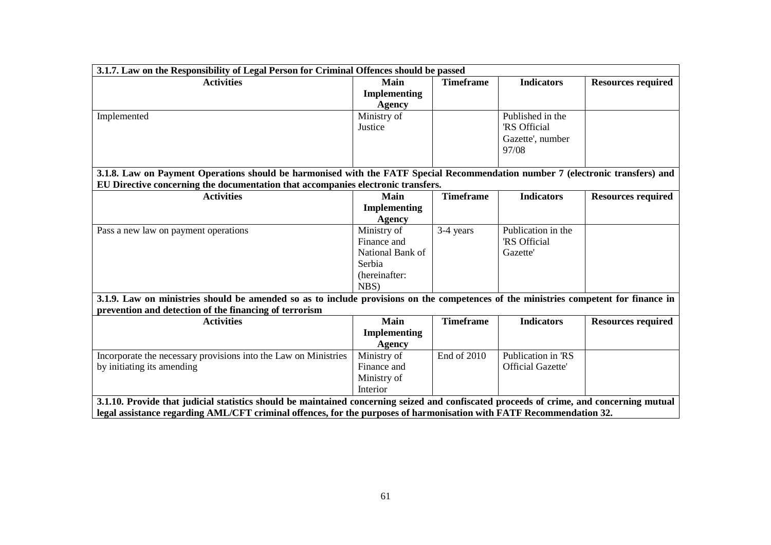| 3.1.7. Law on the Responsibility of Legal Person for Criminal Offences should be passed                                                  |                     |                  |                          |                           |  |
|------------------------------------------------------------------------------------------------------------------------------------------|---------------------|------------------|--------------------------|---------------------------|--|
| <b>Activities</b>                                                                                                                        | Main                | <b>Timeframe</b> | <b>Indicators</b>        | <b>Resources required</b> |  |
|                                                                                                                                          | <b>Implementing</b> |                  |                          |                           |  |
|                                                                                                                                          | <b>Agency</b>       |                  |                          |                           |  |
| Implemented                                                                                                                              | Ministry of         |                  | Published in the         |                           |  |
|                                                                                                                                          | Justice             |                  | <b>RS</b> Official       |                           |  |
|                                                                                                                                          |                     |                  | Gazette', number         |                           |  |
|                                                                                                                                          |                     |                  | 97/08                    |                           |  |
|                                                                                                                                          |                     |                  |                          |                           |  |
| 3.1.8. Law on Payment Operations should be harmonised with the FATF Special Recommendation number 7 (electronic transfers) and           |                     |                  |                          |                           |  |
| EU Directive concerning the documentation that accompanies electronic transfers.                                                         |                     |                  |                          |                           |  |
| <b>Activities</b>                                                                                                                        | <b>Main</b>         | <b>Timeframe</b> | <b>Indicators</b>        | <b>Resources required</b> |  |
|                                                                                                                                          | <b>Implementing</b> |                  |                          |                           |  |
|                                                                                                                                          | <b>Agency</b>       |                  |                          |                           |  |
| Pass a new law on payment operations                                                                                                     | Ministry of         | 3-4 years        | Publication in the       |                           |  |
|                                                                                                                                          | Finance and         |                  | <b>RS</b> Official       |                           |  |
|                                                                                                                                          | National Bank of    |                  | <b>Gazette</b>           |                           |  |
|                                                                                                                                          | Serbia              |                  |                          |                           |  |
|                                                                                                                                          | (hereinafter:       |                  |                          |                           |  |
|                                                                                                                                          | NBS)                |                  |                          |                           |  |
| 3.1.9. Law on ministries should be amended so as to include provisions on the competences of the ministries competent for finance in     |                     |                  |                          |                           |  |
| prevention and detection of the financing of terrorism                                                                                   |                     |                  |                          |                           |  |
| <b>Activities</b>                                                                                                                        | Main                | <b>Timeframe</b> | <b>Indicators</b>        | <b>Resources required</b> |  |
|                                                                                                                                          | <b>Implementing</b> |                  |                          |                           |  |
|                                                                                                                                          | Agency              |                  |                          |                           |  |
| Incorporate the necessary provisions into the Law on Ministries                                                                          | Ministry of         | End of 2010      | Publication in 'RS       |                           |  |
| by initiating its amending                                                                                                               | Finance and         |                  | <b>Official Gazette'</b> |                           |  |
|                                                                                                                                          | Ministry of         |                  |                          |                           |  |
|                                                                                                                                          | Interior            |                  |                          |                           |  |
| 3.1.10. Provide that judicial statistics should be maintained concerning seized and confiscated proceeds of crime, and concerning mutual |                     |                  |                          |                           |  |
| legal assistance regarding AML/CFT criminal offences, for the purposes of harmonisation with FATF Recommendation 32.                     |                     |                  |                          |                           |  |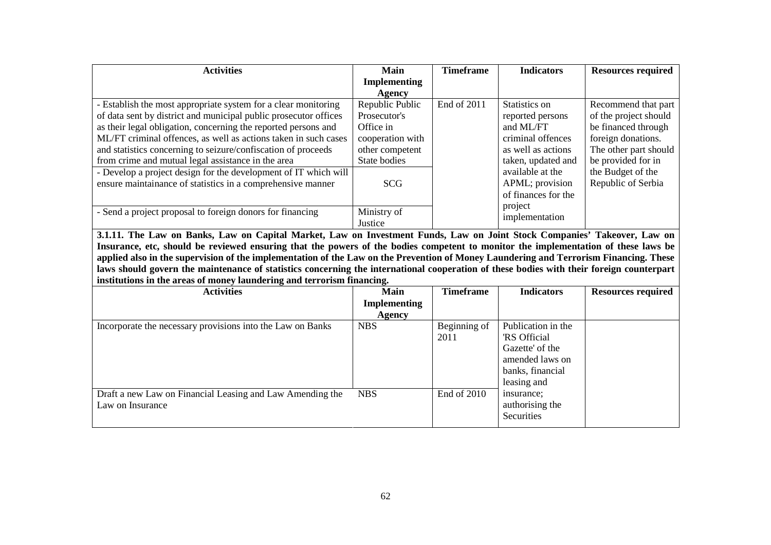| <b>Activities</b>                                                | Main                | <b>Timeframe</b> | <b>Indicators</b>   | <b>Resources required</b> |
|------------------------------------------------------------------|---------------------|------------------|---------------------|---------------------------|
|                                                                  | <b>Implementing</b> |                  |                     |                           |
|                                                                  | Agency              |                  |                     |                           |
| - Establish the most appropriate system for a clear monitoring   | Republic Public     | End of 2011      | Statistics on       | Recommend that part       |
| of data sent by district and municipal public prosecutor offices | Prosecutor's        |                  | reported persons    | of the project should     |
| as their legal obligation, concerning the reported persons and   | Office in           |                  | and ML/FT           | be financed through       |
| ML/FT criminal offences, as well as actions taken in such cases  | cooperation with    |                  | criminal offences   | foreign donations.        |
| and statistics concerning to seizure/confiscation of proceeds    | other competent     |                  | as well as actions  | The other part should     |
| from crime and mutual legal assistance in the area               | State bodies        |                  | taken, updated and  | be provided for in        |
| - Develop a project design for the development of IT which will  |                     |                  | available at the    | the Budget of the         |
| ensure maintainance of statistics in a comprehensive manner      | <b>SCG</b>          |                  | APML; provision     | Republic of Serbia        |
|                                                                  |                     |                  | of finances for the |                           |
|                                                                  |                     |                  | project             |                           |
| - Send a project proposal to foreign donors for financing        | Ministry of         |                  | implementation      |                           |
|                                                                  | Justice             |                  |                     |                           |

 **3.1.11. The Law on Banks, Law on Capital Market, Law on Investment Funds, Law on Joint Stock Companies' Takeover, Law on Insurance, etc, should be reviewed ensuring that the powers of the bodies competent to monitor the implementation of these laws be applied also in the supervision of the implementation of the Law on the Prevention of Money Laundering and Terrorism Financing. These laws should govern the maintenance of statistics concerning the international cooperation of these bodies with their foreign counterpart institutions in the areas of money laundering and terrorism financing.** 

| <b>Activities</b>                                          | Main<br><b>Implementing</b> | <b>Timeframe</b> | <b>Indicators</b>  | <b>Resources required</b> |
|------------------------------------------------------------|-----------------------------|------------------|--------------------|---------------------------|
|                                                            |                             |                  |                    |                           |
|                                                            | Agency                      |                  |                    |                           |
| Incorporate the necessary provisions into the Law on Banks | <b>NBS</b>                  | Beginning of     | Publication in the |                           |
|                                                            |                             | 2011             | RS Official        |                           |
|                                                            |                             |                  | Gazette' of the    |                           |
|                                                            |                             |                  | amended laws on    |                           |
|                                                            |                             |                  | banks, financial   |                           |
|                                                            |                             |                  | leasing and        |                           |
| Draft a new Law on Financial Leasing and Law Amending the  | <b>NBS</b>                  | End of 2010      | insurance;         |                           |
| Law on Insurance                                           |                             |                  | authorising the    |                           |
|                                                            |                             |                  | Securities         |                           |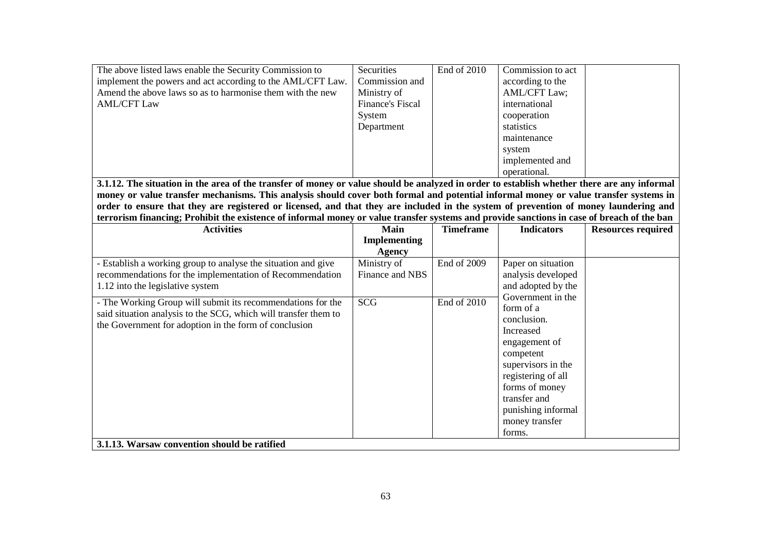| The above listed laws enable the Security Commission to                                                                                                                                                                                                                      | Securities              | End of 2010      | Commission to act   |                           |  |
|------------------------------------------------------------------------------------------------------------------------------------------------------------------------------------------------------------------------------------------------------------------------------|-------------------------|------------------|---------------------|---------------------------|--|
| implement the powers and act according to the AML/CFT Law.                                                                                                                                                                                                                   | Commission and          |                  | according to the    |                           |  |
| Amend the above laws so as to harmonise them with the new                                                                                                                                                                                                                    | Ministry of             |                  | <b>AML/CFT Law;</b> |                           |  |
| <b>AML/CFT Law</b>                                                                                                                                                                                                                                                           | <b>Finance's Fiscal</b> |                  | international       |                           |  |
|                                                                                                                                                                                                                                                                              | System                  |                  | cooperation         |                           |  |
|                                                                                                                                                                                                                                                                              | Department              |                  | statistics          |                           |  |
|                                                                                                                                                                                                                                                                              |                         |                  | maintenance         |                           |  |
|                                                                                                                                                                                                                                                                              |                         |                  | system              |                           |  |
|                                                                                                                                                                                                                                                                              |                         |                  | implemented and     |                           |  |
|                                                                                                                                                                                                                                                                              |                         |                  | operational.        |                           |  |
| 3.1.12. The situation in the area of the transfer of money or value should be analyzed in order to establish whether there are any informal                                                                                                                                  |                         |                  |                     |                           |  |
|                                                                                                                                                                                                                                                                              |                         |                  |                     |                           |  |
| money or value transfer mechanisms. This analysis should cover both formal and potential informal money or value transfer systems in<br>order to ensure that they are registered or licensed, and that they are included in the system of prevention of money laundering and |                         |                  |                     |                           |  |
| terrorism financing; Prohibit the existence of informal money or value transfer systems and provide sanctions in case of breach of the ban                                                                                                                                   |                         |                  |                     |                           |  |
| <b>Activities</b>                                                                                                                                                                                                                                                            | Main                    | <b>Timeframe</b> | <b>Indicators</b>   | <b>Resources required</b> |  |
|                                                                                                                                                                                                                                                                              | <b>Implementing</b>     |                  |                     |                           |  |
|                                                                                                                                                                                                                                                                              | <b>Agency</b>           |                  |                     |                           |  |
| - Establish a working group to analyse the situation and give                                                                                                                                                                                                                | Ministry of             | End of 2009      | Paper on situation  |                           |  |
| recommendations for the implementation of Recommendation                                                                                                                                                                                                                     | Finance and NBS         |                  | analysis developed  |                           |  |
| 1.12 into the legislative system                                                                                                                                                                                                                                             |                         |                  | and adopted by the  |                           |  |
|                                                                                                                                                                                                                                                                              |                         |                  | Government in the   |                           |  |
| - The Working Group will submit its recommendations for the                                                                                                                                                                                                                  | <b>SCG</b>              | End of 2010      | form of a           |                           |  |
| said situation analysis to the SCG, which will transfer them to                                                                                                                                                                                                              |                         |                  | conclusion.         |                           |  |
| the Government for adoption in the form of conclusion                                                                                                                                                                                                                        |                         |                  | Increased           |                           |  |
|                                                                                                                                                                                                                                                                              |                         |                  | engagement of       |                           |  |
|                                                                                                                                                                                                                                                                              |                         |                  | competent           |                           |  |
|                                                                                                                                                                                                                                                                              |                         |                  | supervisors in the  |                           |  |
|                                                                                                                                                                                                                                                                              |                         |                  | registering of all  |                           |  |
|                                                                                                                                                                                                                                                                              |                         |                  | forms of money      |                           |  |
|                                                                                                                                                                                                                                                                              |                         |                  | transfer and        |                           |  |
|                                                                                                                                                                                                                                                                              |                         |                  | punishing informal  |                           |  |
|                                                                                                                                                                                                                                                                              |                         |                  | money transfer      |                           |  |
|                                                                                                                                                                                                                                                                              |                         |                  | forms.              |                           |  |
|                                                                                                                                                                                                                                                                              |                         |                  |                     |                           |  |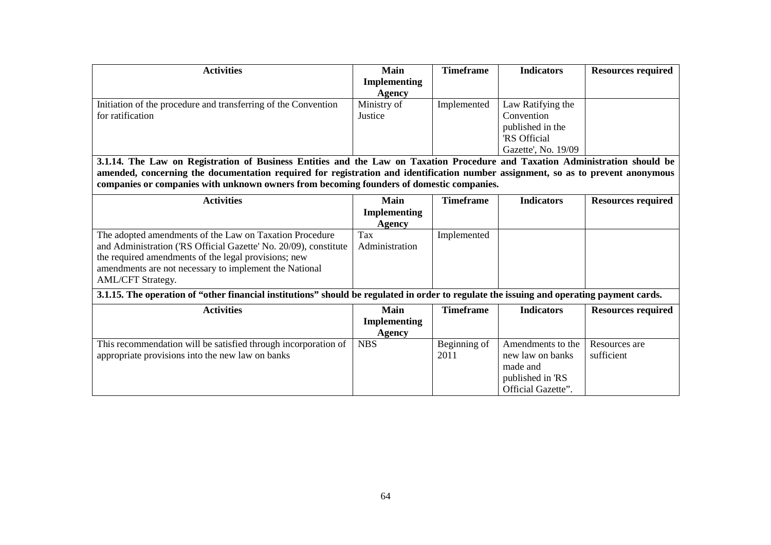| <b>Activities</b>                                                                                                                         | Main                | <b>Timeframe</b> | <b>Indicators</b>   | <b>Resources required</b> |
|-------------------------------------------------------------------------------------------------------------------------------------------|---------------------|------------------|---------------------|---------------------------|
|                                                                                                                                           | Implementing        |                  |                     |                           |
|                                                                                                                                           | <b>Agency</b>       |                  |                     |                           |
| Initiation of the procedure and transferring of the Convention                                                                            | Ministry of         | Implemented      | Law Ratifying the   |                           |
| for ratification                                                                                                                          | Justice             |                  | Convention          |                           |
|                                                                                                                                           |                     |                  | published in the    |                           |
|                                                                                                                                           |                     |                  | 'RS Official        |                           |
|                                                                                                                                           |                     |                  | Gazette', No. 19/09 |                           |
| 3.1.14. The Law on Registration of Business Entities and the Law on Taxation Procedure and Taxation Administration should be              |                     |                  |                     |                           |
| amended, concerning the documentation required for registration and identification number assignment, so as to prevent anonymous          |                     |                  |                     |                           |
| companies or companies with unknown owners from becoming founders of domestic companies.                                                  |                     |                  |                     |                           |
| <b>Activities</b>                                                                                                                         | Main                | <b>Timeframe</b> | <b>Indicators</b>   | <b>Resources required</b> |
|                                                                                                                                           | <b>Implementing</b> |                  |                     |                           |
|                                                                                                                                           | Agency              |                  |                     |                           |
| The adopted amendments of the Law on Taxation Procedure                                                                                   | Tax                 | Implemented      |                     |                           |
| and Administration ('RS Official Gazette' No. 20/09), constitute                                                                          | Administration      |                  |                     |                           |
| the required amendments of the legal provisions; new                                                                                      |                     |                  |                     |                           |
| amendments are not necessary to implement the National                                                                                    |                     |                  |                     |                           |
| AML/CFT Strategy.                                                                                                                         |                     |                  |                     |                           |
| 3.1.15. The operation of "other financial institutions" should be regulated in order to regulate the issuing and operating payment cards. |                     |                  |                     |                           |
| <b>Activities</b>                                                                                                                         | Main                | <b>Timeframe</b> | <b>Indicators</b>   | <b>Resources required</b> |
|                                                                                                                                           | <b>Implementing</b> |                  |                     |                           |
|                                                                                                                                           | <b>Agency</b>       |                  |                     |                           |
| This recommendation will be satisfied through incorporation of                                                                            | <b>NBS</b>          | Beginning of     | Amendments to the   | Resources are             |
| appropriate provisions into the new law on banks                                                                                          |                     | 2011             | new law on banks    | sufficient                |
|                                                                                                                                           |                     |                  | made and            |                           |
|                                                                                                                                           |                     |                  | published in 'RS    |                           |
|                                                                                                                                           |                     |                  | Official Gazette".  |                           |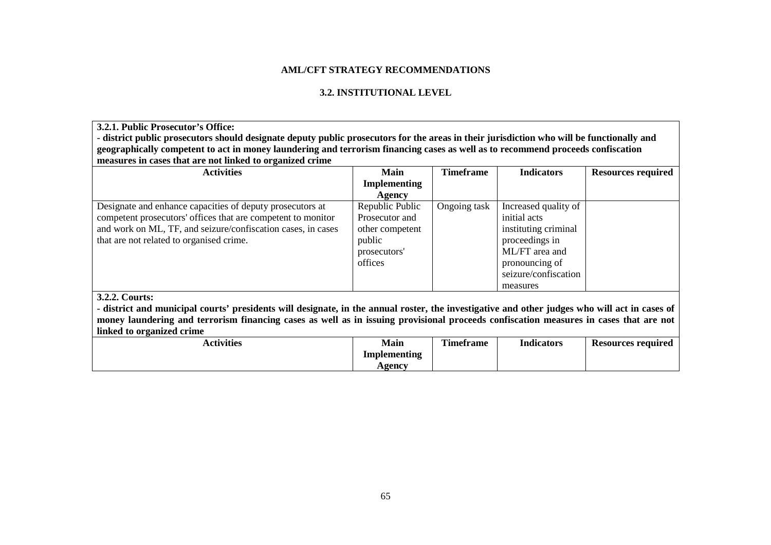## **AML/CFT STRATEGY RECOMMENDATIONS**

## **3.2. INSTITUTIONAL LEVEL**

**3.2.1. Public Prosecutor's Office: - district public prosecutors should designate deputy public prosecutors for the areas in their jurisdiction who will be functionally and geographically competent to act in money laundering and terrorism financing cases as well as to recommend proceeds confiscation measures in cases that are not linked to organized crime**

| <b>Activities</b>                                                                                                                             | Main                | Timeframe    | <b>Indicators</b>    | <b>Resources required</b> |  |  |
|-----------------------------------------------------------------------------------------------------------------------------------------------|---------------------|--------------|----------------------|---------------------------|--|--|
|                                                                                                                                               | <b>Implementing</b> |              |                      |                           |  |  |
|                                                                                                                                               | Agency              |              |                      |                           |  |  |
| Designate and enhance capacities of deputy prosecutors at                                                                                     | Republic Public     | Ongoing task | Increased quality of |                           |  |  |
| competent prosecutors' offices that are competent to monitor                                                                                  | Prosecutor and      |              | initial acts         |                           |  |  |
| and work on ML, TF, and seizure/confiscation cases, in cases                                                                                  | other competent     |              | instituting criminal |                           |  |  |
| that are not related to organised crime.                                                                                                      | public              |              | proceedings in       |                           |  |  |
|                                                                                                                                               | prosecutors'        |              | ML/FT area and       |                           |  |  |
|                                                                                                                                               | offices             |              | pronouncing of       |                           |  |  |
|                                                                                                                                               |                     |              | seizure/confiscation |                           |  |  |
|                                                                                                                                               |                     |              | measures             |                           |  |  |
| 3.2.2. Courts:                                                                                                                                |                     |              |                      |                           |  |  |
| - district and municipal courts' presidents will designate, in the annual roster, the investigative and other judges who will act in cases of |                     |              |                      |                           |  |  |
| money laundering and terrorism financing cases as well as in issuing provisional proceeds confiscation measures in cases that are not         |                     |              |                      |                           |  |  |

| linked to organized crime | --           |                  |                   |                           |
|---------------------------|--------------|------------------|-------------------|---------------------------|
| <b>Activities</b>         | <b>Main</b>  | <b>Timeframe</b> | <b>Indicators</b> | <b>Resources required</b> |
|                           | Implementing |                  |                   |                           |
|                           | Agency       |                  |                   |                           |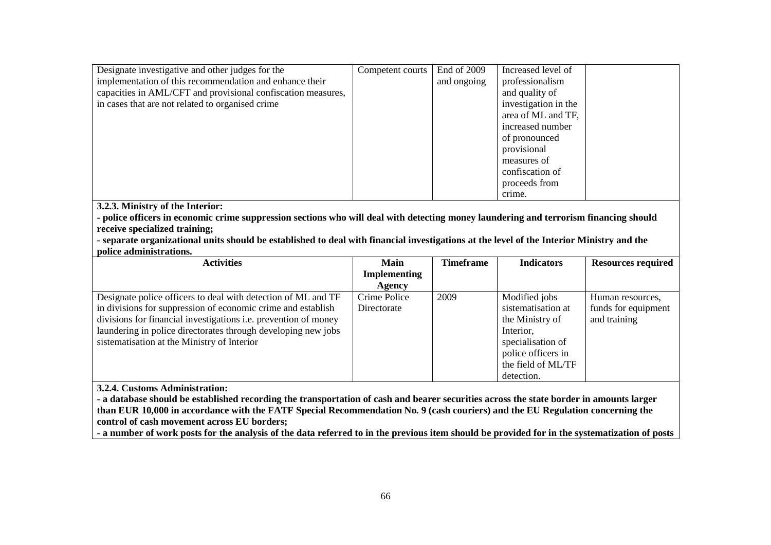| Designate investigative and other judges for the             | Competent courts | End of 2009 | Increased level of   |
|--------------------------------------------------------------|------------------|-------------|----------------------|
| implementation of this recommendation and enhance their      |                  | and ongoing | professionalism      |
| capacities in AML/CFT and provisional confiscation measures, |                  |             | and quality of       |
| in cases that are not related to organised crime             |                  |             | investigation in the |
|                                                              |                  |             | area of ML and TF,   |
|                                                              |                  |             | increased number     |
|                                                              |                  |             | of pronounced        |
|                                                              |                  |             | provisional          |
|                                                              |                  |             | measures of          |
|                                                              |                  |             | confiscation of      |
|                                                              |                  |             | proceeds from        |
|                                                              |                  |             | crime.               |

**3.2.3. Ministry of the Interior:** 

 **- police officers in economic crime suppression sections who will deal with detecting money laundering and terrorism financing should receive specialized training;** 

 **- separate organizational units should be established to deal with financial investigations at the level of the Interior Ministry and the police administrations.**

| <b>Activities</b>                                                      | Main                | <b>Timeframe</b> | <b>Indicators</b>  | <b>Resources required</b> |
|------------------------------------------------------------------------|---------------------|------------------|--------------------|---------------------------|
|                                                                        | <b>Implementing</b> |                  |                    |                           |
|                                                                        | Agency              |                  |                    |                           |
| Designate police officers to deal with detection of ML and TF          | Crime Police        | 2009             | Modified jobs      | Human resources,          |
| in divisions for suppression of economic crime and establish           | Directorate         |                  | sistematisation at | funds for equipment       |
| divisions for financial investigations <i>i.e.</i> prevention of money |                     |                  | the Ministry of    | and training              |
| laundering in police directorates through developing new jobs          |                     |                  | Interior,          |                           |
| sistematisation at the Ministry of Interior                            |                     |                  | specialisation of  |                           |
|                                                                        |                     |                  | police officers in |                           |
|                                                                        |                     |                  | the field of ML/TF |                           |
|                                                                        |                     |                  | detection.         |                           |

**3.2.4. Customs Administration:** 

 **- a database should be established recording the transportation of cash and bearer securities across the state border in amounts larger than EUR 10,000 in accordance with the FATF Special Recommendation No. 9 (cash couriers) and the EU Regulation concerning the control of cash movement across EU borders;** 

**- a number of work posts for the analysis of the data referred to in the previous item should be provided for in the systematization of posts**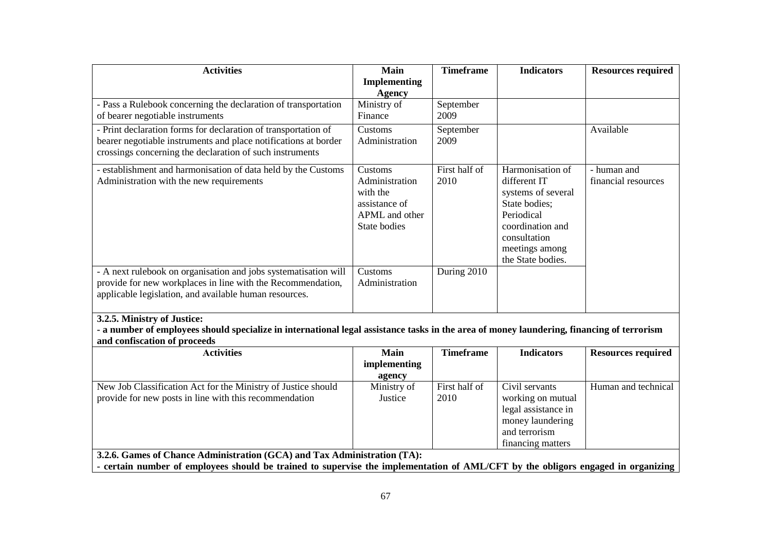| <b>Activities</b>                                                                                                                                                                                            | <b>Main</b>                                                                              | <b>Timeframe</b>      | <b>Indicators</b>                                                                                                                                                | <b>Resources required</b>          |  |
|--------------------------------------------------------------------------------------------------------------------------------------------------------------------------------------------------------------|------------------------------------------------------------------------------------------|-----------------------|------------------------------------------------------------------------------------------------------------------------------------------------------------------|------------------------------------|--|
|                                                                                                                                                                                                              | Implementing<br><b>Agency</b>                                                            |                       |                                                                                                                                                                  |                                    |  |
| - Pass a Rulebook concerning the declaration of transportation                                                                                                                                               | Ministry of                                                                              | September             |                                                                                                                                                                  |                                    |  |
| of bearer negotiable instruments                                                                                                                                                                             | Finance                                                                                  | 2009                  |                                                                                                                                                                  |                                    |  |
| - Print declaration forms for declaration of transportation of<br>bearer negotiable instruments and place notifications at border<br>crossings concerning the declaration of such instruments                | Customs<br>Administration                                                                | September<br>2009     |                                                                                                                                                                  | Available                          |  |
| - establishment and harmonisation of data held by the Customs<br>Administration with the new requirements                                                                                                    | Customs<br>Administration<br>with the<br>assistance of<br>APML and other<br>State bodies | First half of<br>2010 | Harmonisation of<br>different IT<br>systems of several<br>State bodies;<br>Periodical<br>coordination and<br>consultation<br>meetings among<br>the State bodies. | - human and<br>financial resources |  |
| - A next rulebook on organisation and jobs systematisation will<br>provide for new workplaces in line with the Recommendation,<br>applicable legislation, and available human resources.                     | Customs<br>Administration                                                                | During 2010           |                                                                                                                                                                  |                                    |  |
| 3.2.5. Ministry of Justice:<br>- a number of employees should specialize in international legal assistance tasks in the area of money laundering, financing of terrorism                                     |                                                                                          |                       |                                                                                                                                                                  |                                    |  |
| and confiscation of proceeds                                                                                                                                                                                 |                                                                                          |                       |                                                                                                                                                                  |                                    |  |
| <b>Activities</b>                                                                                                                                                                                            | Main<br>implementing<br>agency                                                           | <b>Timeframe</b>      | <b>Indicators</b>                                                                                                                                                | <b>Resources required</b>          |  |
| New Job Classification Act for the Ministry of Justice should<br>provide for new posts in line with this recommendation                                                                                      | Ministry of<br>Justice                                                                   | First half of<br>2010 | Civil servants<br>working on mutual<br>legal assistance in<br>money laundering<br>and terrorism<br>financing matters                                             | Human and technical                |  |
| 3.2.6. Games of Chance Administration (GCA) and Tax Administration (TA):<br>- certain number of employees should be trained to supervise the implementation of AML/CFT by the obligors engaged in organizing |                                                                                          |                       |                                                                                                                                                                  |                                    |  |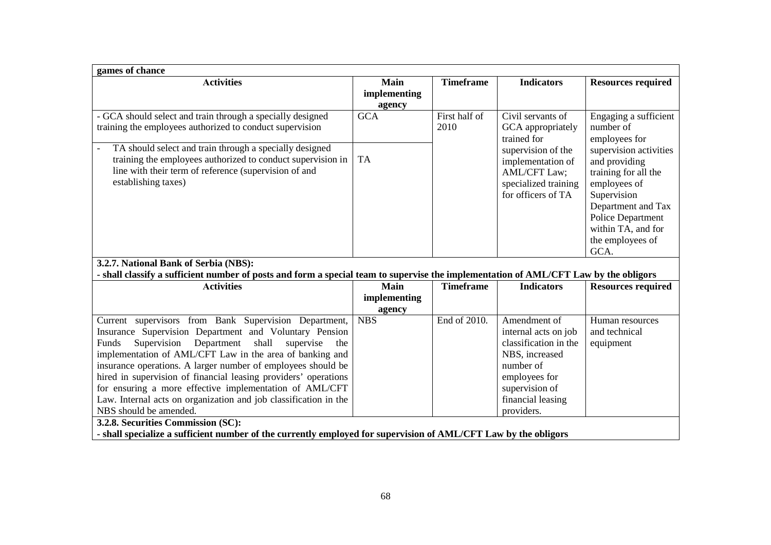| games of chance                                                                                                                                                                                                                                                                                                                                                                                                                                                                                                                         |                                |                       |                                                                                                                                                                    |                                                                                                                                                                                                    |  |
|-----------------------------------------------------------------------------------------------------------------------------------------------------------------------------------------------------------------------------------------------------------------------------------------------------------------------------------------------------------------------------------------------------------------------------------------------------------------------------------------------------------------------------------------|--------------------------------|-----------------------|--------------------------------------------------------------------------------------------------------------------------------------------------------------------|----------------------------------------------------------------------------------------------------------------------------------------------------------------------------------------------------|--|
| <b>Activities</b>                                                                                                                                                                                                                                                                                                                                                                                                                                                                                                                       | Main<br>implementing<br>agency | <b>Timeframe</b>      | <b>Indicators</b>                                                                                                                                                  | <b>Resources required</b>                                                                                                                                                                          |  |
| - GCA should select and train through a specially designed<br>training the employees authorized to conduct supervision                                                                                                                                                                                                                                                                                                                                                                                                                  | <b>GCA</b>                     | First half of<br>2010 | Civil servants of<br>GCA appropriately<br>trained for                                                                                                              | Engaging a sufficient<br>number of<br>employees for                                                                                                                                                |  |
| TA should select and train through a specially designed<br>training the employees authorized to conduct supervision in<br>line with their term of reference (supervision of and<br>establishing taxes)                                                                                                                                                                                                                                                                                                                                  | <b>TA</b>                      |                       | supervision of the<br>implementation of<br><b>AML/CFT Law;</b><br>specialized training<br>for officers of TA                                                       | supervision activities<br>and providing<br>training for all the<br>employees of<br>Supervision<br>Department and Tax<br><b>Police Department</b><br>within TA, and for<br>the employees of<br>GCA. |  |
| 3.2.7. National Bank of Serbia (NBS):<br>- shall classify a sufficient number of posts and form a special team to supervise the implementation of AML/CFT Law by the obligors                                                                                                                                                                                                                                                                                                                                                           |                                |                       |                                                                                                                                                                    |                                                                                                                                                                                                    |  |
| <b>Activities</b>                                                                                                                                                                                                                                                                                                                                                                                                                                                                                                                       | Main                           | <b>Timeframe</b>      | <b>Indicators</b>                                                                                                                                                  | <b>Resources required</b>                                                                                                                                                                          |  |
|                                                                                                                                                                                                                                                                                                                                                                                                                                                                                                                                         | implementing<br>agency         |                       |                                                                                                                                                                    |                                                                                                                                                                                                    |  |
| Current supervisors from Bank Supervision Department,<br>Insurance Supervision Department and Voluntary Pension<br>Supervision Department<br>shall<br>supervise<br>Funds<br>the<br>implementation of AML/CFT Law in the area of banking and<br>insurance operations. A larger number of employees should be<br>hired in supervision of financial leasing providers' operations<br>for ensuring a more effective implementation of AML/CFT<br>Law. Internal acts on organization and job classification in the<br>NBS should be amended. | <b>NBS</b>                     | End of 2010.          | Amendment of<br>internal acts on job<br>classification in the<br>NBS, increased<br>number of<br>employees for<br>supervision of<br>financial leasing<br>providers. | Human resources<br>and technical<br>equipment                                                                                                                                                      |  |
| 3.2.8. Securities Commission (SC):<br>- shall specialize a sufficient number of the currently employed for supervision of AML/CFT Law by the obligors                                                                                                                                                                                                                                                                                                                                                                                   |                                |                       |                                                                                                                                                                    |                                                                                                                                                                                                    |  |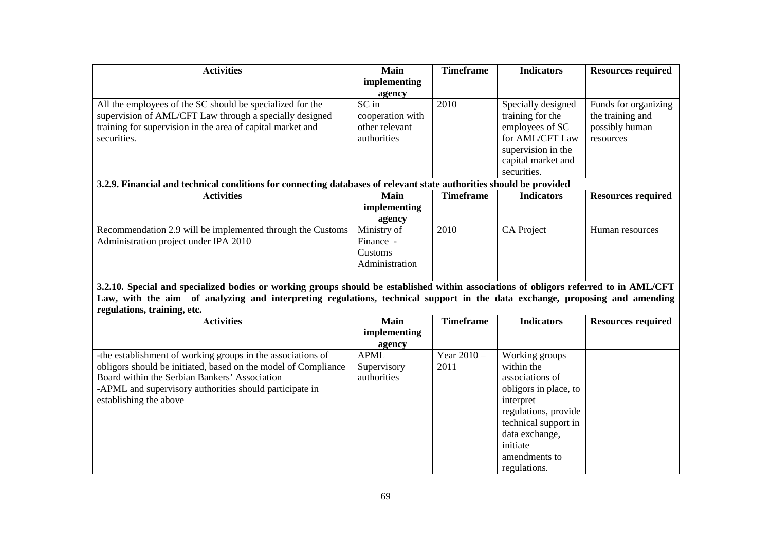| <b>Activities</b>                                                                                                                     | <b>Main</b>      | <b>Timeframe</b> | <b>Indicators</b>     | <b>Resources required</b> |
|---------------------------------------------------------------------------------------------------------------------------------------|------------------|------------------|-----------------------|---------------------------|
|                                                                                                                                       | implementing     |                  |                       |                           |
|                                                                                                                                       | agency           |                  |                       |                           |
| All the employees of the SC should be specialized for the                                                                             | SC in            | 2010             | Specially designed    | Funds for organizing      |
| supervision of AML/CFT Law through a specially designed                                                                               | cooperation with |                  | training for the      | the training and          |
| training for supervision in the area of capital market and                                                                            | other relevant   |                  | employees of SC       | possibly human            |
| securities.                                                                                                                           | authorities      |                  | for AML/CFT Law       | resources                 |
|                                                                                                                                       |                  |                  | supervision in the    |                           |
|                                                                                                                                       |                  |                  | capital market and    |                           |
|                                                                                                                                       |                  |                  | securities.           |                           |
| 3.2.9. Financial and technical conditions for connecting databases of relevant state authorities should be provided                   |                  |                  |                       |                           |
| <b>Activities</b>                                                                                                                     | <b>Main</b>      | <b>Timeframe</b> | <b>Indicators</b>     | <b>Resources required</b> |
|                                                                                                                                       | implementing     |                  |                       |                           |
|                                                                                                                                       | agency           |                  |                       |                           |
| Recommendation 2.9 will be implemented through the Customs                                                                            | Ministry of      | 2010             | <b>CA Project</b>     | Human resources           |
| Administration project under IPA 2010                                                                                                 | Finance -        |                  |                       |                           |
|                                                                                                                                       | Customs          |                  |                       |                           |
|                                                                                                                                       | Administration   |                  |                       |                           |
|                                                                                                                                       |                  |                  |                       |                           |
| 3.2.10. Special and specialized bodies or working groups should be established within associations of obligors referred to in AML/CFT |                  |                  |                       |                           |
| Law, with the aim of analyzing and interpreting regulations, technical support in the data exchange, proposing and amending           |                  |                  |                       |                           |
| regulations, training, etc.                                                                                                           |                  |                  |                       |                           |
| <b>Activities</b>                                                                                                                     | <b>Main</b>      | <b>Timeframe</b> | <b>Indicators</b>     | <b>Resources required</b> |
|                                                                                                                                       | implementing     |                  |                       |                           |
|                                                                                                                                       | agency           |                  |                       |                           |
| -the establishment of working groups in the associations of                                                                           | <b>APML</b>      | Year $2010 -$    | Working groups        |                           |
| obligors should be initiated, based on the model of Compliance                                                                        | Supervisory      | 2011             | within the            |                           |
| Board within the Serbian Bankers' Association                                                                                         | authorities      |                  | associations of       |                           |
| -APML and supervisory authorities should participate in                                                                               |                  |                  | obligors in place, to |                           |
| establishing the above                                                                                                                |                  |                  | interpret             |                           |
|                                                                                                                                       |                  |                  | regulations, provide  |                           |
|                                                                                                                                       |                  |                  | technical support in  |                           |
|                                                                                                                                       |                  |                  | data exchange,        |                           |
|                                                                                                                                       |                  |                  | initiate              |                           |
|                                                                                                                                       |                  |                  | amendments to         |                           |
|                                                                                                                                       |                  |                  | regulations.          |                           |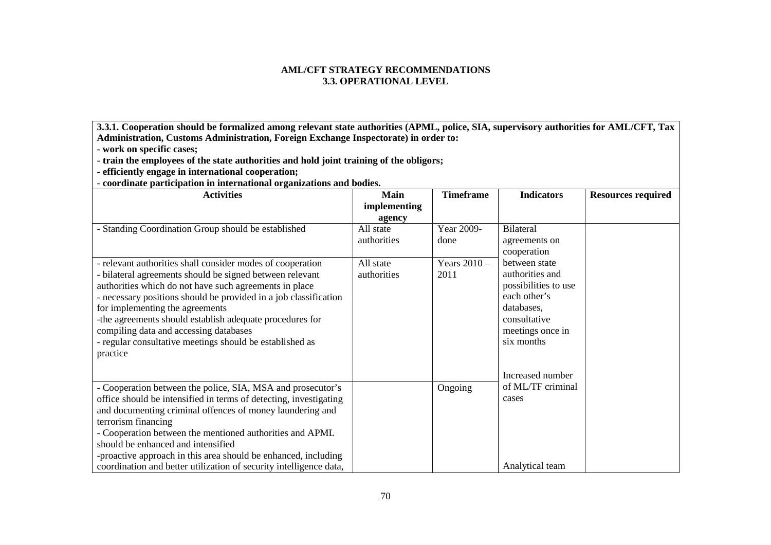### **AML/CFT STRATEGY RECOMMENDATIONS 3.3. ОPERATIONAL LEVEL**

**3.3.1. Cooperation should be formalized among relevant state authorities (APML, police, SIA, supervisory authorities for AML/CFT, Tax Administration, Customs Administration, Foreign Exchange Inspectorate) in order to:** 

**- work on specific cases;** 

**- train the employees of the state authorities and hold joint training of the obligors;** 

**- efficiently engage in international cooperation;** 

**- coordinate participation in international organizations and bodies.** 

| <b>Activities</b>                                                                                  | <b>Main</b>  | <b>Timeframe</b> | <b>Indicators</b>          | <b>Resources required</b> |
|----------------------------------------------------------------------------------------------------|--------------|------------------|----------------------------|---------------------------|
|                                                                                                    | implementing |                  |                            |                           |
|                                                                                                    | agency       |                  |                            |                           |
| - Standing Coordination Group should be established                                                | All state    | Year 2009-       | <b>Bilateral</b>           |                           |
|                                                                                                    | authorities  | done             | agreements on              |                           |
|                                                                                                    |              |                  | cooperation                |                           |
| - relevant authorities shall consider modes of cooperation                                         | All state    | Years $2010 -$   | between state              |                           |
| - bilateral agreements should be signed between relevant                                           | authorities  | 2011             | authorities and            |                           |
| authorities which do not have such agreements in place                                             |              |                  | possibilities to use       |                           |
| - necessary positions should be provided in a job classification                                   |              |                  | each other's               |                           |
| for implementing the agreements                                                                    |              |                  | databases,<br>consultative |                           |
| -the agreements should establish adequate procedures for<br>compiling data and accessing databases |              |                  | meetings once in           |                           |
| - regular consultative meetings should be established as                                           |              |                  | six months                 |                           |
| practice                                                                                           |              |                  |                            |                           |
|                                                                                                    |              |                  |                            |                           |
|                                                                                                    |              |                  | Increased number           |                           |
| - Cooperation between the police, SIA, MSA and prosecutor's                                        |              | Ongoing          | of ML/TF criminal          |                           |
| office should be intensified in terms of detecting, investigating                                  |              |                  | cases                      |                           |
| and documenting criminal offences of money laundering and                                          |              |                  |                            |                           |
| terrorism financing                                                                                |              |                  |                            |                           |
| - Cooperation between the mentioned authorities and APML                                           |              |                  |                            |                           |
| should be enhanced and intensified                                                                 |              |                  |                            |                           |
| -proactive approach in this area should be enhanced, including                                     |              |                  |                            |                           |
| coordination and better utilization of security intelligence data,                                 |              |                  | Analytical team            |                           |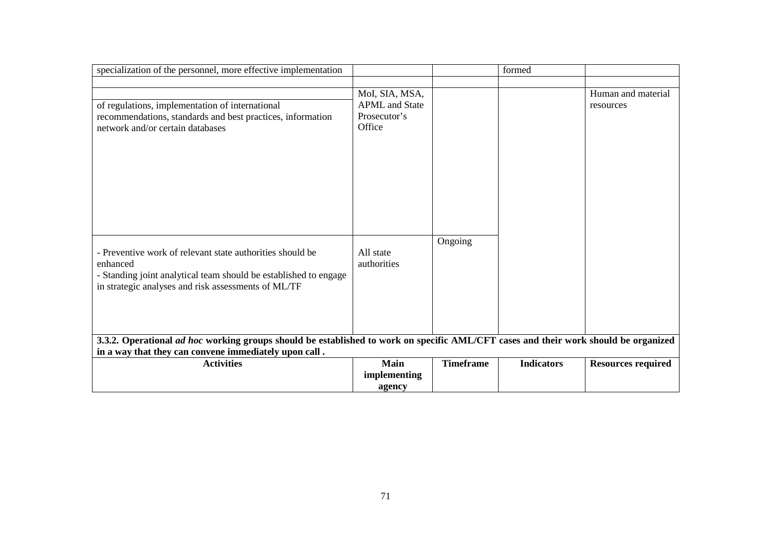| specialization of the personnel, more effective implementation                                                                                                                                   |                                                                   |                  | formed            |                                 |
|--------------------------------------------------------------------------------------------------------------------------------------------------------------------------------------------------|-------------------------------------------------------------------|------------------|-------------------|---------------------------------|
|                                                                                                                                                                                                  |                                                                   |                  |                   |                                 |
| of regulations, implementation of international<br>recommendations, standards and best practices, information<br>network and/or certain databases                                                | Mol, SIA, MSA,<br><b>APML</b> and State<br>Prosecutor's<br>Office |                  |                   | Human and material<br>resources |
| - Preventive work of relevant state authorities should be<br>enhanced<br>- Standing joint analytical team should be established to engage<br>in strategic analyses and risk assessments of ML/TF | All state<br>authorities                                          | Ongoing          |                   |                                 |
| 3.3.2. Operational ad hoc working groups should be established to work on specific AML/CFT cases and their work should be organized<br>in a way that they can convene immediately upon call.     |                                                                   |                  |                   |                                 |
| <b>Activities</b>                                                                                                                                                                                | Main                                                              | <b>Timeframe</b> | <b>Indicators</b> | <b>Resources required</b>       |
|                                                                                                                                                                                                  | implementing<br>agency                                            |                  |                   |                                 |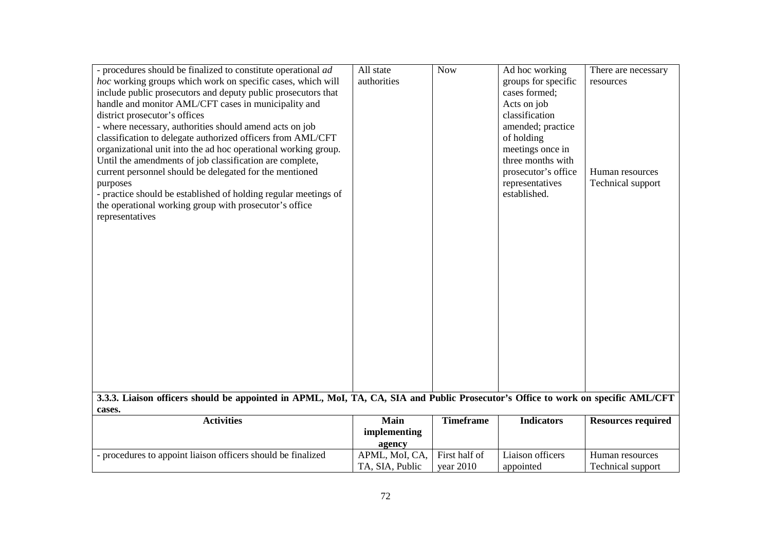| - procedures should be finalized to constitute operational <i>ad</i>                                                             | All state       | <b>Now</b>       | Ad hoc working      | There are necessary       |  |
|----------------------------------------------------------------------------------------------------------------------------------|-----------------|------------------|---------------------|---------------------------|--|
| hoc working groups which work on specific cases, which will                                                                      | authorities     |                  | groups for specific | resources                 |  |
| include public prosecutors and deputy public prosecutors that                                                                    |                 |                  | cases formed;       |                           |  |
| handle and monitor AML/CFT cases in municipality and                                                                             |                 |                  | Acts on job         |                           |  |
| district prosecutor's offices                                                                                                    |                 |                  | classification      |                           |  |
| - where necessary, authorities should amend acts on job                                                                          |                 |                  | amended; practice   |                           |  |
| classification to delegate authorized officers from AML/CFT                                                                      |                 |                  | of holding          |                           |  |
| organizational unit into the ad hoc operational working group.                                                                   |                 |                  | meetings once in    |                           |  |
| Until the amendments of job classification are complete,                                                                         |                 |                  | three months with   |                           |  |
| current personnel should be delegated for the mentioned                                                                          |                 |                  | prosecutor's office | Human resources           |  |
| purposes                                                                                                                         |                 |                  | representatives     | Technical support         |  |
| - practice should be established of holding regular meetings of                                                                  |                 |                  | established.        |                           |  |
| the operational working group with prosecutor's office                                                                           |                 |                  |                     |                           |  |
| representatives                                                                                                                  |                 |                  |                     |                           |  |
|                                                                                                                                  |                 |                  |                     |                           |  |
|                                                                                                                                  |                 |                  |                     |                           |  |
|                                                                                                                                  |                 |                  |                     |                           |  |
|                                                                                                                                  |                 |                  |                     |                           |  |
|                                                                                                                                  |                 |                  |                     |                           |  |
|                                                                                                                                  |                 |                  |                     |                           |  |
|                                                                                                                                  |                 |                  |                     |                           |  |
|                                                                                                                                  |                 |                  |                     |                           |  |
|                                                                                                                                  |                 |                  |                     |                           |  |
|                                                                                                                                  |                 |                  |                     |                           |  |
|                                                                                                                                  |                 |                  |                     |                           |  |
|                                                                                                                                  |                 |                  |                     |                           |  |
|                                                                                                                                  |                 |                  |                     |                           |  |
|                                                                                                                                  |                 |                  |                     |                           |  |
| 3.3.3. Liaison officers should be appointed in APML, MoI, TA, CA, SIA and Public Prosecutor's Office to work on specific AML/CFT |                 |                  |                     |                           |  |
| cases.                                                                                                                           |                 |                  |                     |                           |  |
| <b>Activities</b>                                                                                                                | Main            | <b>Timeframe</b> | <b>Indicators</b>   | <b>Resources required</b> |  |
|                                                                                                                                  | implementing    |                  |                     |                           |  |
|                                                                                                                                  | agency          |                  |                     |                           |  |
| - procedures to appoint liaison officers should be finalized                                                                     | APML, MoI, CA,  | First half of    | Liaison officers    | Human resources           |  |
|                                                                                                                                  | TA, SIA, Public | year $2010$      | appointed           | Technical support         |  |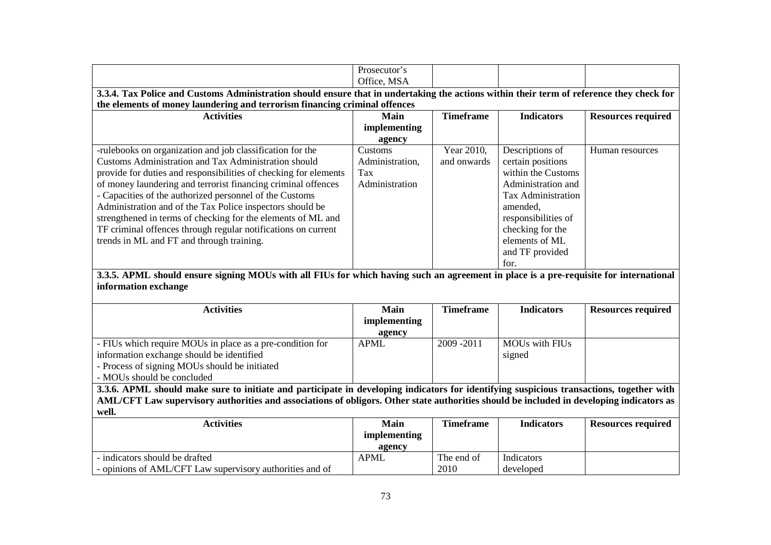|                                                                                                                                          | Prosecutor's    |                    |                           |                           |
|------------------------------------------------------------------------------------------------------------------------------------------|-----------------|--------------------|---------------------------|---------------------------|
|                                                                                                                                          | Office, MSA     |                    |                           |                           |
| 3.3.4. Tax Police and Customs Administration should ensure that in undertaking the actions within their term of reference they check for |                 |                    |                           |                           |
| the elements of money laundering and terrorism financing criminal offences                                                               |                 |                    |                           |                           |
| <b>Activities</b>                                                                                                                        | <b>Main</b>     | <b>Timeframe</b>   | <b>Indicators</b>         | <b>Resources required</b> |
|                                                                                                                                          | implementing    |                    |                           |                           |
|                                                                                                                                          | agency          |                    |                           |                           |
| -rulebooks on organization and job classification for the                                                                                | Customs         | Year 2010,         | Descriptions of           | Human resources           |
| Customs Administration and Tax Administration should                                                                                     | Administration, | and onwards        | certain positions         |                           |
| provide for duties and responsibilities of checking for elements                                                                         | Tax             |                    | within the Customs        |                           |
| of money laundering and terrorist financing criminal offences                                                                            | Administration  |                    | Administration and        |                           |
| - Capacities of the authorized personnel of the Customs                                                                                  |                 |                    | <b>Tax Administration</b> |                           |
| Administration and of the Tax Police inspectors should be                                                                                |                 |                    | amended,                  |                           |
| strengthened in terms of checking for the elements of ML and                                                                             |                 |                    | responsibilities of       |                           |
| TF criminal offences through regular notifications on current                                                                            |                 |                    | checking for the          |                           |
| trends in ML and FT and through training.                                                                                                |                 |                    | elements of ML            |                           |
|                                                                                                                                          |                 |                    | and TF provided           |                           |
|                                                                                                                                          |                 |                    | for.                      |                           |
|                                                                                                                                          |                 |                    |                           |                           |
| 3.3.5. APML should ensure signing MOUs with all FIUs for which having such an agreement in place is a pre-requisite for international    |                 |                    |                           |                           |
| information exchange                                                                                                                     |                 |                    |                           |                           |
|                                                                                                                                          |                 |                    |                           |                           |
| <b>Activities</b>                                                                                                                        | Main            | <b>Timeframe</b>   | <b>Indicators</b>         | <b>Resources required</b> |
|                                                                                                                                          | implementing    |                    |                           |                           |
|                                                                                                                                          | agency          |                    |                           |                           |
| - FIUs which require MOUs in place as a pre-condition for                                                                                | <b>APML</b>     | 2009-2011          | <b>MOUs with FIUs</b>     |                           |
| information exchange should be identified                                                                                                |                 |                    | signed                    |                           |
| - Process of signing MOUs should be initiated                                                                                            |                 |                    |                           |                           |
| - MOUs should be concluded                                                                                                               |                 |                    |                           |                           |
| 3.3.6. APML should make sure to initiate and participate in developing indicators for identifying suspicious transactions, together with |                 |                    |                           |                           |
| AML/CFT Law supervisory authorities and associations of obligors. Other state authorities should be included in developing indicators as |                 |                    |                           |                           |
| well.                                                                                                                                    |                 |                    |                           |                           |
| <b>Activities</b>                                                                                                                        | Main            | <b>Timeframe</b>   | <b>Indicators</b>         | <b>Resources required</b> |
|                                                                                                                                          | implementing    |                    |                           |                           |
|                                                                                                                                          | agency          |                    |                           |                           |
| - indicators should be drafted<br>- opinions of AML/CFT Law supervisory authorities and of                                               | <b>APML</b>     | The end of<br>2010 | Indicators<br>developed   |                           |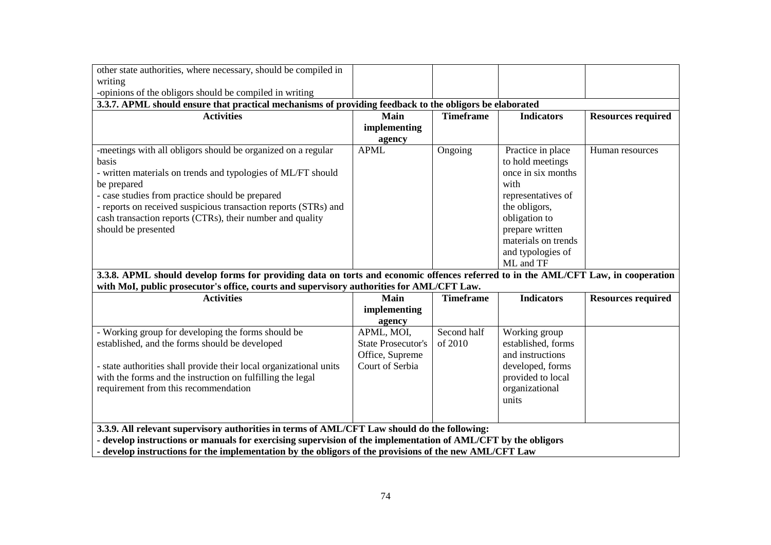| other state authorities, where necessary, should be compiled in                                                                                                                                                         |                           |                  |                     |                           |
|-------------------------------------------------------------------------------------------------------------------------------------------------------------------------------------------------------------------------|---------------------------|------------------|---------------------|---------------------------|
| writing                                                                                                                                                                                                                 |                           |                  |                     |                           |
| -opinions of the obligors should be compiled in writing                                                                                                                                                                 |                           |                  |                     |                           |
| 3.3.7. APML should ensure that practical mechanisms of providing feedback to the obligors be elaborated                                                                                                                 |                           |                  |                     |                           |
| <b>Activities</b>                                                                                                                                                                                                       | <b>Main</b>               | <b>Timeframe</b> | <b>Indicators</b>   | <b>Resources required</b> |
|                                                                                                                                                                                                                         | implementing              |                  |                     |                           |
|                                                                                                                                                                                                                         | agency                    |                  |                     |                           |
| -meetings with all obligors should be organized on a regular                                                                                                                                                            | <b>APML</b>               | Ongoing          | Practice in place   | Human resources           |
| basis                                                                                                                                                                                                                   |                           |                  | to hold meetings    |                           |
| - written materials on trends and typologies of ML/FT should                                                                                                                                                            |                           |                  | once in six months  |                           |
| be prepared                                                                                                                                                                                                             |                           |                  | with                |                           |
| - case studies from practice should be prepared                                                                                                                                                                         |                           |                  | representatives of  |                           |
| - reports on received suspicious transaction reports (STRs) and                                                                                                                                                         |                           |                  | the obligors,       |                           |
| cash transaction reports (CTRs), their number and quality                                                                                                                                                               |                           |                  | obligation to       |                           |
| should be presented                                                                                                                                                                                                     |                           |                  | prepare written     |                           |
|                                                                                                                                                                                                                         |                           |                  | materials on trends |                           |
|                                                                                                                                                                                                                         |                           |                  | and typologies of   |                           |
|                                                                                                                                                                                                                         |                           |                  | ML and TF           |                           |
| 3.3.8. APML should develop forms for providing data on torts and economic offences referred to in the AML/CFT Law, in cooperation                                                                                       |                           |                  |                     |                           |
| with MoI, public prosecutor's office, courts and supervisory authorities for AML/CFT Law.                                                                                                                               |                           |                  |                     |                           |
| <b>Activities</b>                                                                                                                                                                                                       | Main                      | <b>Timeframe</b> | <b>Indicators</b>   | <b>Resources required</b> |
|                                                                                                                                                                                                                         | implementing              |                  |                     |                           |
|                                                                                                                                                                                                                         | agency                    |                  |                     |                           |
| - Working group for developing the forms should be                                                                                                                                                                      | APML, MOI,                | Second half      | Working group       |                           |
| established, and the forms should be developed                                                                                                                                                                          | <b>State Prosecutor's</b> | of 2010          | established, forms  |                           |
|                                                                                                                                                                                                                         | Office, Supreme           |                  | and instructions    |                           |
| - state authorities shall provide their local organizational units                                                                                                                                                      | Court of Serbia           |                  | developed, forms    |                           |
| with the forms and the instruction on fulfilling the legal                                                                                                                                                              |                           |                  | provided to local   |                           |
| requirement from this recommendation                                                                                                                                                                                    |                           |                  | organizational      |                           |
|                                                                                                                                                                                                                         |                           |                  | units               |                           |
|                                                                                                                                                                                                                         |                           |                  |                     |                           |
| 3.3.9. All relevant supervisory authorities in terms of AML/CFT Law should do the following:                                                                                                                            |                           |                  |                     |                           |
|                                                                                                                                                                                                                         |                           |                  |                     |                           |
| - develop instructions or manuals for exercising supervision of the implementation of AML/CFT by the obligors<br>- develop instructions for the implementation by the obligors of the provisions of the new AML/CFT Law |                           |                  |                     |                           |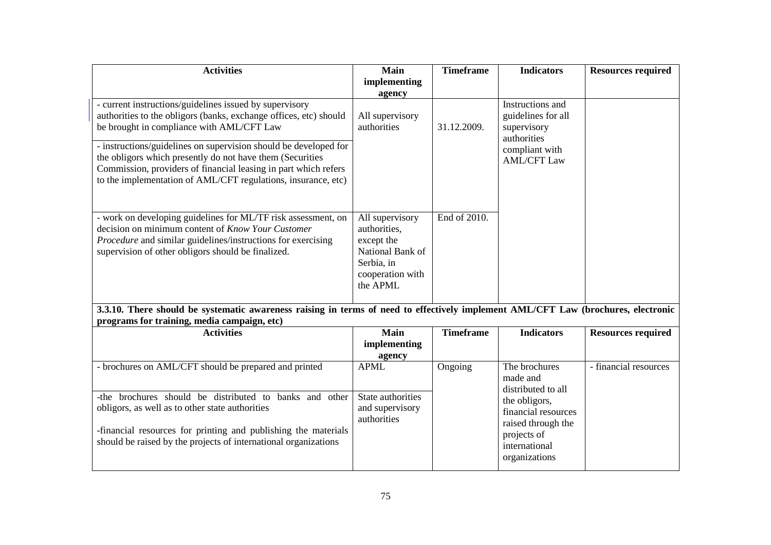| <b>Activities</b>                                                                                                                                                                                                                                                                                                                                                                                                                              | <b>Main</b><br>implementing                                                                                     | <b>Timeframe</b> | <b>Indicators</b>                                                                                                                                              | <b>Resources required</b> |
|------------------------------------------------------------------------------------------------------------------------------------------------------------------------------------------------------------------------------------------------------------------------------------------------------------------------------------------------------------------------------------------------------------------------------------------------|-----------------------------------------------------------------------------------------------------------------|------------------|----------------------------------------------------------------------------------------------------------------------------------------------------------------|---------------------------|
|                                                                                                                                                                                                                                                                                                                                                                                                                                                | agency                                                                                                          |                  |                                                                                                                                                                |                           |
| - current instructions/guidelines issued by supervisory<br>authorities to the obligors (banks, exchange offices, etc) should<br>be brought in compliance with AML/CFT Law<br>- instructions/guidelines on supervision should be developed for<br>the obligors which presently do not have them (Securities<br>Commission, providers of financial leasing in part which refers<br>to the implementation of AML/CFT regulations, insurance, etc) | All supervisory<br>authorities                                                                                  | 31.12.2009.      | Instructions and<br>guidelines for all<br>supervisory<br>authorities<br>compliant with<br><b>AML/CFT Law</b>                                                   |                           |
| - work on developing guidelines for ML/TF risk assessment, on<br>decision on minimum content of Know Your Customer<br>Procedure and similar guidelines/instructions for exercising<br>supervision of other obligors should be finalized.<br>3.3.10. There should be systematic awareness raising in terms of need to effectively implement AML/CFT Law (brochures, electronic                                                                  | All supervisory<br>authorities,<br>except the<br>National Bank of<br>Serbia, in<br>cooperation with<br>the APML | End of 2010.     |                                                                                                                                                                |                           |
| programs for training, media campaign, etc)                                                                                                                                                                                                                                                                                                                                                                                                    |                                                                                                                 |                  |                                                                                                                                                                |                           |
| <b>Activities</b>                                                                                                                                                                                                                                                                                                                                                                                                                              | <b>Main</b><br>implementing<br>agency                                                                           | <b>Timeframe</b> | <b>Indicators</b>                                                                                                                                              | <b>Resources required</b> |
| - brochures on AML/CFT should be prepared and printed<br>-the brochures should be distributed to<br>banks and other<br>obligors, as well as to other state authorities<br>-financial resources for printing and publishing the materials<br>should be raised by the projects of international organizations                                                                                                                                    | <b>APML</b><br>State authorities<br>and supervisory<br>authorities                                              | Ongoing          | The brochures<br>made and<br>distributed to all<br>the obligors,<br>financial resources<br>raised through the<br>projects of<br>international<br>organizations | - financial resources     |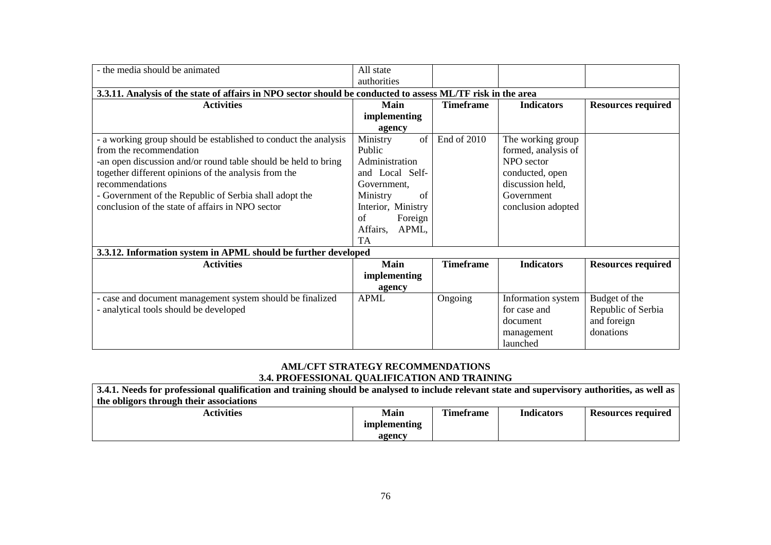| - the media should be animated                                                                              | All state          |                  |                     |                           |
|-------------------------------------------------------------------------------------------------------------|--------------------|------------------|---------------------|---------------------------|
|                                                                                                             | authorities        |                  |                     |                           |
| 3.3.11. Analysis of the state of affairs in NPO sector should be conducted to assess ML/TF risk in the area |                    |                  |                     |                           |
| <b>Activities</b>                                                                                           | Main               | <b>Timeframe</b> | <b>Indicators</b>   | <b>Resources required</b> |
|                                                                                                             | implementing       |                  |                     |                           |
|                                                                                                             | agency             |                  |                     |                           |
| - a working group should be established to conduct the analysis                                             | Ministry<br>of     | End of 2010      | The working group   |                           |
| from the recommendation                                                                                     | Public             |                  | formed, analysis of |                           |
| -an open discussion and/or round table should be held to bring                                              | Administration     |                  | NPO sector          |                           |
| together different opinions of the analysis from the                                                        | and Local Self-    |                  | conducted, open     |                           |
| recommendations                                                                                             | Government.        |                  | discussion held,    |                           |
| - Government of the Republic of Serbia shall adopt the                                                      | Ministry<br>of     |                  | Government          |                           |
| conclusion of the state of affairs in NPO sector                                                            | Interior, Ministry |                  | conclusion adopted  |                           |
|                                                                                                             | of<br>Foreign      |                  |                     |                           |
|                                                                                                             | APML,<br>Affairs,  |                  |                     |                           |
|                                                                                                             | <b>TA</b>          |                  |                     |                           |
| 3.3.12. Information system in APML should be further developed                                              |                    |                  |                     |                           |
| <b>Activities</b>                                                                                           | <b>Main</b>        | <b>Timeframe</b> | <b>Indicators</b>   | <b>Resources required</b> |
|                                                                                                             | implementing       |                  |                     |                           |
|                                                                                                             | agency             |                  |                     |                           |
| - case and document management system should be finalized                                                   | <b>APML</b>        | Ongoing          | Information system  | Budget of the             |
| - analytical tools should be developed                                                                      |                    |                  | for case and        | Republic of Serbia        |
|                                                                                                             |                    |                  | document            | and foreign               |
|                                                                                                             |                    |                  | management          | donations                 |
|                                                                                                             |                    |                  | launched            |                           |

# **AML/CFT STRATEGY RECOMMENDATIONS 3.4. PROFESSIONAL QUALIFICATION AND TRAINING**

| 3.4.1. Needs for professional qualification and training should be analysed to include relevant state and supervisory authorities, as well as |                     |           |            |                           |
|-----------------------------------------------------------------------------------------------------------------------------------------------|---------------------|-----------|------------|---------------------------|
| the obligors through their associations                                                                                                       |                     |           |            |                           |
| <b>Activities</b>                                                                                                                             | Main                | Timeframe | Indicators | <b>Resources required</b> |
|                                                                                                                                               | <i>implementing</i> |           |            |                           |
|                                                                                                                                               | agency              |           |            |                           |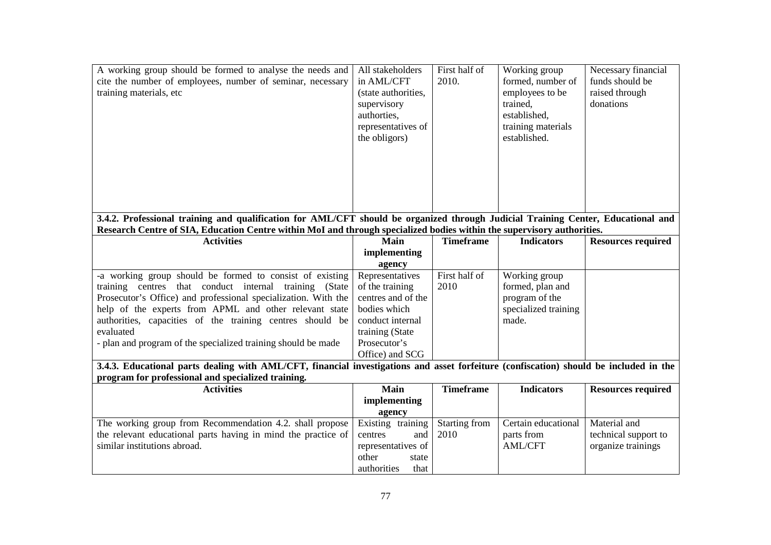| A working group should be formed to analyse the needs and<br>cite the number of employees, number of seminar, necessary<br>training materials, etc                                                                                                         | All stakeholders<br>in AML/CFT<br>(state authorities,<br>supervisory<br>authorties,<br>representatives of<br>the obligors) | First half of<br>2010. | Working group<br>formed, number of<br>employees to be<br>trained,<br>established,<br>training materials<br>established. | Necessary financial<br>funds should be<br>raised through<br>donations |
|------------------------------------------------------------------------------------------------------------------------------------------------------------------------------------------------------------------------------------------------------------|----------------------------------------------------------------------------------------------------------------------------|------------------------|-------------------------------------------------------------------------------------------------------------------------|-----------------------------------------------------------------------|
| 3.4.2. Professional training and qualification for AML/CFT should be organized through Judicial Training Center, Educational and<br>Research Centre of SIA, Education Centre within MoI and through specialized bodies within the supervisory authorities. |                                                                                                                            |                        |                                                                                                                         |                                                                       |
| <b>Activities</b>                                                                                                                                                                                                                                          | Main                                                                                                                       | <b>Timeframe</b>       | <b>Indicators</b>                                                                                                       | <b>Resources required</b>                                             |
|                                                                                                                                                                                                                                                            | implementing                                                                                                               |                        |                                                                                                                         |                                                                       |
|                                                                                                                                                                                                                                                            | agency                                                                                                                     |                        |                                                                                                                         |                                                                       |
| -a working group should be formed to consist of existing                                                                                                                                                                                                   | Representatives                                                                                                            | First half of          | Working group                                                                                                           |                                                                       |
| training centres that conduct internal training (State                                                                                                                                                                                                     | of the training                                                                                                            | 2010                   | formed, plan and                                                                                                        |                                                                       |
| Prosecutor's Office) and professional specialization. With the                                                                                                                                                                                             | centres and of the                                                                                                         |                        | program of the                                                                                                          |                                                                       |
| help of the experts from APML and other relevant state                                                                                                                                                                                                     | bodies which                                                                                                               |                        | specialized training                                                                                                    |                                                                       |
| authorities, capacities of the training centres should be                                                                                                                                                                                                  | conduct internal                                                                                                           |                        | made.                                                                                                                   |                                                                       |
| evaluated                                                                                                                                                                                                                                                  | training (State                                                                                                            |                        |                                                                                                                         |                                                                       |
| - plan and program of the specialized training should be made                                                                                                                                                                                              | Prosecutor's                                                                                                               |                        |                                                                                                                         |                                                                       |
|                                                                                                                                                                                                                                                            | Office) and SCG                                                                                                            |                        |                                                                                                                         |                                                                       |
| 3.4.3. Educational parts dealing with AML/CFT, financial investigations and asset forfeiture (confiscation) should be included in the<br>program for professional and specialized training.                                                                |                                                                                                                            |                        |                                                                                                                         |                                                                       |
| <b>Activities</b>                                                                                                                                                                                                                                          | Main                                                                                                                       | <b>Timeframe</b>       | <b>Indicators</b>                                                                                                       |                                                                       |
|                                                                                                                                                                                                                                                            |                                                                                                                            |                        |                                                                                                                         | <b>Resources required</b>                                             |
|                                                                                                                                                                                                                                                            | implementing                                                                                                               |                        |                                                                                                                         |                                                                       |
|                                                                                                                                                                                                                                                            | agency                                                                                                                     |                        | Certain educational                                                                                                     | Material and                                                          |
| The working group from Recommendation 4.2. shall propose                                                                                                                                                                                                   | Existing training                                                                                                          | Starting from<br>2010  |                                                                                                                         |                                                                       |
| the relevant educational parts having in mind the practice of                                                                                                                                                                                              | centres<br>and                                                                                                             |                        | parts from                                                                                                              | technical support to                                                  |
| similar institutions abroad.                                                                                                                                                                                                                               | representatives of                                                                                                         |                        | <b>AML/CFT</b>                                                                                                          | organize trainings                                                    |
|                                                                                                                                                                                                                                                            | other<br>state                                                                                                             |                        |                                                                                                                         |                                                                       |
|                                                                                                                                                                                                                                                            | authorities<br>that                                                                                                        |                        |                                                                                                                         |                                                                       |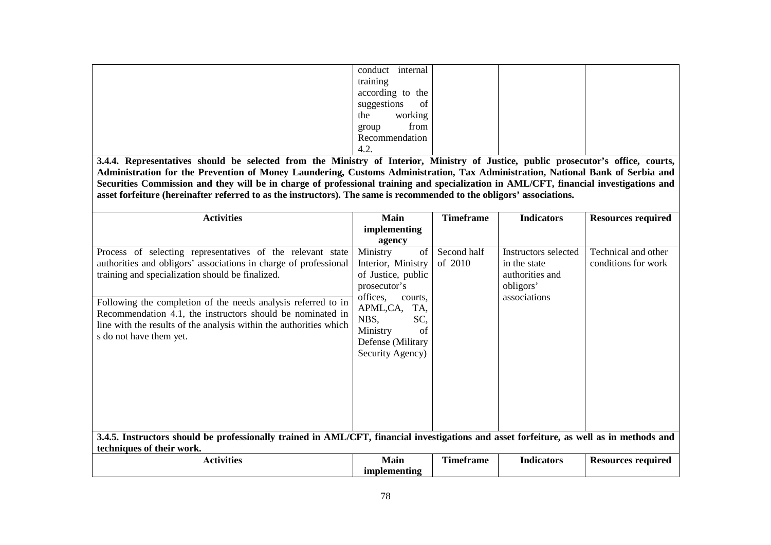| conduct  | internal                  |
|----------|---------------------------|
| training |                           |
|          | according to the          |
|          | suggestions<br>$\circ$ of |
| the      | working                   |
| group    | from                      |
|          | Recommendation            |
| 4.2.     |                           |

 **3.4.4. Representatives should be selected from the Ministry of Interior, Ministry of Justice, public prosecutor's office, courts, Administration for the Prevention of Money Laundering, Customs Administration, Tax Administration, National Bank of Serbia and Securities Commission and they will be in charge of professional training and specialization in AML/CFT, financial investigations and asset forfeiture (hereinafter referred to as the instructors). The same is recommended to the obligors' associations.** 

| <b>Activities</b>                                                                                                                                                                                                                                                                                                                                                                                                  | <b>Main</b>                                                                                                                                                                                    | <b>Timeframe</b>       | <b>Indicators</b>                                                                    | <b>Resources required</b>                  |
|--------------------------------------------------------------------------------------------------------------------------------------------------------------------------------------------------------------------------------------------------------------------------------------------------------------------------------------------------------------------------------------------------------------------|------------------------------------------------------------------------------------------------------------------------------------------------------------------------------------------------|------------------------|--------------------------------------------------------------------------------------|--------------------------------------------|
|                                                                                                                                                                                                                                                                                                                                                                                                                    | implementing                                                                                                                                                                                   |                        |                                                                                      |                                            |
|                                                                                                                                                                                                                                                                                                                                                                                                                    | agency                                                                                                                                                                                         |                        |                                                                                      |                                            |
| Process of selecting representatives of the relevant state<br>authorities and obligors' associations in charge of professional<br>training and specialization should be finalized.<br>Following the completion of the needs analysis referred to in<br>Recommendation 4.1, the instructors should be nominated in<br>line with the results of the analysis within the authorities which<br>s do not have them yet. | Ministry<br>of<br>Interior, Ministry<br>of Justice, public<br>prosecutor's<br>offices,<br>courts.<br>APML,CA,<br>TA,<br>NBS,<br>SC,<br>Ministry<br>of<br>Defense (Military<br>Security Agency) | Second half<br>of 2010 | Instructors selected<br>in the state<br>authorities and<br>obligors'<br>associations | Technical and other<br>conditions for work |
| 3.4.5. Instructors should be professionally trained in AML/CFT, financial investigations and asset forfeiture, as well as in methods and                                                                                                                                                                                                                                                                           |                                                                                                                                                                                                |                        |                                                                                      |                                            |
| techniques of their work.                                                                                                                                                                                                                                                                                                                                                                                          |                                                                                                                                                                                                |                        |                                                                                      |                                            |
| <b>Activities</b>                                                                                                                                                                                                                                                                                                                                                                                                  | <b>Main</b><br>implementing                                                                                                                                                                    | <b>Timeframe</b>       | <b>Indicators</b>                                                                    | <b>Resources required</b>                  |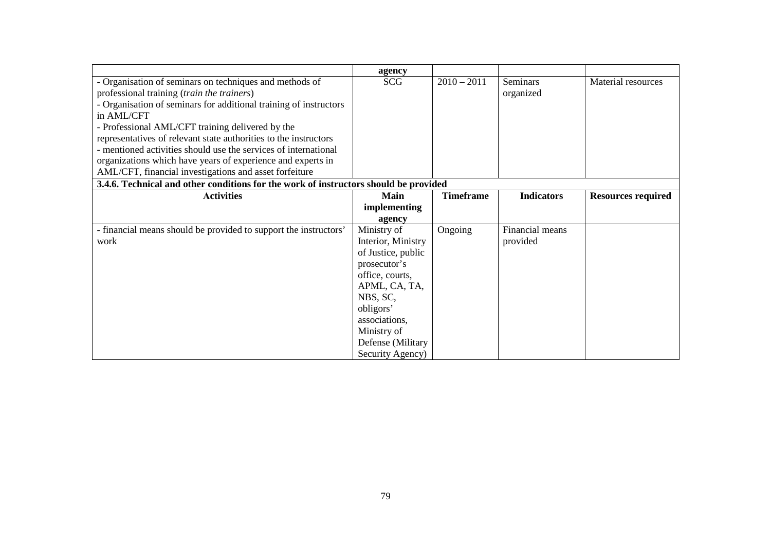|                                                                                      | agency             |                  |                   |                           |
|--------------------------------------------------------------------------------------|--------------------|------------------|-------------------|---------------------------|
| - Organisation of seminars on techniques and methods of                              | <b>SCG</b>         | $2010 - 2011$    | <b>Seminars</b>   | Material resources        |
| professional training (train the trainers)                                           |                    |                  | organized         |                           |
| - Organisation of seminars for additional training of instructors                    |                    |                  |                   |                           |
| in AML/CFT                                                                           |                    |                  |                   |                           |
| - Professional AML/CFT training delivered by the                                     |                    |                  |                   |                           |
| representatives of relevant state authorities to the instructors                     |                    |                  |                   |                           |
| - mentioned activities should use the services of international                      |                    |                  |                   |                           |
| organizations which have years of experience and experts in                          |                    |                  |                   |                           |
| AML/CFT, financial investigations and asset forfeiture                               |                    |                  |                   |                           |
| 3.4.6. Technical and other conditions for the work of instructors should be provided |                    |                  |                   |                           |
| <b>Activities</b>                                                                    | Main               | <b>Timeframe</b> | <b>Indicators</b> | <b>Resources required</b> |
|                                                                                      | implementing       |                  |                   |                           |
|                                                                                      | agency             |                  |                   |                           |
| - financial means should be provided to support the instructors'                     | Ministry of        | Ongoing          | Financial means   |                           |
| work                                                                                 | Interior, Ministry |                  | provided          |                           |
|                                                                                      | of Justice, public |                  |                   |                           |
|                                                                                      | prosecutor's       |                  |                   |                           |
|                                                                                      | office, courts,    |                  |                   |                           |
|                                                                                      | APML, CA, TA,      |                  |                   |                           |
|                                                                                      | NBS, SC,           |                  |                   |                           |
|                                                                                      | obligors'          |                  |                   |                           |
|                                                                                      | associations,      |                  |                   |                           |
|                                                                                      | Ministry of        |                  |                   |                           |
|                                                                                      | Defense (Military  |                  |                   |                           |
|                                                                                      | Security Agency)   |                  |                   |                           |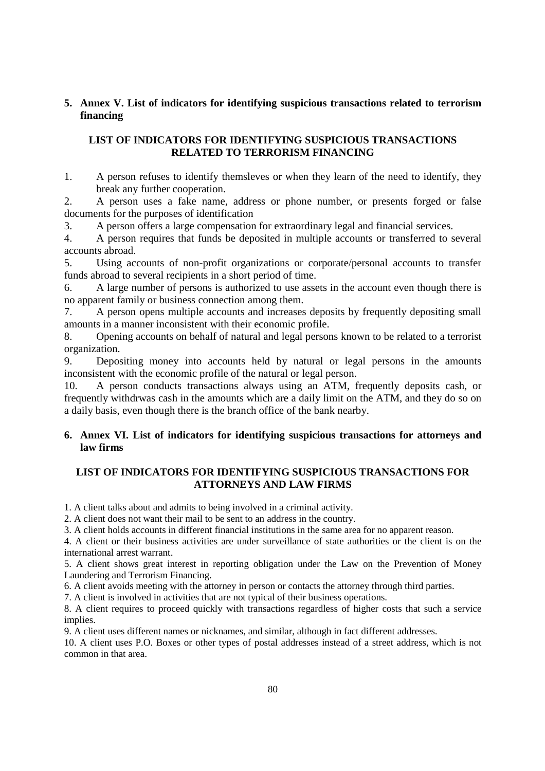# **5. Annex V. List of indicators for identifying suspicious transactions related to terrorism financing**

# **LIST OF INDICATORS FOR IDENTIFYING SUSPICIOUS TRANSACTIONS RELATED TO TERRORISM FINANCING**

1. A person refuses to identify themsleves or when they learn of the need to identify, they break any further cooperation.

2. A person uses a fake name, address or phone number, or presents forged or false documents for the purposes of identification

3. A person offers a large compensation for extraordinary legal and financial services.

4. A person requires that funds be deposited in multiple accounts or transferred to several accounts abroad.

5. Using accounts of non-profit organizations or corporate/personal accounts to transfer funds abroad to several recipients in a short period of time.

6. A large number of persons is authorized to use assets in the account even though there is no apparent family or business connection among them.

7. A person opens multiple accounts and increases deposits by frequently depositing small amounts in a manner inconsistent with their economic profile.

8. Opening accounts on behalf of natural and legal persons known to be related to a terrorist organization.

9. Depositing money into accounts held by natural or legal persons in the amounts inconsistent with the economic profile of the natural or legal person.

10. A person conducts transactions always using an ATM, frequently deposits cash, or frequently withdrwas cash in the amounts which are a daily limit on the ATM, and they do so on a daily basis, even though there is the branch office of the bank nearby.

# **6. Annex VI. List of indicators for identifying suspicious transactions for attorneys and law firms**

# **LIST OF INDICATORS FOR IDENTIFYING SUSPICIOUS TRANSACTIONS FOR ATTORNEYS AND LAW FIRMS**

1. A client talks about and admits to being involved in a criminal activity.

2. A client does not want their mail to be sent to an address in the country.

3. A client holds accounts in different financial institutions in the same area for no apparent reason.

4. A client or their business activities are under surveillance of state authorities or the client is on the international arrest warrant.

5. A client shows great interest in reporting obligation under the Law on the Prevention of Money Laundering and Terrorism Financing.

6. A client avoids meeting with the attorney in person or contacts the attorney through third parties.

7. A client is involved in activities that are not typical of their business operations.

8. A client requires to proceed quickly with transactions regardless of higher costs that such a service implies.

9. A client uses different names or nicknames, and similar, although in fact different addresses.

10. A client uses P.O. Boxes or other types of postal addresses instead of a street address, which is not common in that area.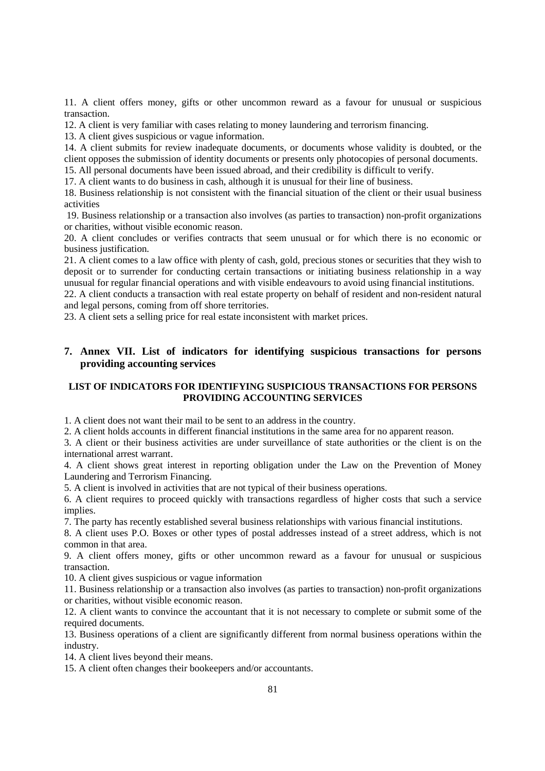11. A client offers money, gifts or other uncommon reward as a favour for unusual or suspicious transaction.

12. A client is very familiar with cases relating to money laundering and terrorism financing.

13. A client gives suspicious or vague information.

14. A client submits for review inadequate documents, or documents whose validity is doubted, or the client opposes the submission of identity documents or presents only photocopies of personal documents.

15. All personal documents have been issued abroad, and their credibility is difficult to verify.

17. A client wants to do business in cash, although it is unusual for their line of business.

18. Business relationship is not consistent with the financial situation of the client or their usual business activities

 19. Business relationship or a transaction also involves (as parties to transaction) non-profit organizations or charities, without visible economic reason.

20. A client concludes or verifies contracts that seem unusual or for which there is no economic or business justification.

21. A client comes to a law office with plenty of cash, gold, precious stones or securities that they wish to deposit or to surrender for conducting certain transactions or initiating business relationship in a way unusual for regular financial operations and with visible endeavours to avoid using financial institutions.

22. A client conducts a transaction with real estate property on behalf of resident and non-resident natural and legal persons, coming from off shore territories.

23. A client sets a selling price for real estate inconsistent with market prices.

# **7. Annex VII. List of indicators for identifying suspicious transactions for persons providing accounting services**

# **LIST OF INDICATORS FOR IDENTIFYING SUSPICIOUS TRANSACTIONS FOR PERSONS PROVIDING ACCOUNTING SERVICES**

1. A client does not want their mail to be sent to an address in the country.

2. A client holds accounts in different financial institutions in the same area for no apparent reason.

3. A client or their business activities are under surveillance of state authorities or the client is on the international arrest warrant.

4. A client shows great interest in reporting obligation under the Law on the Prevention of Money Laundering and Terrorism Financing.

5. A client is involved in activities that are not typical of their business operations.

6. A client requires to proceed quickly with transactions regardless of higher costs that such a service implies.

7. The party has recently established several business relationships with various financial institutions.

8. A client uses P.O. Boxes or other types of postal addresses instead of a street address, which is not common in that area.

9. A client offers money, gifts or other uncommon reward as a favour for unusual or suspicious transaction.

10. A client gives suspicious or vague information

11. Business relationship or a transaction also involves (as parties to transaction) non-profit organizations or charities, without visible economic reason.

12. A client wants to convince the accountant that it is not necessary to complete or submit some of the required documents.

13. Business operations of a client are significantly different from normal business operations within the industry.

14. A client lives beyond their means.

15. A client often changes their bookeepers and/or accountants.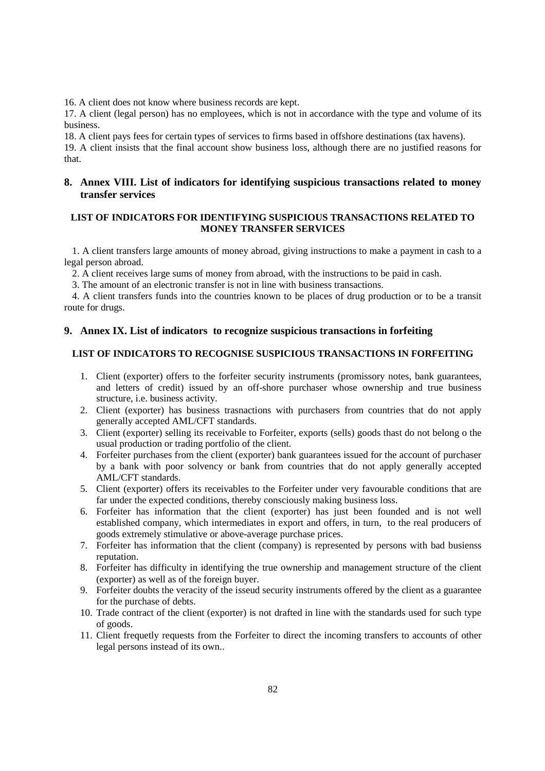16. A client does not know where business records are kept.

17. A client (legal person) has no employees, which is not in accordance with the type and volume of its business.

18. A client pays fees for certain types of services to firms based in offshore destinations (tax havens).

19. A client insists that the final account show business loss, although there are no justified reasons for that.

# **8. Annex VIII. List of indicators for identifying suspicious transactions related to money transfer services**

# **LIST OF INDICATORS FOR IDENTIFYING SUSPICIOUS TRANSACTIONS RELATED TO MONEY TRANSFER SERVICES**

1. A client transfers large amounts of money abroad, giving instructions to make a payment in cash to a legal person abroad.

2. A client receives large sums of money from abroad, with the instructions to be paid in cash.

3. The amount of an electronic transfer is not in line with business transactions.

4. A client transfers funds into the countries known to be places of drug production or to be a transit route for drugs.

## **9. Annex IX. List of indicators to recognize suspicious transactions in forfeiting**

# **LIST OF INDICATORS TO RECOGNISE SUSPICIOUS TRANSACTIONS IN FORFEITING**

- 1. Client (exporter) offers to the forfeiter security instruments (promissory notes, bank guarantees, and letters of credit) issued by an off-shore purchaser whose ownership and true business structure, i.e. business activity.
- 2. Client (exporter) has business trasnactions with purchasers from countries that do not apply generally accepted AML/CFT standards.
- 3. Client (exporter) selling its receivable to Forfeiter, exports (sells) goods thast do not belong o the usual production or trading portfolio of the client.
- 4. Forfeiter purchases from the client (exporter) bank guarantees issued for the account of purchaser by a bank with poor solvency or bank from countries that do not apply generally accepted AML/CFT standards.
- 5. Client (exporter) offers its receivables to the Forfeiter under very favourable conditions that are far under the expected conditions, thereby consciously making business loss.
- 6. Forfeiter has information that the client (exporter) has just been founded and is not well established company, which intermediates in export and offers, in turn, to the real producers of goods extremely stimulative or above-average purchase prices.
- 7. Forfeiter has information that the client (company) is represented by persons with bad busienss reputation.
- 8. Forfeiter has difficulty in identifying the true ownership and management structure of the client (exporter) as well as of the foreign buyer.
- 9. Forfeiter doubts the veracity of the isseud security instruments offered by the client as a guarantee for the purchase of debts.
- 10. Trade contract of the client (exporter) is not drafted in line with the standards used for such type of goods.
- 11. Client frequetly requests from the Forfeiter to direct the incoming transfers to accounts of other legal persons instead of its own..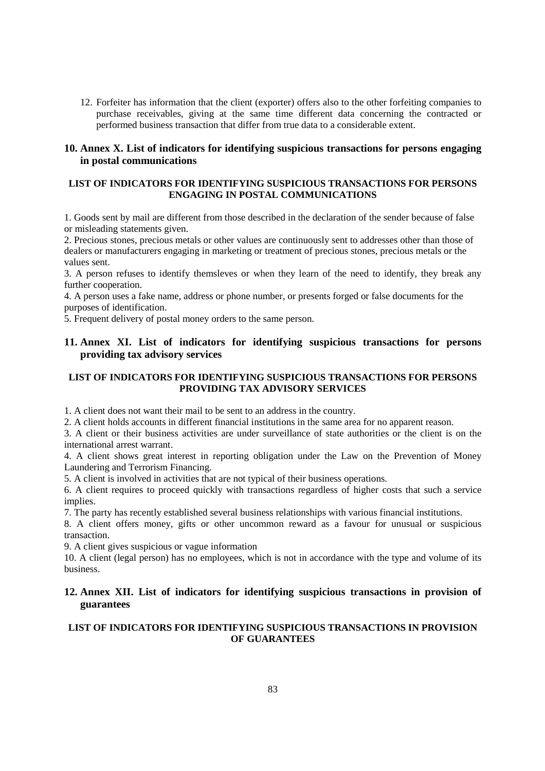12. Forfeiter has information that the client (exporter) offers also to the other forfeiting companies to purchase receivables, giving at the same time different data concerning the contracted or performed business transaction that differ from true data to a considerable extent.

# **10. Annex X. List of indicators for identifying suspicious transactions for persons engaging in postal communications**

# **LIST OF INDICATORS FOR IDENTIFYING SUSPICIOUS TRANSACTIONS FOR PERSONS ENGAGING IN POSTAL COMMUNICATIONS**

1. Goods sent by mail are different from those described in the declaration of the sender because of false or misleading statements given.

2. Precious stones, precious metals or other values are continuously sent to addresses other than those of dealers or manufacturers engaging in marketing or treatment of precious stones, precious metals or the values sent.

3. A person refuses to identify themsleves or when they learn of the need to identify, they break any further cooperation.

4. A person uses a fake name, address or phone number, or presents forged or false documents for the purposes of identification.

5. Frequent delivery of postal money orders to the same person.

# **11. Annex XI. List of indicators for identifying suspicious transactions for persons providing tax advisory services**

# **LIST OF INDICATORS FOR IDENTIFYING SUSPICIOUS TRANSACTIONS FOR PERSONS PROVIDING TAX ADVISORY SERVICES**

1. A client does not want their mail to be sent to an address in the country.

2. A client holds accounts in different financial institutions in the same area for no apparent reason.

3. A client or their business activities are under surveillance of state authorities or the client is on the international arrest warrant.

4. A client shows great interest in reporting obligation under the Law on the Prevention of Money Laundering and Terrorism Financing.

5. A client is involved in activities that are not typical of their business operations.

6. A client requires to proceed quickly with transactions regardless of higher costs that such a service implies.

7. The party has recently established several business relationships with various financial institutions.

8. A client offers money, gifts or other uncommon reward as a favour for unusual or suspicious transaction.

9. A client gives suspicious or vague information

10. A client (legal person) has no employees, which is not in accordance with the type and volume of its business.

# **12. Annex XII. List of indicators for identifying suspicious transactions in provision of guarantees**

# **LIST OF INDICATORS FOR IDENTIFYING SUSPICIOUS TRANSACTIONS IN PROVISION OF GUARANTEES**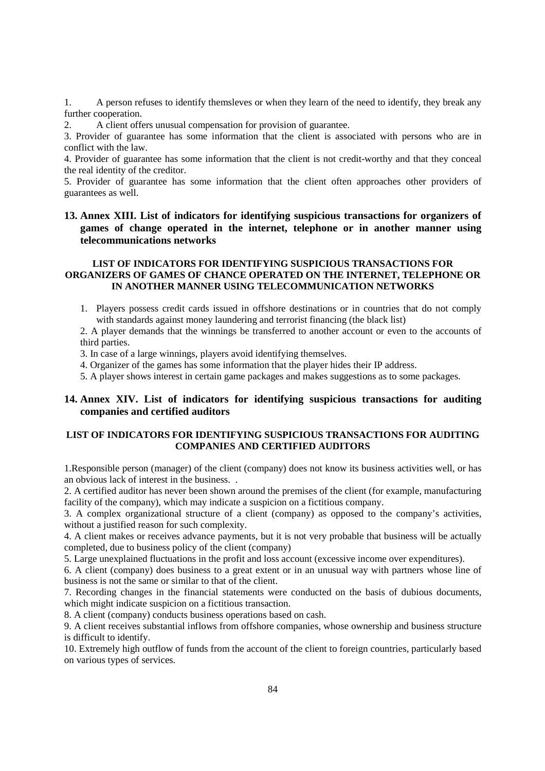1. A person refuses to identify themsleves or when they learn of the need to identify, they break any further cooperation.

2. A client offers unusual compensation for provision of guarantee.

3. Provider of guarantee has some information that the client is associated with persons who are in conflict with the law.

4. Provider of guarantee has some information that the client is not credit-worthy and that they conceal the real identity of the creditor.

5. Provider of guarantee has some information that the client often approaches other providers of guarantees as well.

# **13. Annex XIII. List of indicators for identifying suspicious transactions for organizers of games of change operated in the internet, telephone or in another manner using telecommunications networks**

# **LIST OF INDICATORS FOR IDENTIFYING SUSPICIOUS TRANSACTIONS FOR ORGANIZERS OF GAMES OF CHANCE OPERATED ON THE INTERNET, TELEPHONE OR IN ANOTHER MANNER USING TELECOMMUNICATION NETWORKS**

1. Players possess credit cards issued in offshore destinations or in countries that do not comply with standards against money laundering and terrorist financing (the black list)

2. A player demands that the winnings be transferred to another account or even to the accounts of third parties.

3. In case of a large winnings, players avoid identifying themselves.

4. Organizer of the games has some information that the player hides their IP address.

5. A player shows interest in certain game packages and makes suggestions as to some packages.

# **14. Annex XIV. List of indicators for identifying suspicious transactions for auditing companies and certified auditors**

## **LIST OF INDICATORS FOR IDENTIFYING SUSPICIOUS TRANSACTIONS FOR AUDITING COMPANIES AND CERTIFIED AUDITORS**

1.Responsible person (manager) of the client (company) does not know its business activities well, or has an obvious lack of interest in the business. .

2. A certified auditor has never been shown around the premises of the client (for example, manufacturing facility of the company), which may indicate a suspicion on a fictitious company.

3. A complex organizational structure of a client (company) as opposed to the company's activities, without a justified reason for such complexity.

4. A client makes or receives advance payments, but it is not very probable that business will be actually completed, due to business policy of the client (company)

5. Large unexplained fluctuations in the profit and loss account (excessive income over expenditures).

6. A client (company) does business to a great extent or in an unusual way with partners whose line of business is not the same or similar to that of the client.

7. Recording changes in the financial statements were conducted on the basis of dubious documents, which might indicate suspicion on a fictitious transaction.

8. A client (company) conducts business operations based on cash.

9. A client receives substantial inflows from offshore companies, whose ownership and business structure is difficult to identify.

10. Extremely high outflow of funds from the account of the client to foreign countries, particularly based on various types of services.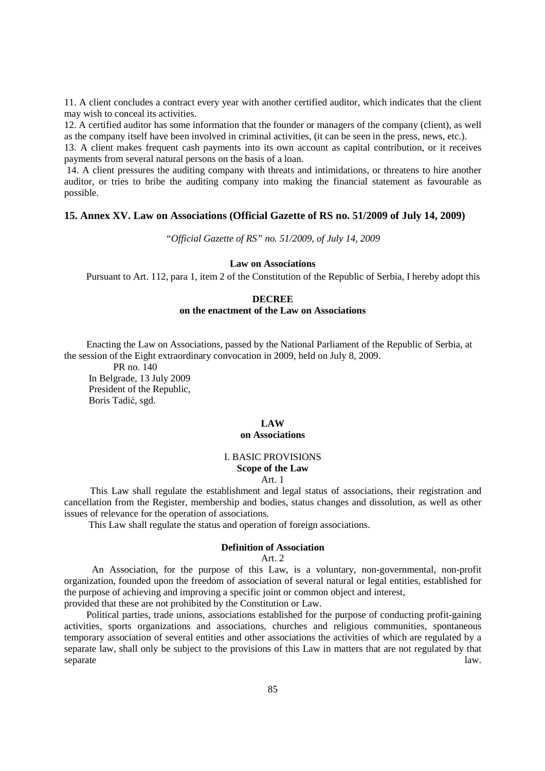11. A client concludes a contract every year with another certified auditor, which indicates that the client may wish to conceal its activities.

12. A certified auditor has some information that the founder or managers of the company (client), as well as the company itself have been involved in criminal activities, (it can be seen in the press, news, etc.).

13. A client makes frequent cash payments into its own account as capital contribution, or it receives payments from several natural persons on the basis of a loan.

 14. A client pressures the auditing company with threats and intimidations, or threatens to hire another auditor, or tries to bribe the auditing company into making the financial statement as favourable as possible.

## **15. Annex XV. Law on Associations (Official Gazette of RS no. 51/2009 of July 14, 2009)**

*"Official Gazette of RS" no. 51/2009, of July 14, 2009* 

## **Law on Associations**

Pursuant to Art. 112, para 1, item 2 of the Constitution of the Republic of Serbia, I hereby adopt this

## **DECREE**

## **on the enactment of the Law on Associations**

 Enacting the Law on Associations, passed by the National Parliament of the Republic of Serbia, at the session of the Eight extraordinary convocation in 2009, held on July 8, 2009.

 PR no. 140 In Belgrade, 13 July 2009 President of the Republic, Boris Tadić, sgd.

## **LAW**

## **on Associations**

## I. BASIC PROVISIONS **Scope of the Law**

### Art. 1

 This Law shall regulate the establishment and legal status of associations, their registration and cancellation from the Register, membership and bodies, status changes and dissolution, as well as other issues of relevance for the operation of associations.

This Law shall regulate the status and operation of foreign associations.

# **Definition of Association**

## Art $2$

 An Association, for the purpose of this Law, is a voluntary, non-governmental, non-profit organization, founded upon the freedom of association of several natural or legal entities, established for the purpose of achieving and improving a specific joint or common object and interest, provided that these are not prohibited by the Constitution or Law.

 Political parties, trade unions, associations established for the purpose of conducting profit-gaining activities, sports organizations and associations, churches and religious communities, spontaneous temporary association of several entities and other associations the activities of which are regulated by a separate law, shall only be subject to the provisions of this Law in matters that are not regulated by that separate law.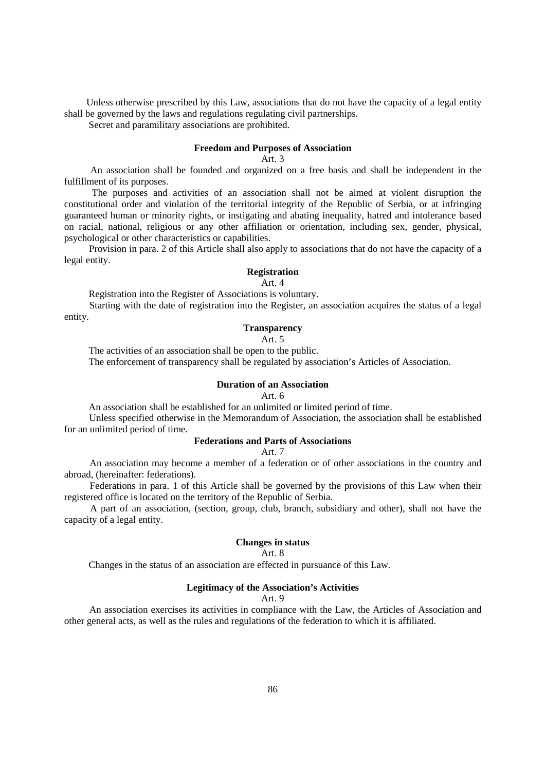Unless otherwise prescribed by this Law, associations that do not have the capacity of a legal entity shall be governed by the laws and regulations regulating civil partnerships.

Secret and paramilitary associations are prohibited.

# **Freedom and Purposes of Association**

Art. 3

 An association shall be founded and organized on a free basis and shall be independent in the fulfillment of its purposes.

 The purposes and activities of an association shall not be aimed at violent disruption the constitutional order and violation of the territorial integrity of the Republic of Serbia, or at infringing guaranteed human or minority rights, or instigating and abating inequality, hatred and intolerance based on racial, national, religious or any other affiliation or orientation, including sex, gender, physical, psychological or other characteristics or capabilities.

 Provision in para. 2 of this Article shall also apply to associations that do not have the capacity of a legal entity.

## **Registration**

Art. 4

Registration into the Register of Associations is voluntary.

 Starting with the date of registration into the Register, an association acquires the status of a legal entity.

# **Transparency**

# Art. 5

The activities of an association shall be open to the public.

The enforcement of transparency shall be regulated by association's Articles of Association.

# **Duration of an Association**

Art. 6

An association shall be established for an unlimited or limited period of time.

 Unless specified otherwise in the Memorandum of Association, the association shall be established for an unlimited period of time.

# **Federations and Parts of Associations**

Art. 7

 An association may become a member of a federation or of other associations in the country and abroad, (hereinafter: federations).

 Federations in para. 1 of this Article shall be governed by the provisions of this Law when their registered office is located on the territory of the Republic of Serbia.

 A part of an association, (section, group, club, branch, subsidiary and other), shall not have the capacity of a legal entity.

## **Changes in status**

Art. 8

Changes in the status of an association are effected in pursuance of this Law.

## **Legitimacy of the Association's Activities**

Art. 9

 An association exercises its activities in compliance with the Law, the Articles of Association and other general acts, as well as the rules and regulations of the federation to which it is affiliated.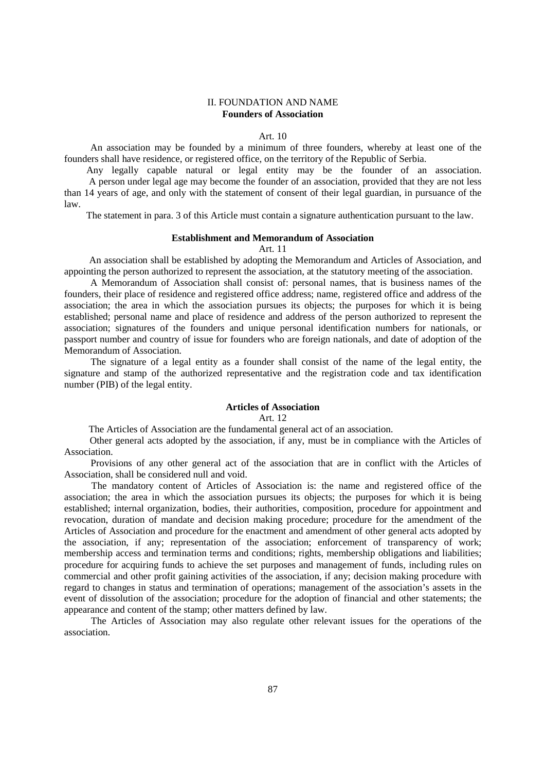## II. FOUNDATION AND NAME **Founders of Association**

## Art. 10

 An association may be founded by a minimum of three founders, whereby at least one of the founders shall have residence, or registered office, on the territory of the Republic of Serbia.

 Any legally capable natural or legal entity may be the founder of an association. A person under legal age may become the founder of an association, provided that they are not less than 14 years of age, and only with the statement of consent of their legal guardian, in pursuance of the law.

The statement in para. 3 of this Article must contain a signature authentication pursuant to the law.

### **Establishment and Memorandum of Association**

Art. 11

 An association shall be established by adopting the Memorandum and Articles of Association, and appointing the person authorized to represent the association, at the statutory meeting of the association.

 A Memorandum of Association shall consist of: personal names, that is business names of the founders, their place of residence and registered office address; name, registered office and address of the association; the area in which the association pursues its objects; the purposes for which it is being established; personal name and place of residence and address of the person authorized to represent the association; signatures of the founders and unique personal identification numbers for nationals, or passport number and country of issue for founders who are foreign nationals, and date of adoption of the Memorandum of Association.

 The signature of a legal entity as a founder shall consist of the name of the legal entity, the signature and stamp of the authorized representative and the registration code and tax identification number (PIB) of the legal entity.

## **Articles of Association**

## Art. 12

The Articles of Association are the fundamental general act of an association.

 Other general acts adopted by the association, if any, must be in compliance with the Articles of Association.

 Provisions of any other general act of the association that are in conflict with the Articles of Association, shall be considered null and void.

 The mandatory content of Articles of Association is: the name and registered office of the association; the area in which the association pursues its objects; the purposes for which it is being established; internal organization, bodies, their authorities, composition, procedure for appointment and revocation, duration of mandate and decision making procedure; procedure for the amendment of the Articles of Association and procedure for the enactment and amendment of other general acts adopted by the association, if any; representation of the association; enforcement of transparency of work; membership access and termination terms and conditions; rights, membership obligations and liabilities; procedure for acquiring funds to achieve the set purposes and management of funds, including rules on commercial and other profit gaining activities of the association, if any; decision making procedure with regard to changes in status and termination of operations; management of the association's assets in the event of dissolution of the association; procedure for the adoption of financial and other statements; the appearance and content of the stamp; other matters defined by law.

 The Articles of Association may also regulate other relevant issues for the operations of the association.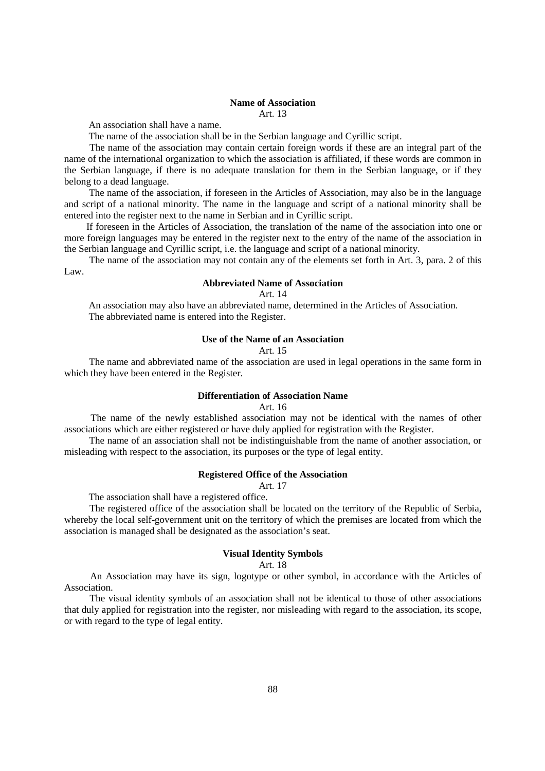# **Name of Association**

Art. 13

An association shall have a name.

The name of the association shall be in the Serbian language and Cyrillic script.

 The name of the association may contain certain foreign words if these are an integral part of the name of the international organization to which the association is affiliated, if these words are common in the Serbian language, if there is no adequate translation for them in the Serbian language, or if they belong to a dead language.

 The name of the association, if foreseen in the Articles of Association, may also be in the language and script of a national minority. The name in the language and script of a national minority shall be entered into the register next to the name in Serbian and in Cyrillic script.

 If foreseen in the Articles of Association, the translation of the name of the association into one or more foreign languages may be entered in the register next to the entry of the name of the association in the Serbian language and Cyrillic script, i.e. the language and script of a national minority.

 The name of the association may not contain any of the elements set forth in Art. 3, para. 2 of this Law.

## **Abbreviated Name of Association**

Art. 14

 An association may also have an abbreviated name, determined in the Articles of Association. The abbreviated name is entered into the Register.

## **Use of the Name of an Association**

## Art. 15

 The name and abbreviated name of the association are used in legal operations in the same form in which they have been entered in the Register.

## **Differentiation of Association Name**

## Art. 16

 The name of the newly established association may not be identical with the names of other associations which are either registered or have duly applied for registration with the Register.

 The name of an association shall not be indistinguishable from the name of another association, or misleading with respect to the association, its purposes or the type of legal entity.

## **Registered Office of the Association**

Art. 17

The association shall have a registered office.

 The registered office of the association shall be located on the territory of the Republic of Serbia, whereby the local self-government unit on the territory of which the premises are located from which the association is managed shall be designated as the association's seat.

## **Visual Identity Symbols**

Art. 18

 An Association may have its sign, logotype or other symbol, in accordance with the Articles of Association.

 The visual identity symbols of an association shall not be identical to those of other associations that duly applied for registration into the register, nor misleading with regard to the association, its scope, or with regard to the type of legal entity.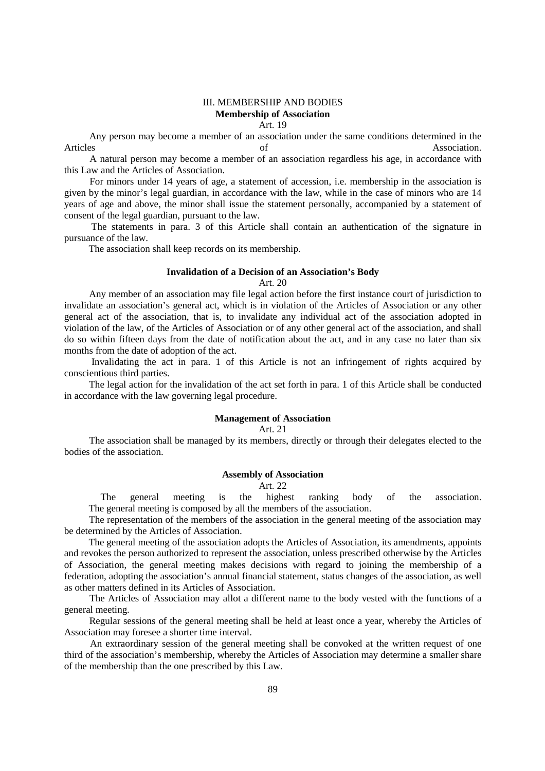## III. MEMBERSHIP AND BODIES **Membership of Association** Art. 19

 Any person may become a member of an association under the same conditions determined in the Articles of Association.

 A natural person may become a member of an association regardless his age, in accordance with this Law and the Articles of Association.

 For minors under 14 years of age, a statement of accession, i.e. membership in the association is given by the minor's legal guardian, in accordance with the law, while in the case of minors who are 14 years of age and above, the minor shall issue the statement personally, accompanied by a statement of consent of the legal guardian, pursuant to the law.

 The statements in para. 3 of this Article shall contain an authentication of the signature in pursuance of the law.

The association shall keep records on its membership.

#### **Invalidation of a Decision of an Association's Body**

Art. 20

 Any member of an association may file legal action before the first instance court of jurisdiction to invalidate an association's general act, which is in violation of the Articles of Association or any other general act of the association, that is, to invalidate any individual act of the association adopted in violation of the law, of the Articles of Association or of any other general act of the association, and shall do so within fifteen days from the date of notification about the act, and in any case no later than six months from the date of adoption of the act.

 Invalidating the act in para. 1 of this Article is not an infringement of rights acquired by conscientious third parties.

 The legal action for the invalidation of the act set forth in para. 1 of this Article shall be conducted in accordance with the law governing legal procedure.

# **Management of Association**

Art. 21

 The association shall be managed by its members, directly or through their delegates elected to the bodies of the association.

## **Assembly of Association**

Art. 22

 The general meeting is the highest ranking body of the association. The general meeting is composed by all the members of the association.

 The representation of the members of the association in the general meeting of the association may be determined by the Articles of Association.

 The general meeting of the association adopts the Articles of Association, its amendments, appoints and revokes the person authorized to represent the association, unless prescribed otherwise by the Articles of Association, the general meeting makes decisions with regard to joining the membership of a federation, adopting the association's annual financial statement, status changes of the association, as well as other matters defined in its Articles of Association.

 The Articles of Association may allot a different name to the body vested with the functions of a general meeting.

 Regular sessions of the general meeting shall be held at least once a year, whereby the Articles of Association may foresee a shorter time interval.

 An extraordinary session of the general meeting shall be convoked at the written request of one third of the association's membership, whereby the Articles of Association may determine a smaller share of the membership than the one prescribed by this Law.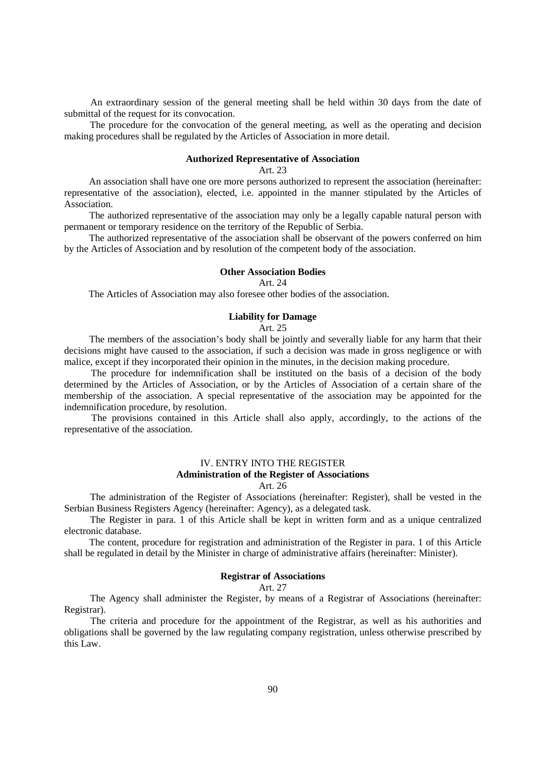An extraordinary session of the general meeting shall be held within 30 days from the date of submittal of the request for its convocation.

 The procedure for the convocation of the general meeting, as well as the operating and decision making procedures shall be regulated by the Articles of Association in more detail.

#### **Authorized Representative of Association**

Art. 23

 An association shall have one ore more persons authorized to represent the association (hereinafter: representative of the association), elected, i.e. appointed in the manner stipulated by the Articles of Association.

 The authorized representative of the association may only be a legally capable natural person with permanent or temporary residence on the territory of the Republic of Serbia.

 The authorized representative of the association shall be observant of the powers conferred on him by the Articles of Association and by resolution of the competent body of the association.

#### **Other Association Bodies**

Art. 24

The Articles of Association may also foresee other bodies of the association.

## **Liability for Damage**

## Art. 25

 The members of the association's body shall be jointly and severally liable for any harm that their decisions might have caused to the association, if such a decision was made in gross negligence or with malice, except if they incorporated their opinion in the minutes, in the decision making procedure.

 The procedure for indemnification shall be instituted on the basis of a decision of the body determined by the Articles of Association, or by the Articles of Association of a certain share of the membership of the association. A special representative of the association may be appointed for the indemnification procedure, by resolution.

 The provisions contained in this Article shall also apply, accordingly, to the actions of the representative of the association.

# IV. ENTRY INTO THE REGISTER **Administration of the Register of Associations**

# Art. 26

 The administration of the Register of Associations (hereinafter: Register), shall be vested in the Serbian Business Registers Agency (hereinafter: Agency), as a delegated task.

 The Register in para. 1 of this Article shall be kept in written form and as a unique centralized electronic database.

 The content, procedure for registration and administration of the Register in para. 1 of this Article shall be regulated in detail by the Minister in charge of administrative affairs (hereinafter: Minister).

## **Registrar of Associations**

Art. 27

 The Agency shall administer the Register, by means of a Registrar of Associations (hereinafter: Registrar).

 The criteria and procedure for the appointment of the Registrar, as well as his authorities and obligations shall be governed by the law regulating company registration, unless otherwise prescribed by this Law.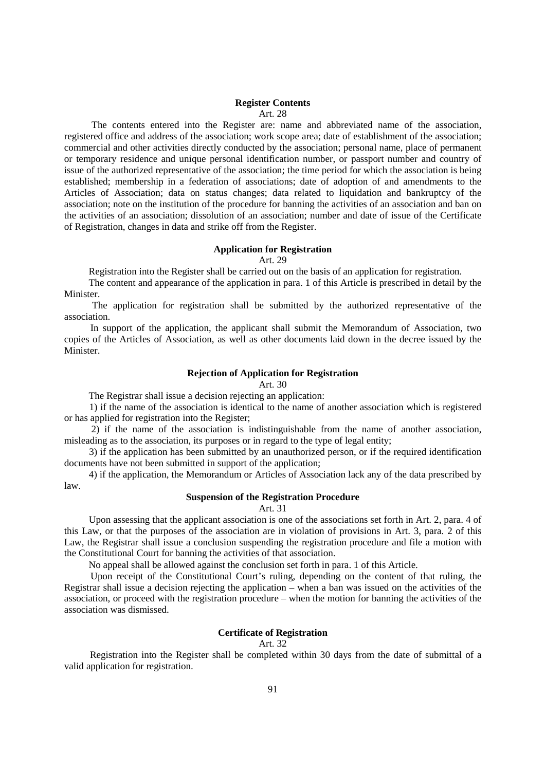### **Register Contents**

Art. 28

 The contents entered into the Register are: name and abbreviated name of the association, registered office and address of the association; work scope area; date of establishment of the association; commercial and other activities directly conducted by the association; personal name, place of permanent or temporary residence and unique personal identification number, or passport number and country of issue of the authorized representative of the association; the time period for which the association is being established; membership in a federation of associations; date of adoption of and amendments to the Articles of Association; data on status changes; data related to liquidation and bankruptcy of the association; note on the institution of the procedure for banning the activities of an association and ban on the activities of an association; dissolution of an association; number and date of issue of the Certificate of Registration, changes in data and strike off from the Register.

## **Application for Registration**

Art. 29

Registration into the Register shall be carried out on the basis of an application for registration.

 The content and appearance of the application in para. 1 of this Article is prescribed in detail by the Minister.

 The application for registration shall be submitted by the authorized representative of the association.

 In support of the application, the applicant shall submit the Memorandum of Association, two copies of the Articles of Association, as well as other documents laid down in the decree issued by the **Minister** 

## **Rejection of Application for Registration**

Art. 30

The Registrar shall issue a decision rejecting an application:

 1) if the name of the association is identical to the name of another association which is registered or has applied for registration into the Register;

 2) if the name of the association is indistinguishable from the name of another association, misleading as to the association, its purposes or in regard to the type of legal entity;

 3) if the application has been submitted by an unauthorized person, or if the required identification documents have not been submitted in support of the application;

 4) if the application, the Memorandum or Articles of Association lack any of the data prescribed by law.

## **Suspension of the Registration Procedure**

Art. 31

 Upon assessing that the applicant association is one of the associations set forth in Art. 2, para. 4 of this Law, or that the purposes of the association are in violation of provisions in Art. 3, para. 2 of this Law, the Registrar shall issue a conclusion suspending the registration procedure and file a motion with the Constitutional Court for banning the activities of that association.

No appeal shall be allowed against the conclusion set forth in para. 1 of this Article.

 Upon receipt of the Constitutional Court's ruling, depending on the content of that ruling, the Registrar shall issue a decision rejecting the application – when a ban was issued on the activities of the association, or proceed with the registration procedure – when the motion for banning the activities of the association was dismissed.

## **Certificate of Registration**

Art. 32

 Registration into the Register shall be completed within 30 days from the date of submittal of a valid application for registration.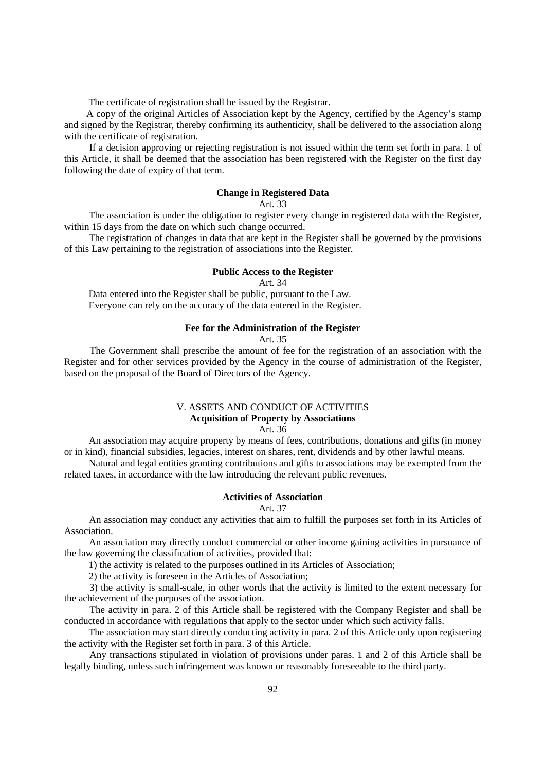The certificate of registration shall be issued by the Registrar.

 A copy of the original Articles of Association kept by the Agency, certified by the Agency's stamp and signed by the Registrar, thereby confirming its authenticity, shall be delivered to the association along with the certificate of registration.

 If a decision approving or rejecting registration is not issued within the term set forth in para. 1 of this Article, it shall be deemed that the association has been registered with the Register on the first day following the date of expiry of that term.

# **Change in Registered Data**

## Art. 33

 The association is under the obligation to register every change in registered data with the Register, within 15 days from the date on which such change occurred.

 The registration of changes in data that are kept in the Register shall be governed by the provisions of this Law pertaining to the registration of associations into the Register.

#### **Public Access to the Register**

Art. 34

 Data entered into the Register shall be public, pursuant to the Law. Everyone can rely on the accuracy of the data entered in the Register.

### **Fee for the Administration of the Register**

## Art. 35

 The Government shall prescribe the amount of fee for the registration of an association with the Register and for other services provided by the Agency in the course of administration of the Register, based on the proposal of the Board of Directors of the Agency.

# V. ASSETS AND CONDUCT OF ACTIVITIES **Acquisition of Property by Associations**

# Art. 36

 An association may acquire property by means of fees, contributions, donations and gifts (in money or in kind), financial subsidies, legacies, interest on shares, rent, dividends and by other lawful means.

 Natural and legal entities granting contributions and gifts to associations may be exempted from the related taxes, in accordance with the law introducing the relevant public revenues.

## **Activities of Association**

Art. 37

 An association may conduct any activities that aim to fulfill the purposes set forth in its Articles of Association.

 An association may directly conduct commercial or other income gaining activities in pursuance of the law governing the classification of activities, provided that:

1) the activity is related to the purposes outlined in its Articles of Association;

2) the activity is foreseen in the Articles of Association;

 3) the activity is small-scale, in other words that the activity is limited to the extent necessary for the achievement of the purposes of the association.

 The activity in para. 2 of this Article shall be registered with the Company Register and shall be conducted in accordance with regulations that apply to the sector under which such activity falls.

 The association may start directly conducting activity in para. 2 of this Article only upon registering the activity with the Register set forth in para. 3 of this Article.

 Any transactions stipulated in violation of provisions under paras. 1 and 2 of this Article shall be legally binding, unless such infringement was known or reasonably foreseeable to the third party.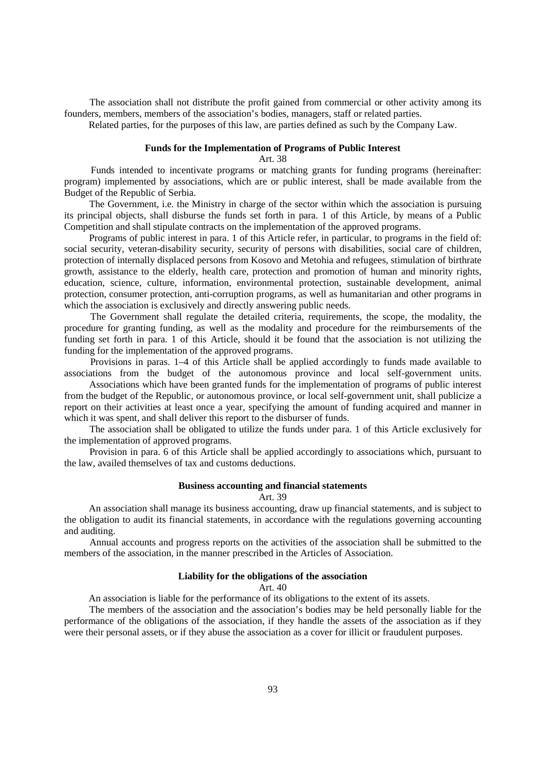The association shall not distribute the profit gained from commercial or other activity among its founders, members, members of the association's bodies, managers, staff or related parties.

Related parties, for the purposes of this law, are parties defined as such by the Company Law.

## **Funds for the Implementation of Programs of Public Interest**

Art. 38

 Funds intended to incentivate programs or matching grants for funding programs (hereinafter: program) implemented by associations, which are or public interest, shall be made available from the Budget of the Republic of Serbia.

 The Government, i.e. the Ministry in charge of the sector within which the association is pursuing its principal objects, shall disburse the funds set forth in para. 1 of this Article, by means of a Public Competition and shall stipulate contracts on the implementation of the approved programs.

 Programs of public interest in para. 1 of this Article refer, in particular, to programs in the field of: social security, veteran-disability security, security of persons with disabilities, social care of children, protection of internally displaced persons from Kosovo and Metohia and refugees, stimulation of birthrate growth, assistance to the elderly, health care, protection and promotion of human and minority rights, education, science, culture, information, environmental protection, sustainable development, animal protection, consumer protection, anti-corruption programs, as well as humanitarian and other programs in which the association is exclusively and directly answering public needs.

 The Government shall regulate the detailed criteria, requirements, the scope, the modality, the procedure for granting funding, as well as the modality and procedure for the reimbursements of the funding set forth in para. 1 of this Article, should it be found that the association is not utilizing the funding for the implementation of the approved programs.

 Provisions in paras. 1–4 of this Article shall be applied accordingly to funds made available to associations from the budget of the autonomous province and local self-government units.

 Associations which have been granted funds for the implementation of programs of public interest from the budget of the Republic, or autonomous province, or local self-government unit, shall publicize a report on their activities at least once a year, specifying the amount of funding acquired and manner in which it was spent, and shall deliver this report to the disburser of funds.

 The association shall be obligated to utilize the funds under para. 1 of this Article exclusively for the implementation of approved programs.

 Provision in para. 6 of this Article shall be applied accordingly to associations which, pursuant to the law, availed themselves of tax and customs deductions.

# **Business accounting and financial statements**

Art. 39

 An association shall manage its business accounting, draw up financial statements, and is subject to the obligation to audit its financial statements, in accordance with the regulations governing accounting and auditing.

 Annual accounts and progress reports on the activities of the association shall be submitted to the members of the association, in the manner prescribed in the Articles of Association.

## **Liability for the obligations of the association**

Art. 40

An association is liable for the performance of its obligations to the extent of its assets.

 The members of the association and the association's bodies may be held personally liable for the performance of the obligations of the association, if they handle the assets of the association as if they were their personal assets, or if they abuse the association as a cover for illicit or fraudulent purposes.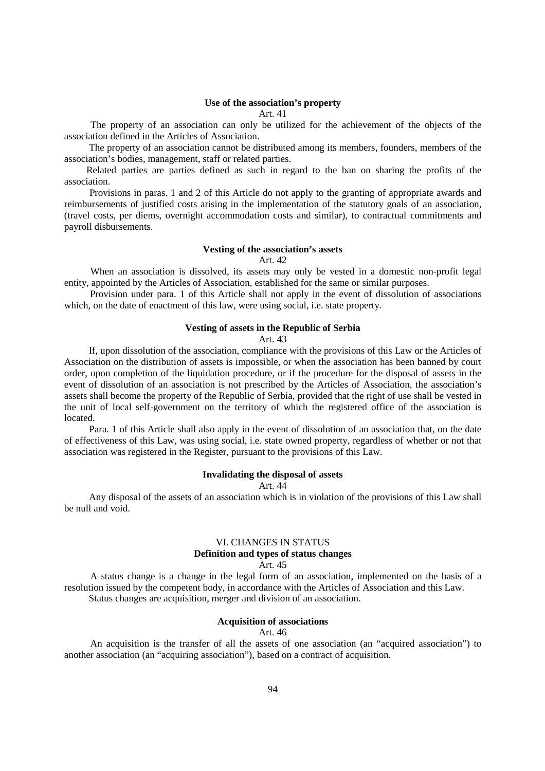#### **Use of the association's property**

#### Art. 41

 The property of an association can only be utilized for the achievement of the objects of the association defined in the Articles of Association.

 The property of an association cannot be distributed among its members, founders, members of the association's bodies, management, staff or related parties.

 Related parties are parties defined as such in regard to the ban on sharing the profits of the association.

 Provisions in paras. 1 and 2 of this Article do not apply to the granting of appropriate awards and reimbursements of justified costs arising in the implementation of the statutory goals of an association, (travel costs, per diems, overnight accommodation costs and similar), to contractual commitments and payroll disbursements.

### **Vesting of the association's assets**

Art. 42

 When an association is dissolved, its assets may only be vested in a domestic non-profit legal entity, appointed by the Articles of Association, established for the same or similar purposes.

 Provision under para. 1 of this Article shall not apply in the event of dissolution of associations which, on the date of enactment of this law, were using social, i.e. state property.

### **Vesting of assets in the Republic of Serbia**

Art. 43

 If, upon dissolution of the association, compliance with the provisions of this Law or the Articles of Association on the distribution of assets is impossible, or when the association has been banned by court order, upon completion of the liquidation procedure, or if the procedure for the disposal of assets in the event of dissolution of an association is not prescribed by the Articles of Association, the association's assets shall become the property of the Republic of Serbia, provided that the right of use shall be vested in the unit of local self-government on the territory of which the registered office of the association is **located** 

 Para. 1 of this Article shall also apply in the event of dissolution of an association that, on the date of effectiveness of this Law, was using social, i.e. state owned property, regardless of whether or not that association was registered in the Register, pursuant to the provisions of this Law.

### **Invalidating the disposal of assets**

Art. 44

 Any disposal of the assets of an association which is in violation of the provisions of this Law shall be null and void.

## VI. CHANGES IN STATUS **Definition and types of status changes**

Art. 45

 A status change is a change in the legal form of an association, implemented on the basis of a resolution issued by the competent body, in accordance with the Articles of Association and this Law. Status changes are acquisition, merger and division of an association.

#### **Acquisition of associations**

## Art. 46

 An acquisition is the transfer of all the assets of one association (an "acquired association") to another association (an "acquiring association"), based on a contract of acquisition.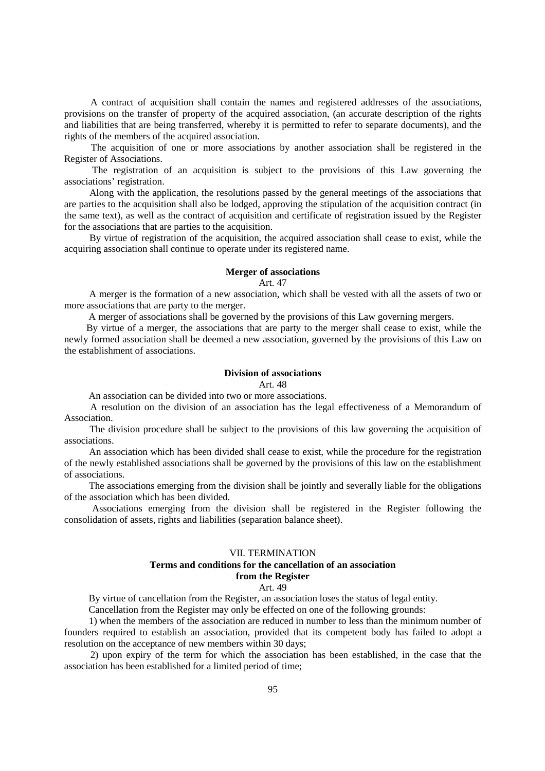A contract of acquisition shall contain the names and registered addresses of the associations, provisions on the transfer of property of the acquired association, (an accurate description of the rights and liabilities that are being transferred, whereby it is permitted to refer to separate documents), and the rights of the members of the acquired association.

 The acquisition of one or more associations by another association shall be registered in the Register of Associations.

 The registration of an acquisition is subject to the provisions of this Law governing the associations' registration.

 Along with the application, the resolutions passed by the general meetings of the associations that are parties to the acquisition shall also be lodged, approving the stipulation of the acquisition contract (in the same text), as well as the contract of acquisition and certificate of registration issued by the Register for the associations that are parties to the acquisition.

 By virtue of registration of the acquisition, the acquired association shall cease to exist, while the acquiring association shall continue to operate under its registered name.

#### **Merger of associations**

Art. 47

 A merger is the formation of a new association, which shall be vested with all the assets of two or more associations that are party to the merger.

A merger of associations shall be governed by the provisions of this Law governing mergers.

 By virtue of a merger, the associations that are party to the merger shall cease to exist, while the newly formed association shall be deemed a new association, governed by the provisions of this Law on the establishment of associations.

## **Division of associations**

#### $Art. 48$

An association can be divided into two or more associations.

 A resolution on the division of an association has the legal effectiveness of a Memorandum of Association.

 The division procedure shall be subject to the provisions of this law governing the acquisition of associations.

 An association which has been divided shall cease to exist, while the procedure for the registration of the newly established associations shall be governed by the provisions of this law on the establishment of associations.

 The associations emerging from the division shall be jointly and severally liable for the obligations of the association which has been divided.

 Associations emerging from the division shall be registered in the Register following the consolidation of assets, rights and liabilities (separation balance sheet).

## VII. TERMINATION **Terms and conditions for the cancellation of an association from the Register** Art. 49

By virtue of cancellation from the Register, an association loses the status of legal entity.

Cancellation from the Register may only be effected on one of the following grounds:

 1) when the members of the association are reduced in number to less than the minimum number of founders required to establish an association, provided that its competent body has failed to adopt a resolution on the acceptance of new members within 30 days;

 2) upon expiry of the term for which the association has been established, in the case that the association has been established for a limited period of time;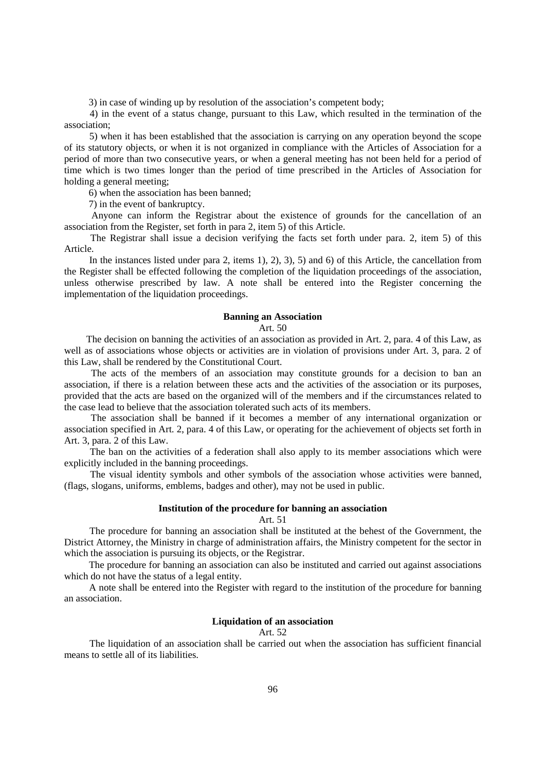3) in case of winding up by resolution of the association's competent body;

 4) in the event of a status change, pursuant to this Law, which resulted in the termination of the association;

 5) when it has been established that the association is carrying on any operation beyond the scope of its statutory objects, or when it is not organized in compliance with the Articles of Association for a period of more than two consecutive years, or when a general meeting has not been held for a period of time which is two times longer than the period of time prescribed in the Articles of Association for holding a general meeting;

6) when the association has been banned;

7) in the event of bankruptcy.

 Anyone can inform the Registrar about the existence of grounds for the cancellation of an association from the Register, set forth in para 2, item 5) of this Article.

 The Registrar shall issue a decision verifying the facts set forth under para. 2, item 5) of this Article.

 In the instances listed under para 2, items 1), 2), 3), 5) and 6) of this Article, the cancellation from the Register shall be effected following the completion of the liquidation proceedings of the association, unless otherwise prescribed by law. A note shall be entered into the Register concerning the implementation of the liquidation proceedings.

## **Banning an Association**

#### Art. 50

 The decision on banning the activities of an association as provided in Art. 2, para. 4 of this Law, as well as of associations whose objects or activities are in violation of provisions under Art. 3, para. 2 of this Law, shall be rendered by the Constitutional Court.

 The acts of the members of an association may constitute grounds for a decision to ban an association, if there is a relation between these acts and the activities of the association or its purposes, provided that the acts are based on the organized will of the members and if the circumstances related to the case lead to believe that the association tolerated such acts of its members.

 The association shall be banned if it becomes a member of any international organization or association specified in Art. 2, para. 4 of this Law, or operating for the achievement of objects set forth in Art. 3, para. 2 of this Law.

 The ban on the activities of a federation shall also apply to its member associations which were explicitly included in the banning proceedings.

 The visual identity symbols and other symbols of the association whose activities were banned, (flags, slogans, uniforms, emblems, badges and other), may not be used in public.

#### **Institution of the procedure for banning an association**

## Art. 51

 The procedure for banning an association shall be instituted at the behest of the Government, the District Attorney, the Ministry in charge of administration affairs, the Ministry competent for the sector in which the association is pursuing its objects, or the Registrar.

 The procedure for banning an association can also be instituted and carried out against associations which do not have the status of a legal entity.

 A note shall be entered into the Register with regard to the institution of the procedure for banning an association.

## **Liquidation of an association**

## Art. 52

 The liquidation of an association shall be carried out when the association has sufficient financial means to settle all of its liabilities.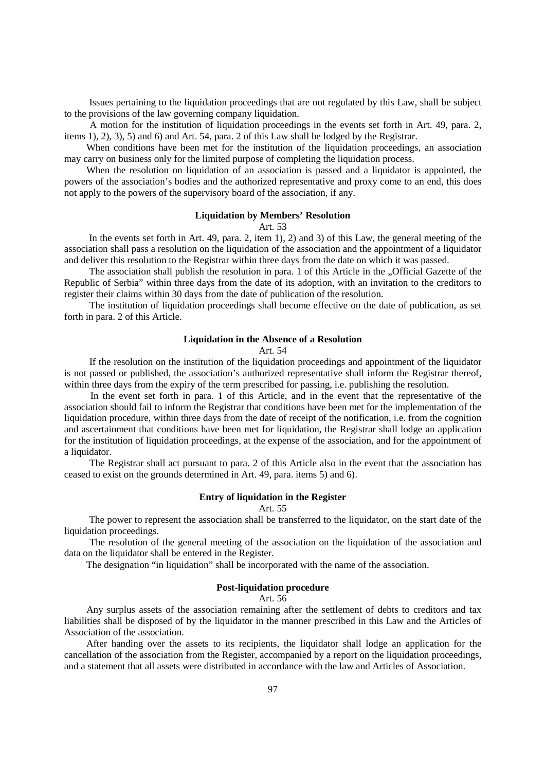Issues pertaining to the liquidation proceedings that are not regulated by this Law, shall be subject to the provisions of the law governing company liquidation.

 A motion for the institution of liquidation proceedings in the events set forth in Art. 49, para. 2, items 1), 2), 3), 5) and 6) and Art. 54, para. 2 of this Law shall be lodged by the Registrar.

 When conditions have been met for the institution of the liquidation proceedings, an association may carry on business only for the limited purpose of completing the liquidation process.

 When the resolution on liquidation of an association is passed and a liquidator is appointed, the powers of the association's bodies and the authorized representative and proxy come to an end, this does not apply to the powers of the supervisory board of the association, if any.

## **Liquidation by Members' Resolution**

Art. 53

 In the events set forth in Art. 49, para. 2, item 1), 2) and 3) of this Law, the general meeting of the association shall pass a resolution on the liquidation of the association and the appointment of a liquidator and deliver this resolution to the Registrar within three days from the date on which it was passed.

The association shall publish the resolution in para. 1 of this Article in the "Official Gazette of the Republic of Serbia" within three days from the date of its adoption, with an invitation to the creditors to register their claims within 30 days from the date of publication of the resolution.

 The institution of liquidation proceedings shall become effective on the date of publication, as set forth in para. 2 of this Article.

### **Liquidation in the Absence of a Resolution**

Art. 54

 If the resolution on the institution of the liquidation proceedings and appointment of the liquidator is not passed or published, the association's authorized representative shall inform the Registrar thereof, within three days from the expiry of the term prescribed for passing, i.e. publishing the resolution.

 In the event set forth in para. 1 of this Article, and in the event that the representative of the association should fail to inform the Registrar that conditions have been met for the implementation of the liquidation procedure, within three days from the date of receipt of the notification, i.e. from the cognition and ascertainment that conditions have been met for liquidation, the Registrar shall lodge an application for the institution of liquidation proceedings, at the expense of the association, and for the appointment of a liquidator.

 The Registrar shall act pursuant to para. 2 of this Article also in the event that the association has ceased to exist on the grounds determined in Art. 49, para. items 5) and 6).

## **Entry of liquidation in the Register**

Art. 55

 The power to represent the association shall be transferred to the liquidator, on the start date of the liquidation proceedings.

 The resolution of the general meeting of the association on the liquidation of the association and data on the liquidator shall be entered in the Register.

The designation "in liquidation" shall be incorporated with the name of the association.

### **Post-liquidation procedure**

## Art. 56

 Any surplus assets of the association remaining after the settlement of debts to creditors and tax liabilities shall be disposed of by the liquidator in the manner prescribed in this Law and the Articles of Association of the association.

 After handing over the assets to its recipients, the liquidator shall lodge an application for the cancellation of the association from the Register, accompanied by a report on the liquidation proceedings, and a statement that all assets were distributed in accordance with the law and Articles of Association.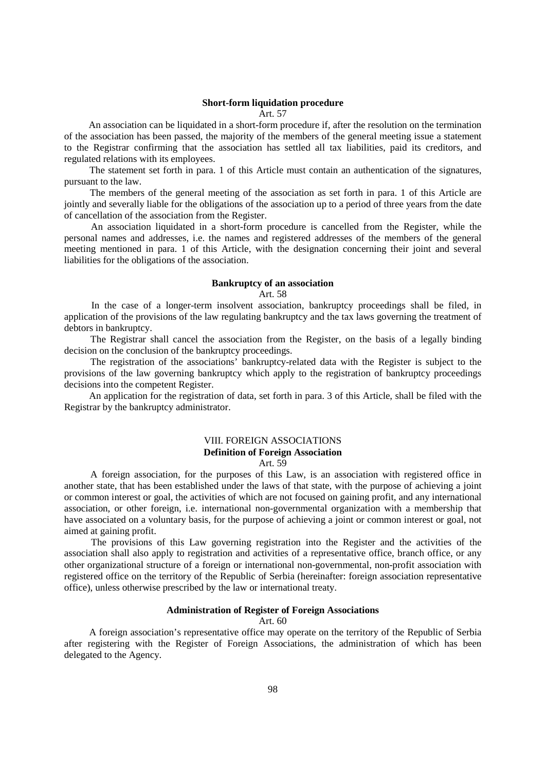## **Short-form liquidation procedure**

## Art. 57

 An association can be liquidated in a short-form procedure if, after the resolution on the termination of the association has been passed, the majority of the members of the general meeting issue a statement to the Registrar confirming that the association has settled all tax liabilities, paid its creditors, and regulated relations with its employees.

 The statement set forth in para. 1 of this Article must contain an authentication of the signatures, pursuant to the law.

 The members of the general meeting of the association as set forth in para. 1 of this Article are jointly and severally liable for the obligations of the association up to a period of three years from the date of cancellation of the association from the Register.

 An association liquidated in a short-form procedure is cancelled from the Register, while the personal names and addresses, i.e. the names and registered addresses of the members of the general meeting mentioned in para. 1 of this Article, with the designation concerning their joint and several liabilities for the obligations of the association.

## **Bankruptcy of an association**

#### Art. 58

 In the case of a longer-term insolvent association, bankruptcy proceedings shall be filed, in application of the provisions of the law regulating bankruptcy and the tax laws governing the treatment of debtors in bankruptcy.

 The Registrar shall cancel the association from the Register, on the basis of a legally binding decision on the conclusion of the bankruptcy proceedings.

 The registration of the associations' bankruptcy-related data with the Register is subject to the provisions of the law governing bankruptcy which apply to the registration of bankruptcy proceedings decisions into the competent Register.

 An application for the registration of data, set forth in para. 3 of this Article, shall be filed with the Registrar by the bankruptcy administrator.

# VIII. FOREIGN ASSOCIATIONS **Definition of Foreign Association**

# Art. 59

 A foreign association, for the purposes of this Law, is an association with registered office in another state, that has been established under the laws of that state, with the purpose of achieving a joint or common interest or goal, the activities of which are not focused on gaining profit, and any international association, or other foreign, i.e. international non-governmental organization with a membership that have associated on a voluntary basis, for the purpose of achieving a joint or common interest or goal, not aimed at gaining profit.

 The provisions of this Law governing registration into the Register and the activities of the association shall also apply to registration and activities of a representative office, branch office, or any other organizational structure of a foreign or international non-governmental, non-profit association with registered office on the territory of the Republic of Serbia (hereinafter: foreign association representative office), unless otherwise prescribed by the law or international treaty.

## **Administration of Register of Foreign Associations**

Art. 60

 A foreign association's representative office may operate on the territory of the Republic of Serbia after registering with the Register of Foreign Associations, the administration of which has been delegated to the Agency.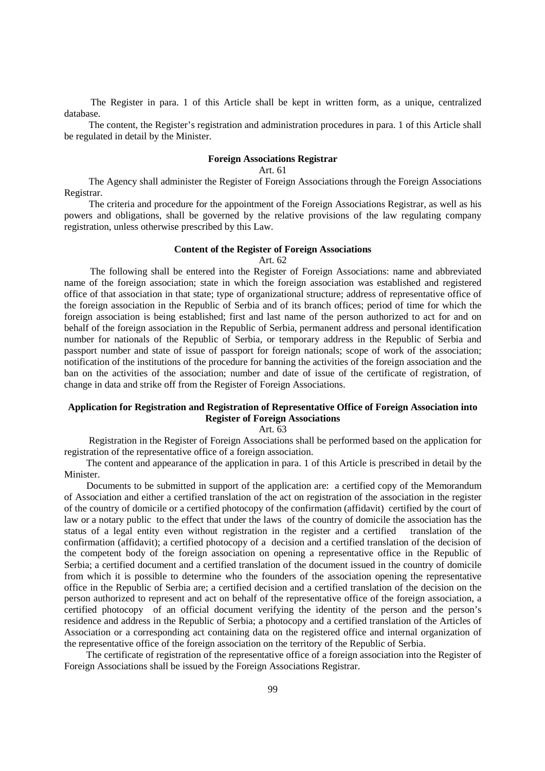The Register in para. 1 of this Article shall be kept in written form, as a unique, centralized database.

 The content, the Register's registration and administration procedures in para. 1 of this Article shall be regulated in detail by the Minister.

## **Foreign Associations Registrar**

Art. 61

 The Agency shall administer the Register of Foreign Associations through the Foreign Associations Registrar.

 The criteria and procedure for the appointment of the Foreign Associations Registrar, as well as his powers and obligations, shall be governed by the relative provisions of the law regulating company registration, unless otherwise prescribed by this Law.

#### **Content of the Register of Foreign Associations**

Art. 62

 The following shall be entered into the Register of Foreign Associations: name and abbreviated name of the foreign association; state in which the foreign association was established and registered office of that association in that state; type of organizational structure; address of representative office of the foreign association in the Republic of Serbia and of its branch offices; period of time for which the foreign association is being established; first and last name of the person authorized to act for and on behalf of the foreign association in the Republic of Serbia, permanent address and personal identification number for nationals of the Republic of Serbia, or temporary address in the Republic of Serbia and passport number and state of issue of passport for foreign nationals; scope of work of the association; notification of the institutions of the procedure for banning the activities of the foreign association and the ban on the activities of the association; number and date of issue of the certificate of registration, of change in data and strike off from the Register of Foreign Associations.

# **Application for Registration and Registration of Representative Office of Foreign Association into Register of Foreign Associations**

Art. 63

 Registration in the Register of Foreign Associations shall be performed based on the application for registration of the representative office of a foreign association.

 The content and appearance of the application in para. 1 of this Article is prescribed in detail by the Minister.

 Documents to be submitted in support of the application are: a certified copy of the Memorandum of Association and either a certified translation of the act on registration of the association in the register of the country of domicile or a certified photocopy of the confirmation (affidavit) certified by the court of law or a notary public to the effect that under the laws of the country of domicile the association has the status of a legal entity even without registration in the register and a certified translation of the confirmation (affidavit); a certified photocopy of a decision and a certified translation of the decision of the competent body of the foreign association on opening a representative office in the Republic of Serbia; a certified document and a certified translation of the document issued in the country of domicile from which it is possible to determine who the founders of the association opening the representative office in the Republic of Serbia are; a certified decision and a certified translation of the decision on the person authorized to represent and act on behalf of the representative office of the foreign association, a certified photocopy of an official document verifying the identity of the person and the person's residence and address in the Republic of Serbia; a photocopy and a certified translation of the Articles of Association or a corresponding act containing data on the registered office and internal organization of the representative office of the foreign association on the territory of the Republic of Serbia.

 The certificate of registration of the representative office of a foreign association into the Register of Foreign Associations shall be issued by the Foreign Associations Registrar.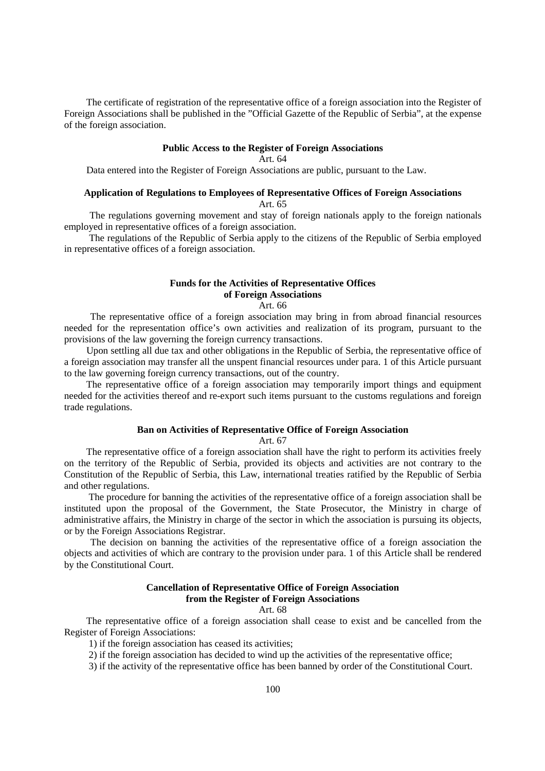The certificate of registration of the representative office of a foreign association into the Register of Foreign Associations shall be published in the "Official Gazette of the Republic of Serbia", at the expense of the foreign association.

## **Public Access to the Register of Foreign Associations**

Art. 64

Data entered into the Register of Foreign Associations are public, pursuant to the Law.

# **Application of Regulations to Employees of Representative Offices of Foreign Associations**

Art. 65

 The regulations governing movement and stay of foreign nationals apply to the foreign nationals employed in representative offices of a foreign association.

 The regulations of the Republic of Serbia apply to the citizens of the Republic of Serbia employed in representative offices of a foreign association.

## **Funds for the Activities of Representative Offices of Foreign Associations**

## Art. 66

 The representative office of a foreign association may bring in from abroad financial resources needed for the representation office's own activities and realization of its program, pursuant to the provisions of the law governing the foreign currency transactions.

 Upon settling all due tax and other obligations in the Republic of Serbia, the representative office of a foreign association may transfer all the unspent financial resources under para. 1 of this Article pursuant to the law governing foreign currency transactions, out of the country.

 The representative office of a foreign association may temporarily import things and equipment needed for the activities thereof and re-export such items pursuant to the customs regulations and foreign trade regulations.

# **Ban on Activities of Representative Office of Foreign Association**

Art. 67

 The representative office of a foreign association shall have the right to perform its activities freely on the territory of the Republic of Serbia, provided its objects and activities are not contrary to the Constitution of the Republic of Serbia, this Law, international treaties ratified by the Republic of Serbia and other regulations.

 The procedure for banning the activities of the representative office of a foreign association shall be instituted upon the proposal of the Government, the State Prosecutor, the Ministry in charge of administrative affairs, the Ministry in charge of the sector in which the association is pursuing its objects, or by the Foreign Associations Registrar.

 The decision on banning the activities of the representative office of a foreign association the objects and activities of which are contrary to the provision under para. 1 of this Article shall be rendered by the Constitutional Court.

## **Cancellation of Representative Office of Foreign Association from the Register of Foreign Associations**

## Art. 68

 The representative office of a foreign association shall cease to exist and be cancelled from the Register of Foreign Associations:

1) if the foreign association has ceased its activities;

2) if the foreign association has decided to wind up the activities of the representative office;

3) if the activity of the representative office has been banned by order of the Constitutional Court.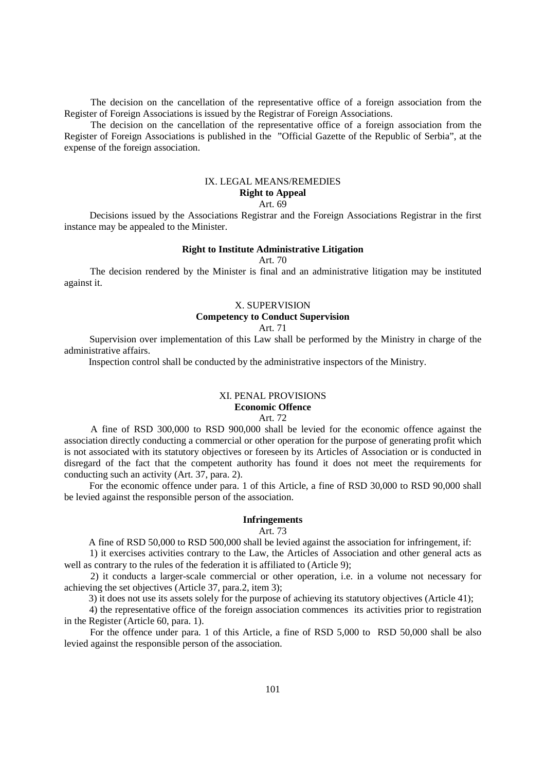The decision on the cancellation of the representative office of a foreign association from the Register of Foreign Associations is issued by the Registrar of Foreign Associations.

 The decision on the cancellation of the representative office of a foreign association from the Register of Foreign Associations is published in the "Official Gazette of the Republic of Serbia", at the expense of the foreign association.

# IX. LEGAL MEANS/REMEDIES **Right to Appeal**

# Art. 69

 Decisions issued by the Associations Registrar and the Foreign Associations Registrar in the first instance may be appealed to the Minister.

## **Right to Institute Administrative Litigation**

Art. 70

 The decision rendered by the Minister is final and an administrative litigation may be instituted against it.

## X. SUPERVISION

# **Competency to Conduct Supervision**

Art. 71

 Supervision over implementation of this Law shall be performed by the Ministry in charge of the administrative affairs.

Inspection control shall be conducted by the administrative inspectors of the Ministry.

## XI. PENAL PROVISIONS **Economic Offence** Art. 72

 A fine of RSD 300,000 to RSD 900,000 shall be levied for the economic offence against the association directly conducting a commercial or other operation for the purpose of generating profit which is not associated with its statutory objectives or foreseen by its Articles of Association or is conducted in disregard of the fact that the competent authority has found it does not meet the requirements for conducting such an activity (Art. 37, para. 2).

 For the economic offence under para. 1 of this Article, a fine of RSD 30,000 to RSD 90,000 shall be levied against the responsible person of the association.

## **Infringements**

#### Art. 73

A fine of RSD 50,000 to RSD 500,000 shall be levied against the association for infringement, if:

 1) it exercises activities contrary to the Law, the Articles of Association and other general acts as well as contrary to the rules of the federation it is affiliated to (Article 9);

 2) it conducts a larger-scale commercial or other operation, i.e. in a volume not necessary for achieving the set objectives (Article 37, para.2, item 3);

3) it does not use its assets solely for the purpose of achieving its statutory objectives (Article 41);

 4) the representative office of the foreign association commences its activities prior to registration in the Register (Article 60, para. 1).

 For the offence under para. 1 of this Article, a fine of RSD 5,000 to RSD 50,000 shall be also levied against the responsible person of the association.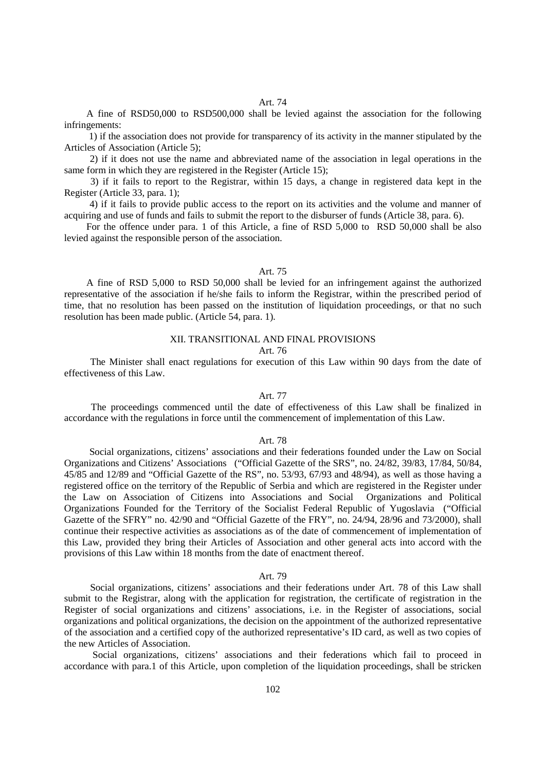A fine of RSD50,000 to RSD500,000 shall be levied against the association for the following infringements:

 1) if the association does not provide for transparency of its activity in the manner stipulated by the Articles of Association (Article 5);

 2) if it does not use the name and abbreviated name of the association in legal operations in the same form in which they are registered in the Register (Article 15);

 3) if it fails to report to the Registrar, within 15 days, a change in registered data kept in the Register (Article 33, para. 1);

 4) if it fails to provide public access to the report on its activities and the volume and manner of acquiring and use of funds and fails to submit the report to the disburser of funds (Article 38, para. 6).

 For the offence under para. 1 of this Article, a fine of RSD 5,000 to RSD 50,000 shall be also levied against the responsible person of the association.

## Art. 75

 A fine of RSD 5,000 to RSD 50,000 shall be levied for an infringement against the authorized representative of the association if he/she fails to inform the Registrar, within the prescribed period of time, that no resolution has been passed on the institution of liquidation proceedings, or that no such resolution has been made public. (Article 54, para. 1).

## XII. TRANSITIONAL AND FINAL PROVISIONS

### Art. 76

 The Minister shall enact regulations for execution of this Law within 90 days from the date of effectiveness of this Law.

## Art. 77

 The proceedings commenced until the date of effectiveness of this Law shall be finalized in accordance with the regulations in force until the commencement of implementation of this Law.

#### Art. 78

 Social organizations, citizens' associations and their federations founded under the Law on Social Organizations and Citizens' Associations ("Official Gazette of the SRS", no. 24/82, 39/83, 17/84, 50/84, 45/85 and 12/89 and "Official Gazette of the RS", no. 53/93, 67/93 and 48/94), as well as those having a registered office on the territory of the Republic of Serbia and which are registered in the Register under the Law on Association of Citizens into Associations and Social Organizations and Political Organizations Founded for the Territory of the Socialist Federal Republic of Yugoslavia ("Official Gazette of the SFRY" no. 42/90 and "Official Gazette of the FRY", no. 24/94, 28/96 and 73/2000), shall continue their respective activities as associations as of the date of commencement of implementation of this Law, provided they bring their Articles of Association and other general acts into accord with the provisions of this Law within 18 months from the date of enactment thereof.

## Art. 79

 Social organizations, citizens' associations and their federations under Art. 78 of this Law shall submit to the Registrar, along with the application for registration, the certificate of registration in the Register of social organizations and citizens' associations, i.e. in the Register of associations, social organizations and political organizations, the decision on the appointment of the authorized representative of the association and a certified copy of the authorized representative's ID card, as well as two copies of the new Articles of Association.

 Social organizations, citizens' associations and their federations which fail to proceed in accordance with para.1 of this Article, upon completion of the liquidation proceedings, shall be stricken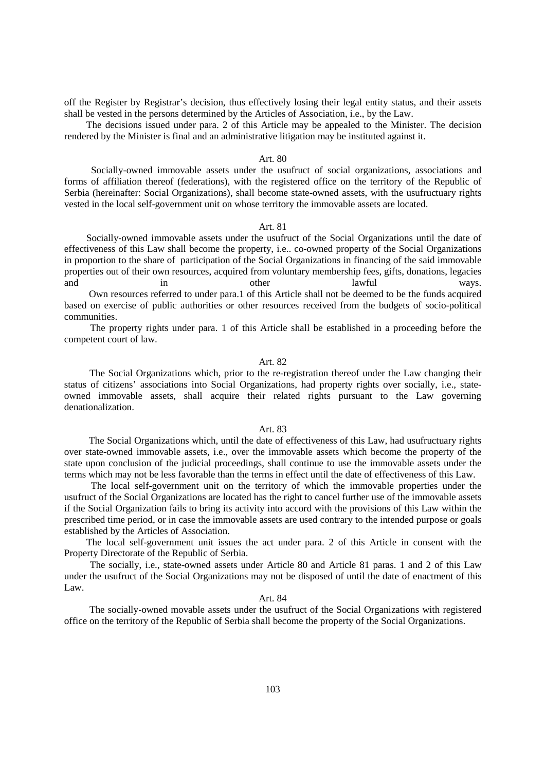off the Register by Registrar's decision, thus effectively losing their legal entity status, and their assets shall be vested in the persons determined by the Articles of Association, i.e., by the Law.

 The decisions issued under para. 2 of this Article may be appealed to the Minister. The decision rendered by the Minister is final and an administrative litigation may be instituted against it.

#### Art. 80

 Socially-owned immovable assets under the usufruct of social organizations, associations and forms of affiliation thereof (federations), with the registered office on the territory of the Republic of Serbia (hereinafter: Social Organizations), shall become state-owned assets, with the usufructuary rights vested in the local self-government unit on whose territory the immovable assets are located.

#### Art. 81

 Socially-owned immovable assets under the usufruct of the Social Organizations until the date of effectiveness of this Law shall become the property, i.e.. co-owned property of the Social Organizations in proportion to the share of participation of the Social Organizations in financing of the said immovable properties out of their own resources, acquired from voluntary membership fees, gifts, donations, legacies and in other lawful ways. Own resources referred to under para.1 of this Article shall not be deemed to be the funds acquired based on exercise of public authorities or other resources received from the budgets of socio-political communities.

 The property rights under para. 1 of this Article shall be established in a proceeding before the competent court of law.

## Art. 82

 The Social Organizations which, prior to the re-registration thereof under the Law changing their status of citizens' associations into Social Organizations, had property rights over socially, i.e., stateowned immovable assets, shall acquire their related rights pursuant to the Law governing denationalization.

## Art. 83

 The Social Organizations which, until the date of effectiveness of this Law, had usufructuary rights over state-owned immovable assets, i.e., over the immovable assets which become the property of the state upon conclusion of the judicial proceedings, shall continue to use the immovable assets under the terms which may not be less favorable than the terms in effect until the date of effectiveness of this Law.

 The local self-government unit on the territory of which the immovable properties under the usufruct of the Social Organizations are located has the right to cancel further use of the immovable assets if the Social Organization fails to bring its activity into accord with the provisions of this Law within the prescribed time period, or in case the immovable assets are used contrary to the intended purpose or goals established by the Articles of Association.

 The local self-government unit issues the act under para. 2 of this Article in consent with the Property Directorate of the Republic of Serbia.

 The socially, i.e., state-owned assets under Article 80 and Article 81 paras. 1 and 2 of this Law under the usufruct of the Social Organizations may not be disposed of until the date of enactment of this Law.

## Art. 84

 The socially-owned movable assets under the usufruct of the Social Organizations with registered office on the territory of the Republic of Serbia shall become the property of the Social Organizations.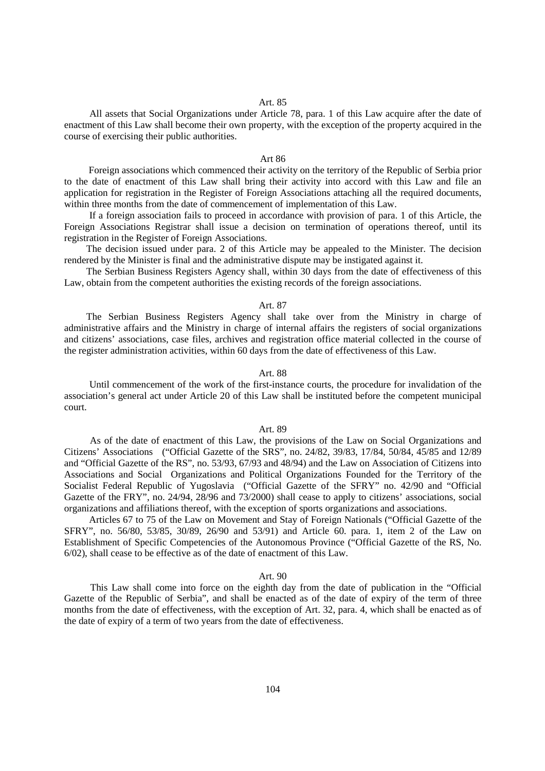#### Art. 85

 All assets that Social Organizations under Article 78, para. 1 of this Law acquire after the date of enactment of this Law shall become their own property, with the exception of the property acquired in the course of exercising their public authorities.

#### Art 86

 Foreign associations which commenced their activity on the territory of the Republic of Serbia prior to the date of enactment of this Law shall bring their activity into accord with this Law and file an application for registration in the Register of Foreign Associations attaching all the required documents, within three months from the date of commencement of implementation of this Law.

 If a foreign association fails to proceed in accordance with provision of para. 1 of this Article, the Foreign Associations Registrar shall issue a decision on termination of operations thereof, until its registration in the Register of Foreign Associations.

 The decision issued under para. 2 of this Article may be appealed to the Minister. The decision rendered by the Minister is final and the administrative dispute may be instigated against it.

 The Serbian Business Registers Agency shall, within 30 days from the date of effectiveness of this Law, obtain from the competent authorities the existing records of the foreign associations.

## Art. 87

 The Serbian Business Registers Agency shall take over from the Ministry in charge of administrative affairs and the Ministry in charge of internal affairs the registers of social organizations and citizens' associations, case files, archives and registration office material collected in the course of the register administration activities, within 60 days from the date of effectiveness of this Law.

## Art. 88

 Until commencement of the work of the first-instance courts, the procedure for invalidation of the association's general act under Article 20 of this Law shall be instituted before the competent municipal court.

#### Art. 89

 As of the date of enactment of this Law, the provisions of the Law on Social Organizations and Citizens' Associations ("Official Gazette of the SRS", no. 24/82, 39/83, 17/84, 50/84, 45/85 and 12/89 and "Official Gazette of the RS", no. 53/93, 67/93 and 48/94) and the Law on Association of Citizens into Associations and Social Organizations and Political Organizations Founded for the Territory of the Socialist Federal Republic of Yugoslavia ("Official Gazette of the SFRY" no. 42/90 and "Official Gazette of the FRY", no. 24/94, 28/96 and 73/2000) shall cease to apply to citizens' associations, social organizations and affiliations thereof, with the exception of sports organizations and associations.

 Articles 67 to 75 of the Law on Movement and Stay of Foreign Nationals ("Official Gazette of the SFRY", no. 56/80, 53/85, 30/89, 26/90 and 53/91) and Article 60. para. 1, item 2 of the Law on Establishment of Specific Competencies of the Autonomous Province ("Official Gazette of the RS, No. 6/02), shall cease to be effective as of the date of enactment of this Law.

## Art. 90

 This Law shall come into force on the eighth day from the date of publication in the "Official Gazette of the Republic of Serbia", and shall be enacted as of the date of expiry of the term of three months from the date of effectiveness, with the exception of Art. 32, para. 4, which shall be enacted as of the date of expiry of a term of two years from the date of effectiveness.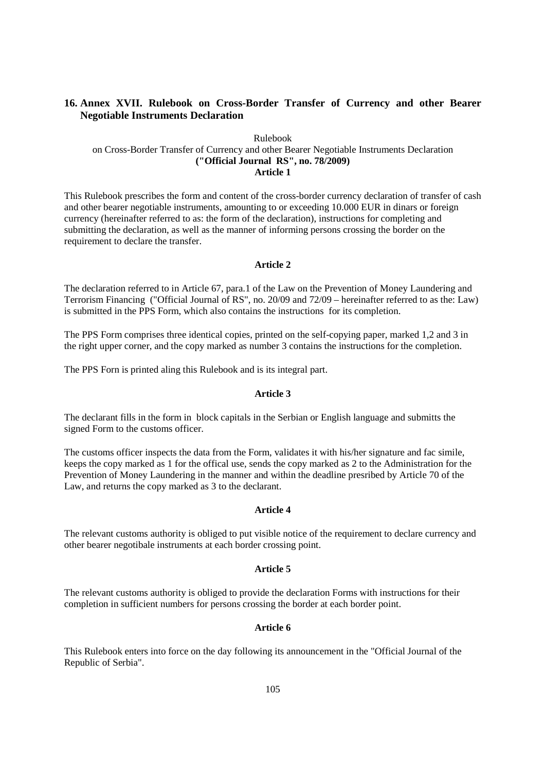# **16. Annex XVII. Rulebook on Cross-Border Transfer of Currency and other Bearer Negotiable Instruments Declaration**

## Rulebook on Cross-Border Transfer of Currency and other Bearer Negotiable Instruments Declaration **("Official Journal RS", no. 78/2009) Article 1**

This Rulebook prescribes the form and content of the cross-border currency declaration of transfer of cash and other bearer negotiable instruments, amounting to or exceeding 10.000 EUR in dinars or foreign currency (hereinafter referred to as: the form of the declaration), instructions for completing and submitting the declaration, as well as the manner of informing persons crossing the border on the requirement to declare the transfer.

## **Article 2**

The declaration referred to in Article 67, para.1 of the Law on the Prevention of Money Laundering and Terrorism Financing ("Official Journal of RS", no. 20/09 and 72/09 – hereinafter referred to as the: Law) is submitted in the PPS Form, which also contains the instructions for its completion.

The PPS Form comprises three identical copies, printed on the self-copying paper, marked 1,2 and 3 in the right upper corner, and the copy marked as number 3 contains the instructions for the completion.

The PPS Forn is printed aling this Rulebook and is its integral part.

## **Article 3**

The declarant fills in the form in block capitals in the Serbian or English language and submitts the signed Form to the customs officer.

The customs officer inspects the data from the Form, validates it with his/her signature and fac simile, keeps the copy marked as 1 for the offical use, sends the copy marked as 2 to the Administration for the Prevention of Money Laundering in the manner and within the deadline presribed by Article 70 of the Law, and returns the copy marked as 3 to the declarant.

## **Article 4**

The relevant customs authority is obliged to put visible notice of the requirement to declare currency and other bearer negotibale instruments at each border crossing point.

## **Article 5**

The relevant customs authority is obliged to provide the declaration Forms with instructions for their completion in sufficient numbers for persons crossing the border at each border point.

## **Article 6**

This Rulebook enters into force on the day following its announcement in the "Official Journal of the Republic of Serbia".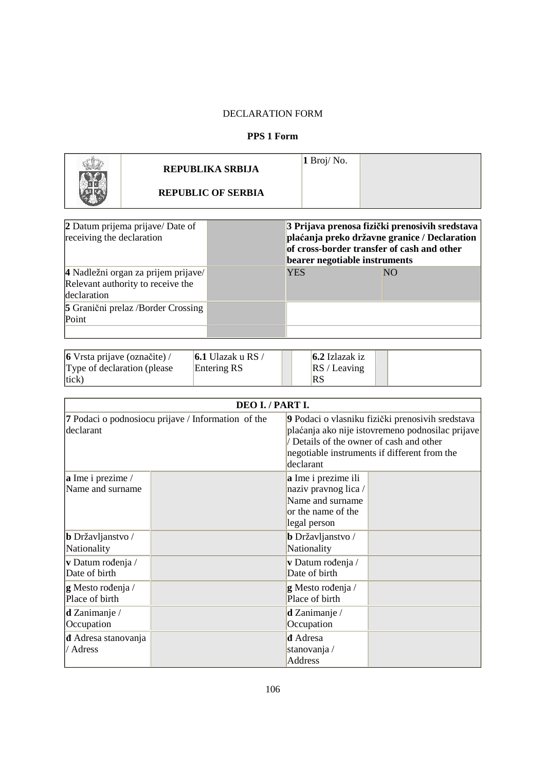# DECLARATION FORM

# **PPS 1 Form**

| REPUBLIKA SRBIJA          | $1$ Broj/No. |  |
|---------------------------|--------------|--|
| <b>REPUBLIC OF SERBIA</b> |              |  |

| 2 Datum prijema prijave/ Date of<br>receiving the declaration                           | 3 Prijava prenosa fizički prenosivih sredstava<br>plaćanja preko državne granice / Declaration<br>of cross-border transfer of cash and other<br>bearer negotiable instruments |           |  |
|-----------------------------------------------------------------------------------------|-------------------------------------------------------------------------------------------------------------------------------------------------------------------------------|-----------|--|
| 4 Nadležni organ za prijem prijave/<br>Relevant authority to receive the<br>declaration | <b>YES</b>                                                                                                                                                                    | <b>NO</b> |  |
| <b>5</b> Granični prelaz /Border Crossing<br>Point                                      |                                                                                                                                                                               |           |  |
|                                                                                         |                                                                                                                                                                               |           |  |

| $\vert$ 6 Vrsta prijave (označite) / | <b>6.1</b> Ulazak u RS / | $6.2$ Izlazak iz |  |
|--------------------------------------|--------------------------|------------------|--|
| Type of declaration (please)         | Entering RS              | RS/Leaving       |  |
| tick)                                |                          | RS               |  |

|                                                                 | DEO I. / PART I. |                                                                                                                                                                                                             |  |  |  |
|-----------------------------------------------------------------|------------------|-------------------------------------------------------------------------------------------------------------------------------------------------------------------------------------------------------------|--|--|--|
| 7 Podaci o podnosiocu prijave / Information of the<br>declarant |                  | 9 Podaci o vlasniku fizički prenosivih sredstava<br>plaćanja ako nije istovremeno podnosilac prijave<br>Details of the owner of cash and other<br>negotiable instruments if different from the<br>declarant |  |  |  |
| <b>a</b> Ime i prezime /<br>Name and surname                    |                  | a Ime i prezime ili<br>naziv pravnog lica/<br>Name and surname<br>or the name of the<br>legal person                                                                                                        |  |  |  |
| <b>b</b> Državljanstvo /<br>Nationality                         |                  | <b>b</b> Državljanstvo /<br>Nationality                                                                                                                                                                     |  |  |  |
| v Datum rođenja /<br>Date of birth                              |                  | v Datum rođenja /<br>Date of birth                                                                                                                                                                          |  |  |  |
| g Mesto rođenja /<br>Place of birth                             |                  | g Mesto rođenja /<br>Place of birth                                                                                                                                                                         |  |  |  |
| $d$ Zanimanje /<br>Occupation                                   |                  | $d$ Zanimanje /<br>Occupation                                                                                                                                                                               |  |  |  |
| <b>d</b> Adresa stanovanja<br>/ Adress                          |                  | <b>d</b> Adresa<br>stanovanja/<br>Address                                                                                                                                                                   |  |  |  |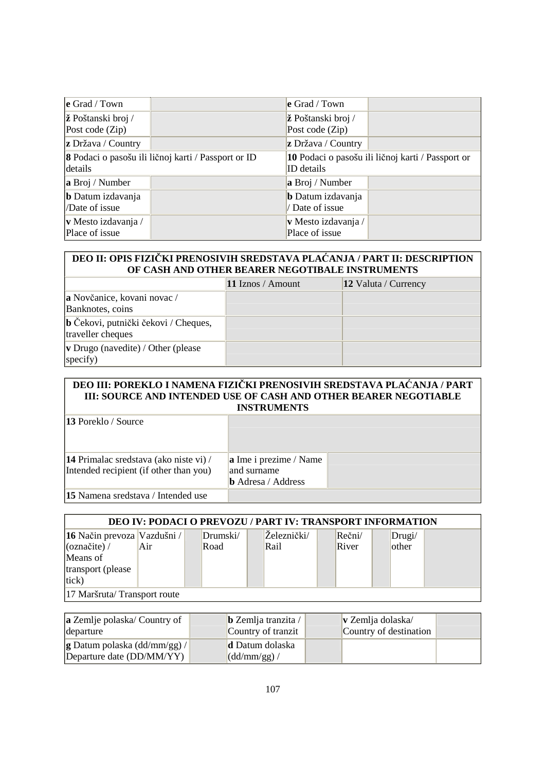| $\operatorname{e}$ Grad / Town |                                                     | $\mathbf e$ Grad / Town   |                                                   |
|--------------------------------|-----------------------------------------------------|---------------------------|---------------------------------------------------|
| $ \check{z} $ Poštanski broj / |                                                     | ž Poštanski broj /        |                                                   |
| Post code (Zip)                |                                                     | Post code (Zip)           |                                                   |
| $ z\>$ Država / Country        |                                                     | <b>z</b> Država / Country |                                                   |
| details                        | 8 Podaci o pasošu ili ličnoj karti / Passport or ID | ID details                | 10 Podaci o pasošu ili ličnoj karti / Passport or |
| a Broj / Number                |                                                     | a Broj / Number           |                                                   |
| <b>b</b> Datum izdavanja       |                                                     | <b>b</b> Datum izdavanja  |                                                   |
| /Date of issue                 |                                                     | Date of issue             |                                                   |
| v Mesto izdavanja /            |                                                     | v Mesto izdavanja /       |                                                   |
| Place of issue                 |                                                     | Place of issue            |                                                   |

# **DEO II: OPIS FIZIČKI PRENOSIVIH SREDSTAVA PLAĆANJA / PART II: DESCRIPTION OF CASH AND OTHER BEARER NEGOTIBALE INSTRUMENTS**

|                                                           | 11 Iznos / Amount | 12 Valuta / Currency |
|-----------------------------------------------------------|-------------------|----------------------|
| a Novčanice, kovani novac /<br>Banknotes, coins           |                   |                      |
| b Čekovi, putnički čekovi / Cheques,<br>traveller cheques |                   |                      |
| <b>v</b> Drugo (navedite) / Other (please<br>specify)     |                   |                      |

## **DEO III: POREKLO I NAMENA FIZIČKI PRENOSIVIH SREDSTAVA PLAĆANJA / PART III: SOURCE AND INTENDED USE OF CASH AND OTHER BEARER NEGOTIABLE INSTRUMENTS**

| 13 Poreklo / Source                    |                                          |  |
|----------------------------------------|------------------------------------------|--|
| 14 Primalac sredstava (ako niste vi) / | <b>a</b> Ime i prezime / Name            |  |
| Intended recipient (if other than you) | and surname<br><b>b</b> Adresa / Address |  |
| 15 Namena sredstava / Intended use     |                                          |  |

**15** Namena sredstava / Intended use

| <b>DEO IV: PODACI O PREVOZU / PART IV: TRANSPORT INFORMATION</b> |     |          |             |               |        |  |
|------------------------------------------------------------------|-----|----------|-------------|---------------|--------|--|
| 16 Način prevoza Vazdušni /                                      |     | Drumski/ | Železnički/ | $Re\v{c}$ ni/ | Drugi/ |  |
| $\alpha$ značite) /                                              | Air | Road     | Rail        | River         | other  |  |
| Means of                                                         |     |          |             |               |        |  |
| transport (please                                                |     |          |             |               |        |  |
| tick)                                                            |     |          |             |               |        |  |
| 17 Maršruta/Transport route                                      |     |          |             |               |        |  |

| <b>a</b> Zemlje polaska/ Country of                             | $\bf{b}$ Zemlja tranzita /             | $\bf v$ Zemlja dolaska/ |  |
|-----------------------------------------------------------------|----------------------------------------|-------------------------|--|
| departure                                                       | Country of tranzit                     | Country of destination  |  |
| <b>g Datum polaska (dd/mm/gg)/</b><br>Departure date (DD/MM/YY) | d Datum dolaska<br>$\sim$ (dd/mm/gg) / |                         |  |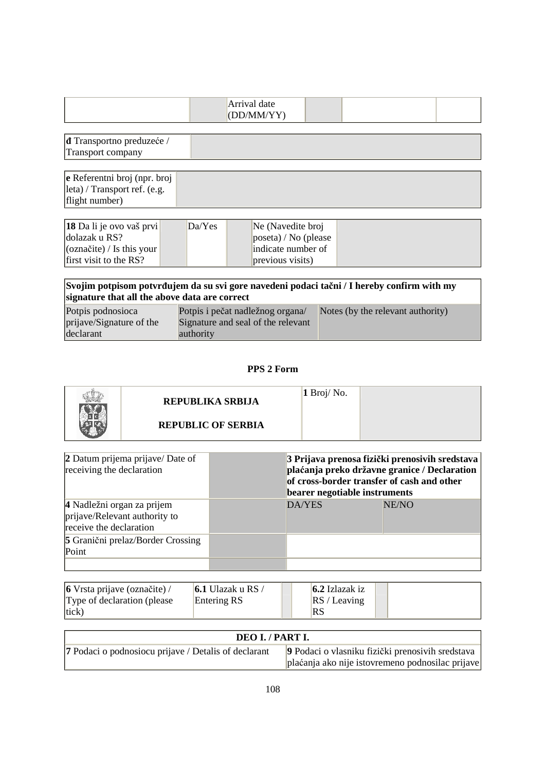| (DD/MM/VV) |  |  | Arrival date |  |  |  |
|------------|--|--|--------------|--|--|--|
|------------|--|--|--------------|--|--|--|

| <b>d</b> Transportno preduzeće / |  |
|----------------------------------|--|
| Transport company                |  |
|                                  |  |

| $\bf{e}$ Referentni broj (npr. broj                                       |  |
|---------------------------------------------------------------------------|--|
| $\left  \frac{\text{leta}}{\text{length}} \right $ / Transport ref. (e.g. |  |
| flight number)                                                            |  |

| $\left 18\text{ Da}\right $ li je ovo vaš prvi | Da/Yes | Ne (Navedite broj            |  |
|------------------------------------------------|--------|------------------------------|--|
| dolazak u RS?                                  |        | $\vert$ poseta) / No (please |  |
| $\sqrt{\frac{1}{2}$ (označite) / Is this your  |        | indicate number of           |  |
| $\frac{1}{2}$ first visit to the RS?           |        | previous visits)             |  |

| signature that all the above data are correct | Svojim potpisom potvrđujem da su svi gore navedeni podaci tačni / I hereby confirm with my |                                   |
|-----------------------------------------------|--------------------------------------------------------------------------------------------|-----------------------------------|
| Potpis podnosioca                             | Potpis i pečat nadležnog organa/                                                           | Notes (by the relevant authority) |
| prijave/Signature of the                      | Signature and seal of the relevant                                                         |                                   |
| declarant                                     | authority                                                                                  |                                   |

# **PPS 2 Form**

| REPUBLIKA SRBIJA          | 1 Broj/No. |  |
|---------------------------|------------|--|
| <b>REPUBLIC OF SERBIA</b> |            |  |

| 2 Datum prijema prijave/ Date of<br>receiving the declaration                          | 3 Prijava prenosa fizički prenosivih sredstava<br>plaćanja preko državne granice / Declaration<br>of cross-border transfer of cash and other<br>bearer negotiable instruments |       |  |
|----------------------------------------------------------------------------------------|-------------------------------------------------------------------------------------------------------------------------------------------------------------------------------|-------|--|
| 4 Nadležni organ za prijem<br>prijave/Relevant authority to<br>receive the declaration | DA/YES                                                                                                                                                                        | NE/NO |  |
| <b>5</b> Granični prelaz/Border Crossing<br>Point                                      |                                                                                                                                                                               |       |  |
|                                                                                        |                                                                                                                                                                               |       |  |

| $\vert 6$ Vrsta prijave (označite) / | 6.1 Ulazak u RS / | $6.2$ Izlazak iz |  |
|--------------------------------------|-------------------|------------------|--|
| Type of declaration (please)         | Entering RS       | RS / Leaving     |  |
| $ $ tick $)$                         |                   | <b>RS</b>        |  |

| DEO I. / PART I.                                            |                                                                                                      |  |  |  |
|-------------------------------------------------------------|------------------------------------------------------------------------------------------------------|--|--|--|
| <b>7</b> Podaci o podnosiocu prijave / Detalis of declarant | 9 Podaci o vlasniku fizički prenosivih sredstava<br>plaćanja ako nije istovremeno podnosilac prijave |  |  |  |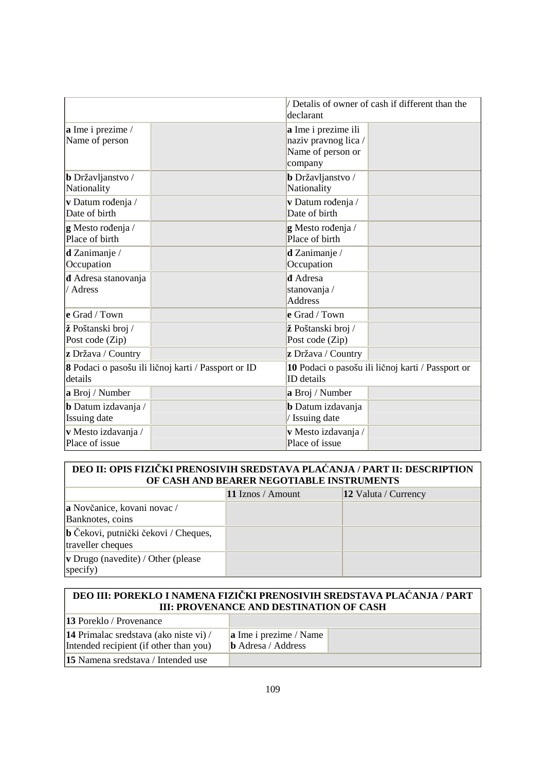|                                                   |                                                     | declarant                                                                   | / Detalis of owner of cash if different than the  |
|---------------------------------------------------|-----------------------------------------------------|-----------------------------------------------------------------------------|---------------------------------------------------|
| a Ime i prezime /<br>Name of person               |                                                     | a Ime i prezime ili<br>naziv pravnog lica /<br>Name of person or<br>company |                                                   |
| <b>b</b> Državljanstvo /<br>Nationality           |                                                     | <b>b</b> Državljanstvo /<br>Nationality                                     |                                                   |
| v Datum rođenja /<br>Date of birth                |                                                     | v Datum rođenja /<br>Date of birth                                          |                                                   |
| g Mesto rođenja /<br>Place of birth               |                                                     | g Mesto rođenja /<br>Place of birth                                         |                                                   |
| $d$ Zanimanje /<br>Occupation                     |                                                     | $d$ Zanimanje /<br>Occupation                                               |                                                   |
| d Adresa stanovanja<br>/ Adress                   |                                                     | <b>đ</b> Adresa<br>stanovanja /<br><b>Address</b>                           |                                                   |
| e Grad / Town                                     |                                                     | e Grad / Town                                                               |                                                   |
| ž Poštanski broj /<br>Post code (Zip)             |                                                     | ž Poštanski broj /<br>Post code (Zip)                                       |                                                   |
| z Država / Country                                |                                                     | z Država / Country                                                          |                                                   |
| details                                           | 8 Podaci o pasošu ili ličnoj karti / Passport or ID | <b>ID</b> details                                                           | 10 Podaci o pasošu ili ličnoj karti / Passport or |
| a Broj / Number                                   |                                                     | a Broj / Number                                                             |                                                   |
| <b>b</b> Datum izdavanja /<br><b>Issuing date</b> |                                                     | <b>b</b> Datum izdavanja<br>/ Issuing date                                  |                                                   |
| v Mesto izdavanja /<br>Place of issue             |                                                     | v Mesto izdavanja /<br>Place of issue                                       |                                                   |

# **DEO II: OPIS FIZIČKI PRENOSIVIH SREDSTAVA PLAĆANJA / PART II: DESCRIPTION OF CASH AND BEARER NEGOTIABLE INSTRUMENTS**

|                                                             | 11 Iznos / Amount | 12 Valuta / Currency |
|-------------------------------------------------------------|-------------------|----------------------|
| <b>a</b> Novčanice, kovani novac /<br>Banknotes, coins      |                   |                      |
| b Čekovi, putnički čekovi / Cheques,<br>traveller cheques   |                   |                      |
| $ $ v Drugo (navedite) / Other (please<br>$ {\rm specify})$ |                   |                      |

## **DEO III: POREKLO I NAMENA FIZIČKI PRENOSIVIH SREDSTAVA PLAĆANJA / PART III: PROVENANCE AND DESTINATION OF CASH**   $13 R + 11 / R$

| 13 Poreklo / Provenance                |                            |  |
|----------------------------------------|----------------------------|--|
| 14 Primalac sredstava (ako niste vi) / | $ a $ Ime i prezime / Name |  |
| Intended recipient (if other than you) | $\bf{b}$ Adresa / Address  |  |
| 15 Namena sredstava / Intended use     |                            |  |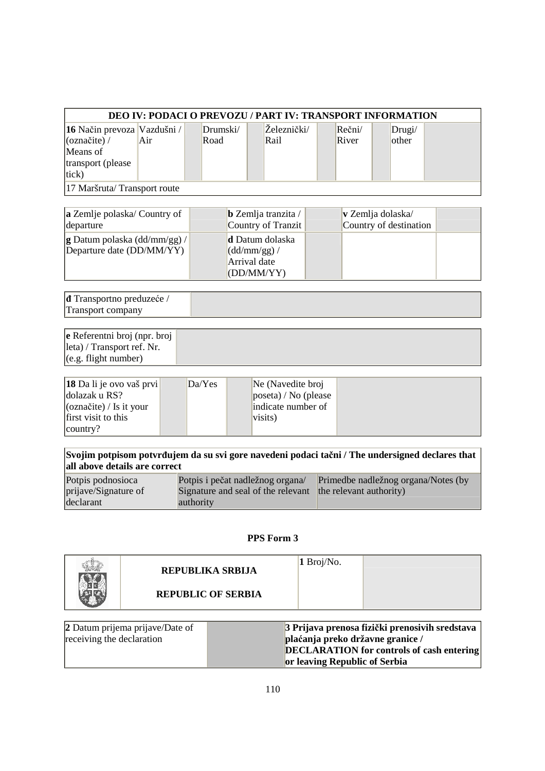| <b>DEO IV: PODACI O PREVOZU / PART IV: TRANSPORT INFORMATION</b> |     |          |             |              |        |  |
|------------------------------------------------------------------|-----|----------|-------------|--------------|--------|--|
| <b>16</b> Način prevoza Vazdušni /                               |     | Drumski/ | Železnički/ | $Re\v{c}ni/$ | Drugi/ |  |
| $\alpha$ značite) /                                              | Air | Road     | Rail        | River        | other  |  |
| Means of                                                         |     |          |             |              |        |  |
| transport (please                                                |     |          |             |              |        |  |
| tick)                                                            |     |          |             |              |        |  |
| 17 Maršruta/Transport route                                      |     |          |             |              |        |  |

| <b>a</b> Zemlje polaska/ Country of                                | $\bf{b}$ Zemlja tranzita /                                           | $\bf v$ Zemlja dolaska/ |  |
|--------------------------------------------------------------------|----------------------------------------------------------------------|-------------------------|--|
| departure                                                          | Country of Tranzit                                                   | Country of destination  |  |
| $ {\bf g}$ Datum polaska (dd/mm/gg) /<br>Departure date (DD/MM/YY) | d Datum dolaska<br>$\sim$ (dd/mm/gg) /<br>Arrival date<br>(DD/MM/YY) |                         |  |

**ñ** Transportno preduzeće / Transport company

**e** Referentni broj (npr. broj leta) / Transport ref. Nr. (e.g. flight number)

| <b>18</b> Da li je ovo vaš prvi  | Da/Yes | Ne (Navedite broj            |  |
|----------------------------------|--------|------------------------------|--|
| dolazak u RS?                    |        | $\vert$ poseta) / No (please |  |
| $\alpha$ (označite) / Is it your |        | indicate number of           |  |
| first visit to this              |        | visits)                      |  |
| $\vert$ country?                 |        |                              |  |

**Svojim potpisom potvrñujem da su svi gore navedeni podaci tačni / The undersigned declares that all above details are correct** 

| Potpis podnosioca    | Potpis i pečat nadležnog organa/                           | Primedbe nadležnog organa/Notes (by |
|----------------------|------------------------------------------------------------|-------------------------------------|
| prijave/Signature of | Signature and seal of the relevant the relevant authority) |                                     |
| declarant            | authority                                                  |                                     |

## **PPS Form 3**

| REPUBLIKA SRBIJA          | $\sqrt{1 \text{ Broj}}$ /No. |  |
|---------------------------|------------------------------|--|
| <b>REPUBLIC OF SERBIA</b> |                              |  |
|                           |                              |  |

| 2 Datum prijema prijave/Date of | 3 Prijava prenosa fizički prenosivih sredstava   |
|---------------------------------|--------------------------------------------------|
| receiving the declaration       | plaćanja preko državne granice /                 |
|                                 | <b>DECLARATION</b> for controls of cash entering |
|                                 | or leaving Republic of Serbia                    |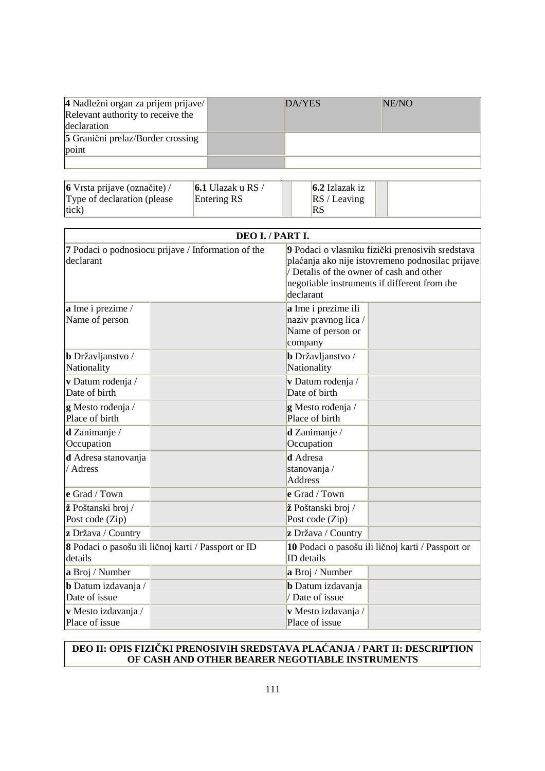| 4 Nadležni organ za prijem prijave/<br>Relevant authority to receive the<br>declaration | DA/YES | NE/NO |
|-----------------------------------------------------------------------------------------|--------|-------|
| 5 Granični prelaz/Border crossing<br>point                                              |        |       |
|                                                                                         |        |       |

| 6 Vrsta prijave (označite) / | 6.1 Ulazak u RS / | $6.2$ Izlazak iz |  |
|------------------------------|-------------------|------------------|--|
| Type of declaration (please) | Entering RS       | RS/Leaving       |  |
| (tick)                       |                   | RS               |  |

|                                                                 | DEO I. / PART I.                                                                                                                                                                                              |
|-----------------------------------------------------------------|---------------------------------------------------------------------------------------------------------------------------------------------------------------------------------------------------------------|
| 7 Podaci o podnosiocu prijave / Information of the<br>declarant | 9 Podaci o vlasniku fizički prenosivih sredstava<br>plaćanja ako nije istovremeno podnosilac prijave<br>/ Detalis of the owner of cash and other<br>negotiable instruments if different from the<br>declarant |
| a Ime i prezime /<br>Name of person                             | a Ime i prezime ili<br>naziv pravnog lica/<br>Name of person or<br>company                                                                                                                                    |
| b Državljanstvo /                                               | <b>b</b> Državljanstvo /                                                                                                                                                                                      |
| Nationality                                                     | Nationality                                                                                                                                                                                                   |
| v Datum rođenja /                                               | v Datum rođenja /                                                                                                                                                                                             |
| Date of birth                                                   | Date of birth                                                                                                                                                                                                 |
| g Mesto rođenja /                                               | g Mesto rođenja /                                                                                                                                                                                             |
| Place of birth                                                  | Place of birth                                                                                                                                                                                                |
| $d$ Zanimanje /                                                 | d Zanimanje /                                                                                                                                                                                                 |
| Occupation                                                      | Occupation                                                                                                                                                                                                    |
| <b>d</b> Adresa stanovanja<br>/ Adress                          | <b>d</b> Adresa<br>stanovanja /<br><b>Address</b>                                                                                                                                                             |
| e Grad / Town                                                   | e Grad / Town                                                                                                                                                                                                 |
| ž Poštanski broj /                                              | ž Poštanski broj /                                                                                                                                                                                            |
| Post code (Zip)                                                 | Post code (Zip)                                                                                                                                                                                               |
| z Država / Country                                              | z Država / Country                                                                                                                                                                                            |
| 8 Podaci o pasošu ili ličnoj karti / Passport or ID             | 10 Podaci o pasošu ili ličnoj karti / Passport or                                                                                                                                                             |
| details                                                         | <b>ID</b> details                                                                                                                                                                                             |
| a Broj / Number                                                 | a Broj / Number                                                                                                                                                                                               |
| b Datum izdavanja /                                             | <b>b</b> Datum izdavanja                                                                                                                                                                                      |
| Date of issue                                                   | / Date of issue                                                                                                                                                                                               |
| v Mesto izdavanja /                                             | v Mesto izdavanja /                                                                                                                                                                                           |
| Place of issue                                                  | Place of issue                                                                                                                                                                                                |

# **DEO II: OPIS FIZIČKI PRENOSIVIH SREDSTAVA PLAĆANJA / PART II: DESCRIPTION OF CASH AND OTHER BEARER NEGOTIABLE INSTRUMENTS**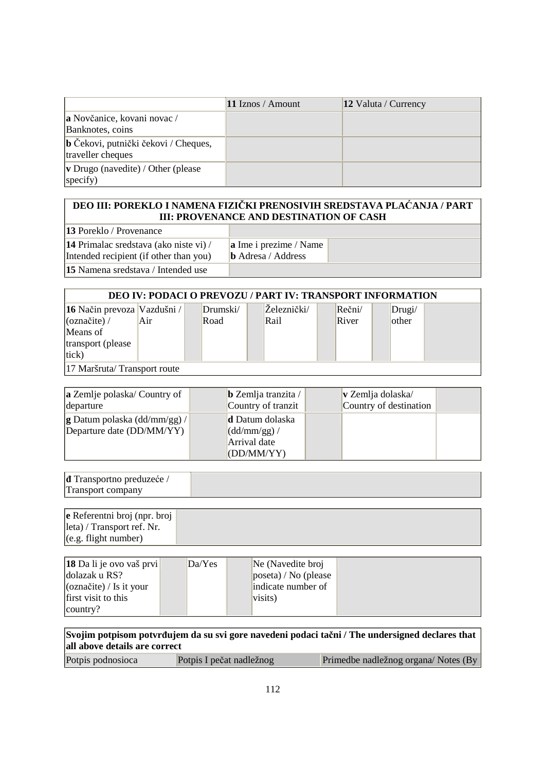|                                                           | 11 Iznos / Amount | 12 Valuta / Currency |
|-----------------------------------------------------------|-------------------|----------------------|
| a Novčanice, kovani novac /<br>Banknotes, coins           |                   |                      |
| b Čekovi, putnički čekovi / Cheques,<br>traveller cheques |                   |                      |
| <b>v</b> Drugo (navedite) / Other (please<br>specify)     |                   |                      |

## **DEO III: POREKLO I NAMENA FIZIČKI PRENOSIVIH SREDSTAVA PLAĆANJA / PART III: PROVENANCE AND DESTINATION OF CASH**

**13** Poreklo / Provenance

**14** Primalac sredstava (ako niste vi) / Intended recipient (if other than you) **15** Namena sredstava / Intended use

**a** Ime i prezime / Name **b** Adresa / Address

| <b>DEO IV: PODACI O PREVOZU / PART IV: TRANSPORT INFORMATION</b> |     |  |          |  |             |               |        |  |
|------------------------------------------------------------------|-----|--|----------|--|-------------|---------------|--------|--|
| <b>16</b> Način prevoza Vazdušni /                               |     |  | Drumski/ |  | Zeleznički/ | $Re\v{c}$ ni/ | Drugi/ |  |
| $\alpha$ značite) /                                              | Air |  | Road     |  | Rail        | River         | other  |  |
| Means of                                                         |     |  |          |  |             |               |        |  |
| transport (please)                                               |     |  |          |  |             |               |        |  |
| tick)                                                            |     |  |          |  |             |               |        |  |
| 17 Maršruta/Transport route                                      |     |  |          |  |             |               |        |  |

| <b>a</b> Zemlje polaska/ Country of<br>departure                   | $\bf{b}$ Zemlja tranzita /<br>Country of tranzit | $\bf v$ Zemlja dolaska/<br>Country of destination |  |
|--------------------------------------------------------------------|--------------------------------------------------|---------------------------------------------------|--|
| $ {\bf g}$ Datum polaska (dd/mm/gg) /<br>Departure date (DD/MM/YY) | d Datum dolaska<br>$\sim$ (dd/mm/gg) /           |                                                   |  |
|                                                                    | Arrival date<br>(DD/MM/YY)                       |                                                   |  |

| <b>d</b> Transportno preduzeće / |  |
|----------------------------------|--|
| m<br>Transport company           |  |

| $\bf{e}$ Referentni broj (npr. broj |  |
|-------------------------------------|--|
| leta) / Transport ref. Nr.          |  |
| (e.g. flight number)                |  |

| $\left 18\text{ Da}\right $ li je ovo vaš prvi<br>dolazak u RS?<br>$\cos(\theta)$ / Is it your | DaYes | Ne (Navedite broj<br>poseta) / No (please<br>indicate number of |
|------------------------------------------------------------------------------------------------|-------|-----------------------------------------------------------------|
| first visit to this<br>$\vert$ country?                                                        |       | visits)                                                         |

| Svojim potpisom potvrđujem da su svi gore navedeni podaci tačni / The undersigned declares that<br>all above details are correct |                          |                                     |  |  |
|----------------------------------------------------------------------------------------------------------------------------------|--------------------------|-------------------------------------|--|--|
| Potpis podnosioca                                                                                                                | Potpis I pečat nadležnog | Primedbe nadležnog organa/Notes (By |  |  |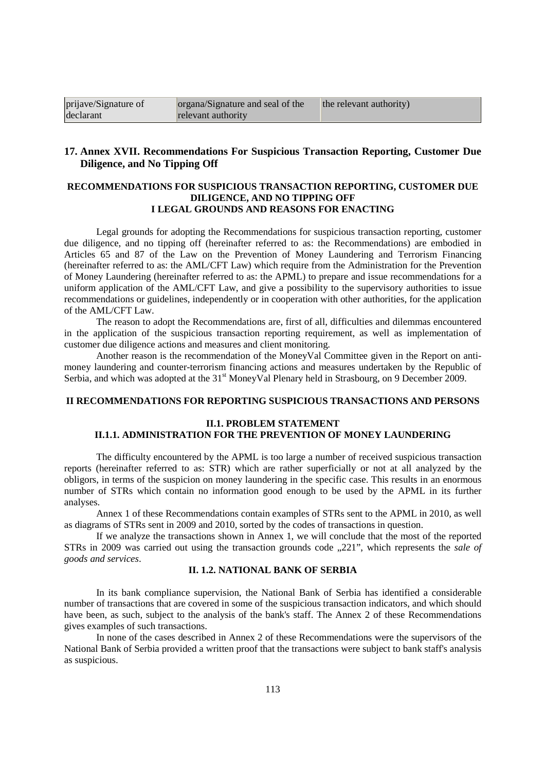| prijave/Signature of | organa/Signature and seal of the | the relevant authority) |
|----------------------|----------------------------------|-------------------------|
| declarant            | relevant authority               |                         |

## **17. Annex XVII. Recommendations For Suspicious Transaction Reporting, Customer Due Diligence, and No Tipping Off**

## **RECOMMENDATIONS FOR SUSPICIOUS TRANSACTION REPORTING, CUSTOMER DUE DILIGENCE, AND NO TIPPING OFF I LEGAL GROUNDS AND REASONS FOR ENACTING**

Legal grounds for adopting the Recommendations for suspicious transaction reporting, customer due diligence, and no tipping off (hereinafter referred to as: the Recommendations) are embodied in Articles 65 and 87 of the Law on the Prevention of Money Laundering and Terrorism Financing (hereinafter referred to as: the AML/CFT Law) which require from the Administration for the Prevention of Money Laundering (hereinafter referred to as: the APML) to prepare and issue recommendations for a uniform application of the AML/CFT Law, and give a possibility to the supervisory authorities to issue recommendations or guidelines, independently or in cooperation with other authorities, for the application of the AML/CFT Law.

The reason to adopt the Recommendations are, first of all, difficulties and dilemmas encountered in the application of the suspicious transaction reporting requirement, as well as implementation of customer due diligence actions and measures and client monitoring.

Another reason is the recommendation of the MoneyVal Committee given in the Report on antimoney laundering and counter-terrorism financing actions and measures undertaken by the Republic of Serbia, and which was adopted at the  $31<sup>st</sup>$  MoneyVal Plenary held in Strasbourg, on 9 December 2009.

#### **II RECOMMENDATIONS FOR REPORTING SUSPICIOUS TRANSACTIONS AND PERSONS**

### **II.1. PROBLEM STATEMENT II.1.1. ADMINISTRATION FOR THE PREVENTION OF MONEY LAUNDERING**

The difficulty encountered by the APML is too large a number of received suspicious transaction reports (hereinafter referred to as: STR) which are rather superficially or not at all analyzed by the obligors, in terms of the suspicion on money laundering in the specific case. This results in an enormous number of STRs which contain no information good enough to be used by the APML in its further analyses.

Annex 1 of these Recommendations contain examples of STRs sent to the APML in 2010, as well as diagrams of STRs sent in 2009 and 2010, sorted by the codes of transactions in question.

If we analyze the transactions shown in Annex 1, we will conclude that the most of the reported STRs in 2009 was carried out using the transaction grounds code ...221", which represents the *sale of goods and services*.

## **II. 1.2. NATIONAL BANK OF SERBIA**

In its bank compliance supervision, the National Bank of Serbia has identified a considerable number of transactions that are covered in some of the suspicious transaction indicators, and which should have been, as such, subject to the analysis of the bank's staff. The Annex 2 of these Recommendations gives examples of such transactions.

In none of the cases described in Annex 2 of these Recommendations were the supervisors of the National Bank of Serbia provided a written proof that the transactions were subject to bank staff's analysis as suspicious.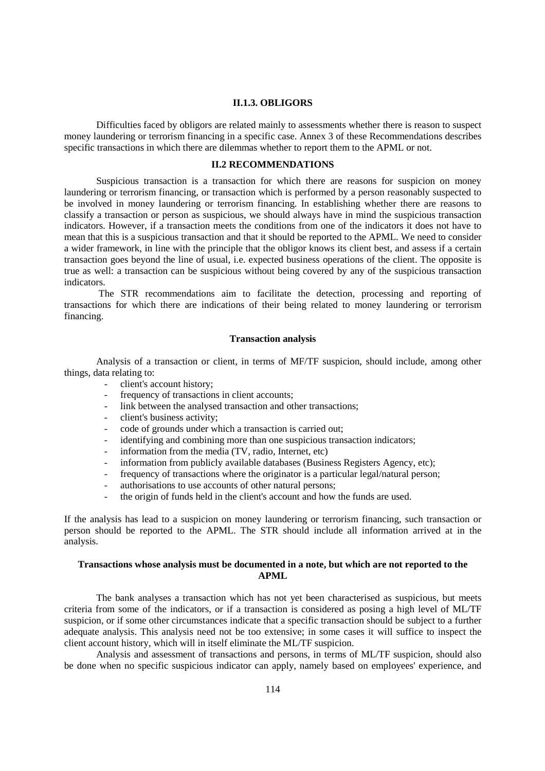#### **II.1.3. OBLIGORS**

Difficulties faced by obligors are related mainly to assessments whether there is reason to suspect money laundering or terrorism financing in a specific case. Annex 3 of these Recommendations describes specific transactions in which there are dilemmas whether to report them to the APML or not.

## **II.2 RECOMMENDATIONS**

Suspicious transaction is a transaction for which there are reasons for suspicion on money laundering or terrorism financing, or transaction which is performed by a person reasonably suspected to be involved in money laundering or terrorism financing. In establishing whether there are reasons to classify a transaction or person as suspicious, we should always have in mind the suspicious transaction indicators. However, if a transaction meets the conditions from one of the indicators it does not have to mean that this is a suspicious transaction and that it should be reported to the APML. We need to consider a wider framework, in line with the principle that the obligor knows its client best, and assess if a certain transaction goes beyond the line of usual, i.e. expected business operations of the client. The opposite is true as well: a transaction can be suspicious without being covered by any of the suspicious transaction indicators.

 The STR recommendations aim to facilitate the detection, processing and reporting of transactions for which there are indications of their being related to money laundering or terrorism financing.

#### **Transaction analysis**

Analysis of a transaction or client, in terms of MF/TF suspicion, should include, among other things, data relating to:

- client's account history;
- frequency of transactions in client accounts;
- link between the analysed transaction and other transactions;
- client's business activity;
- code of grounds under which a transaction is carried out;
- identifying and combining more than one suspicious transaction indicators;
- information from the media (TV, radio, Internet, etc)
- information from publicly available databases (Business Registers Agency, etc);
- frequency of transactions where the originator is a particular legal/natural person;
- authorisations to use accounts of other natural persons;
- the origin of funds held in the client's account and how the funds are used.

If the analysis has lead to a suspicion on money laundering or terrorism financing, such transaction or person should be reported to the APML. The STR should include all information arrived at in the analysis.

#### **Transactions whose analysis must be documented in a note, but which are not reported to the APML**

The bank analyses a transaction which has not yet been characterised as suspicious, but meets criteria from some of the indicators, or if a transaction is considered as posing a high level of ML/TF suspicion, or if some other circumstances indicate that a specific transaction should be subject to a further adequate analysis. This analysis need not be too extensive; in some cases it will suffice to inspect the client account history, which will in itself eliminate the ML/TF suspicion.

Analysis and assessment of transactions and persons, in terms of ML/TF suspicion, should also be done when no specific suspicious indicator can apply, namely based on employees' experience, and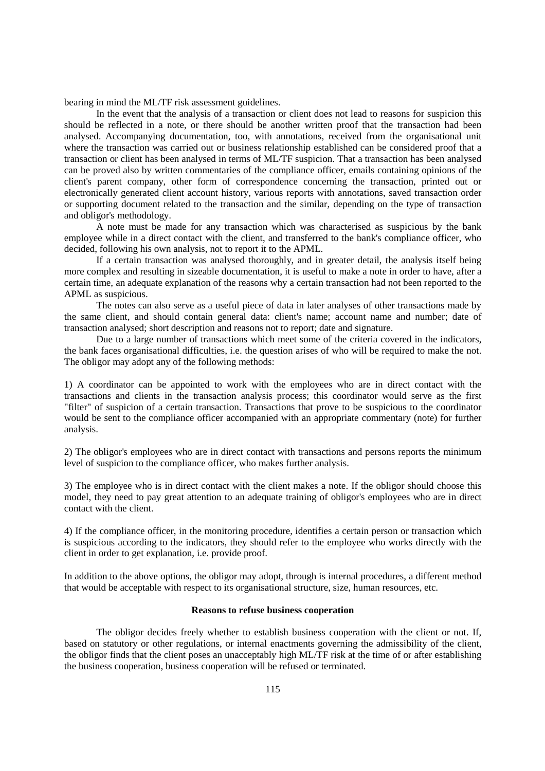bearing in mind the ML/TF risk assessment guidelines.

In the event that the analysis of a transaction or client does not lead to reasons for suspicion this should be reflected in a note, or there should be another written proof that the transaction had been analysed. Accompanying documentation, too, with annotations, received from the organisational unit where the transaction was carried out or business relationship established can be considered proof that a transaction or client has been analysed in terms of ML/TF suspicion. That a transaction has been analysed can be proved also by written commentaries of the compliance officer, emails containing opinions of the client's parent company, other form of correspondence concerning the transaction, printed out or electronically generated client account history, various reports with annotations, saved transaction order or supporting document related to the transaction and the similar, depending on the type of transaction and obligor's methodology.

A note must be made for any transaction which was characterised as suspicious by the bank employee while in a direct contact with the client, and transferred to the bank's compliance officer, who decided, following his own analysis, not to report it to the APML.

If a certain transaction was analysed thoroughly, and in greater detail, the analysis itself being more complex and resulting in sizeable documentation, it is useful to make a note in order to have, after a certain time, an adequate explanation of the reasons why a certain transaction had not been reported to the APML as suspicious.

The notes can also serve as a useful piece of data in later analyses of other transactions made by the same client, and should contain general data: client's name; account name and number; date of transaction analysed; short description and reasons not to report; date and signature.

Due to a large number of transactions which meet some of the criteria covered in the indicators, the bank faces organisational difficulties, i.e. the question arises of who will be required to make the not. The obligor may adopt any of the following methods:

1) A coordinator can be appointed to work with the employees who are in direct contact with the transactions and clients in the transaction analysis process; this coordinator would serve as the first "filter" of suspicion of a certain transaction. Transactions that prove to be suspicious to the coordinator would be sent to the compliance officer accompanied with an appropriate commentary (note) for further analysis.

2) The obligor's employees who are in direct contact with transactions and persons reports the minimum level of suspicion to the compliance officer, who makes further analysis.

3) The employee who is in direct contact with the client makes a note. If the obligor should choose this model, they need to pay great attention to an adequate training of obligor's employees who are in direct contact with the client.

4) If the compliance officer, in the monitoring procedure, identifies a certain person or transaction which is suspicious according to the indicators, they should refer to the employee who works directly with the client in order to get explanation, i.e. provide proof.

In addition to the above options, the obligor may adopt, through is internal procedures, a different method that would be acceptable with respect to its organisational structure, size, human resources, etc.

## **Reasons to refuse business cooperation**

The obligor decides freely whether to establish business cooperation with the client or not. If, based on statutory or other regulations, or internal enactments governing the admissibility of the client, the obligor finds that the client poses an unacceptably high ML/TF risk at the time of or after establishing the business cooperation, business cooperation will be refused or terminated.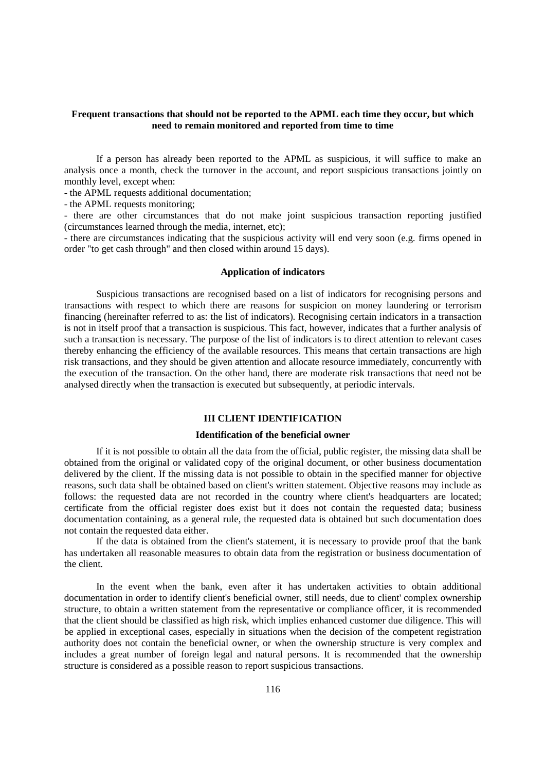### **Frequent transactions that should not be reported to the APML each time they occur, but which need to remain monitored and reported from time to time**

If a person has already been reported to the APML as suspicious, it will suffice to make an analysis once a month, check the turnover in the account, and report suspicious transactions jointly on monthly level, except when:

- the APML requests additional documentation;

- the APML requests monitoring;

- there are other circumstances that do not make joint suspicious transaction reporting justified (circumstances learned through the media, internet, etc);

- there are circumstances indicating that the suspicious activity will end very soon (e.g. firms opened in order "to get cash through" and then closed within around 15 days).

#### **Application of indicators**

Suspicious transactions are recognised based on a list of indicators for recognising persons and transactions with respect to which there are reasons for suspicion on money laundering or terrorism financing (hereinafter referred to as: the list of indicators). Recognising certain indicators in a transaction is not in itself proof that a transaction is suspicious. This fact, however, indicates that a further analysis of such a transaction is necessary. The purpose of the list of indicators is to direct attention to relevant cases thereby enhancing the efficiency of the available resources. This means that certain transactions are high risk transactions, and they should be given attention and allocate resource immediately, concurrently with the execution of the transaction. On the other hand, there are moderate risk transactions that need not be analysed directly when the transaction is executed but subsequently, at periodic intervals.

### **III CLIENT IDENTIFICATION**

### **Identification of the beneficial owner**

If it is not possible to obtain all the data from the official, public register, the missing data shall be obtained from the original or validated copy of the original document, or other business documentation delivered by the client. If the missing data is not possible to obtain in the specified manner for objective reasons, such data shall be obtained based on client's written statement. Objective reasons may include as follows: the requested data are not recorded in the country where client's headquarters are located; certificate from the official register does exist but it does not contain the requested data; business documentation containing, as a general rule, the requested data is obtained but such documentation does not contain the requested data either.

If the data is obtained from the client's statement, it is necessary to provide proof that the bank has undertaken all reasonable measures to obtain data from the registration or business documentation of the client.

In the event when the bank, even after it has undertaken activities to obtain additional documentation in order to identify client's beneficial owner, still needs, due to client' complex ownership structure, to obtain a written statement from the representative or compliance officer, it is recommended that the client should be classified as high risk, which implies enhanced customer due diligence. This will be applied in exceptional cases, especially in situations when the decision of the competent registration authority does not contain the beneficial owner, or when the ownership structure is very complex and includes a great number of foreign legal and natural persons. It is recommended that the ownership structure is considered as a possible reason to report suspicious transactions.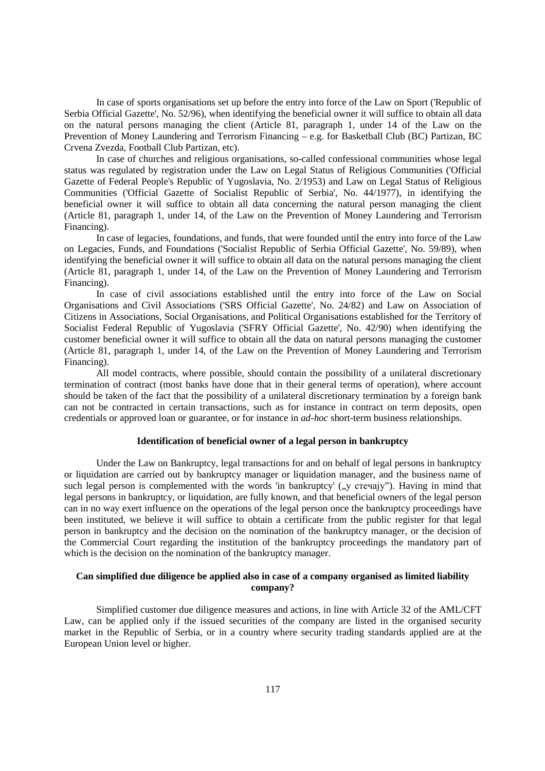In case of sports organisations set up before the entry into force of the Law on Sport ('Republic of Serbia Official Gazette', No. 52/96), when identifying the beneficial owner it will suffice to obtain all data on the natural persons managing the client (Article 81, paragraph 1, under 14 of the Law on the Prevention of Money Laundering and Terrorism Financing – e.g. for Basketball Club (BC) Partizan, BC Crvena Zvezda, Football Club Partizan, etc).

In case of churches and religious organisations, so-called confessional communities whose legal status was regulated by registration under the Law on Legal Status of Religious Communities ('Official Gazette of Federal People's Republic of Yugoslavia, No. 2/1953) and Law on Legal Status of Religious Communities ('Official Gazette of Socialist Republic of Serbia', No. 44/1977), in identifying the beneficial owner it will suffice to obtain all data concerning the natural person managing the client (Article 81, paragraph 1, under 14, of the Law on the Prevention of Money Laundering and Terrorism Financing).

In case of legacies, foundations, and funds, that were founded until the entry into force of the Law on Legacies, Funds, and Foundations ('Socialist Republic of Serbia Official Gazette', No. 59/89), when identifying the beneficial owner it will suffice to obtain all data on the natural persons managing the client (Article 81, paragraph 1, under 14, of the Law on the Prevention of Money Laundering and Terrorism Financing).

In case of civil associations established until the entry into force of the Law on Social Organisations and Civil Associations ('SRS Official Gazette', No. 24/82) and Law on Association of Citizens in Associations, Social Organisations, and Political Organisations established for the Territory of Socialist Federal Republic of Yugoslavia ('SFRY Official Gazette', No. 42/90) when identifying the customer beneficial owner it will suffice to obtain all the data on natural persons managing the customer (Article 81, paragraph 1, under 14, of the Law on the Prevention of Money Laundering and Terrorism Financing).

All model contracts, where possible, should contain the possibility of a unilateral discretionary termination of contract (most banks have done that in their general terms of operation), where account should be taken of the fact that the possibility of a unilateral discretionary termination by a foreign bank can not be contracted in certain transactions, such as for instance in contract on term deposits, open credentials or approved loan or guarantee, or for instance in *ad-hoc* short-term business relationships.

#### **Identification of beneficial owner of a legal person in bankruptcy**

Under the Law on Bankruptcy, legal transactions for and on behalf of legal persons in bankruptcy or liquidation are carried out by bankruptcy manager or liquidation manager, and the business name of such legal person is complemented with the words 'in bankruptcy'  $($ ,  $\gamma$  crevajy"). Having in mind that legal persons in bankruptcy, or liquidation, are fully known, and that beneficial owners of the legal person can in no way exert influence on the operations of the legal person once the bankruptcy proceedings have been instituted, we believe it will suffice to obtain a certificate from the public register for that legal person in bankruptcy and the decision on the nomination of the bankruptcy manager, or the decision of the Commercial Court regarding the institution of the bankruptcy proceedings the mandatory part of which is the decision on the nomination of the bankruptcy manager.

## **Can simplified due diligence be applied also in case of a company organised as limited liability company?**

Simplified customer due diligence measures and actions, in line with Article 32 of the AML/CFT Law, can be applied only if the issued securities of the company are listed in the organised security market in the Republic of Serbia, or in a country where security trading standards applied are at the European Union level or higher.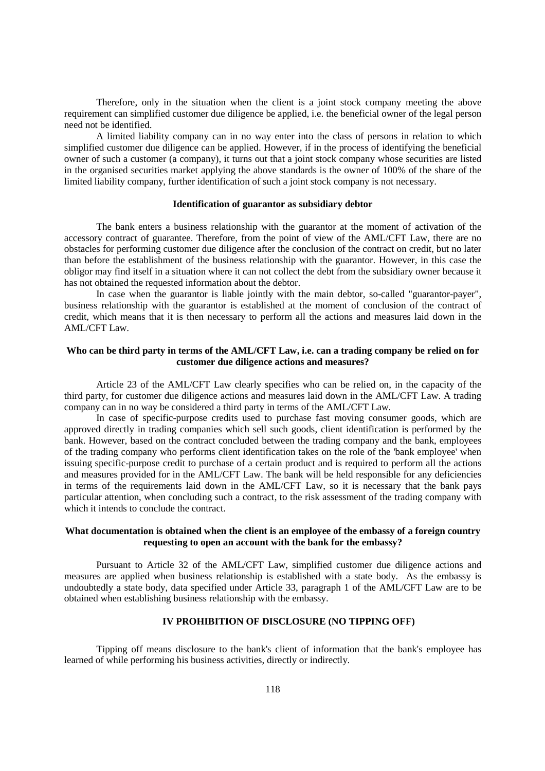Therefore, only in the situation when the client is a joint stock company meeting the above requirement can simplified customer due diligence be applied, i.e. the beneficial owner of the legal person need not be identified.

A limited liability company can in no way enter into the class of persons in relation to which simplified customer due diligence can be applied. However, if in the process of identifying the beneficial owner of such a customer (a company), it turns out that a joint stock company whose securities are listed in the organised securities market applying the above standards is the owner of 100% of the share of the limited liability company, further identification of such a joint stock company is not necessary.

#### **Identification of guarantor as subsidiary debtor**

The bank enters a business relationship with the guarantor at the moment of activation of the accessory contract of guarantee. Therefore, from the point of view of the AML/CFT Law, there are no obstacles for performing customer due diligence after the conclusion of the contract on credit, but no later than before the establishment of the business relationship with the guarantor. However, in this case the obligor may find itself in a situation where it can not collect the debt from the subsidiary owner because it has not obtained the requested information about the debtor.

In case when the guarantor is liable jointly with the main debtor, so-called "guarantor-payer", business relationship with the guarantor is established at the moment of conclusion of the contract of credit, which means that it is then necessary to perform all the actions and measures laid down in the AML/CFT Law.

## **Who can be third party in terms of the AML/CFT Law, i.e. can a trading company be relied on for customer due diligence actions and measures?**

Article 23 of the AML/CFT Law clearly specifies who can be relied on, in the capacity of the third party, for customer due diligence actions and measures laid down in the AML/CFT Law. A trading company can in no way be considered a third party in terms of the AML/CFT Law.

In case of specific-purpose credits used to purchase fast moving consumer goods, which are approved directly in trading companies which sell such goods, client identification is performed by the bank. However, based on the contract concluded between the trading company and the bank, employees of the trading company who performs client identification takes on the role of the 'bank employee' when issuing specific-purpose credit to purchase of a certain product and is required to perform all the actions and measures provided for in the AML/CFT Law. The bank will be held responsible for any deficiencies in terms of the requirements laid down in the AML/CFT Law, so it is necessary that the bank pays particular attention, when concluding such a contract, to the risk assessment of the trading company with which it intends to conclude the contract.

## **What documentation is obtained when the client is an employee of the embassy of a foreign country requesting to open an account with the bank for the embassy?**

Pursuant to Article 32 of the AML/CFT Law, simplified customer due diligence actions and measures are applied when business relationship is established with a state body. As the embassy is undoubtedly a state body, data specified under Article 33, paragraph 1 of the AML/CFT Law are to be obtained when establishing business relationship with the embassy.

### **IV PROHIBITION OF DISCLOSURE (NO TIPPING OFF)**

Tipping off means disclosure to the bank's client of information that the bank's employee has learned of while performing his business activities, directly or indirectly.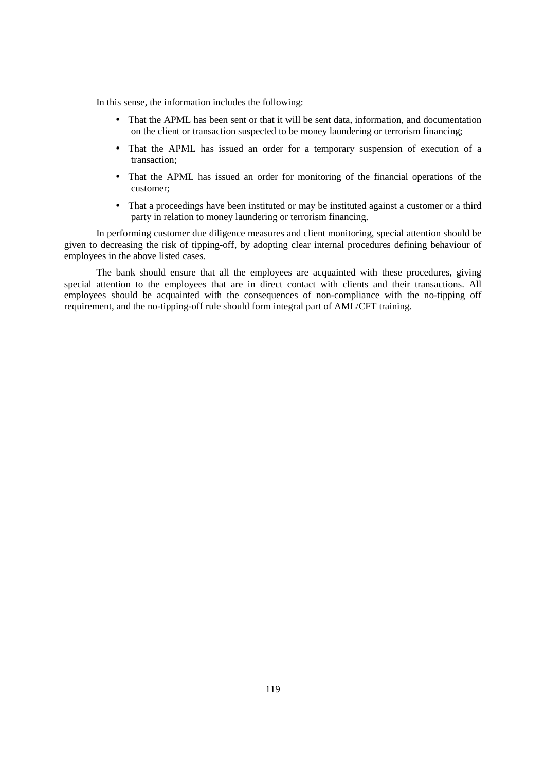In this sense, the information includes the following:

- That the APML has been sent or that it will be sent data, information, and documentation on the client or transaction suspected to be money laundering or terrorism financing;
- That the APML has issued an order for a temporary suspension of execution of a transaction;
- That the APML has issued an order for monitoring of the financial operations of the customer;
- That a proceedings have been instituted or may be instituted against a customer or a third party in relation to money laundering or terrorism financing.

In performing customer due diligence measures and client monitoring, special attention should be given to decreasing the risk of tipping-off, by adopting clear internal procedures defining behaviour of employees in the above listed cases.

The bank should ensure that all the employees are acquainted with these procedures, giving special attention to the employees that are in direct contact with clients and their transactions. All employees should be acquainted with the consequences of non-compliance with the no-tipping off requirement, and the no-tipping-off rule should form integral part of AML/CFT training.